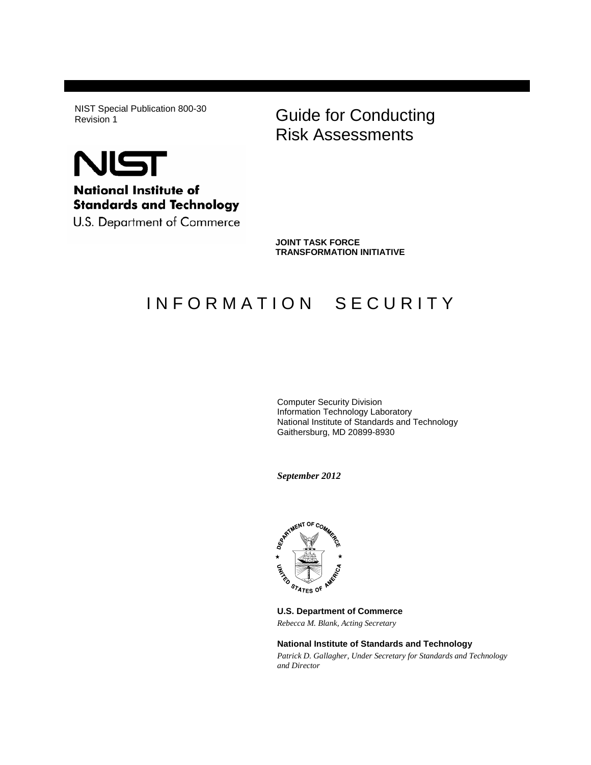NIST Special Publication 800-30 Revision 1

Guide for Conducting Risk Assessments



**National Institute of Standards and Technology** 

U.S. Department of Commerce

**JOINT TASK FORCE TRANSFORMATION INITIATIVE**

# INFORMATION SECURITY

Computer Security Division Information Technology Laboratory National Institute of Standards and Technology Gaithersburg, MD 20899-8930

*September 2012*



**U.S. Department of Commerce** *Rebecca M. Blank, Acting Secretary*

**National Institute of Standards and Technology**

*Patrick D. Gallagher, Under Secretary for Standards and Technology and Director*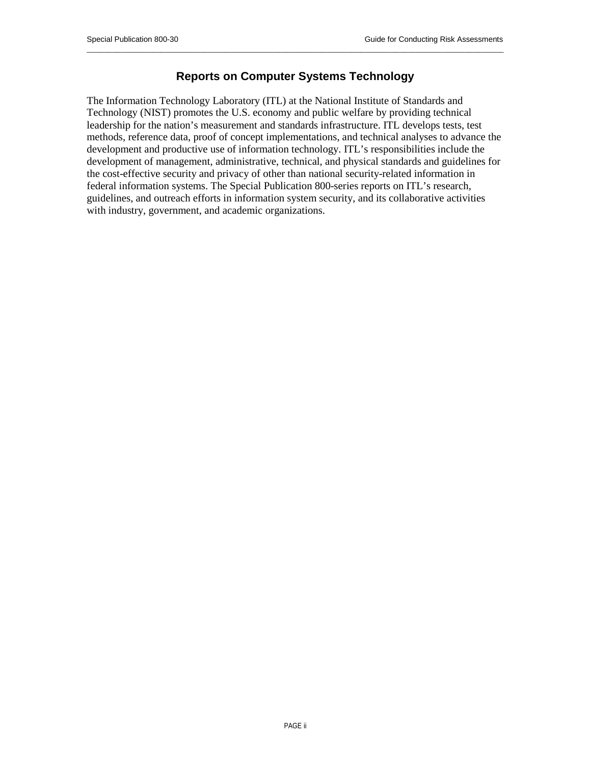# **Reports on Computer Systems Technology**

\_\_\_\_\_\_\_\_\_\_\_\_\_\_\_\_\_\_\_\_\_\_\_\_\_\_\_\_\_\_\_\_\_\_\_\_\_\_\_\_\_\_\_\_\_\_\_\_\_\_\_\_\_\_\_\_\_\_\_\_\_\_\_\_\_\_\_\_\_\_\_\_\_\_\_\_\_\_\_\_\_\_\_\_\_\_\_\_\_\_\_\_\_\_\_\_

The Information Technology Laboratory (ITL) at the National Institute of Standards and Technology (NIST) promotes the U.S. economy and public welfare by providing technical leadership for the nation's measurement and standards infrastructure. ITL develops tests, test methods, reference data, proof of concept implementations, and technical analyses to advance the development and productive use of information technology. ITL's responsibilities include the development of management, administrative, technical, and physical standards and guidelines for the cost-effective security and privacy of other than national security-related information in federal information systems. The Special Publication 800-series reports on ITL's research, guidelines, and outreach efforts in information system security, and its collaborative activities with industry, government, and academic organizations.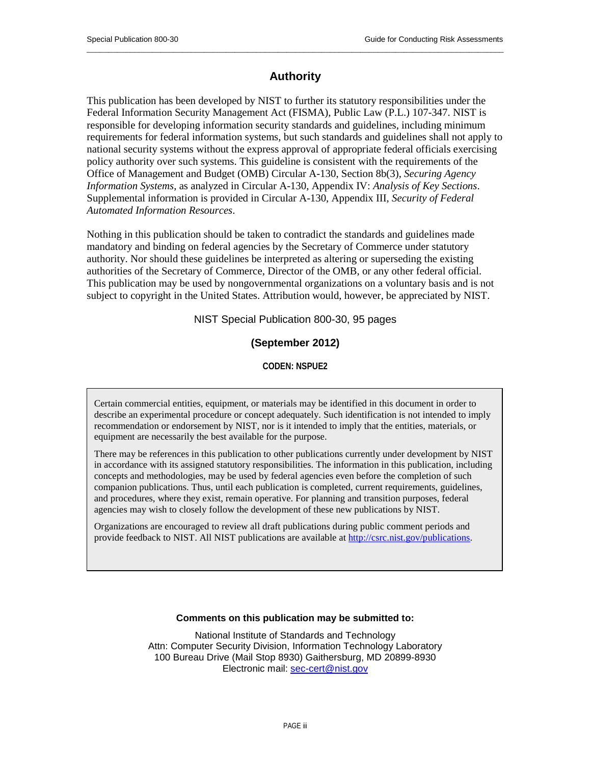# **Authority**

\_\_\_\_\_\_\_\_\_\_\_\_\_\_\_\_\_\_\_\_\_\_\_\_\_\_\_\_\_\_\_\_\_\_\_\_\_\_\_\_\_\_\_\_\_\_\_\_\_\_\_\_\_\_\_\_\_\_\_\_\_\_\_\_\_\_\_\_\_\_\_\_\_\_\_\_\_\_\_\_\_\_\_\_\_\_\_\_\_\_\_\_\_\_\_\_

This publication has been developed by NIST to further its statutory responsibilities under the Federal Information Security Management Act (FISMA), Public Law (P.L.) 107-347. NIST is responsible for developing information security standards and guidelines, including minimum requirements for federal information systems, but such standards and guidelines shall not apply to national security systems without the express approval of appropriate federal officials exercising policy authority over such systems. This guideline is consistent with the requirements of the Office of Management and Budget (OMB) Circular A-130, Section 8b(3), *Securing Agency Information Systems*, as analyzed in Circular A-130, Appendix IV: *Analysis of Key Sections*. Supplemental information is provided in Circular A-130, Appendix III, *Security of Federal Automated Information Resources*.

Nothing in this publication should be taken to contradict the standards and guidelines made mandatory and binding on federal agencies by the Secretary of Commerce under statutory authority. Nor should these guidelines be interpreted as altering or superseding the existing authorities of the Secretary of Commerce, Director of the OMB, or any other federal official. This publication may be used by nongovernmental organizations on a voluntary basis and is not subject to copyright in the United States. Attribution would, however, be appreciated by NIST.

NIST Special Publication 800-30, 95 pages

# **(September 2012)**

**CODEN: NSPUE2**

 Certain commercial entities, equipment, or materials may be identified in this document in order to describe an experimental procedure or concept adequately. Such identification is not intended to imply recommendation or endorsement by NIST, nor is it intended to imply that the entities, materials, or equipment are necessarily the best available for the purpose.

There may be references in this publication to other publications currently under development by NIST in accordance with its assigned statutory responsibilities. The information in this publication, including concepts and methodologies, may be used by federal agencies even before the completion of such companion publications. Thus, until each publication is completed, current requirements, guidelines, and procedures, where they exist, remain operative. For planning and transition purposes, federal agencies may wish to closely follow the development of these new publications by NIST.

Organizations are encouraged to review all draft publications during public comment periods and provide feedback to NIST. All NIST publications are available at [http://csrc.nist.gov/publications.](http://csrc.nist.gov/publications)

#### **Comments on this publication may be submitted to:**

National Institute of Standards and Technology Attn: Computer Security Division, Information Technology Laboratory 100 Bureau Drive (Mail Stop 8930) Gaithersburg, MD 20899-8930 Electronic mail: sec-cert@nist.gov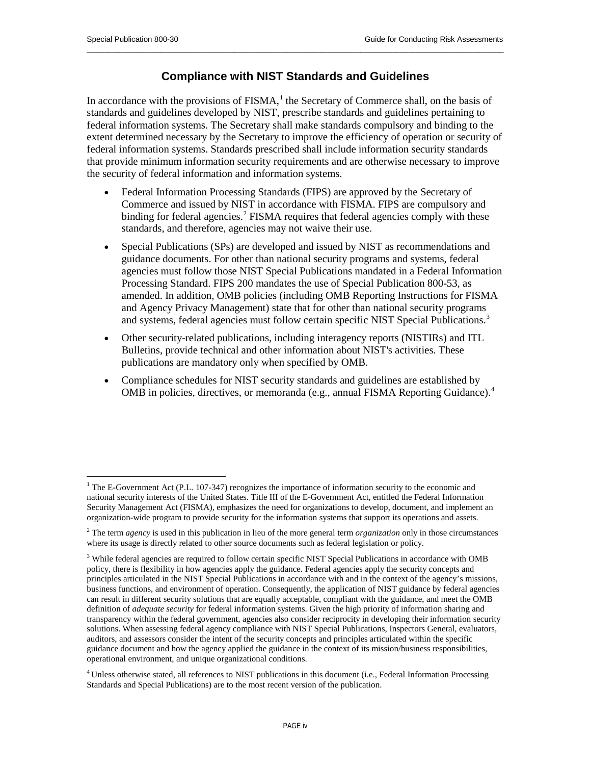# **Compliance with NIST Standards and Guidelines**

\_\_\_\_\_\_\_\_\_\_\_\_\_\_\_\_\_\_\_\_\_\_\_\_\_\_\_\_\_\_\_\_\_\_\_\_\_\_\_\_\_\_\_\_\_\_\_\_\_\_\_\_\_\_\_\_\_\_\_\_\_\_\_\_\_\_\_\_\_\_\_\_\_\_\_\_\_\_\_\_\_\_\_\_\_\_\_\_\_\_\_\_\_\_\_\_

In accordance with the provisions of  $FISMA$ ,<sup>[1](#page-3-0)</sup> the Secretary of Commerce shall, on the basis of standards and guidelines developed by NIST, prescribe standards and guidelines pertaining to federal information systems. The Secretary shall make standards compulsory and binding to the extent determined necessary by the Secretary to improve the efficiency of operation or security of federal information systems. Standards prescribed shall include information security standards that provide minimum information security requirements and are otherwise necessary to improve the security of federal information and information systems.

- Federal Information Processing Standards (FIPS) are approved by the Secretary of Commerce and issued by NIST in accordance with FISMA. FIPS are compulsory and binding for federal agencies.<sup>[2](#page-3-1)</sup> FISMA requires that federal agencies comply with these standards, and therefore, agencies may not waive their use.
- Special Publications (SPs) are developed and issued by NIST as recommendations and guidance documents. For other than national security programs and systems, federal agencies must follow those NIST Special Publications mandated in a Federal Information Processing Standard. FIPS 200 mandates the use of Special Publication 800-53, as amended. In addition, OMB policies (including OMB Reporting Instructions for FISMA and Agency Privacy Management) state that for other than national security programs and systems, federal agencies must follow certain specific NIST Special Publications.<sup>[3](#page-3-2)</sup>
- Other security-related publications, including interagency reports (NISTIRs) and ITL Bulletins, provide technical and other information about NIST's activities. These publications are mandatory only when specified by OMB.
- Compliance schedules for NIST security standards and guidelines are established by OMB in policies, directives, or memoranda (e.g., annual FISMA Reporting Guidance).<sup>[4](#page-3-3)</sup>

<span id="page-3-0"></span><sup>&</sup>lt;sup>1</sup> The E-Government Act (P.L. 107-347) recognizes the importance of information security to the economic and national security interests of the United States. Title III of the E-Government Act, entitled the Federal Information Security Management Act (FISMA), emphasizes the need for organizations to develop, document, and implement an organization-wide program to provide security for the information systems that support its operations and assets.

<span id="page-3-1"></span><sup>2</sup> The term *agency* is used in this publication in lieu of the more general term *organization* only in those circumstances where its usage is directly related to other source documents such as federal legislation or policy.

<span id="page-3-2"></span><sup>&</sup>lt;sup>3</sup> While federal agencies are required to follow certain specific NIST Special Publications in accordance with OMB policy, there is flexibility in how agencies apply the guidance. Federal agencies apply the security concepts and principles articulated in the NIST Special Publications in accordance with and in the context of the agency's missions, business functions, and environment of operation. Consequently, the application of NIST guidance by federal agencies can result in different security solutions that are equally acceptable, compliant with the guidance, and meet the OMB definition of *adequate security* for federal information systems. Given the high priority of information sharing and transparency within the federal government, agencies also consider reciprocity in developing their information security solutions. When assessing federal agency compliance with NIST Special Publications, Inspectors General, evaluators, auditors, and assessors consider the intent of the security concepts and principles articulated within the specific guidance document and how the agency applied the guidance in the context of its mission/business responsibilities, operational environment, and unique organizational conditions.

<span id="page-3-3"></span><sup>4</sup> Unless otherwise stated, all references to NIST publications in this document (i.e., Federal Information Processing Standards and Special Publications) are to the most recent version of the publication.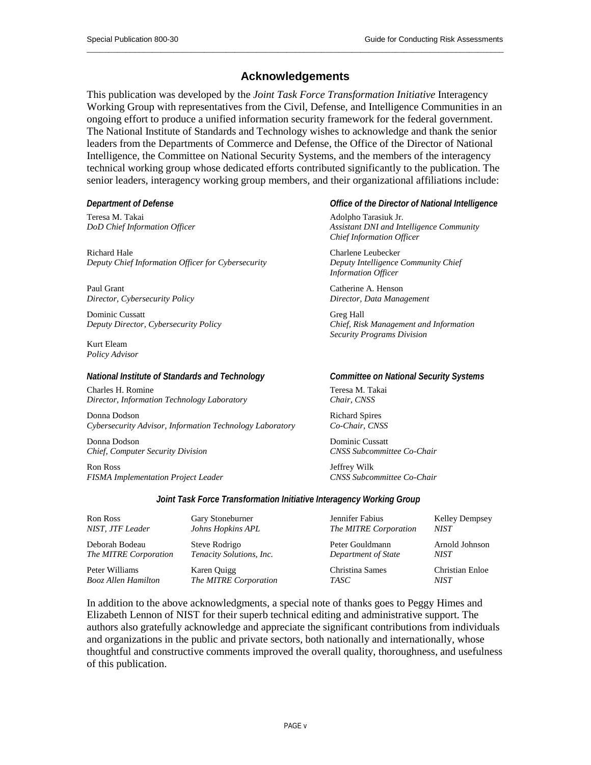# **Acknowledgements**

\_\_\_\_\_\_\_\_\_\_\_\_\_\_\_\_\_\_\_\_\_\_\_\_\_\_\_\_\_\_\_\_\_\_\_\_\_\_\_\_\_\_\_\_\_\_\_\_\_\_\_\_\_\_\_\_\_\_\_\_\_\_\_\_\_\_\_\_\_\_\_\_\_\_\_\_\_\_\_\_\_\_\_\_\_\_\_\_\_\_\_\_\_\_\_\_

This publication was developed by the *Joint Task Force Transformation Initiative* Interagency Working Group with representatives from the Civil, Defense, and Intelligence Communities in an ongoing effort to produce a unified information security framework for the federal government. The National Institute of Standards and Technology wishes to acknowledge and thank the senior leaders from the Departments of Commerce and Defense, the Office of the Director of National Intelligence, the Committee on National Security Systems, and the members of the interagency technical working group whose dedicated efforts contributed significantly to the publication. The senior leaders, interagency working group members, and their organizational affiliations include:

Teresa M. Takai *Adolpho Tarasiuk Jr. Adolpho Tarasiuk Jr. Adolpho Tarasiuk Jr. Adolpho Tarasiuk Jr.* Assistant DNI and In

Richard Hale **Charles Charles Charles Charles Charles Charles Charles Charles Charles Charles Charles Charles Charles Charles Charles Charles Charles Charles Charles Charles Charles Charles Charles Charles Charles Charles** *Deputy Chief Information Officer for Cybersecurity Deputy Intelligence Community Chief*

Paul Grant Catherine A. Henson *Director, Cybersecurity Policy Director, Data Management*

Dominic Cussatt Greg Hall

Kurt Eleam *Policy Advisor*

#### *National Institute of Standards and Technology Committee on National Security Systems*

Charles H. Romine Teresa M. Takai *Director, Information Technology Laboratory Chair, CNSS*

Donna Dodson Richard Spires *Cybersecurity Advisor, Information Technology Laboratory Co-Chair, CNSS*

Donna Dodson Dominic Cussatt *Chief, Computer Security Division CNSS Subcommittee Co-Chair*

Ron Ross Jeffrey Wilk *FISMA Implementation Project Leader CNSS Subcommittee Co-Chair*

#### *Department of Defense Office of the Director of National Intelligence*

*DoD Chief Information Officer Assistant DNI and Intelligence Community Chief Information Officer*

*Information Officer*

*Deputy Director, Cybersecurity Policy Chief, Risk Management and Information Security Programs Division*

#### *Joint Task Force Transformation Initiative Interagency Working Group*

| Ron Ross              | Gary Stoneburner         | Jennifer Fabius       | <b>Kelley Dempsey</b> |
|-----------------------|--------------------------|-----------------------|-----------------------|
| NIST, JTF Leader      | Johns Hopkins APL        | The MITRE Corporation | NIST                  |
| Deborah Bodeau        | Steve Rodrigo            | Peter Gouldmann       | Arnold Johnson        |
| The MITRE Corporation | Tenacity Solutions, Inc. | Department of State   | NIST                  |
| Peter Williams        | Karen Quigg              | Christina Sames       | Christian Enloe       |
| Booz Allen Hamilton   | The MITRE Corporation    | TASC                  | NIST                  |

In addition to the above acknowledgments, a special note of thanks goes to Peggy Himes and Elizabeth Lennon of NIST for their superb technical editing and administrative support. The authors also gratefully acknowledge and appreciate the significant contributions from individuals and organizations in the public and private sectors, both nationally and internationally, whose thoughtful and constructive comments improved the overall quality, thoroughness, and usefulness of this publication.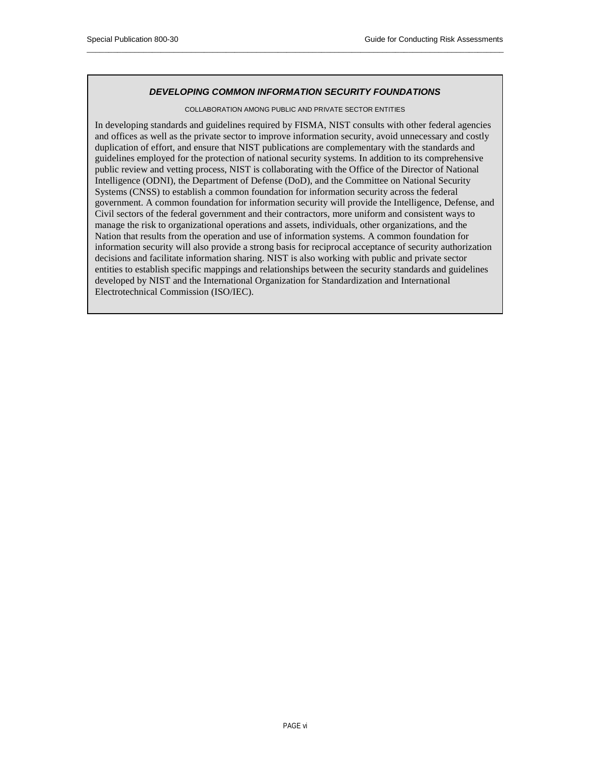#### *DEVELOPING COMMON INFORMATION SECURITY FOUNDATIONS*

\_\_\_\_\_\_\_\_\_\_\_\_\_\_\_\_\_\_\_\_\_\_\_\_\_\_\_\_\_\_\_\_\_\_\_\_\_\_\_\_\_\_\_\_\_\_\_\_\_\_\_\_\_\_\_\_\_\_\_\_\_\_\_\_\_\_\_\_\_\_\_\_\_\_\_\_\_\_\_\_\_\_\_\_\_\_\_\_\_\_\_\_\_\_\_\_

#### COLLABORATION AMONG PUBLIC AND PRIVATE SECTOR ENTITIES

In developing standards and guidelines required by FISMA, NIST consults with other federal agencies and offices as well as the private sector to improve information security, avoid unnecessary and costly duplication of effort, and ensure that NIST publications are complementary with the standards and guidelines employed for the protection of national security systems. In addition to its comprehensive public review and vetting process, NIST is collaborating with the Office of the Director of National Intelligence (ODNI), the Department of Defense (DoD), and the Committee on National Security Systems (CNSS) to establish a common foundation for information security across the federal government. A common foundation for information security will provide the Intelligence, Defense, and Civil sectors of the federal government and their contractors, more uniform and consistent ways to manage the risk to organizational operations and assets, individuals, other organizations, and the Nation that results from the operation and use of information systems. A common foundation for information security will also provide a strong basis for reciprocal acceptance of security authorization decisions and facilitate information sharing. NIST is also working with public and private sector entities to establish specific mappings and relationships between the security standards and guidelines developed by NIST and the International Organization for Standardization and International Electrotechnical Commission (ISO/IEC).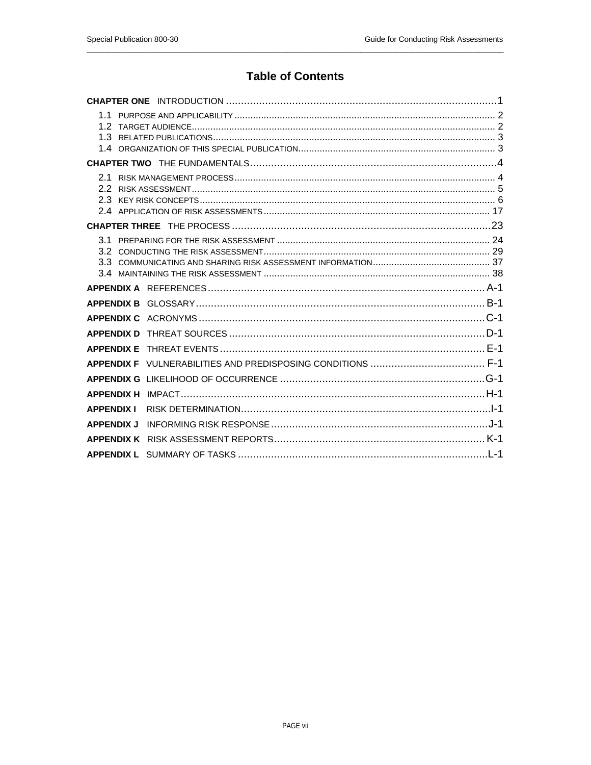# **Table of Contents**

| <b>APPENDIX I</b> |  |  |  |
|-------------------|--|--|--|
| <b>APPENDIX J</b> |  |  |  |
|                   |  |  |  |
|                   |  |  |  |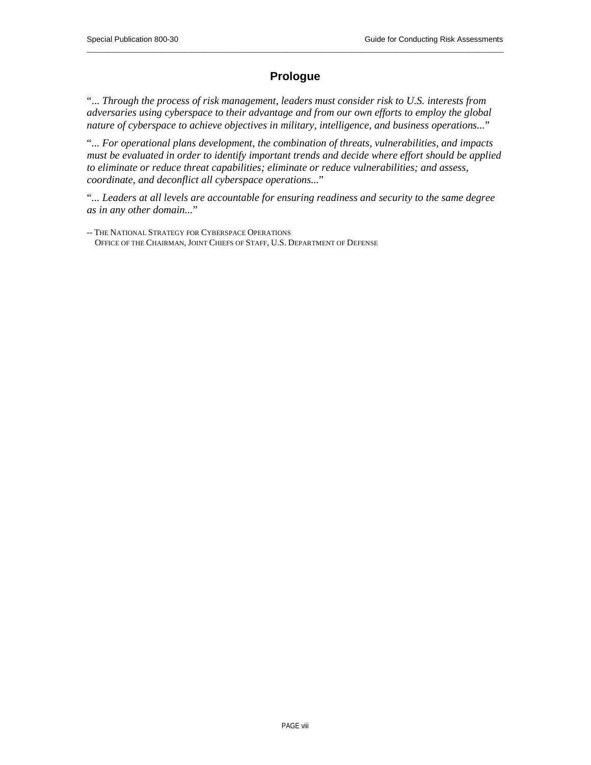# **Prologue**

\_\_\_\_\_\_\_\_\_\_\_\_\_\_\_\_\_\_\_\_\_\_\_\_\_\_\_\_\_\_\_\_\_\_\_\_\_\_\_\_\_\_\_\_\_\_\_\_\_\_\_\_\_\_\_\_\_\_\_\_\_\_\_\_\_\_\_\_\_\_\_\_\_\_\_\_\_\_\_\_\_\_\_\_\_\_\_\_\_\_\_\_\_\_\_\_

"... *Through the process of risk management, leaders must consider risk to U.S. interests from adversaries using cyberspace to their advantage and from our own efforts to employ the global nature of cyberspace to achieve objectives in military, intelligence, and business operations...*"

"*... For operational plans development, the combination of threats, vulnerabilities, and impacts must be evaluated in order to identify important trends and decide where effort should be applied to eliminate or reduce threat capabilities; eliminate or reduce vulnerabilities; and assess, coordinate, and deconflict all cyberspace operations...*"

"*... Leaders at all levels are accountable for ensuring readiness and security to the same degree as in any other domain...*"

-- THE NATIONAL STRATEGY FOR CYBERSPACE OPERATIONS OFFICE OF THE CHAIRMAN, JOINT CHIEFS OF STAFF, U.S. DEPARTMENT OF DEFENSE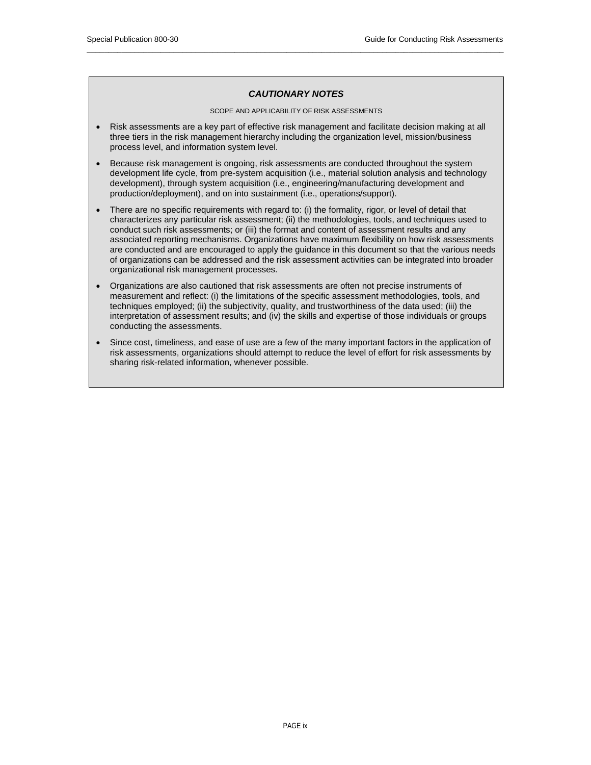#### *CAUTIONARY NOTES*

\_\_\_\_\_\_\_\_\_\_\_\_\_\_\_\_\_\_\_\_\_\_\_\_\_\_\_\_\_\_\_\_\_\_\_\_\_\_\_\_\_\_\_\_\_\_\_\_\_\_\_\_\_\_\_\_\_\_\_\_\_\_\_\_\_\_\_\_\_\_\_\_\_\_\_\_\_\_\_\_\_\_\_\_\_\_\_\_\_\_\_\_\_\_\_\_

#### SCOPE AND APPLICABILITY OF RISK ASSESSMENTS

- Risk assessments are a key part of effective risk management and facilitate decision making at all three tiers in the risk management hierarchy including the organization level, mission/business process level, and information system level.
- Because risk management is ongoing, risk assessments are conducted throughout the system development life cycle, from pre-system acquisition (i.e., material solution analysis and technology development), through system acquisition (i.e., engineering/manufacturing development and production/deployment), and on into sustainment (i.e., operations/support).
- There are no specific requirements with regard to: (i) the formality, rigor, or level of detail that characterizes any particular risk assessment; (ii) the methodologies, tools, and techniques used to conduct such risk assessments; or (iii) the format and content of assessment results and any associated reporting mechanisms. Organizations have maximum flexibility on how risk assessments are conducted and are encouraged to apply the guidance in this document so that the various needs of organizations can be addressed and the risk assessment activities can be integrated into broader organizational risk management processes.
- Organizations are also cautioned that risk assessments are often not precise instruments of measurement and reflect: (i) the limitations of the specific assessment methodologies, tools, and techniques employed; (ii) the subjectivity, quality, and trustworthiness of the data used; (iii) the interpretation of assessment results; and (iv) the skills and expertise of those individuals or groups conducting the assessments.
- Since cost, timeliness, and ease of use are a few of the many important factors in the application of risk assessments, organizations should attempt to reduce the level of effort for risk assessments by sharing risk-related information, whenever possible.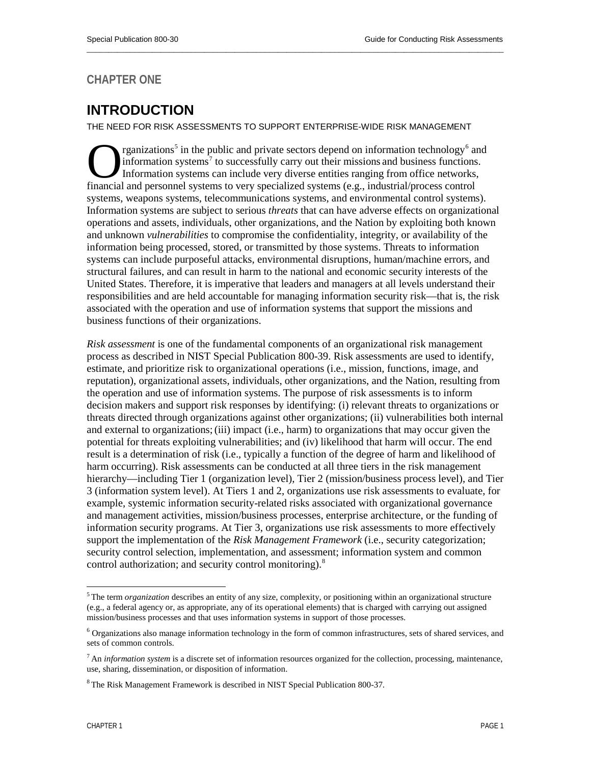# <span id="page-9-0"></span>**CHAPTER ONE**

# **INTRODUCTION**

THE NEED FOR RISK ASSESSMENTS TO SUPPORT ENTERPRISE-WIDE RISK MANAGEMENT

\_\_\_\_\_\_\_\_\_\_\_\_\_\_\_\_\_\_\_\_\_\_\_\_\_\_\_\_\_\_\_\_\_\_\_\_\_\_\_\_\_\_\_\_\_\_\_\_\_\_\_\_\_\_\_\_\_\_\_\_\_\_\_\_\_\_\_\_\_\_\_\_\_\_\_\_\_\_\_\_\_\_\_\_\_\_\_\_\_\_\_\_\_\_\_\_

rganizations<sup>[5](#page-9-1)</sup> in the public and private sectors depend on information technology<sup>[6](#page-9-2)</sup> and information systems<sup>[7](#page-9-3)</sup> to successfully carry out their missions and business functions. Information systems can include very diverse entities ranging from office networks, **financial and personnel systems**<sup>7</sup> to successfully carry out their missions and business functions Information systems can include very diverse entities ranging from office networks, financial and personnel systems to ve systems, weapons systems, telecommunications systems, and environmental control systems). Information systems are subject to serious *threats* that can have adverse effects on organizational operations and assets, individuals, other organizations, and the Nation by exploiting both known and unknown *vulnerabilities* to compromise the confidentiality, integrity, or availability of the information being processed, stored, or transmitted by those systems. Threats to information systems can include purposeful attacks, environmental disruptions, human/machine errors, and structural failures, and can result in harm to the national and economic security interests of the United States. Therefore, it is imperative that leaders and managers at all levels understand their responsibilities and are held accountable for managing information security risk—that is, the risk associated with the operation and use of information systems that support the missions and business functions of their organizations.

*Risk assessment* is one of the fundamental components of an organizational risk management process as described in NIST Special Publication 800-39. Risk assessments are used to identify, estimate, and prioritize risk to organizational operations (i.e., mission, functions, image, and reputation), organizational assets, individuals, other organizations, and the Nation, resulting from the operation and use of information systems. The purpose of risk assessments is to inform decision makers and support risk responses by identifying: (i) relevant threats to organizations or threats directed through organizations against other organizations; (ii) vulnerabilities both internal and external to organizations;(iii) impact (i.e., harm) to organizations that may occur given the potential for threats exploiting vulnerabilities; and (iv) likelihood that harm will occur. The end result is a determination of risk (i.e., typically a function of the degree of harm and likelihood of harm occurring). Risk assessments can be conducted at all three tiers in the risk management hierarchy—including Tier 1 (organization level), Tier 2 (mission/business process level), and Tier 3 (information system level). At Tiers 1 and 2, organizations use risk assessments to evaluate, for example, systemic information security-related risks associated with organizational governance and management activities, mission/business processes, enterprise architecture, or the funding of information security programs. At Tier 3, organizations use risk assessments to more effectively support the implementation of the *Risk Management Framework* (i.e., security categorization; security control selection, implementation, and assessment; information system and common control authorization; and security control monitoring). [8](#page-9-4)

<span id="page-9-1"></span> <sup>5</sup> The term *organization* describes an entity of any size, complexity, or positioning within an organizational structure (e.g., a federal agency or, as appropriate, any of its operational elements) that is charged with carrying out assigned mission/business processes and that uses information systems in support of those processes.

<span id="page-9-2"></span><sup>6</sup> Organizations also manage information technology in the form of common infrastructures, sets of shared services, and sets of common controls.

<span id="page-9-3"></span><sup>7</sup> An *information system* is a discrete set of information resources organized for the collection, processing, maintenance, use, sharing, dissemination, or disposition of information.

<span id="page-9-4"></span><sup>8</sup> The Risk Management Framework is described in NIST Special Publication 800-37.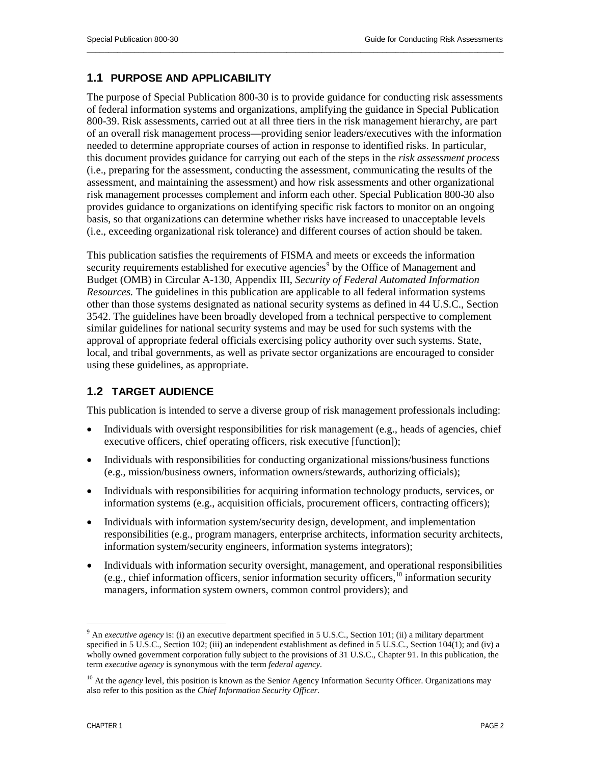# <span id="page-10-0"></span>**1.1 PURPOSE AND APPLICABILITY**

The purpose of Special Publication 800-30 is to provide guidance for conducting risk assessments of federal information systems and organizations, amplifying the guidance in Special Publication 800-39. Risk assessments, carried out at all three tiers in the risk management hierarchy, are part of an overall risk management process—providing senior leaders/executives with the information needed to determine appropriate courses of action in response to identified risks. In particular, this document provides guidance for carrying out each of the steps in the *risk assessment process* (i.e., preparing for the assessment, conducting the assessment, communicating the results of the assessment, and maintaining the assessment) and how risk assessments and other organizational risk management processes complement and inform each other. Special Publication 800-30 also provides guidance to organizations on identifying specific risk factors to monitor on an ongoing basis, so that organizations can determine whether risks have increased to unacceptable levels (i.e., exceeding organizational risk tolerance) and different courses of action should be taken.

\_\_\_\_\_\_\_\_\_\_\_\_\_\_\_\_\_\_\_\_\_\_\_\_\_\_\_\_\_\_\_\_\_\_\_\_\_\_\_\_\_\_\_\_\_\_\_\_\_\_\_\_\_\_\_\_\_\_\_\_\_\_\_\_\_\_\_\_\_\_\_\_\_\_\_\_\_\_\_\_\_\_\_\_\_\_\_\_\_\_\_\_\_\_\_\_

This publication satisfies the requirements of FISMA and meets or exceeds the information security requirements established for executive agencies<sup>[9](#page-10-2)</sup> by the Office of Management and Budget (OMB) in Circular A-130, Appendix III, *Security of Federal Automated Information Resources.* The guidelines in this publication are applicable to all federal information systems other than those systems designated as national security systems as defined in 44 U.S.C., Section 3542. The guidelines have been broadly developed from a technical perspective to complement similar guidelines for national security systems and may be used for such systems with the approval of appropriate federal officials exercising policy authority over such systems. State, local, and tribal governments, as well as private sector organizations are encouraged to consider using these guidelines, as appropriate.

# <span id="page-10-1"></span>**1.2 TARGET AUDIENCE**

This publication is intended to serve a diverse group of risk management professionals including:

- Individuals with oversight responsibilities for risk management (e.g., heads of agencies, chief executive officers, chief operating officers, risk executive [function]);
- Individuals with responsibilities for conducting organizational missions/business functions (e.g., mission/business owners, information owners/stewards, authorizing officials);
- Individuals with responsibilities for acquiring information technology products, services, or information systems (e.g., acquisition officials, procurement officers, contracting officers);
- Individuals with information system/security design, development, and implementation responsibilities (e.g., program managers, enterprise architects, information security architects, information system/security engineers, information systems integrators);
- Individuals with information security oversight, management, and operational responsibilities  $(e.g., chief information officers, senior information security officers<sup>10</sup> information security$ managers, information system owners, common control providers); and

<span id="page-10-2"></span> <sup>9</sup> An *executive agency* is: (i) an executive department specified in 5 U.S.C., Section 101; (ii) a military department specified in 5 U.S.C., Section 102; (iii) an independent establishment as defined in 5 U.S.C., Section 104(1); and (iv) a wholly owned government corporation fully subject to the provisions of 31 U.S.C., Chapter 91. In this publication, the term *executive agency* is synonymous with the term *federal agency*.

<span id="page-10-3"></span><sup>&</sup>lt;sup>10</sup> At the *agency* level, this position is known as the Senior Agency Information Security Officer. Organizations may also refer to this position as the *Chief Information Security Officer*.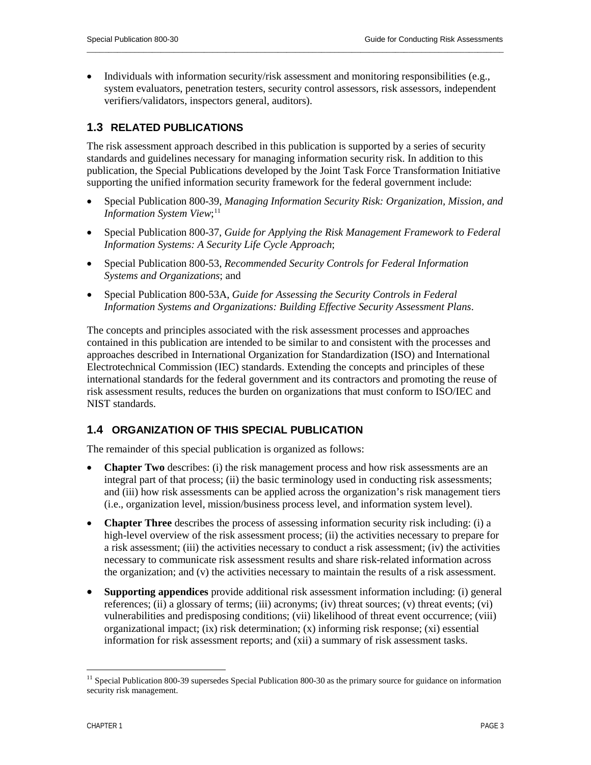Individuals with information security/risk assessment and monitoring responsibilities (e.g., system evaluators, penetration testers, security control assessors, risk assessors, independent verifiers/validators, inspectors general, auditors).

\_\_\_\_\_\_\_\_\_\_\_\_\_\_\_\_\_\_\_\_\_\_\_\_\_\_\_\_\_\_\_\_\_\_\_\_\_\_\_\_\_\_\_\_\_\_\_\_\_\_\_\_\_\_\_\_\_\_\_\_\_\_\_\_\_\_\_\_\_\_\_\_\_\_\_\_\_\_\_\_\_\_\_\_\_\_\_\_\_\_\_\_\_\_\_\_

# <span id="page-11-0"></span>**1.3 RELATED PUBLICATIONS**

The risk assessment approach described in this publication is supported by a series of security standards and guidelines necessary for managing information security risk. In addition to this publication, the Special Publications developed by the Joint Task Force Transformation Initiative supporting the unified information security framework for the federal government include:

- Special Publication 800-39, *Managing Information Security Risk: Organization, Mission, and Information System View*;<sup>[11](#page-11-2)</sup>
- Special Publication 800-37, *Guide for Applying the Risk Management Framework to Federal Information Systems: A Security Life Cycle Approach*;
- Special Publication 800-53, *Recommended Security Controls for Federal Information Systems and Organizations*; and
- Special Publication 800-53A, *Guide for Assessing the Security Controls in Federal Information Systems and Organizations: Building Effective Security Assessment Plans*.

The concepts and principles associated with the risk assessment processes and approaches contained in this publication are intended to be similar to and consistent with the processes and approaches described in International Organization for Standardization (ISO) and International Electrotechnical Commission (IEC) standards. Extending the concepts and principles of these international standards for the federal government and its contractors and promoting the reuse of risk assessment results, reduces the burden on organizations that must conform to ISO/IEC and NIST standards.

# <span id="page-11-1"></span>**1.4 ORGANIZATION OF THIS SPECIAL PUBLICATION**

The remainder of this special publication is organized as follows:

- **Chapter Two** describes: (i) the risk management process and how risk assessments are an integral part of that process; (ii) the basic terminology used in conducting risk assessments; and (iii) how risk assessments can be applied across the organization's risk management tiers (i.e., organization level, mission/business process level, and information system level).
- **Chapter Three** describes the process of assessing information security risk including: (i) a high-level overview of the risk assessment process; (ii) the activities necessary to prepare for a risk assessment; (iii) the activities necessary to conduct a risk assessment; (iv) the activities necessary to communicate risk assessment results and share risk-related information across the organization; and (v) the activities necessary to maintain the results of a risk assessment.
- **Supporting appendices** provide additional risk assessment information including: (i) general references; (ii) a glossary of terms; (iii) acronyms; (iv) threat sources; (v) threat events; (vi) vulnerabilities and predisposing conditions; (vii) likelihood of threat event occurrence; (viii) organizational impact; (ix) risk determination; (x) informing risk response; (xi) essential information for risk assessment reports; and (xii) a summary of risk assessment tasks.

<span id="page-11-2"></span><sup>&</sup>lt;sup>11</sup> Special Publication 800-39 supersedes Special Publication 800-30 as the primary source for guidance on information security risk management.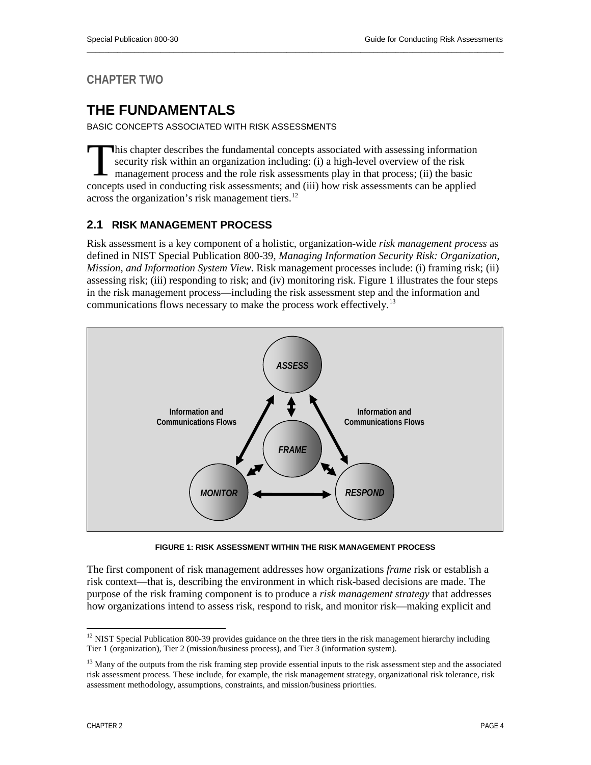# <span id="page-12-0"></span>**CHAPTER TWO**

# **THE FUNDAMENTALS**

BASIC CONCEPTS ASSOCIATED WITH RISK ASSESSMENTS

his chapter describes the fundamental concepts associated with assessing information security risk within an organization including: (i) a high-level overview of the risk management process and the role risk assessments play in that process; (ii) the basic This chapter describes the fundamental concepts associated with assessing information security risk within an organization including: (i) a high-level overview of the risk management process and the role risk assessments p across the organization's risk management tiers.<sup>[12](#page-12-2)</sup>

\_\_\_\_\_\_\_\_\_\_\_\_\_\_\_\_\_\_\_\_\_\_\_\_\_\_\_\_\_\_\_\_\_\_\_\_\_\_\_\_\_\_\_\_\_\_\_\_\_\_\_\_\_\_\_\_\_\_\_\_\_\_\_\_\_\_\_\_\_\_\_\_\_\_\_\_\_\_\_\_\_\_\_\_\_\_\_\_\_\_\_\_\_\_\_\_

# <span id="page-12-1"></span>**2.1 RISK MANAGEMENT PROCESS**

Risk assessment is a key component of a holistic, organization-wide *risk management process* as defined in NIST Special Publication 800-39, *Managing Information Security Risk: Organization, Mission, and Information System View*. Risk management processes include: (i) framing risk; (ii) assessing risk; (iii) responding to risk; and (iv) monitoring risk. Figure 1 illustrates the four steps in the risk management process—including the risk assessment step and the information and communications flows necessary to make the process work effectively.<sup>[13](#page-12-3)</sup>



**FIGURE 1: RISK ASSESSMENT WITHIN THE RISK MANAGEMENT PROCESS**

The first component of risk management addresses how organizations *frame* risk or establish a risk context—that is, describing the environment in which risk-based decisions are made. The purpose of the risk framing component is to produce a *risk management strategy* that addresses how organizations intend to assess risk, respond to risk, and monitor risk—making explicit and

<span id="page-12-2"></span><sup>&</sup>lt;sup>12</sup> NIST Special Publication 800-39 provides guidance on the three tiers in the risk management hierarchy including Tier 1 (organization), Tier 2 (mission/business process), and Tier 3 (information system).

<span id="page-12-3"></span><sup>&</sup>lt;sup>13</sup> Many of the outputs from the risk framing step provide essential inputs to the risk assessment step and the associated risk assessment process. These include, for example, the risk management strategy, organizational risk tolerance, risk assessment methodology, assumptions, constraints, and mission/business priorities.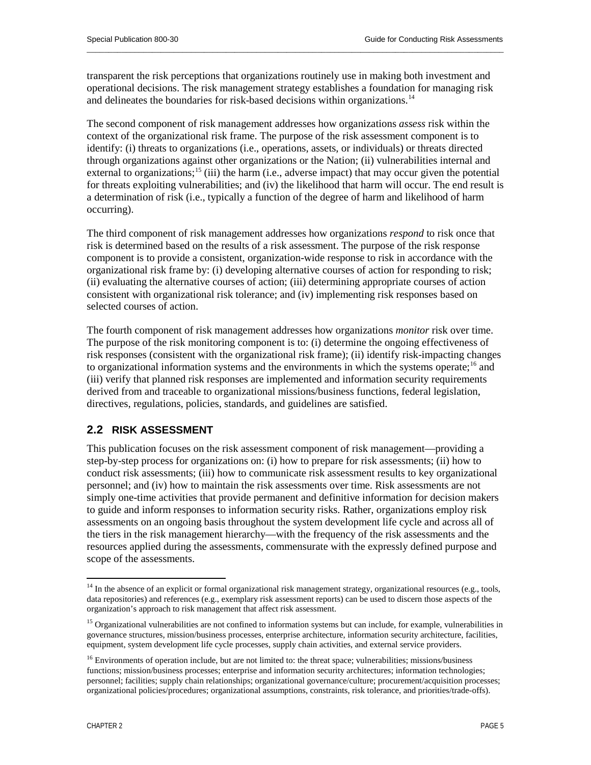transparent the risk perceptions that organizations routinely use in making both investment and operational decisions. The risk management strategy establishes a foundation for managing risk and delineates the boundaries for risk-based decisions within organizations.<sup>[14](#page-13-1)</sup>

\_\_\_\_\_\_\_\_\_\_\_\_\_\_\_\_\_\_\_\_\_\_\_\_\_\_\_\_\_\_\_\_\_\_\_\_\_\_\_\_\_\_\_\_\_\_\_\_\_\_\_\_\_\_\_\_\_\_\_\_\_\_\_\_\_\_\_\_\_\_\_\_\_\_\_\_\_\_\_\_\_\_\_\_\_\_\_\_\_\_\_\_\_\_\_\_

The second component of risk management addresses how organizations *assess* risk within the context of the organizational risk frame. The purpose of the risk assessment component is to identify: (i) threats to organizations (i.e., operations, assets, or individuals) or threats directed through organizations against other organizations or the Nation; (ii) vulnerabilities internal and external to organizations;<sup>[15](#page-13-2)</sup> (iii) the harm (i.e., adverse impact) that may occur given the potential for threats exploiting vulnerabilities; and (iv) the likelihood that harm will occur. The end result is a determination of risk (i.e., typically a function of the degree of harm and likelihood of harm occurring).

The third component of risk management addresses how organizations *respond* to risk once that risk is determined based on the results of a risk assessment. The purpose of the risk response component is to provide a consistent, organization-wide response to risk in accordance with the organizational risk frame by: (i) developing alternative courses of action for responding to risk; (ii) evaluating the alternative courses of action; (iii) determining appropriate courses of action consistent with organizational risk tolerance; and (iv) implementing risk responses based on selected courses of action.

The fourth component of risk management addresses how organizations *monitor* risk over time. The purpose of the risk monitoring component is to: (i) determine the ongoing effectiveness of risk responses (consistent with the organizational risk frame); (ii) identify risk-impacting changes to organizational information systems and the environments in which the systems operate;<sup>[16](#page-13-3)</sup> and (iii) verify that planned risk responses are implemented and information security requirements derived from and traceable to organizational missions/business functions, federal legislation, directives, regulations, policies, standards, and guidelines are satisfied.

# <span id="page-13-0"></span>**2.2 RISK ASSESSMENT**

This publication focuses on the risk assessment component of risk management—providing a step-by-step process for organizations on: (i) how to prepare for risk assessments; (ii) how to conduct risk assessments; (iii) how to communicate risk assessment results to key organizational personnel; and (iv) how to maintain the risk assessments over time. Risk assessments are not simply one-time activities that provide permanent and definitive information for decision makers to guide and inform responses to information security risks. Rather, organizations employ risk assessments on an ongoing basis throughout the system development life cycle and across all of the tiers in the risk management hierarchy—with the frequency of the risk assessments and the resources applied during the assessments, commensurate with the expressly defined purpose and scope of the assessments.

<span id="page-13-1"></span><sup>&</sup>lt;sup>14</sup> In the absence of an explicit or formal organizational risk management strategy, organizational resources (e.g., tools, data repositories) and references (e.g., exemplary risk assessment reports) can be used to discern those aspects of the organization's approach to risk management that affect risk assessment.

<span id="page-13-2"></span><sup>&</sup>lt;sup>15</sup> Organizational vulnerabilities are not confined to information systems but can include, for example, vulnerabilities in governance structures, mission/business processes, enterprise architecture, information security architecture, facilities, equipment, system development life cycle processes, supply chain activities, and external service providers.

<span id="page-13-3"></span><sup>&</sup>lt;sup>16</sup> Environments of operation include, but are not limited to: the threat space; vulnerabilities; missions/business functions; mission/business processes; enterprise and information security architectures; information technologies; personnel; facilities; supply chain relationships; organizational governance/culture; procurement/acquisition processes; organizational policies/procedures; organizational assumptions, constraints, risk tolerance, and priorities/trade-offs).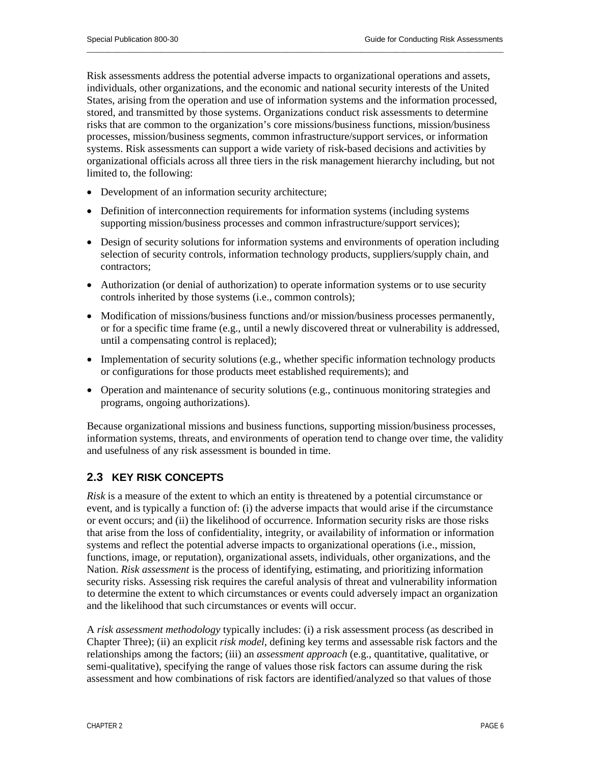Risk assessments address the potential adverse impacts to organizational operations and assets, individuals, other organizations, and the economic and national security interests of the United States, arising from the operation and use of information systems and the information processed, stored, and transmitted by those systems. Organizations conduct risk assessments to determine risks that are common to the organization's core missions/business functions, mission/business processes, mission/business segments, common infrastructure/support services, or information systems. Risk assessments can support a wide variety of risk-based decisions and activities by organizational officials across all three tiers in the risk management hierarchy including, but not limited to, the following:

\_\_\_\_\_\_\_\_\_\_\_\_\_\_\_\_\_\_\_\_\_\_\_\_\_\_\_\_\_\_\_\_\_\_\_\_\_\_\_\_\_\_\_\_\_\_\_\_\_\_\_\_\_\_\_\_\_\_\_\_\_\_\_\_\_\_\_\_\_\_\_\_\_\_\_\_\_\_\_\_\_\_\_\_\_\_\_\_\_\_\_\_\_\_\_\_

- Development of an information security architecture;
- Definition of interconnection requirements for information systems (including systems) supporting mission/business processes and common infrastructure/support services);
- Design of security solutions for information systems and environments of operation including selection of security controls, information technology products, suppliers/supply chain, and contractors;
- Authorization (or denial of authorization) to operate information systems or to use security controls inherited by those systems (i.e., common controls);
- Modification of missions/business functions and/or mission/business processes permanently, or for a specific time frame (e.g., until a newly discovered threat or vulnerability is addressed, until a compensating control is replaced);
- Implementation of security solutions (e.g., whether specific information technology products or configurations for those products meet established requirements); and
- Operation and maintenance of security solutions (e.g., continuous monitoring strategies and programs, ongoing authorizations).

Because organizational missions and business functions, supporting mission/business processes, information systems, threats, and environments of operation tend to change over time, the validity and usefulness of any risk assessment is bounded in time.

# <span id="page-14-0"></span>**2.3 KEY RISK CONCEPTS**

*Risk* is a measure of the extent to which an entity is threatened by a potential circumstance or event, and is typically a function of: (i) the adverse impacts that would arise if the circumstance or event occurs; and (ii) the likelihood of occurrence. Information security risks are those risks that arise from the loss of confidentiality, integrity, or availability of information or information systems and reflect the potential adverse impacts to organizational operations (i.e., mission, functions, image, or reputation), organizational assets, individuals, other organizations, and the Nation. *Risk assessment* is the process of identifying, estimating, and prioritizing information security risks. Assessing risk requires the careful analysis of threat and vulnerability information to determine the extent to which circumstances or events could adversely impact an organization and the likelihood that such circumstances or events will occur.

A *risk assessment methodology* typically includes: (i) a risk assessment process (as described in Chapter Three); (ii) an explicit *risk model*, defining key terms and assessable risk factors and the relationships among the factors; (iii) an *assessment approach* (e.g., quantitative, qualitative, or semi-qualitative), specifying the range of values those risk factors can assume during the risk assessment and how combinations of risk factors are identified/analyzed so that values of those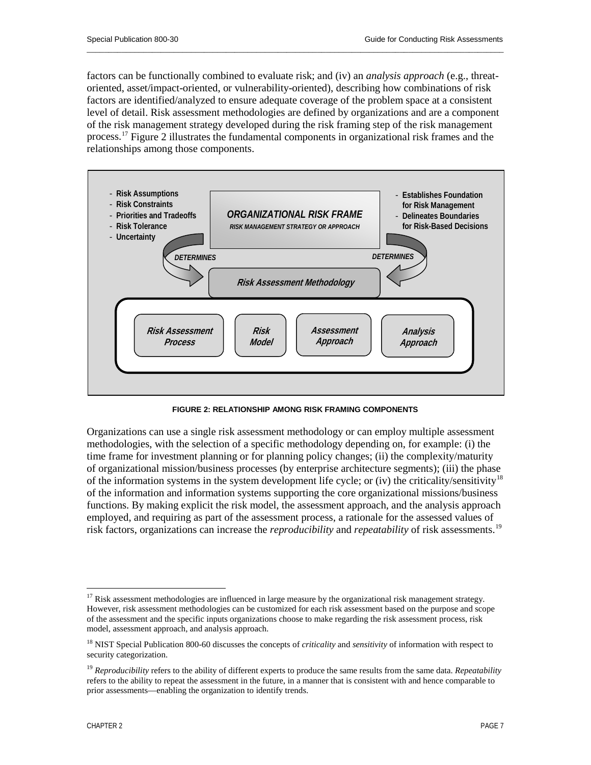factors can be functionally combined to evaluate risk; and (iv) an *analysis approach* (e.g., threatoriented, asset/impact-oriented, or vulnerability-oriented), describing how combinations of risk factors are identified/analyzed to ensure adequate coverage of the problem space at a consistent level of detail. Risk assessment methodologies are defined by organizations and are a component of the risk management strategy developed during the risk framing step of the risk management process.[17](#page-15-0) Figure 2 illustrates the fundamental components in organizational risk frames and the relationships among those components.

\_\_\_\_\_\_\_\_\_\_\_\_\_\_\_\_\_\_\_\_\_\_\_\_\_\_\_\_\_\_\_\_\_\_\_\_\_\_\_\_\_\_\_\_\_\_\_\_\_\_\_\_\_\_\_\_\_\_\_\_\_\_\_\_\_\_\_\_\_\_\_\_\_\_\_\_\_\_\_\_\_\_\_\_\_\_\_\_\_\_\_\_\_\_\_\_



**FIGURE 2: RELATIONSHIP AMONG RISK FRAMING COMPONENTS**

Organizations can use a single risk assessment methodology or can employ multiple assessment methodologies, with the selection of a specific methodology depending on, for example: (i) the time frame for investment planning or for planning policy changes; (ii) the complexity/maturity of organizational mission/business processes (by enterprise architecture segments); (iii) the phase of the information systems in the system development life cycle; or (iv) the criticality/sensitivity<sup>[18](#page-15-1)</sup> of the information and information systems supporting the core organizational missions/business functions. By making explicit the risk model, the assessment approach, and the analysis approach employed, and requiring as part of the assessment process, a rationale for the assessed values of risk factors, organizations can increase the *reproducibility* and *repeatability* of risk assessments[.19](#page-15-2)

<span id="page-15-0"></span> $17$  Risk assessment methodologies are influenced in large measure by the organizational risk management strategy. However, risk assessment methodologies can be customized for each risk assessment based on the purpose and scope of the assessment and the specific inputs organizations choose to make regarding the risk assessment process, risk model, assessment approach, and analysis approach.

<span id="page-15-1"></span><sup>&</sup>lt;sup>18</sup> NIST Special Publication 800-60 discusses the concepts of *criticality* and *sensitivity* of information with respect to security categorization.

<span id="page-15-2"></span><sup>19</sup> *Reproducibility* refers to the ability of different experts to produce the same results from the same data. *Repeatability* refers to the ability to repeat the assessment in the future, in a manner that is consistent with and hence comparable to prior assessments—enabling the organization to identify trends.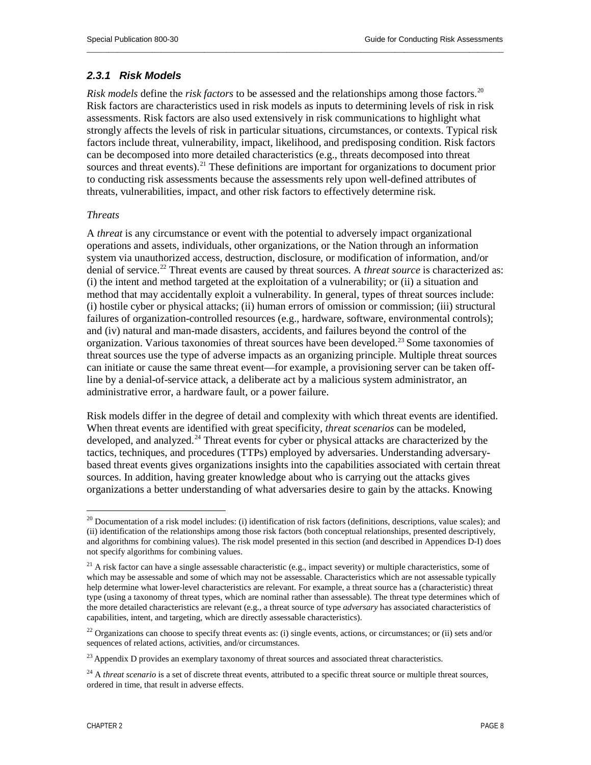# *2.3.1 Risk Models*

*Risk models* define the *risk factors* to be assessed and the relationships among those factors.<sup>[20](#page-16-0)</sup> Risk factors are characteristics used in risk models as inputs to determining levels of risk in risk assessments. Risk factors are also used extensively in risk communications to highlight what strongly affects the levels of risk in particular situations, circumstances, or contexts. Typical risk factors include threat, vulnerability, impact, likelihood, and predisposing condition. Risk factors can be decomposed into more detailed characteristics (e.g., threats decomposed into threat sources and threat events).<sup>[21](#page-16-1)</sup> These definitions are important for organizations to document prior to conducting risk assessments because the assessments rely upon well-defined attributes of threats, vulnerabilities, impact, and other risk factors to effectively determine risk.

\_\_\_\_\_\_\_\_\_\_\_\_\_\_\_\_\_\_\_\_\_\_\_\_\_\_\_\_\_\_\_\_\_\_\_\_\_\_\_\_\_\_\_\_\_\_\_\_\_\_\_\_\_\_\_\_\_\_\_\_\_\_\_\_\_\_\_\_\_\_\_\_\_\_\_\_\_\_\_\_\_\_\_\_\_\_\_\_\_\_\_\_\_\_\_\_

## *Threats*

A *threat* is any circumstance or event with the potential to adversely impact organizational operations and assets, individuals, other organizations, or the Nation through an information system via unauthorized access, destruction, disclosure, or modification of information, and/or denial of service.<sup>[22](#page-16-2)</sup> Threat events are caused by threat sources. A *threat source* is characterized as: (i) the intent and method targeted at the exploitation of a vulnerability; or (ii) a situation and method that may accidentally exploit a vulnerability. In general, types of threat sources include: (i) hostile cyber or physical attacks; (ii) human errors of omission or commission; (iii) structural failures of organization-controlled resources (e.g., hardware, software, environmental controls); and (iv) natural and man-made disasters, accidents, and failures beyond the control of the organization. Various taxonomies of threat sources have been developed.<sup>23</sup> Some taxonomies of threat sources use the type of adverse impacts as an organizing principle. Multiple threat sources can initiate or cause the same threat event—for example, a provisioning server can be taken offline by a denial-of-service attack, a deliberate act by a malicious system administrator, an administrative error, a hardware fault, or a power failure.

Risk models differ in the degree of detail and complexity with which threat events are identified. When threat events are identified with great specificity, *threat scenarios* can be modeled, developed, and analyzed.<sup>[24](#page-16-4)</sup> Threat events for cyber or physical attacks are characterized by the tactics, techniques, and procedures (TTPs) employed by adversaries. Understanding adversarybased threat events gives organizations insights into the capabilities associated with certain threat sources. In addition, having greater knowledge about who is carrying out the attacks gives organizations a better understanding of what adversaries desire to gain by the attacks. Knowing

<span id="page-16-0"></span> $20$  Documentation of a risk model includes: (i) identification of risk factors (definitions, descriptions, value scales); and (ii) identification of the relationships among those risk factors (both conceptual relationships, presented descriptively, and algorithms for combining values). The risk model presented in this section (and described in Appendices D-I) does not specify algorithms for combining values.

<span id="page-16-1"></span><sup>&</sup>lt;sup>21</sup> A risk factor can have a single assessable characteristic (e.g., impact severity) or multiple characteristics, some of which may be assessable and some of which may not be assessable. Characteristics which are not assessable typically help determine what lower-level characteristics are relevant. For example, a threat source has a (characteristic) threat type (using a taxonomy of threat types, which are nominal rather than assessable). The threat type determines which of the more detailed characteristics are relevant (e.g., a threat source of type *adversary* has associated characteristics of capabilities, intent, and targeting, which are directly assessable characteristics).

<span id="page-16-2"></span> $22$  Organizations can choose to specify threat events as: (i) single events, actions, or circumstances; or (ii) sets and/or sequences of related actions, activities, and/or circumstances.

<span id="page-16-3"></span> $^{23}$  Appendix D provides an exemplary taxonomy of threat sources and associated threat characteristics.

<span id="page-16-4"></span><sup>&</sup>lt;sup>24</sup> A *threat scenario* is a set of discrete threat events, attributed to a specific threat source or multiple threat sources, ordered in time, that result in adverse effects.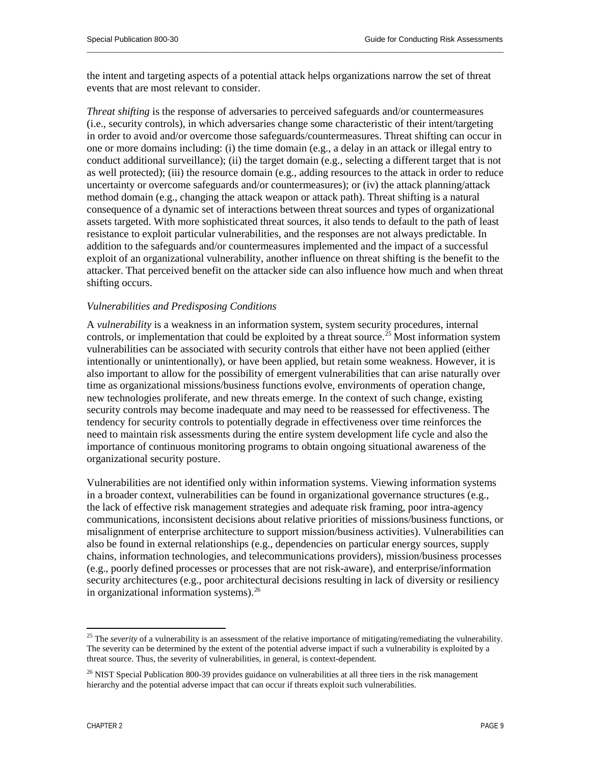the intent and targeting aspects of a potential attack helps organizations narrow the set of threat events that are most relevant to consider.

\_\_\_\_\_\_\_\_\_\_\_\_\_\_\_\_\_\_\_\_\_\_\_\_\_\_\_\_\_\_\_\_\_\_\_\_\_\_\_\_\_\_\_\_\_\_\_\_\_\_\_\_\_\_\_\_\_\_\_\_\_\_\_\_\_\_\_\_\_\_\_\_\_\_\_\_\_\_\_\_\_\_\_\_\_\_\_\_\_\_\_\_\_\_\_\_

*Threat shifting* is the response of adversaries to perceived safeguards and/or countermeasures (i.e., security controls), in which adversaries change some characteristic of their intent/targeting in order to avoid and/or overcome those safeguards/countermeasures. Threat shifting can occur in one or more domains including: (i) the time domain (e.g., a delay in an attack or illegal entry to conduct additional surveillance); (ii) the target domain (e.g., selecting a different target that is not as well protected); (iii) the resource domain (e.g., adding resources to the attack in order to reduce uncertainty or overcome safeguards and/or countermeasures); or (iv) the attack planning/attack method domain (e.g., changing the attack weapon or attack path). Threat shifting is a natural consequence of a dynamic set of interactions between threat sources and types of organizational assets targeted. With more sophisticated threat sources, it also tends to default to the path of least resistance to exploit particular vulnerabilities, and the responses are not always predictable. In addition to the safeguards and/or countermeasures implemented and the impact of a successful exploit of an organizational vulnerability, another influence on threat shifting is the benefit to the attacker. That perceived benefit on the attacker side can also influence how much and when threat shifting occurs.

#### *Vulnerabilities and Predisposing Conditions*

A *vulnerability* is a weakness in an information system, system security procedures, internal controls, or implementation that could be exploited by a threat source. [25](#page-17-0) Most information system vulnerabilities can be associated with security controls that either have not been applied (either intentionally or unintentionally), or have been applied, but retain some weakness. However, it is also important to allow for the possibility of emergent vulnerabilities that can arise naturally over time as organizational missions/business functions evolve, environments of operation change, new technologies proliferate, and new threats emerge. In the context of such change, existing security controls may become inadequate and may need to be reassessed for effectiveness. The tendency for security controls to potentially degrade in effectiveness over time reinforces the need to maintain risk assessments during the entire system development life cycle and also the importance of continuous monitoring programs to obtain ongoing situational awareness of the organizational security posture.

Vulnerabilities are not identified only within information systems. Viewing information systems in a broader context, vulnerabilities can be found in organizational governance structures (e.g., the lack of effective risk management strategies and adequate risk framing, poor intra-agency communications, inconsistent decisions about relative priorities of missions/business functions, or misalignment of enterprise architecture to support mission/business activities). Vulnerabilities can also be found in external relationships (e.g., dependencies on particular energy sources, supply chains, information technologies, and telecommunications providers), mission/business processes (e.g., poorly defined processes or processes that are not risk-aware), and enterprise/information security architectures (e.g., poor architectural decisions resulting in lack of diversity or resiliency in organizational information systems).<sup>[26](#page-17-1)</sup>

<span id="page-17-0"></span><sup>&</sup>lt;sup>25</sup> The *severity* of a vulnerability is an assessment of the relative importance of mitigating/remediating the vulnerability. The severity can be determined by the extent of the potential adverse impact if such a vulnerability is exploited by a threat source. Thus, the severity of vulnerabilities, in general, is context-dependent.

<span id="page-17-1"></span> $^{26}$  NIST Special Publication 800-39 provides guidance on vulnerabilities at all three tiers in the risk management hierarchy and the potential adverse impact that can occur if threats exploit such vulnerabilities.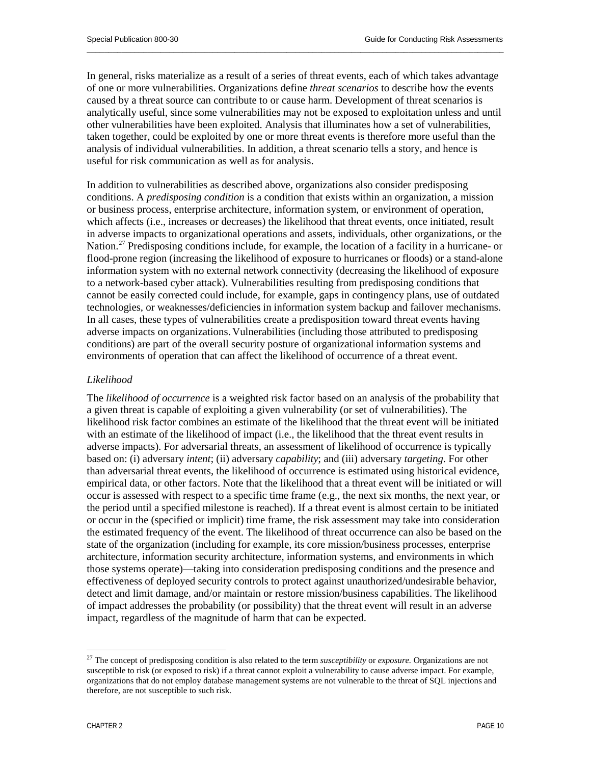In general, risks materialize as a result of a series of threat events, each of which takes advantage of one or more vulnerabilities. Organizations define *threat scenarios* to describe how the events caused by a threat source can contribute to or cause harm. Development of threat scenarios is analytically useful, since some vulnerabilities may not be exposed to exploitation unless and until other vulnerabilities have been exploited. Analysis that illuminates how a set of vulnerabilities, taken together, could be exploited by one or more threat events is therefore more useful than the analysis of individual vulnerabilities. In addition, a threat scenario tells a story, and hence is useful for risk communication as well as for analysis.

\_\_\_\_\_\_\_\_\_\_\_\_\_\_\_\_\_\_\_\_\_\_\_\_\_\_\_\_\_\_\_\_\_\_\_\_\_\_\_\_\_\_\_\_\_\_\_\_\_\_\_\_\_\_\_\_\_\_\_\_\_\_\_\_\_\_\_\_\_\_\_\_\_\_\_\_\_\_\_\_\_\_\_\_\_\_\_\_\_\_\_\_\_\_\_\_

In addition to vulnerabilities as described above, organizations also consider predisposing conditions. A *predisposing condition* is a condition that exists within an organization, a mission or business process, enterprise architecture, information system, or environment of operation, which affects (i.e., increases or decreases) the likelihood that threat events, once initiated, result in adverse impacts to organizational operations and assets, individuals, other organizations, or the Nation.<sup>[27](#page-18-0)</sup> Predisposing conditions include, for example, the location of a facility in a hurricane- or flood-prone region (increasing the likelihood of exposure to hurricanes or floods) or a stand-alone information system with no external network connectivity (decreasing the likelihood of exposure to a network-based cyber attack). Vulnerabilities resulting from predisposing conditions that cannot be easily corrected could include, for example, gaps in contingency plans, use of outdated technologies, or weaknesses/deficiencies in information system backup and failover mechanisms. In all cases, these types of vulnerabilities create a predisposition toward threat events having adverse impacts on organizations. Vulnerabilities (including those attributed to predisposing conditions) are part of the overall security posture of organizational information systems and environments of operation that can affect the likelihood of occurrence of a threat event.

## *Likelihood*

The *likelihood of occurrence* is a weighted risk factor based on an analysis of the probability that a given threat is capable of exploiting a given vulnerability (or set of vulnerabilities). The likelihood risk factor combines an estimate of the likelihood that the threat event will be initiated with an estimate of the likelihood of impact (i.e., the likelihood that the threat event results in adverse impacts). For adversarial threats, an assessment of likelihood of occurrence is typically based on: (i) adversary *intent*; (ii) adversary *capability*; and (iii) adversary *targeting*. For other than adversarial threat events, the likelihood of occurrence is estimated using historical evidence, empirical data, or other factors. Note that the likelihood that a threat event will be initiated or will occur is assessed with respect to a specific time frame (e.g., the next six months, the next year, or the period until a specified milestone is reached). If a threat event is almost certain to be initiated or occur in the (specified or implicit) time frame, the risk assessment may take into consideration the estimated frequency of the event. The likelihood of threat occurrence can also be based on the state of the organization (including for example, its core mission/business processes, enterprise architecture, information security architecture, information systems, and environments in which those systems operate)—taking into consideration predisposing conditions and the presence and effectiveness of deployed security controls to protect against unauthorized/undesirable behavior, detect and limit damage, and/or maintain or restore mission/business capabilities. The likelihood of impact addresses the probability (or possibility) that the threat event will result in an adverse impact, regardless of the magnitude of harm that can be expected.

<span id="page-18-0"></span> <sup>27</sup> The concept of predisposing condition is also related to the term *susceptibility* or *exposure.* Organizations are not susceptible to risk (or exposed to risk) if a threat cannot exploit a vulnerability to cause adverse impact. For example, organizations that do not employ database management systems are not vulnerable to the threat of SQL injections and therefore, are not susceptible to such risk.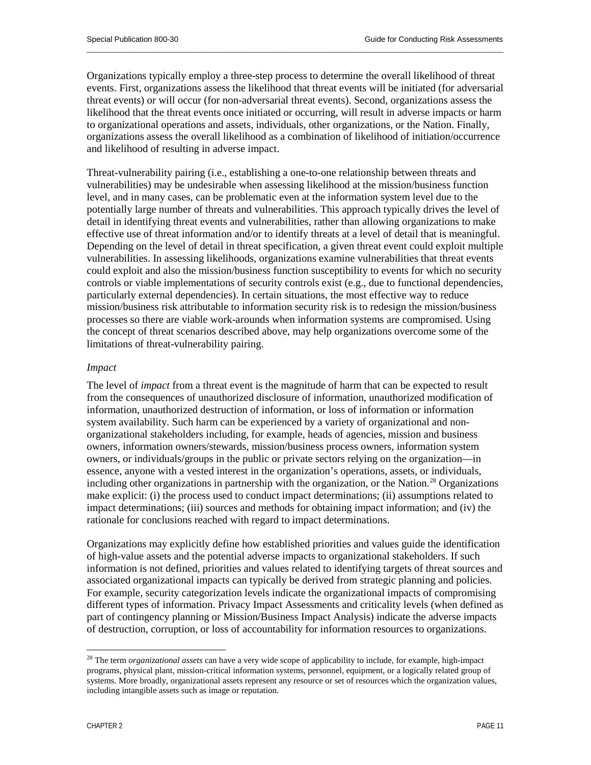Organizations typically employ a three-step process to determine the overall likelihood of threat events. First, organizations assess the likelihood that threat events will be initiated (for adversarial threat events) or will occur (for non-adversarial threat events). Second, organizations assess the likelihood that the threat events once initiated or occurring, will result in adverse impacts or harm to organizational operations and assets, individuals, other organizations, or the Nation. Finally, organizations assess the overall likelihood as a combination of likelihood of initiation/occurrence and likelihood of resulting in adverse impact.

\_\_\_\_\_\_\_\_\_\_\_\_\_\_\_\_\_\_\_\_\_\_\_\_\_\_\_\_\_\_\_\_\_\_\_\_\_\_\_\_\_\_\_\_\_\_\_\_\_\_\_\_\_\_\_\_\_\_\_\_\_\_\_\_\_\_\_\_\_\_\_\_\_\_\_\_\_\_\_\_\_\_\_\_\_\_\_\_\_\_\_\_\_\_\_\_

Threat-vulnerability pairing (i.e., establishing a one-to-one relationship between threats and vulnerabilities) may be undesirable when assessing likelihood at the mission/business function level, and in many cases, can be problematic even at the information system level due to the potentially large number of threats and vulnerabilities. This approach typically drives the level of detail in identifying threat events and vulnerabilities, rather than allowing organizations to make effective use of threat information and/or to identify threats at a level of detail that is meaningful. Depending on the level of detail in threat specification, a given threat event could exploit multiple vulnerabilities. In assessing likelihoods, organizations examine vulnerabilities that threat events could exploit and also the mission/business function susceptibility to events for which no security controls or viable implementations of security controls exist (e.g., due to functional dependencies, particularly external dependencies). In certain situations, the most effective way to reduce mission/business risk attributable to information security risk is to redesign the mission/business processes so there are viable work-arounds when information systems are compromised. Using the concept of threat scenarios described above, may help organizations overcome some of the limitations of threat-vulnerability pairing.

## *Impact*

The level of *impact* from a threat event is the magnitude of harm that can be expected to result from the consequences of unauthorized disclosure of information, unauthorized modification of information, unauthorized destruction of information, or loss of information or information system availability. Such harm can be experienced by a variety of organizational and nonorganizational stakeholders including, for example, heads of agencies, mission and business owners, information owners/stewards, mission/business process owners, information system owners, or individuals/groups in the public or private sectors relying on the organization—in essence, anyone with a vested interest in the organization's operations, assets, or individuals, including other organizations in partnership with the organization, or the Nation.<sup>[28](#page-19-0)</sup> Organizations make explicit: (i) the process used to conduct impact determinations; (ii) assumptions related to impact determinations; (iii) sources and methods for obtaining impact information; and (iv) the rationale for conclusions reached with regard to impact determinations.

Organizations may explicitly define how established priorities and values guide the identification of high-value assets and the potential adverse impacts to organizational stakeholders. If such information is not defined, priorities and values related to identifying targets of threat sources and associated organizational impacts can typically be derived from strategic planning and policies. For example, security categorization levels indicate the organizational impacts of compromising different types of information. Privacy Impact Assessments and criticality levels (when defined as part of contingency planning or Mission/Business Impact Analysis) indicate the adverse impacts of destruction, corruption, or loss of accountability for information resources to organizations.

<span id="page-19-0"></span> <sup>28</sup> The term *organizational assets* can have a very wide scope of applicability to include, for example, high-impact programs, physical plant, mission-critical information systems, personnel, equipment, or a logically related group of systems. More broadly, organizational assets represent any resource or set of resources which the organization values, including intangible assets such as image or reputation.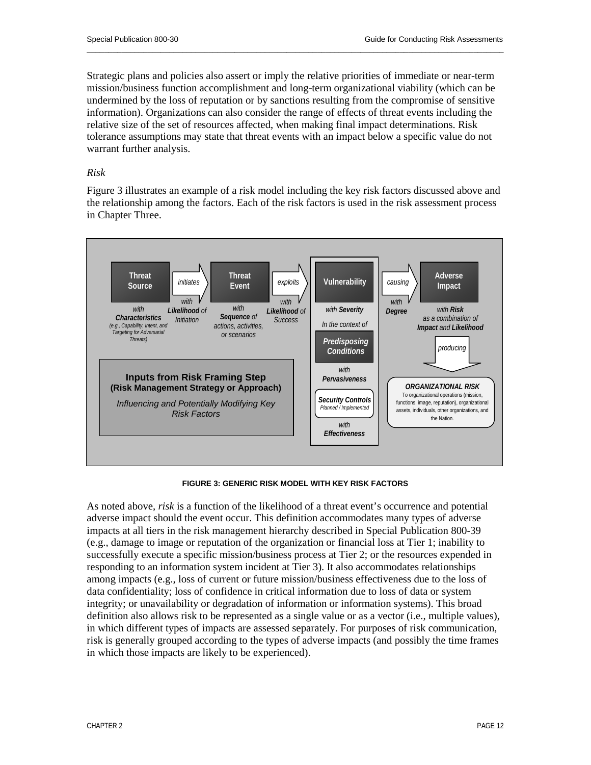Strategic plans and policies also assert or imply the relative priorities of immediate or near-term mission/business function accomplishment and long-term organizational viability (which can be undermined by the loss of reputation or by sanctions resulting from the compromise of sensitive information). Organizations can also consider the range of effects of threat events including the relative size of the set of resources affected, when making final impact determinations. Risk tolerance assumptions may state that threat events with an impact below a specific value do not warrant further analysis.

\_\_\_\_\_\_\_\_\_\_\_\_\_\_\_\_\_\_\_\_\_\_\_\_\_\_\_\_\_\_\_\_\_\_\_\_\_\_\_\_\_\_\_\_\_\_\_\_\_\_\_\_\_\_\_\_\_\_\_\_\_\_\_\_\_\_\_\_\_\_\_\_\_\_\_\_\_\_\_\_\_\_\_\_\_\_\_\_\_\_\_\_\_\_\_\_

#### *Risk*

Figure 3 illustrates an example of a risk model including the key risk factors discussed above and the relationship among the factors. Each of the risk factors is used in the risk assessment process in Chapter Three.



**FIGURE 3: GENERIC RISK MODEL WITH KEY RISK FACTORS**

As noted above, *risk* is a function of the likelihood of a threat event's occurrence and potential adverse impact should the event occur. This definition accommodates many types of adverse impacts at all tiers in the risk management hierarchy described in Special Publication 800-39 (e.g., damage to image or reputation of the organization or financial loss at Tier 1; inability to successfully execute a specific mission/business process at Tier 2; or the resources expended in responding to an information system incident at Tier 3). It also accommodates relationships among impacts (e.g., loss of current or future mission/business effectiveness due to the loss of data confidentiality; loss of confidence in critical information due to loss of data or system integrity; or unavailability or degradation of information or information systems). This broad definition also allows risk to be represented as a single value or as a vector (i.e., multiple values), in which different types of impacts are assessed separately. For purposes of risk communication, risk is generally grouped according to the types of adverse impacts (and possibly the time frames in which those impacts are likely to be experienced).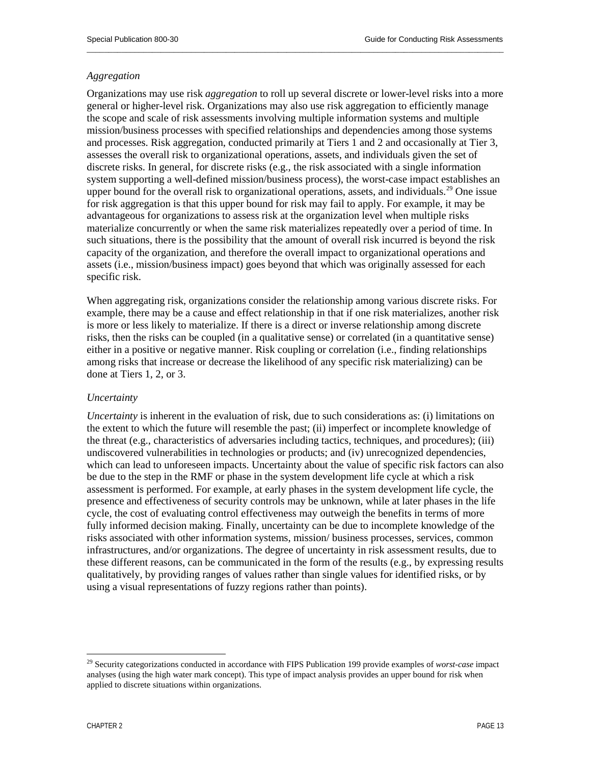## *Aggregation*

Organizations may use risk *aggregation* to roll up several discrete or lower-level risks into a more general or higher-level risk. Organizations may also use risk aggregation to efficiently manage the scope and scale of risk assessments involving multiple information systems and multiple mission/business processes with specified relationships and dependencies among those systems and processes. Risk aggregation, conducted primarily at Tiers 1 and 2 and occasionally at Tier 3, assesses the overall risk to organizational operations, assets, and individuals given the set of discrete risks. In general, for discrete risks (e.g., the risk associated with a single information system supporting a well-defined mission/business process), the worst-case impact establishes an upper bound for the overall risk to organizational operations, assets, and individuals.<sup>[29](#page-21-0)</sup> One issue for risk aggregation is that this upper bound for risk may fail to apply. For example, it may be advantageous for organizations to assess risk at the organization level when multiple risks materialize concurrently or when the same risk materializes repeatedly over a period of time. In such situations, there is the possibility that the amount of overall risk incurred is beyond the risk capacity of the organization, and therefore the overall impact to organizational operations and assets (i.e., mission/business impact) goes beyond that which was originally assessed for each specific risk.

\_\_\_\_\_\_\_\_\_\_\_\_\_\_\_\_\_\_\_\_\_\_\_\_\_\_\_\_\_\_\_\_\_\_\_\_\_\_\_\_\_\_\_\_\_\_\_\_\_\_\_\_\_\_\_\_\_\_\_\_\_\_\_\_\_\_\_\_\_\_\_\_\_\_\_\_\_\_\_\_\_\_\_\_\_\_\_\_\_\_\_\_\_\_\_\_

When aggregating risk, organizations consider the relationship among various discrete risks. For example, there may be a cause and effect relationship in that if one risk materializes, another risk is more or less likely to materialize. If there is a direct or inverse relationship among discrete risks, then the risks can be coupled (in a qualitative sense) or correlated (in a quantitative sense) either in a positive or negative manner. Risk coupling or correlation (i.e., finding relationships among risks that increase or decrease the likelihood of any specific risk materializing) can be done at Tiers 1, 2, or 3.

#### *Uncertainty*

*Uncertainty* is inherent in the evaluation of risk, due to such considerations as: (i) limitations on the extent to which the future will resemble the past; (ii) imperfect or incomplete knowledge of the threat (e.g., characteristics of adversaries including tactics, techniques, and procedures); (iii) undiscovered vulnerabilities in technologies or products; and (iv) unrecognized dependencies, which can lead to unforeseen impacts. Uncertainty about the value of specific risk factors can also be due to the step in the RMF or phase in the system development life cycle at which a risk assessment is performed. For example, at early phases in the system development life cycle, the presence and effectiveness of security controls may be unknown, while at later phases in the life cycle, the cost of evaluating control effectiveness may outweigh the benefits in terms of more fully informed decision making. Finally, uncertainty can be due to incomplete knowledge of the risks associated with other information systems, mission/ business processes, services, common infrastructures, and/or organizations. The degree of uncertainty in risk assessment results, due to these different reasons, can be communicated in the form of the results (e.g., by expressing results qualitatively, by providing ranges of values rather than single values for identified risks, or by using a visual representations of fuzzy regions rather than points).

<span id="page-21-0"></span> <sup>29</sup> Security categorizations conducted in accordance with FIPS Publication 199 provide examples of *worst-case* impact analyses (using the high water mark concept). This type of impact analysis provides an upper bound for risk when applied to discrete situations within organizations.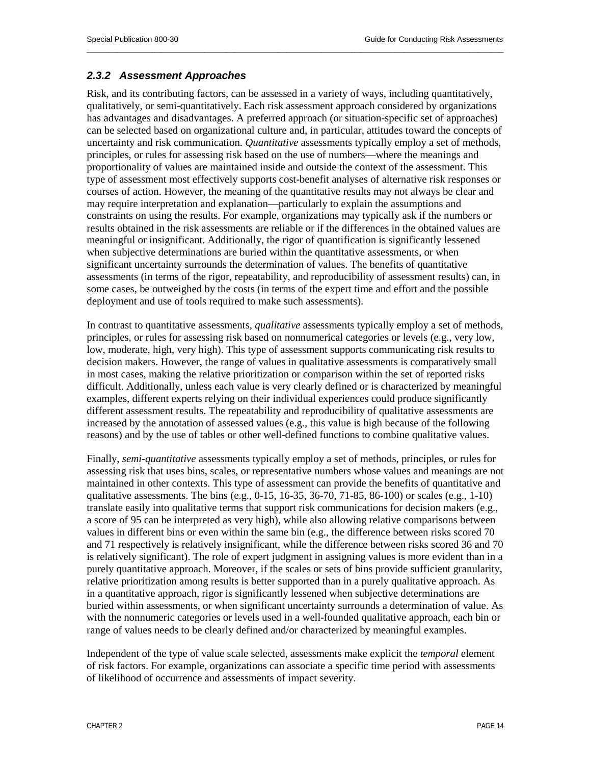# *2.3.2 Assessment Approaches*

Risk, and its contributing factors, can be assessed in a variety of ways, including quantitatively, qualitatively, or semi-quantitatively. Each risk assessment approach considered by organizations has advantages and disadvantages. A preferred approach (or situation-specific set of approaches) can be selected based on organizational culture and, in particular, attitudes toward the concepts of uncertainty and risk communication. *Quantitative* assessments typically employ a set of methods, principles, or rules for assessing risk based on the use of numbers—where the meanings and proportionality of values are maintained inside and outside the context of the assessment. This type of assessment most effectively supports cost-benefit analyses of alternative risk responses or courses of action. However, the meaning of the quantitative results may not always be clear and may require interpretation and explanation—particularly to explain the assumptions and constraints on using the results. For example, organizations may typically ask if the numbers or results obtained in the risk assessments are reliable or if the differences in the obtained values are meaningful or insignificant. Additionally, the rigor of quantification is significantly lessened when subjective determinations are buried within the quantitative assessments, or when significant uncertainty surrounds the determination of values. The benefits of quantitative assessments (in terms of the rigor, repeatability, and reproducibility of assessment results) can, in some cases, be outweighed by the costs (in terms of the expert time and effort and the possible deployment and use of tools required to make such assessments).

\_\_\_\_\_\_\_\_\_\_\_\_\_\_\_\_\_\_\_\_\_\_\_\_\_\_\_\_\_\_\_\_\_\_\_\_\_\_\_\_\_\_\_\_\_\_\_\_\_\_\_\_\_\_\_\_\_\_\_\_\_\_\_\_\_\_\_\_\_\_\_\_\_\_\_\_\_\_\_\_\_\_\_\_\_\_\_\_\_\_\_\_\_\_\_\_

In contrast to quantitative assessments, *qualitative* assessments typically employ a set of methods, principles, or rules for assessing risk based on nonnumerical categories or levels (e.g., very low, low, moderate, high, very high). This type of assessment supports communicating risk results to decision makers. However, the range of values in qualitative assessments is comparatively small in most cases, making the relative prioritization or comparison within the set of reported risks difficult. Additionally, unless each value is very clearly defined or is characterized by meaningful examples, different experts relying on their individual experiences could produce significantly different assessment results. The repeatability and reproducibility of qualitative assessments are increased by the annotation of assessed values (e.g., this value is high because of the following reasons) and by the use of tables or other well-defined functions to combine qualitative values.

Finally, *semi-quantitative* assessments typically employ a set of methods, principles, or rules for assessing risk that uses bins, scales, or representative numbers whose values and meanings are not maintained in other contexts. This type of assessment can provide the benefits of quantitative and qualitative assessments. The bins (e.g., 0-15, 16-35, 36-70, 71-85, 86-100) or scales (e.g., 1-10) translate easily into qualitative terms that support risk communications for decision makers (e.g., a score of 95 can be interpreted as very high), while also allowing relative comparisons between values in different bins or even within the same bin (e.g., the difference between risks scored 70 and 71 respectively is relatively insignificant, while the difference between risks scored 36 and 70 is relatively significant). The role of expert judgment in assigning values is more evident than in a purely quantitative approach. Moreover, if the scales or sets of bins provide sufficient granularity, relative prioritization among results is better supported than in a purely qualitative approach. As in a quantitative approach, rigor is significantly lessened when subjective determinations are buried within assessments, or when significant uncertainty surrounds a determination of value. As with the nonnumeric categories or levels used in a well-founded qualitative approach, each bin or range of values needs to be clearly defined and/or characterized by meaningful examples.

Independent of the type of value scale selected, assessments make explicit the *temporal* element of risk factors. For example, organizations can associate a specific time period with assessments of likelihood of occurrence and assessments of impact severity.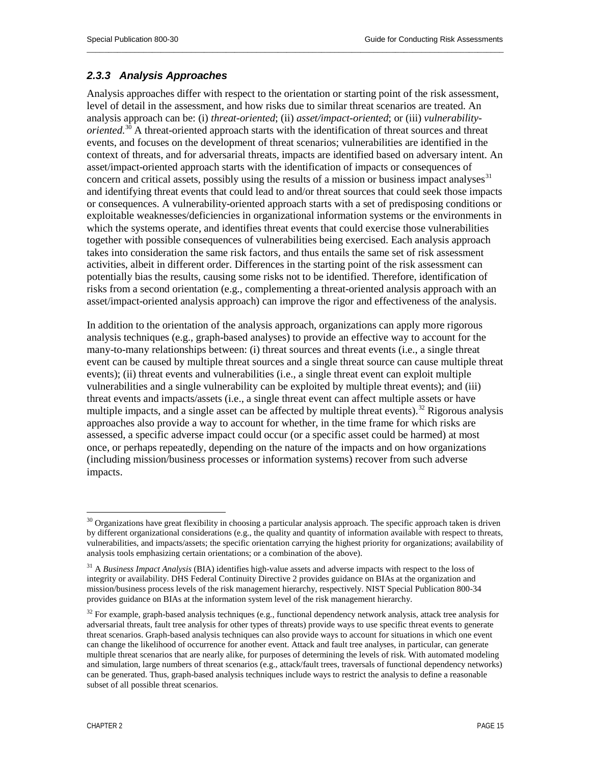# *2.3.3 Analysis Approaches*

Analysis approaches differ with respect to the orientation or starting point of the risk assessment, level of detail in the assessment, and how risks due to similar threat scenarios are treated. An analysis approach can be: (i) *threat-oriented*; (ii) *asset/impact-oriented*; or (iii) *vulnerabilityoriented*. [30](#page-23-0) A threat-oriented approach starts with the identification of threat sources and threat events, and focuses on the development of threat scenarios; vulnerabilities are identified in the context of threats, and for adversarial threats, impacts are identified based on adversary intent. An asset/impact-oriented approach starts with the identification of impacts or consequences of concern and critical assets, possibly using the results of a mission or business impact analyses $31$ and identifying threat events that could lead to and/or threat sources that could seek those impacts or consequences. A vulnerability-oriented approach starts with a set of predisposing conditions or exploitable weaknesses/deficiencies in organizational information systems or the environments in which the systems operate, and identifies threat events that could exercise those vulnerabilities together with possible consequences of vulnerabilities being exercised. Each analysis approach takes into consideration the same risk factors, and thus entails the same set of risk assessment activities, albeit in different order. Differences in the starting point of the risk assessment can potentially bias the results, causing some risks not to be identified. Therefore, identification of risks from a second orientation (e.g., complementing a threat-oriented analysis approach with an asset/impact-oriented analysis approach) can improve the rigor and effectiveness of the analysis.

\_\_\_\_\_\_\_\_\_\_\_\_\_\_\_\_\_\_\_\_\_\_\_\_\_\_\_\_\_\_\_\_\_\_\_\_\_\_\_\_\_\_\_\_\_\_\_\_\_\_\_\_\_\_\_\_\_\_\_\_\_\_\_\_\_\_\_\_\_\_\_\_\_\_\_\_\_\_\_\_\_\_\_\_\_\_\_\_\_\_\_\_\_\_\_\_

In addition to the orientation of the analysis approach, organizations can apply more rigorous analysis techniques (e.g., graph-based analyses) to provide an effective way to account for the many-to-many relationships between: (i) threat sources and threat events (i.e., a single threat event can be caused by multiple threat sources and a single threat source can cause multiple threat events); (ii) threat events and vulnerabilities (i.e., a single threat event can exploit multiple vulnerabilities and a single vulnerability can be exploited by multiple threat events); and (iii) threat events and impacts/assets (i.e., a single threat event can affect multiple assets or have multiple impacts, and a single asset can be affected by multiple threat events).<sup>[32](#page-23-2)</sup> Rigorous analysis approaches also provide a way to account for whether, in the time frame for which risks are assessed, a specific adverse impact could occur (or a specific asset could be harmed) at most once, or perhaps repeatedly, depending on the nature of the impacts and on how organizations (including mission/business processes or information systems) recover from such adverse impacts.

<span id="page-23-0"></span> $30$  Organizations have great flexibility in choosing a particular analysis approach. The specific approach taken is driven by different organizational considerations (e.g., the quality and quantity of information available with respect to threats, vulnerabilities, and impacts/assets; the specific orientation carrying the highest priority for organizations; availability of analysis tools emphasizing certain orientations; or a combination of the above).

<span id="page-23-1"></span><sup>31</sup> A *Business Impact Analysis* (BIA) identifies high-value assets and adverse impacts with respect to the loss of integrity or availability. DHS Federal Continuity Directive 2 provides guidance on BIAs at the organization and mission/business process levels of the risk management hierarchy, respectively. NIST Special Publication 800-34 provides guidance on BIAs at the information system level of the risk management hierarchy.

<span id="page-23-2"></span> $32$  For example, graph-based analysis techniques (e.g., functional dependency network analysis, attack tree analysis for adversarial threats, fault tree analysis for other types of threats) provide ways to use specific threat events to generate threat scenarios. Graph-based analysis techniques can also provide ways to account for situations in which one event can change the likelihood of occurrence for another event. Attack and fault tree analyses, in particular, can generate multiple threat scenarios that are nearly alike, for purposes of determining the levels of risk. With automated modeling and simulation, large numbers of threat scenarios (e.g., attack/fault trees, traversals of functional dependency networks) can be generated. Thus, graph-based analysis techniques include ways to restrict the analysis to define a reasonable subset of all possible threat scenarios.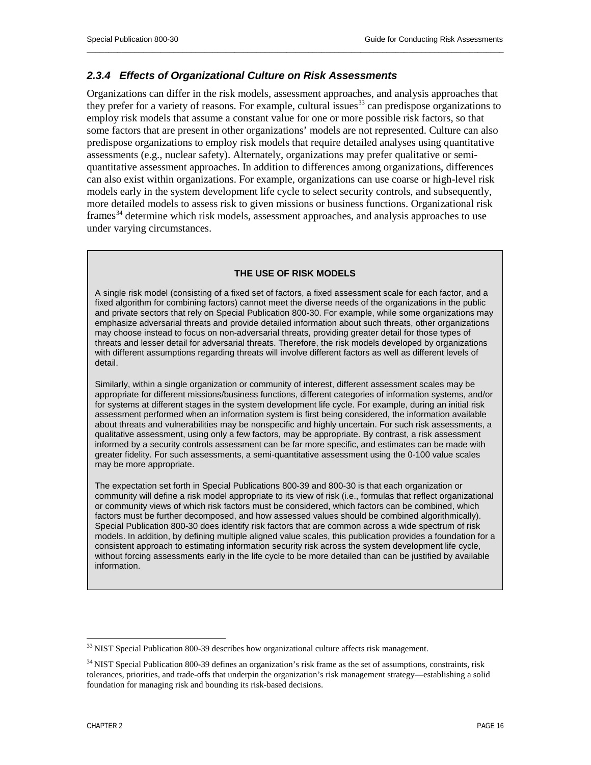#### *2.3.4 Effects of Organizational Culture on Risk Assessments*

Organizations can differ in the risk models, assessment approaches, and analysis approaches that they prefer for a variety of reasons. For example, cultural issues<sup>[33](#page-24-0)</sup> can predispose organizations to employ risk models that assume a constant value for one or more possible risk factors, so that some factors that are present in other organizations' models are not represented. Culture can also predispose organizations to employ risk models that require detailed analyses using quantitative assessments (e.g., nuclear safety). Alternately, organizations may prefer qualitative or semiquantitative assessment approaches. In addition to differences among organizations, differences can also exist within organizations. For example, organizations can use coarse or high-level risk models early in the system development life cycle to select security controls, and subsequently, more detailed models to assess risk to given missions or business functions. Organizational risk frames<sup>[34](#page-24-1)</sup> determine which risk models, assessment approaches, and analysis approaches to use under varying circumstances.

\_\_\_\_\_\_\_\_\_\_\_\_\_\_\_\_\_\_\_\_\_\_\_\_\_\_\_\_\_\_\_\_\_\_\_\_\_\_\_\_\_\_\_\_\_\_\_\_\_\_\_\_\_\_\_\_\_\_\_\_\_\_\_\_\_\_\_\_\_\_\_\_\_\_\_\_\_\_\_\_\_\_\_\_\_\_\_\_\_\_\_\_\_\_\_\_

#### **THE USE OF RISK MODELS**

A single risk model (consisting of a fixed set of factors, a fixed assessment scale for each factor, and a fixed algorithm for combining factors) cannot meet the diverse needs of the organizations in the public and private sectors that rely on Special Publication 800-30. For example, while some organizations may emphasize adversarial threats and provide detailed information about such threats, other organizations may choose instead to focus on non-adversarial threats, providing greater detail for those types of threats and lesser detail for adversarial threats. Therefore, the risk models developed by organizations with different assumptions regarding threats will involve different factors as well as different levels of detail.

Similarly, within a single organization or community of interest, different assessment scales may be appropriate for different missions/business functions, different categories of information systems, and/or for systems at different stages in the system development life cycle. For example, during an initial risk assessment performed when an information system is first being considered, the information available about threats and vulnerabilities may be nonspecific and highly uncertain. For such risk assessments, a qualitative assessment, using only a few factors, may be appropriate. By contrast, a risk assessment informed by a security controls assessment can be far more specific, and estimates can be made with greater fidelity. For such assessments, a semi-quantitative assessment using the 0-100 value scales may be more appropriate.

The expectation set forth in Special Publications 800-39 and 800-30 is that each organization or community will define a risk model appropriate to its view of risk (i.e., formulas that reflect organizational or community views of which risk factors must be considered, which factors can be combined, which factors must be further decomposed, and how assessed values should be combined algorithmically). Special Publication 800-30 does identify risk factors that are common across a wide spectrum of risk models. In addition, by defining multiple aligned value scales, this publication provides a foundation for a consistent approach to estimating information security risk across the system development life cycle, without forcing assessments early in the life cycle to be more detailed than can be justified by available information.

<span id="page-24-0"></span><sup>&</sup>lt;sup>33</sup> NIST Special Publication 800-39 describes how organizational culture affects risk management.

<span id="page-24-1"></span><sup>&</sup>lt;sup>34</sup> NIST Special Publication 800-39 defines an organization's risk frame as the set of assumptions, constraints, risk tolerances, priorities, and trade-offs that underpin the organization's risk management strategy—establishing a solid foundation for managing risk and bounding its risk-based decisions.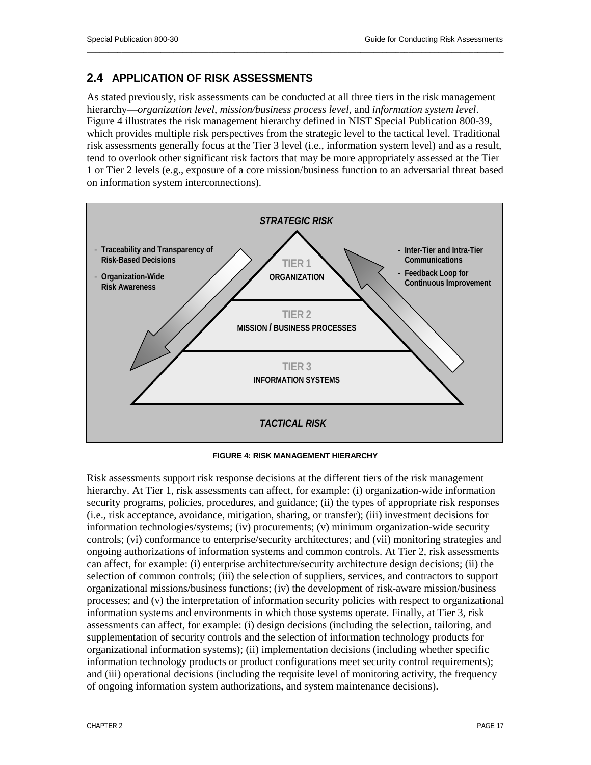# <span id="page-25-0"></span>**2.4 APPLICATION OF RISK ASSESSMENTS**

As stated previously, risk assessments can be conducted at all three tiers in the risk management hierarchy—*organization level*, *mission/business process level*, and *information system level*. Figure 4 illustrates the risk management hierarchy defined in NIST Special Publication 800-39, which provides multiple risk perspectives from the strategic level to the tactical level. Traditional risk assessments generally focus at the Tier 3 level (i.e., information system level) and as a result, tend to overlook other significant risk factors that may be more appropriately assessed at the Tier 1 or Tier 2 levels (e.g., exposure of a core mission/business function to an adversarial threat based on information system interconnections).

\_\_\_\_\_\_\_\_\_\_\_\_\_\_\_\_\_\_\_\_\_\_\_\_\_\_\_\_\_\_\_\_\_\_\_\_\_\_\_\_\_\_\_\_\_\_\_\_\_\_\_\_\_\_\_\_\_\_\_\_\_\_\_\_\_\_\_\_\_\_\_\_\_\_\_\_\_\_\_\_\_\_\_\_\_\_\_\_\_\_\_\_\_\_\_\_



**FIGURE 4: RISK MANAGEMENT HIERARCHY**

Risk assessments support risk response decisions at the different tiers of the risk management hierarchy. At Tier 1, risk assessments can affect, for example: (i) organization-wide information security programs, policies, procedures, and guidance; (ii) the types of appropriate risk responses (i.e., risk acceptance, avoidance, mitigation, sharing, or transfer); (iii) investment decisions for information technologies/systems; (iv) procurements; (v) minimum organization-wide security controls; (vi) conformance to enterprise/security architectures; and (vii) monitoring strategies and ongoing authorizations of information systems and common controls. At Tier 2, risk assessments can affect, for example: (i) enterprise architecture/security architecture design decisions; (ii) the selection of common controls; (iii) the selection of suppliers, services, and contractors to support organizational missions/business functions; (iv) the development of risk-aware mission/business processes; and (v) the interpretation of information security policies with respect to organizational information systems and environments in which those systems operate. Finally, at Tier 3, risk assessments can affect, for example: (i) design decisions (including the selection, tailoring, and supplementation of security controls and the selection of information technology products for organizational information systems); (ii) implementation decisions (including whether specific information technology products or product configurations meet security control requirements); and (iii) operational decisions (including the requisite level of monitoring activity, the frequency of ongoing information system authorizations, and system maintenance decisions).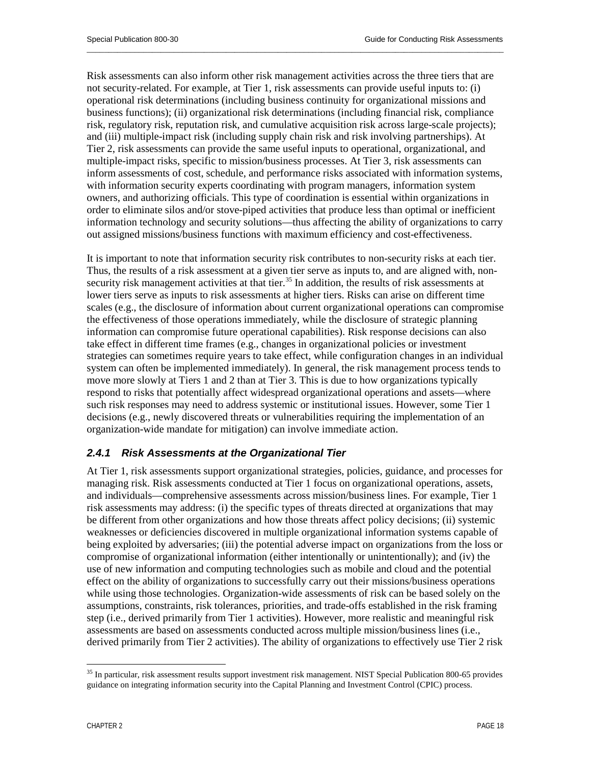Risk assessments can also inform other risk management activities across the three tiers that are not security-related. For example, at Tier 1, risk assessments can provide useful inputs to: (i) operational risk determinations (including business continuity for organizational missions and business functions); (ii) organizational risk determinations (including financial risk, compliance risk, regulatory risk, reputation risk, and cumulative acquisition risk across large-scale projects); and (iii) multiple-impact risk (including supply chain risk and risk involving partnerships). At Tier 2, risk assessments can provide the same useful inputs to operational, organizational, and multiple-impact risks, specific to mission/business processes. At Tier 3, risk assessments can inform assessments of cost, schedule, and performance risks associated with information systems, with information security experts coordinating with program managers, information system owners, and authorizing officials. This type of coordination is essential within organizations in order to eliminate silos and/or stove-piped activities that produce less than optimal or inefficient information technology and security solutions—thus affecting the ability of organizations to carry out assigned missions/business functions with maximum efficiency and cost-effectiveness.

\_\_\_\_\_\_\_\_\_\_\_\_\_\_\_\_\_\_\_\_\_\_\_\_\_\_\_\_\_\_\_\_\_\_\_\_\_\_\_\_\_\_\_\_\_\_\_\_\_\_\_\_\_\_\_\_\_\_\_\_\_\_\_\_\_\_\_\_\_\_\_\_\_\_\_\_\_\_\_\_\_\_\_\_\_\_\_\_\_\_\_\_\_\_\_\_

It is important to note that information security risk contributes to non-security risks at each tier. Thus, the results of a risk assessment at a given tier serve as inputs to, and are aligned with, non-security risk management activities at that tier.<sup>[35](#page-26-0)</sup> In addition, the results of risk assessments at lower tiers serve as inputs to risk assessments at higher tiers. Risks can arise on different time scales (e.g., the disclosure of information about current organizational operations can compromise the effectiveness of those operations immediately, while the disclosure of strategic planning information can compromise future operational capabilities). Risk response decisions can also take effect in different time frames (e.g., changes in organizational policies or investment strategies can sometimes require years to take effect, while configuration changes in an individual system can often be implemented immediately). In general, the risk management process tends to move more slowly at Tiers 1 and 2 than at Tier 3. This is due to how organizations typically respond to risks that potentially affect widespread organizational operations and assets—where such risk responses may need to address systemic or institutional issues. However, some Tier 1 decisions (e.g., newly discovered threats or vulnerabilities requiring the implementation of an organization-wide mandate for mitigation) can involve immediate action.

# *2.4.1 Risk Assessments at the Organizational Tier*

At Tier 1, risk assessments support organizational strategies, policies, guidance, and processes for managing risk. Risk assessments conducted at Tier 1 focus on organizational operations, assets, and individuals—comprehensive assessments across mission/business lines. For example, Tier 1 risk assessments may address: (i) the specific types of threats directed at organizations that may be different from other organizations and how those threats affect policy decisions; (ii) systemic weaknesses or deficiencies discovered in multiple organizational information systems capable of being exploited by adversaries; (iii) the potential adverse impact on organizations from the loss or compromise of organizational information (either intentionally or unintentionally); and (iv) the use of new information and computing technologies such as mobile and cloud and the potential effect on the ability of organizations to successfully carry out their missions/business operations while using those technologies. Organization-wide assessments of risk can be based solely on the assumptions, constraints, risk tolerances, priorities, and trade-offs established in the risk framing step (i.e., derived primarily from Tier 1 activities). However, more realistic and meaningful risk assessments are based on assessments conducted across multiple mission/business lines (i.e., derived primarily from Tier 2 activities). The ability of organizations to effectively use Tier 2 risk

<span id="page-26-0"></span><sup>&</sup>lt;sup>35</sup> In particular, risk assessment results support investment risk management. NIST Special Publication 800-65 provides guidance on integrating information security into the Capital Planning and Investment Control (CPIC) process.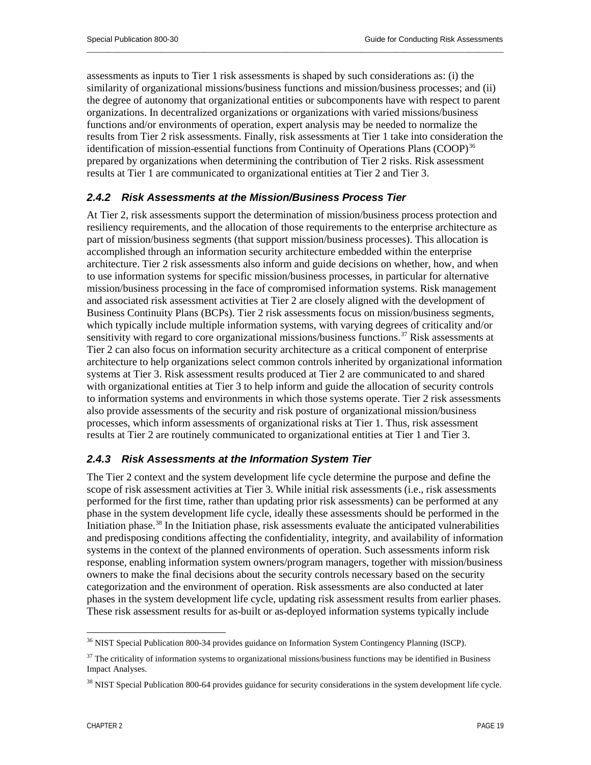assessments as inputs to Tier 1 risk assessments is shaped by such considerations as: (i) the similarity of organizational missions/business functions and mission/business processes; and (ii) the degree of autonomy that organizational entities or subcomponents have with respect to parent organizations. In decentralized organizations or organizations with varied missions/business functions and/or environments of operation, expert analysis may be needed to normalize the results from Tier 2 risk assessments. Finally, risk assessments at Tier 1 take into consideration the identification of mission-essential functions from Continuity of Operations Plans  $(COOP)^{36}$  $(COOP)^{36}$  $(COOP)^{36}$ prepared by organizations when determining the contribution of Tier 2 risks. Risk assessment results at Tier 1 are communicated to organizational entities at Tier 2 and Tier 3.

\_\_\_\_\_\_\_\_\_\_\_\_\_\_\_\_\_\_\_\_\_\_\_\_\_\_\_\_\_\_\_\_\_\_\_\_\_\_\_\_\_\_\_\_\_\_\_\_\_\_\_\_\_\_\_\_\_\_\_\_\_\_\_\_\_\_\_\_\_\_\_\_\_\_\_\_\_\_\_\_\_\_\_\_\_\_\_\_\_\_\_\_\_\_\_\_

# *2.4.2 Risk Assessments at the Mission/Business Process Tier*

At Tier 2, risk assessments support the determination of mission/business process protection and resiliency requirements, and the allocation of those requirements to the enterprise architecture as part of mission/business segments (that support mission/business processes). This allocation is accomplished through an information security architecture embedded within the enterprise architecture. Tier 2 risk assessments also inform and guide decisions on whether, how, and when to use information systems for specific mission/business processes, in particular for alternative mission/business processing in the face of compromised information systems. Risk management and associated risk assessment activities at Tier 2 are closely aligned with the development of Business Continuity Plans (BCPs). Tier 2 risk assessments focus on mission/business segments, which typically include multiple information systems, with varying degrees of criticality and/or sensitivity with regard to core organizational missions/business functions.<sup>[37](#page-27-1)</sup> Risk assessments at Tier 2 can also focus on information security architecture as a critical component of enterprise architecture to help organizations select common controls inherited by organizational information systems at Tier 3. Risk assessment results produced at Tier 2 are communicated to and shared with organizational entities at Tier 3 to help inform and guide the allocation of security controls to information systems and environments in which those systems operate. Tier 2 risk assessments also provide assessments of the security and risk posture of organizational mission/business processes, which inform assessments of organizational risks at Tier 1. Thus, risk assessment results at Tier 2 are routinely communicated to organizational entities at Tier 1 and Tier 3.

# *2.4.3 Risk Assessments at the Information System Tier*

The Tier 2 context and the system development life cycle determine the purpose and define the scope of risk assessment activities at Tier 3. While initial risk assessments (i.e., risk assessments performed for the first time, rather than updating prior risk assessments) can be performed at any phase in the system development life cycle, ideally these assessments should be performed in the Initiation phase.<sup>38</sup> In the Initiation phase, risk assessments evaluate the anticipated vulnerabilities and predisposing conditions affecting the confidentiality, integrity, and availability of information systems in the context of the planned environments of operation. Such assessments inform risk response, enabling information system owners/program managers, together with mission/business owners to make the final decisions about the security controls necessary based on the security categorization and the environment of operation. Risk assessments are also conducted at later phases in the system development life cycle, updating risk assessment results from earlier phases. These risk assessment results for as-built or as-deployed information systems typically include

<span id="page-27-0"></span> <sup>36</sup> NIST Special Publication 800-34 provides guidance on Information System Contingency Planning (ISCP).

<span id="page-27-1"></span> $37$  The criticality of information systems to organizational missions/business functions may be identified in Business Impact Analyses.

<span id="page-27-2"></span><sup>&</sup>lt;sup>38</sup> NIST Special Publication 800-64 provides guidance for security considerations in the system development life cycle.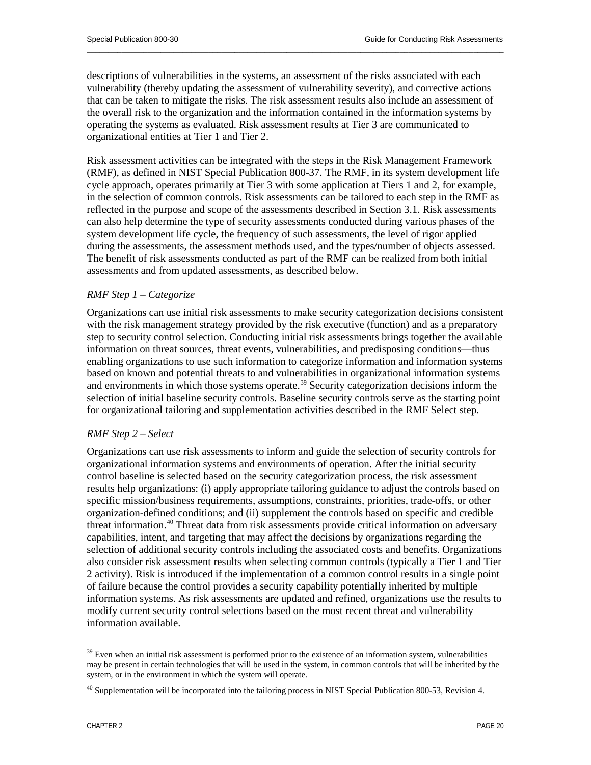descriptions of vulnerabilities in the systems, an assessment of the risks associated with each vulnerability (thereby updating the assessment of vulnerability severity), and corrective actions that can be taken to mitigate the risks. The risk assessment results also include an assessment of the overall risk to the organization and the information contained in the information systems by operating the systems as evaluated. Risk assessment results at Tier 3 are communicated to organizational entities at Tier 1 and Tier 2.

\_\_\_\_\_\_\_\_\_\_\_\_\_\_\_\_\_\_\_\_\_\_\_\_\_\_\_\_\_\_\_\_\_\_\_\_\_\_\_\_\_\_\_\_\_\_\_\_\_\_\_\_\_\_\_\_\_\_\_\_\_\_\_\_\_\_\_\_\_\_\_\_\_\_\_\_\_\_\_\_\_\_\_\_\_\_\_\_\_\_\_\_\_\_\_\_

Risk assessment activities can be integrated with the steps in the Risk Management Framework (RMF), as defined in NIST Special Publication 800-37. The RMF, in its system development life cycle approach, operates primarily at Tier 3 with some application at Tiers 1 and 2, for example, in the selection of common controls. Risk assessments can be tailored to each step in the RMF as reflected in the purpose and scope of the assessments described in Section 3.1. Risk assessments can also help determine the type of security assessments conducted during various phases of the system development life cycle, the frequency of such assessments, the level of rigor applied during the assessments, the assessment methods used, and the types/number of objects assessed. The benefit of risk assessments conducted as part of the RMF can be realized from both initial assessments and from updated assessments, as described below.

## *RMF Step 1 – Categorize*

Organizations can use initial risk assessments to make security categorization decisions consistent with the risk management strategy provided by the risk executive (function) and as a preparatory step to security control selection. Conducting initial risk assessments brings together the available information on threat sources, threat events, vulnerabilities, and predisposing conditions—thus enabling organizations to use such information to categorize information and information systems based on known and potential threats to and vulnerabilities in organizational information systems and environments in which those systems operate. [39](#page-28-0) Security categorization decisions inform the selection of initial baseline security controls. Baseline security controls serve as the starting point for organizational tailoring and supplementation activities described in the RMF Select step.

## *RMF Step 2 – Select*

Organizations can use risk assessments to inform and guide the selection of security controls for organizational information systems and environments of operation. After the initial security control baseline is selected based on the security categorization process, the risk assessment results help organizations: (i) apply appropriate tailoring guidance to adjust the controls based on specific mission/business requirements, assumptions, constraints, priorities, trade-offs, or other organization-defined conditions; and (ii) supplement the controls based on specific and credible threat information.[40](#page-28-1) Threat data from risk assessments provide critical information on adversary capabilities, intent, and targeting that may affect the decisions by organizations regarding the selection of additional security controls including the associated costs and benefits. Organizations also consider risk assessment results when selecting common controls (typically a Tier 1 and Tier 2 activity). Risk is introduced if the implementation of a common control results in a single point of failure because the control provides a security capability potentially inherited by multiple information systems. As risk assessments are updated and refined, organizations use the results to modify current security control selections based on the most recent threat and vulnerability information available.

<span id="page-28-0"></span><sup>&</sup>lt;sup>39</sup> Even when an initial risk assessment is performed prior to the existence of an information system, vulnerabilities may be present in certain technologies that will be used in the system, in common controls that will be inherited by the system, or in the environment in which the system will operate.

<span id="page-28-1"></span><sup>&</sup>lt;sup>40</sup> Supplementation will be incorporated into the tailoring process in NIST Special Publication 800-53, Revision 4.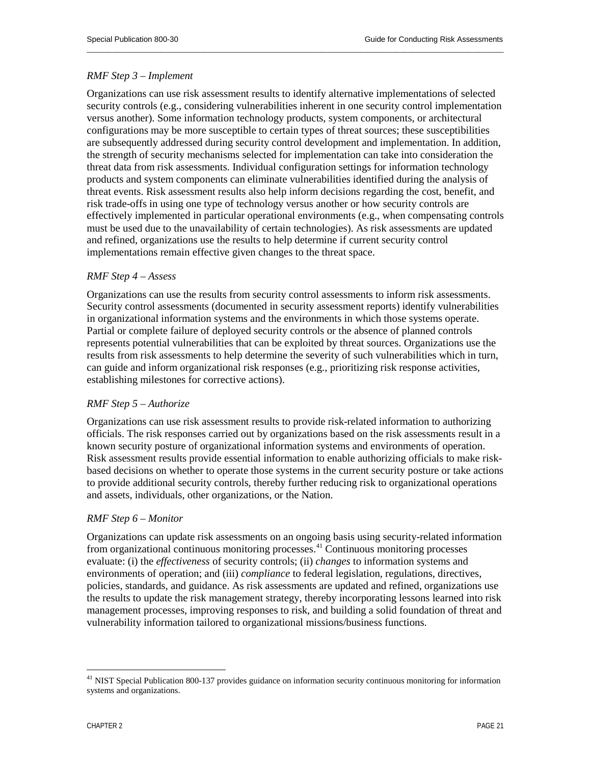## *RMF Step 3 – Implement*

Organizations can use risk assessment results to identify alternative implementations of selected security controls (e.g., considering vulnerabilities inherent in one security control implementation versus another). Some information technology products, system components, or architectural configurations may be more susceptible to certain types of threat sources; these susceptibilities are subsequently addressed during security control development and implementation. In addition, the strength of security mechanisms selected for implementation can take into consideration the threat data from risk assessments. Individual configuration settings for information technology products and system components can eliminate vulnerabilities identified during the analysis of threat events. Risk assessment results also help inform decisions regarding the cost, benefit, and risk trade-offs in using one type of technology versus another or how security controls are effectively implemented in particular operational environments (e.g., when compensating controls must be used due to the unavailability of certain technologies). As risk assessments are updated and refined, organizations use the results to help determine if current security control implementations remain effective given changes to the threat space.

\_\_\_\_\_\_\_\_\_\_\_\_\_\_\_\_\_\_\_\_\_\_\_\_\_\_\_\_\_\_\_\_\_\_\_\_\_\_\_\_\_\_\_\_\_\_\_\_\_\_\_\_\_\_\_\_\_\_\_\_\_\_\_\_\_\_\_\_\_\_\_\_\_\_\_\_\_\_\_\_\_\_\_\_\_\_\_\_\_\_\_\_\_\_\_\_

#### *RMF Step 4 – Assess*

Organizations can use the results from security control assessments to inform risk assessments. Security control assessments (documented in security assessment reports) identify vulnerabilities in organizational information systems and the environments in which those systems operate. Partial or complete failure of deployed security controls or the absence of planned controls represents potential vulnerabilities that can be exploited by threat sources. Organizations use the results from risk assessments to help determine the severity of such vulnerabilities which in turn, can guide and inform organizational risk responses (e.g., prioritizing risk response activities, establishing milestones for corrective actions).

## *RMF Step 5 – Authorize*

Organizations can use risk assessment results to provide risk-related information to authorizing officials. The risk responses carried out by organizations based on the risk assessments result in a known security posture of organizational information systems and environments of operation. Risk assessment results provide essential information to enable authorizing officials to make riskbased decisions on whether to operate those systems in the current security posture or take actions to provide additional security controls, thereby further reducing risk to organizational operations and assets, individuals, other organizations, or the Nation.

## *RMF Step 6 – Monitor*

Organizations can update risk assessments on an ongoing basis using security-related information from organizational continuous monitoring processes. [41](#page-29-0) Continuous monitoring processes evaluate: (i) the *effectiveness* of security controls; (ii) *changes* to information systems and environments of operation; and (iii) *compliance* to federal legislation, regulations, directives, policies, standards, and guidance. As risk assessments are updated and refined, organizations use the results to update the risk management strategy, thereby incorporating lessons learned into risk management processes, improving responses to risk, and building a solid foundation of threat and vulnerability information tailored to organizational missions/business functions.

<span id="page-29-0"></span><sup>&</sup>lt;sup>41</sup> NIST Special Publication 800-137 provides guidance on information security continuous monitoring for information systems and organizations.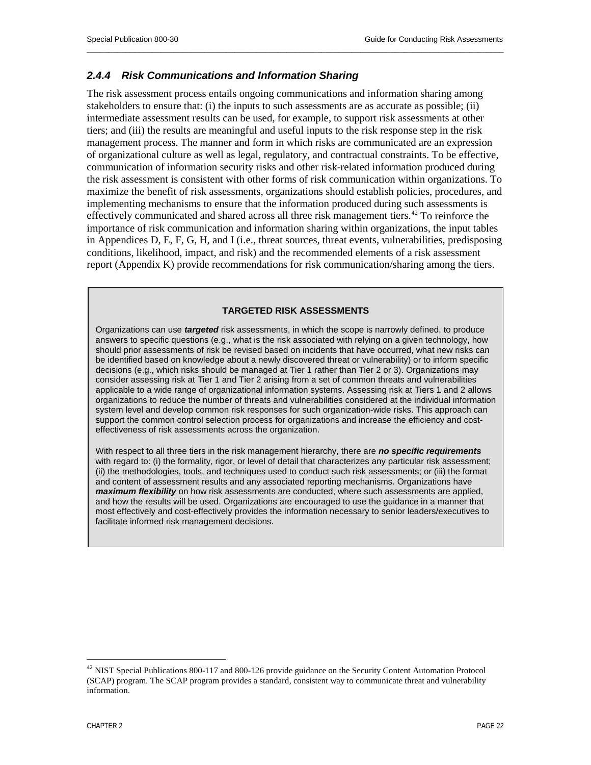## *2.4.4 Risk Communications and Information Sharing*

The risk assessment process entails ongoing communications and information sharing among stakeholders to ensure that: (i) the inputs to such assessments are as accurate as possible; (ii) intermediate assessment results can be used, for example, to support risk assessments at other tiers; and (iii) the results are meaningful and useful inputs to the risk response step in the risk management process. The manner and form in which risks are communicated are an expression of organizational culture as well as legal, regulatory, and contractual constraints. To be effective, communication of information security risks and other risk-related information produced during the risk assessment is consistent with other forms of risk communication within organizations. To maximize the benefit of risk assessments, organizations should establish policies, procedures, and implementing mechanisms to ensure that the information produced during such assessments is effectively communicated and shared across all three risk management tiers.<sup>[42](#page-30-0)</sup> To reinforce the importance of risk communication and information sharing within organizations, the input tables in Appendices D, E, F, G, H, and I (i.e., threat sources, threat events, vulnerabilities, predisposing conditions, likelihood, impact, and risk) and the recommended elements of a risk assessment report (Appendix K) provide recommendations for risk communication/sharing among the tiers.

\_\_\_\_\_\_\_\_\_\_\_\_\_\_\_\_\_\_\_\_\_\_\_\_\_\_\_\_\_\_\_\_\_\_\_\_\_\_\_\_\_\_\_\_\_\_\_\_\_\_\_\_\_\_\_\_\_\_\_\_\_\_\_\_\_\_\_\_\_\_\_\_\_\_\_\_\_\_\_\_\_\_\_\_\_\_\_\_\_\_\_\_\_\_\_\_

#### **TARGETED RISK ASSESSMENTS**

Organizations can use *targeted* risk assessments, in which the scope is narrowly defined, to produce answers to specific questions (e.g., what is the risk associated with relying on a given technology, how should prior assessments of risk be revised based on incidents that have occurred, what new risks can be identified based on knowledge about a newly discovered threat or vulnerability) or to inform specific decisions (e.g., which risks should be managed at Tier 1 rather than Tier 2 or 3). Organizations may consider assessing risk at Tier 1 and Tier 2 arising from a set of common threats and vulnerabilities applicable to a wide range of organizational information systems. Assessing risk at Tiers 1 and 2 allows organizations to reduce the number of threats and vulnerabilities considered at the individual information system level and develop common risk responses for such organization-wide risks. This approach can support the common control selection process for organizations and increase the efficiency and costeffectiveness of risk assessments across the organization.

With respect to all three tiers in the risk management hierarchy, there are *no specific requirements* with regard to: (i) the formality, rigor, or level of detail that characterizes any particular risk assessment; (ii) the methodologies, tools, and techniques used to conduct such risk assessments; or (iii) the format and content of assessment results and any associated reporting mechanisms. Organizations have *maximum flexibility* on how risk assessments are conducted, where such assessments are applied, and how the results will be used. Organizations are encouraged to use the guidance in a manner that most effectively and cost-effectively provides the information necessary to senior leaders/executives to facilitate informed risk management decisions.

<span id="page-30-0"></span><sup>&</sup>lt;sup>42</sup> NIST Special Publications 800-117 and 800-126 provide guidance on the Security Content Automation Protocol (SCAP) program. The SCAP program provides a standard, consistent way to communicate threat and vulnerability information.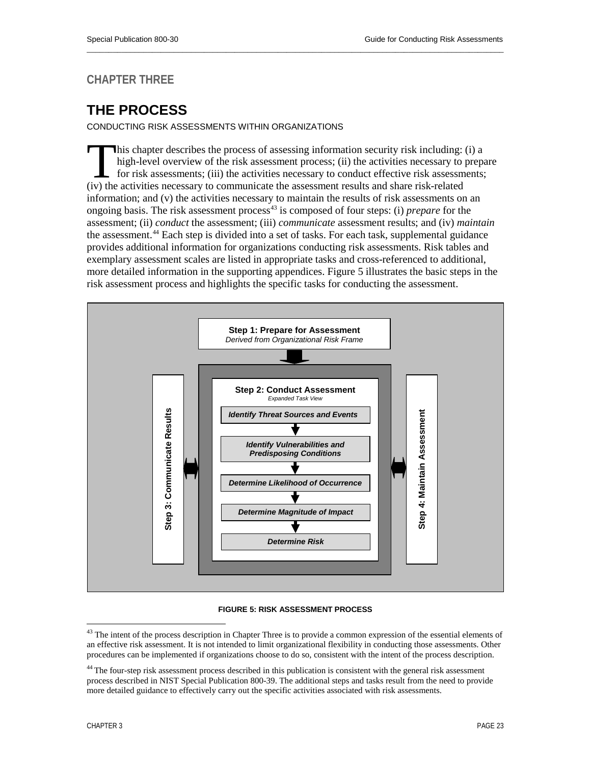# <span id="page-31-0"></span>**CHAPTER THREE**

# **THE PROCESS**

CONDUCTING RISK ASSESSMENTS WITHIN ORGANIZATIONS

his chapter describes the process of assessing information security risk including: (i) a high-level overview of the risk assessment process; (ii) the activities necessary to prepare for risk assessments; (iii) the activities necessary to conduct effective risk assessments; (iv) the activities necessary to communicate the assessment process; (ii) the activities necessary to for risk assessments; (iii) the activities necessary to conduct effective risk assessment (iv) the activities necessary information; and (v) the activities necessary to maintain the results of risk assessments on an ongoing basis. The risk assessment process<sup>[43](#page-31-1)</sup> is composed of four steps: (i) *prepare* for the assessment; (ii) *conduct* the assessment; (iii) *communicate* assessment results; and (iv) *maintain* the assessment.<sup>[44](#page-31-2)</sup> Each step is divided into a set of tasks. For each task, supplemental guidance provides additional information for organizations conducting risk assessments. Risk tables and exemplary assessment scales are listed in appropriate tasks and cross-referenced to additional, more detailed information in the supporting appendices. Figure 5 illustrates the basic steps in the risk assessment process and highlights the specific tasks for conducting the assessment.

\_\_\_\_\_\_\_\_\_\_\_\_\_\_\_\_\_\_\_\_\_\_\_\_\_\_\_\_\_\_\_\_\_\_\_\_\_\_\_\_\_\_\_\_\_\_\_\_\_\_\_\_\_\_\_\_\_\_\_\_\_\_\_\_\_\_\_\_\_\_\_\_\_\_\_\_\_\_\_\_\_\_\_\_\_\_\_\_\_\_\_\_\_\_\_\_



#### **FIGURE 5: RISK ASSESSMENT PROCESS**

<span id="page-31-1"></span><sup>&</sup>lt;sup>43</sup> The intent of the process description in Chapter Three is to provide a common expression of the essential elements of an effective risk assessment. It is not intended to limit organizational flexibility in conducting those assessments. Other procedures can be implemented if organizations choose to do so, consistent with the intent of the process description.

<span id="page-31-2"></span><sup>&</sup>lt;sup>44</sup> The four-step risk assessment process described in this publication is consistent with the general risk assessment process described in NIST Special Publication 800-39. The additional steps and tasks result from the need to provide more detailed guidance to effectively carry out the specific activities associated with risk assessments.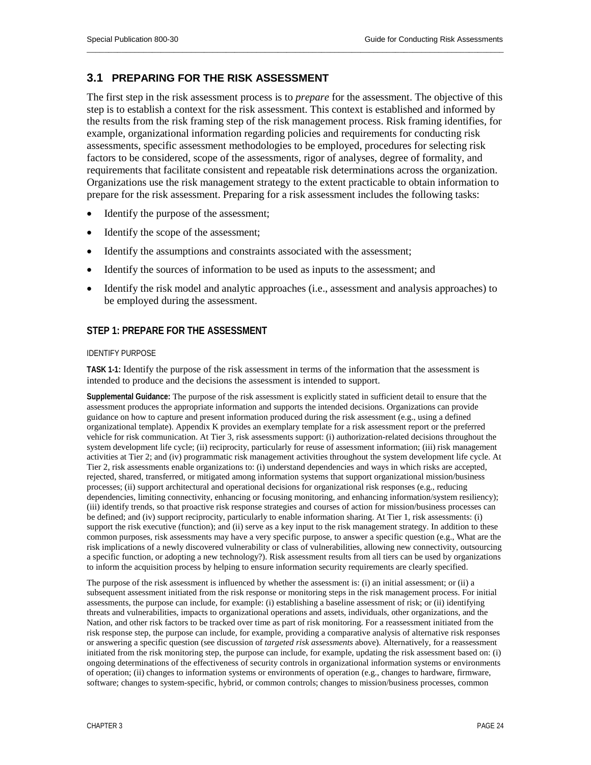## <span id="page-32-0"></span>**3.1 PREPARING FOR THE RISK ASSESSMENT**

The first step in the risk assessment process is to *prepare* for the assessment. The objective of this step is to establish a context for the risk assessment. This context is established and informed by the results from the risk framing step of the risk management process. Risk framing identifies, for example, organizational information regarding policies and requirements for conducting risk assessments, specific assessment methodologies to be employed, procedures for selecting risk factors to be considered, scope of the assessments, rigor of analyses, degree of formality, and requirements that facilitate consistent and repeatable risk determinations across the organization. Organizations use the risk management strategy to the extent practicable to obtain information to prepare for the risk assessment. Preparing for a risk assessment includes the following tasks:

\_\_\_\_\_\_\_\_\_\_\_\_\_\_\_\_\_\_\_\_\_\_\_\_\_\_\_\_\_\_\_\_\_\_\_\_\_\_\_\_\_\_\_\_\_\_\_\_\_\_\_\_\_\_\_\_\_\_\_\_\_\_\_\_\_\_\_\_\_\_\_\_\_\_\_\_\_\_\_\_\_\_\_\_\_\_\_\_\_\_\_\_\_\_\_\_

- Identify the purpose of the assessment;
- Identify the scope of the assessment;
- Identify the assumptions and constraints associated with the assessment;
- Identify the sources of information to be used as inputs to the assessment; and
- Identify the risk model and analytic approaches (i.e., assessment and analysis approaches) to be employed during the assessment.

#### **STEP 1: PREPARE FOR THE ASSESSMENT**

#### IDENTIFY PURPOSE

**TASK 1-1:** Identify the purpose of the risk assessment in terms of the information that the assessment is intended to produce and the decisions the assessment is intended to support.

**Supplemental Guidance:** The purpose of the risk assessment is explicitly stated in sufficient detail to ensure that the assessment produces the appropriate information and supports the intended decisions. Organizations can provide guidance on how to capture and present information produced during the risk assessment (e.g., using a defined organizational template). Appendix K provides an exemplary template for a risk assessment report or the preferred vehicle for risk communication. At Tier 3, risk assessments support: (i) authorization-related decisions throughout the system development life cycle; (ii) reciprocity, particularly for reuse of assessment information; (iii) risk management activities at Tier 2; and (iv) programmatic risk management activities throughout the system development life cycle. At Tier 2, risk assessments enable organizations to: (i) understand dependencies and ways in which risks are accepted, rejected, shared, transferred, or mitigated among information systems that support organizational mission/business processes; (ii) support architectural and operational decisions for organizational risk responses (e.g., reducing dependencies, limiting connectivity, enhancing or focusing monitoring, and enhancing information/system resiliency); (iii) identify trends, so that proactive risk response strategies and courses of action for mission/business processes can be defined; and (iv) support reciprocity, particularly to enable information sharing. At Tier 1, risk assessments: (i) support the risk executive (function); and (ii) serve as a key input to the risk management strategy. In addition to these common purposes, risk assessments may have a very specific purpose, to answer a specific question (e.g., What are the risk implications of a newly discovered vulnerability or class of vulnerabilities, allowing new connectivity, outsourcing a specific function, or adopting a new technology?). Risk assessment results from all tiers can be used by organizations to inform the acquisition process by helping to ensure information security requirements are clearly specified.

The purpose of the risk assessment is influenced by whether the assessment is: (i) an initial assessment; or (ii) a subsequent assessment initiated from the risk response or monitoring steps in the risk management process. For initial assessments, the purpose can include, for example: (i) establishing a baseline assessment of risk; or (ii) identifying threats and vulnerabilities, impacts to organizational operations and assets, individuals, other organizations, and the Nation, and other risk factors to be tracked over time as part of risk monitoring. For a reassessment initiated from the risk response step, the purpose can include, for example, providing a comparative analysis of alternative risk responses or answering a specific question (see discussion of *targeted risk assessments* above). Alternatively, for a reassessment initiated from the risk monitoring step, the purpose can include, for example, updating the risk assessment based on: (i) ongoing determinations of the effectiveness of security controls in organizational information systems or environments of operation; (ii) changes to information systems or environments of operation (e.g., changes to hardware, firmware, software; changes to system-specific, hybrid, or common controls; changes to mission/business processes, common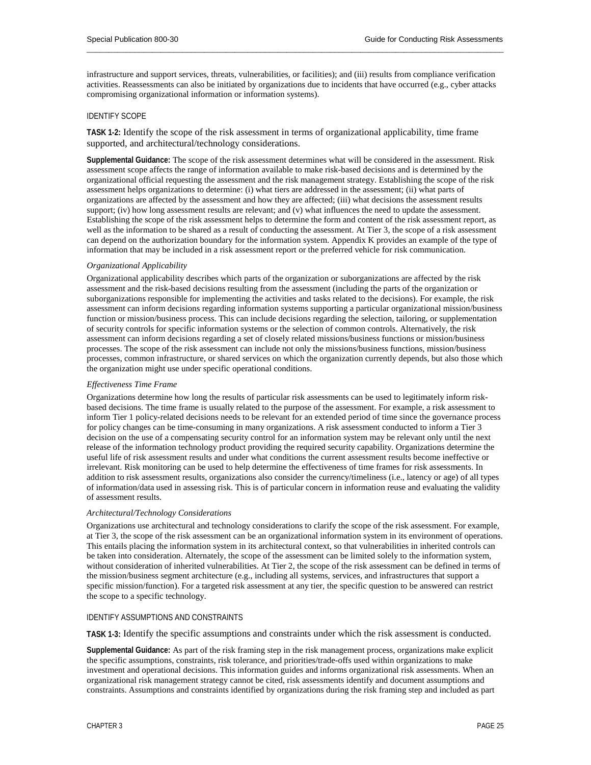infrastructure and support services, threats, vulnerabilities, or facilities); and (iii) results from compliance verification activities. Reassessments can also be initiated by organizations due to incidents that have occurred (e.g., cyber attacks compromising organizational information or information systems).

\_\_\_\_\_\_\_\_\_\_\_\_\_\_\_\_\_\_\_\_\_\_\_\_\_\_\_\_\_\_\_\_\_\_\_\_\_\_\_\_\_\_\_\_\_\_\_\_\_\_\_\_\_\_\_\_\_\_\_\_\_\_\_\_\_\_\_\_\_\_\_\_\_\_\_\_\_\_\_\_\_\_\_\_\_\_\_\_\_\_\_\_\_\_\_\_

#### IDENTIFY SCOPE

**TASK 1-2:** Identify the scope of the risk assessment in terms of organizational applicability, time frame supported, and architectural/technology considerations.

**Supplemental Guidance:** The scope of the risk assessment determines what will be considered in the assessment. Risk assessment scope affects the range of information available to make risk-based decisions and is determined by the organizational official requesting the assessment and the risk management strategy. Establishing the scope of the risk assessment helps organizations to determine: (i) what tiers are addressed in the assessment; (ii) what parts of organizations are affected by the assessment and how they are affected; (iii) what decisions the assessment results support; (iv) how long assessment results are relevant; and (v) what influences the need to update the assessment. Establishing the scope of the risk assessment helps to determine the form and content of the risk assessment report, as well as the information to be shared as a result of conducting the assessment. At Tier 3, the scope of a risk assessment can depend on the authorization boundary for the information system. Appendix K provides an example of the type of information that may be included in a risk assessment report or the preferred vehicle for risk communication.

#### *Organizational Applicability*

Organizational applicability describes which parts of the organization or suborganizations are affected by the risk assessment and the risk-based decisions resulting from the assessment (including the parts of the organization or suborganizations responsible for implementing the activities and tasks related to the decisions). For example, the risk assessment can inform decisions regarding information systems supporting a particular organizational mission/business function or mission/business process. This can include decisions regarding the selection, tailoring, or supplementation of security controls for specific information systems or the selection of common controls. Alternatively, the risk assessment can inform decisions regarding a set of closely related missions/business functions or mission/business processes. The scope of the risk assessment can include not only the missions/business functions, mission/business processes, common infrastructure, or shared services on which the organization currently depends, but also those which the organization might use under specific operational conditions.

#### *Effectiveness Time Frame*

Organizations determine how long the results of particular risk assessments can be used to legitimately inform riskbased decisions. The time frame is usually related to the purpose of the assessment. For example, a risk assessment to inform Tier 1 policy-related decisions needs to be relevant for an extended period of time since the governance process for policy changes can be time-consuming in many organizations. A risk assessment conducted to inform a Tier 3 decision on the use of a compensating security control for an information system may be relevant only until the next release of the information technology product providing the required security capability. Organizations determine the useful life of risk assessment results and under what conditions the current assessment results become ineffective or irrelevant. Risk monitoring can be used to help determine the effectiveness of time frames for risk assessments. In addition to risk assessment results, organizations also consider the currency/timeliness (i.e., latency or age) of all types of information/data used in assessing risk. This is of particular concern in information reuse and evaluating the validity of assessment results.

#### *Architectural/Technology Considerations*

Organizations use architectural and technology considerations to clarify the scope of the risk assessment. For example, at Tier 3, the scope of the risk assessment can be an organizational information system in its environment of operations. This entails placing the information system in its architectural context, so that vulnerabilities in inherited controls can be taken into consideration. Alternately, the scope of the assessment can be limited solely to the information system, without consideration of inherited vulnerabilities. At Tier 2, the scope of the risk assessment can be defined in terms of the mission/business segment architecture (e.g., including all systems, services, and infrastructures that support a specific mission/function). For a targeted risk assessment at any tier, the specific question to be answered can restrict the scope to a specific technology.

#### IDENTIFY ASSUMPTIONS AND CONSTRAINTS

**TASK 1-3:** Identify the specific assumptions and constraints under which the risk assessment is conducted.

**Supplemental Guidance:** As part of the risk framing step in the risk management process, organizations make explicit the specific assumptions, constraints, risk tolerance, and priorities/trade-offs used within organizations to make investment and operational decisions. This information guides and informs organizational risk assessments. When an organizational risk management strategy cannot be cited, risk assessments identify and document assumptions and constraints. Assumptions and constraints identified by organizations during the risk framing step and included as part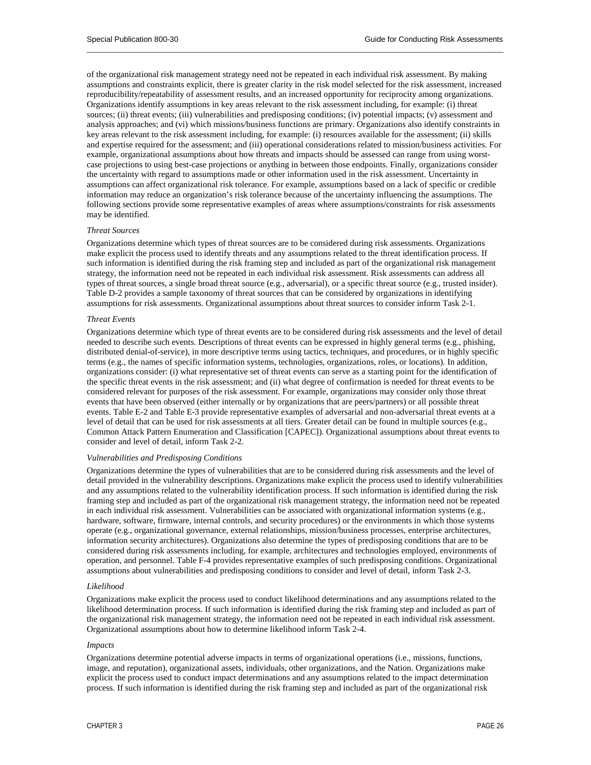of the organizational risk management strategy need not be repeated in each individual risk assessment. By making assumptions and constraints explicit, there is greater clarity in the risk model selected for the risk assessment, increased reproducibility/repeatability of assessment results, and an increased opportunity for reciprocity among organizations. Organizations identify assumptions in key areas relevant to the risk assessment including, for example: (i) threat sources; (ii) threat events; (iii) vulnerabilities and predisposing conditions; (iv) potential impacts; (v) assessment and analysis approaches; and (vi) which missions/business functions are primary. Organizations also identify constraints in key areas relevant to the risk assessment including, for example: (i) resources available for the assessment; (ii) skills and expertise required for the assessment; and (iii) operational considerations related to mission/business activities. For example, organizational assumptions about how threats and impacts should be assessed can range from using worstcase projections to using best-case projections or anything in between those endpoints. Finally, organizations consider the uncertainty with regard to assumptions made or other information used in the risk assessment. Uncertainty in assumptions can affect organizational risk tolerance. For example, assumptions based on a lack of specific or credible information may reduce an organization's risk tolerance because of the uncertainty influencing the assumptions. The following sections provide some representative examples of areas where assumptions/constraints for risk assessments may be identified.

\_\_\_\_\_\_\_\_\_\_\_\_\_\_\_\_\_\_\_\_\_\_\_\_\_\_\_\_\_\_\_\_\_\_\_\_\_\_\_\_\_\_\_\_\_\_\_\_\_\_\_\_\_\_\_\_\_\_\_\_\_\_\_\_\_\_\_\_\_\_\_\_\_\_\_\_\_\_\_\_\_\_\_\_\_\_\_\_\_\_\_\_\_\_\_\_

#### *Threat Sources*

Organizations determine which types of threat sources are to be considered during risk assessments. Organizations make explicit the process used to identify threats and any assumptions related to the threat identification process. If such information is identified during the risk framing step and included as part of the organizational risk management strategy, the information need not be repeated in each individual risk assessment. Risk assessments can address all types of threat sources, a single broad threat source (e.g., adversarial), or a specific threat source (e.g., trusted insider). Table D-2 provides a sample taxonomy of threat sources that can be considered by organizations in identifying assumptions for risk assessments. Organizational assumptions about threat sources to consider inform Task 2-1.

#### *Threat Events*

Organizations determine which type of threat events are to be considered during risk assessments and the level of detail needed to describe such events. Descriptions of threat events can be expressed in highly general terms (e.g., phishing, distributed denial-of-service), in more descriptive terms using tactics, techniques, and procedures, or in highly specific terms (e.g., the names of specific information systems, technologies, organizations, roles, or locations). In addition, organizations consider: (i) what representative set of threat events can serve as a starting point for the identification of the specific threat events in the risk assessment; and (ii) what degree of confirmation is needed for threat events to be considered relevant for purposes of the risk assessment. For example, organizations may consider only those threat events that have been observed (either internally or by organizations that are peers/partners) or all possible threat events. Table E-2 and Table E-3 provide representative examples of adversarial and non-adversarial threat events at a level of detail that can be used for risk assessments at all tiers. Greater detail can be found in multiple sources (e.g., Common Attack Pattern Enumeration and Classification [CAPEC]). Organizational assumptions about threat events to consider and level of detail, inform Task 2-2.

#### *Vulnerabilities and Predisposing Conditions*

Organizations determine the types of vulnerabilities that are to be considered during risk assessments and the level of detail provided in the vulnerability descriptions. Organizations make explicit the process used to identify vulnerabilities and any assumptions related to the vulnerability identification process. If such information is identified during the risk framing step and included as part of the organizational risk management strategy, the information need not be repeated in each individual risk assessment. Vulnerabilities can be associated with organizational information systems (e.g., hardware, software, firmware, internal controls, and security procedures) or the environments in which those systems operate (e.g., organizational governance, external relationships, mission/business processes, enterprise architectures, information security architectures). Organizations also determine the types of predisposing conditions that are to be considered during risk assessments including, for example, architectures and technologies employed, environments of operation, and personnel. Table F-4 provides representative examples of such predisposing conditions. Organizational assumptions about vulnerabilities and predisposing conditions to consider and level of detail, inform Task 2-3.

#### *Likelihood*

Organizations make explicit the process used to conduct likelihood determinations and any assumptions related to the likelihood determination process. If such information is identified during the risk framing step and included as part of the organizational risk management strategy, the information need not be repeated in each individual risk assessment. Organizational assumptions about how to determine likelihood inform Task 2-4.

#### *Impacts*

Organizations determine potential adverse impacts in terms of organizational operations (i.e., missions, functions, image, and reputation), organizational assets, individuals, other organizations, and the Nation. Organizations make explicit the process used to conduct impact determinations and any assumptions related to the impact determination process. If such information is identified during the risk framing step and included as part of the organizational risk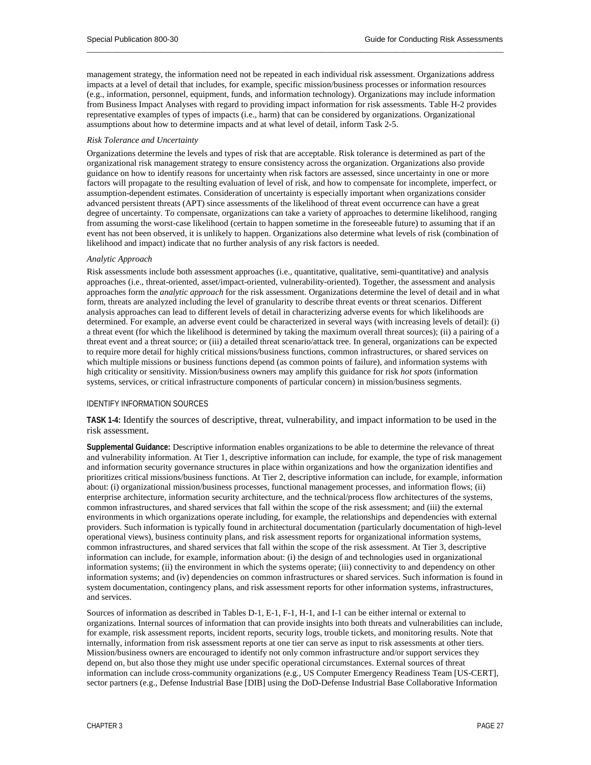management strategy, the information need not be repeated in each individual risk assessment. Organizations address impacts at a level of detail that includes, for example, specific mission/business processes or information resources (e.g., information, personnel, equipment, funds, and information technology). Organizations may include information from Business Impact Analyses with regard to providing impact information for risk assessments. Table H-2 provides representative examples of types of impacts (i.e., harm) that can be considered by organizations. Organizational assumptions about how to determine impacts and at what level of detail, inform Task 2-5.

\_\_\_\_\_\_\_\_\_\_\_\_\_\_\_\_\_\_\_\_\_\_\_\_\_\_\_\_\_\_\_\_\_\_\_\_\_\_\_\_\_\_\_\_\_\_\_\_\_\_\_\_\_\_\_\_\_\_\_\_\_\_\_\_\_\_\_\_\_\_\_\_\_\_\_\_\_\_\_\_\_\_\_\_\_\_\_\_\_\_\_\_\_\_\_\_

#### *Risk Tolerance and Uncertainty*

Organizations determine the levels and types of risk that are acceptable. Risk tolerance is determined as part of the organizational risk management strategy to ensure consistency across the organization. Organizations also provide guidance on how to identify reasons for uncertainty when risk factors are assessed, since uncertainty in one or more factors will propagate to the resulting evaluation of level of risk, and how to compensate for incomplete, imperfect, or assumption-dependent estimates. Consideration of uncertainty is especially important when organizations consider advanced persistent threats (APT) since assessments of the likelihood of threat event occurrence can have a great degree of uncertainty. To compensate, organizations can take a variety of approaches to determine likelihood, ranging from assuming the worst-case likelihood (certain to happen sometime in the foreseeable future) to assuming that if an event has not been observed, it is unlikely to happen. Organizations also determine what levels of risk (combination of likelihood and impact) indicate that no further analysis of any risk factors is needed.

#### *Analytic Approach*

Risk assessments include both assessment approaches (i.e., quantitative, qualitative, semi-quantitative) and analysis approaches (i.e., threat-oriented, asset/impact-oriented, vulnerability-oriented). Together, the assessment and analysis approaches form the *analytic approach* for the risk assessment. Organizations determine the level of detail and in what form, threats are analyzed including the level of granularity to describe threat events or threat scenarios. Different analysis approaches can lead to different levels of detail in characterizing adverse events for which likelihoods are determined. For example, an adverse event could be characterized in several ways (with increasing levels of detail): (i) a threat event (for which the likelihood is determined by taking the maximum overall threat sources); (ii) a pairing of a threat event and a threat source; or (iii) a detailed threat scenario/attack tree. In general, organizations can be expected to require more detail for highly critical missions/business functions, common infrastructures, or shared services on which multiple missions or business functions depend (as common points of failure), and information systems with high criticality or sensitivity. Mission/business owners may amplify this guidance for risk *hot spots* (information systems, services, or critical infrastructure components of particular concern) in mission/business segments.

#### IDENTIFY INFORMATION SOURCES

**TASK 1-4:** Identify the sources of descriptive, threat, vulnerability, and impact information to be used in the risk assessment.

**Supplemental Guidance:** Descriptive information enables organizations to be able to determine the relevance of threat and vulnerability information. At Tier 1, descriptive information can include, for example, the type of risk management and information security governance structures in place within organizations and how the organization identifies and prioritizes critical missions/business functions. At Tier 2, descriptive information can include, for example, information about: (i) organizational mission/business processes, functional management processes, and information flows; (ii) enterprise architecture, information security architecture, and the technical/process flow architectures of the systems, common infrastructures, and shared services that fall within the scope of the risk assessment; and (iii) the external environments in which organizations operate including, for example, the relationships and dependencies with external providers. Such information is typically found in architectural documentation (particularly documentation of high-level operational views), business continuity plans, and risk assessment reports for organizational information systems, common infrastructures, and shared services that fall within the scope of the risk assessment. At Tier 3, descriptive information can include, for example, information about: (i) the design of and technologies used in organizational information systems; (ii) the environment in which the systems operate; (iii) connectivity to and dependency on other information systems; and (iv) dependencies on common infrastructures or shared services. Such information is found in system documentation, contingency plans, and risk assessment reports for other information systems, infrastructures, and services.

Sources of information as described in Tables D-1, E-1, F-1, H-1, and I-1 can be either internal or external to organizations. Internal sources of information that can provide insights into both threats and vulnerabilities can include, for example, risk assessment reports, incident reports, security logs, trouble tickets, and monitoring results. Note that internally, information from risk assessment reports at one tier can serve as input to risk assessments at other tiers. Mission/business owners are encouraged to identify not only common infrastructure and/or support services they depend on, but also those they might use under specific operational circumstances. External sources of threat information can include cross-community organizations (e.g., US Computer Emergency Readiness Team [US-CERT], sector partners (e.g., Defense Industrial Base [DIB] using the DoD-Defense Industrial Base Collaborative Information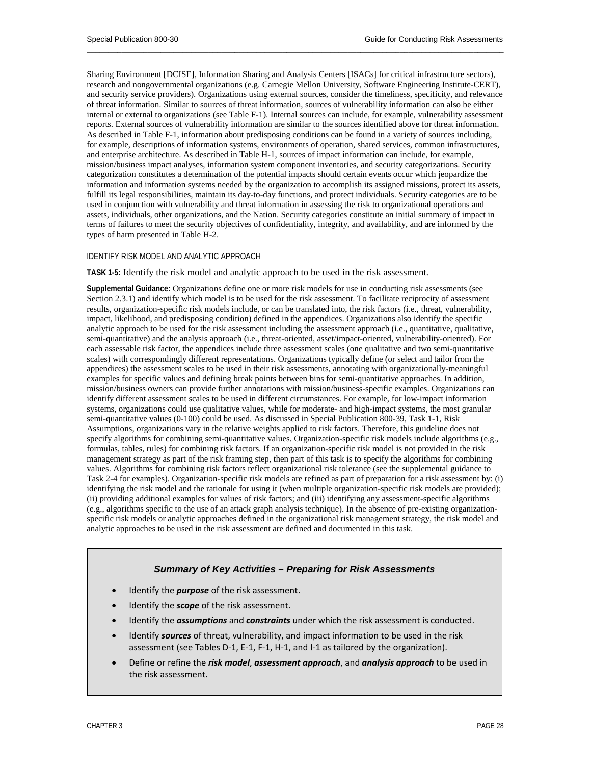Sharing Environment [DCISE], Information Sharing and Analysis Centers [ISACs] for critical infrastructure sectors), research and nongovernmental organizations (e.g. Carnegie Mellon University, Software Engineering Institute-CERT), and security service providers). Organizations using external sources, consider the timeliness, specificity, and relevance of threat information. Similar to sources of threat information, sources of vulnerability information can also be either internal or external to organizations (see Table F-1). Internal sources can include, for example, vulnerability assessment reports. External sources of vulnerability information are similar to the sources identified above for threat information. As described in Table F-1, information about predisposing conditions can be found in a variety of sources including, for example, descriptions of information systems, environments of operation, shared services, common infrastructures, and enterprise architecture. As described in Table H-1, sources of impact information can include, for example, mission/business impact analyses, information system component inventories, and security categorizations. Security categorization constitutes a determination of the potential impacts should certain events occur which jeopardize the information and information systems needed by the organization to accomplish its assigned missions, protect its assets, fulfill its legal responsibilities, maintain its day-to-day functions, and protect individuals. Security categories are to be used in conjunction with vulnerability and threat information in assessing the risk to organizational operations and assets, individuals, other organizations, and the Nation. Security categories constitute an initial summary of impact in terms of failures to meet the security objectives of confidentiality, integrity, and availability, and are informed by the types of harm presented in Table H-2.

\_\_\_\_\_\_\_\_\_\_\_\_\_\_\_\_\_\_\_\_\_\_\_\_\_\_\_\_\_\_\_\_\_\_\_\_\_\_\_\_\_\_\_\_\_\_\_\_\_\_\_\_\_\_\_\_\_\_\_\_\_\_\_\_\_\_\_\_\_\_\_\_\_\_\_\_\_\_\_\_\_\_\_\_\_\_\_\_\_\_\_\_\_\_\_\_

#### IDENTIFY RISK MODEL AND ANALYTIC APPROACH

**TASK 1-5:** Identify the risk model and analytic approach to be used in the risk assessment.

**Supplemental Guidance:** Organizations define one or more risk models for use in conducting risk assessments (see Section 2.3.1) and identify which model is to be used for the risk assessment. To facilitate reciprocity of assessment results, organization-specific risk models include, or can be translated into, the risk factors (i.e., threat, vulnerability, impact, likelihood, and predisposing condition) defined in the appendices. Organizations also identify the specific analytic approach to be used for the risk assessment including the assessment approach (i.e., quantitative, qualitative, semi-quantitative) and the analysis approach (i.e., threat-oriented, asset/impact-oriented, vulnerability-oriented). For each assessable risk factor, the appendices include three assessment scales (one qualitative and two semi-quantitative scales) with correspondingly different representations. Organizations typically define (or select and tailor from the appendices) the assessment scales to be used in their risk assessments, annotating with organizationally-meaningful examples for specific values and defining break points between bins for semi-quantitative approaches. In addition, mission/business owners can provide further annotations with mission/business-specific examples. Organizations can identify different assessment scales to be used in different circumstances. For example, for low-impact information systems, organizations could use qualitative values, while for moderate- and high-impact systems, the most granular semi-quantitative values (0-100) could be used. As discussed in Special Publication 800-39, Task 1-1, Risk Assumptions, organizations vary in the relative weights applied to risk factors. Therefore, this guideline does not specify algorithms for combining semi-quantitative values. Organization-specific risk models include algorithms (e.g., formulas, tables, rules) for combining risk factors. If an organization-specific risk model is not provided in the risk management strategy as part of the risk framing step, then part of this task is to specify the algorithms for combining values. Algorithms for combining risk factors reflect organizational risk tolerance (see the supplemental guidance to Task 2-4 for examples). Organization-specific risk models are refined as part of preparation for a risk assessment by: (i) identifying the risk model and the rationale for using it (when multiple organization-specific risk models are provided); (ii) providing additional examples for values of risk factors; and (iii) identifying any assessment-specific algorithms (e.g., algorithms specific to the use of an attack graph analysis technique). In the absence of pre-existing organizationspecific risk models or analytic approaches defined in the organizational risk management strategy, the risk model and analytic approaches to be used in the risk assessment are defined and documented in this task.

### *Summary of Key Activities – Preparing for Risk Assessments*

- Identify the *purpose* of the risk assessment.
- Identify the *scope* of the risk assessment.
- Identify the *assumptions* and *constraints* under which the risk assessment is conducted.
- Identify *sources* of threat, vulnerability, and impact information to be used in the risk assessment (see Tables D-1, E-1, F-1, H-1, and I-1 as tailored by the organization).
- Define or refine the *risk model*, *assessment approach*, and *analysis approach* to be used in the risk assessment.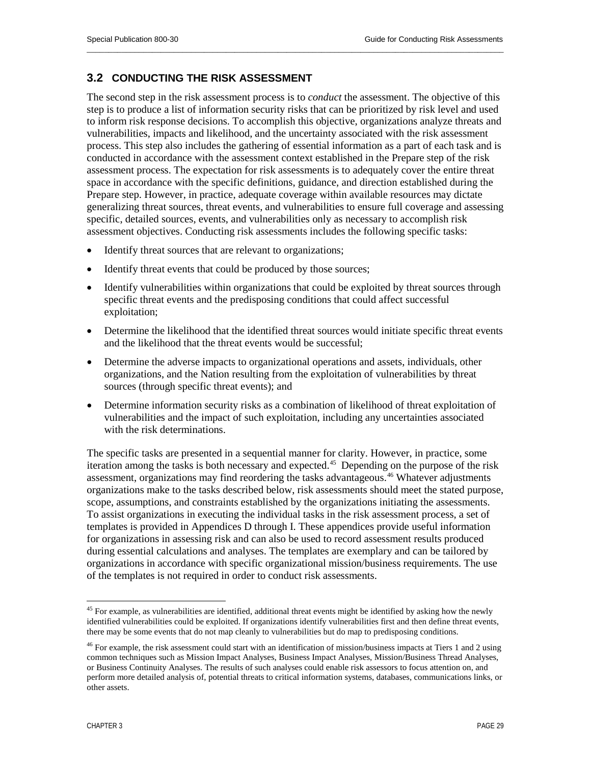### **3.2 CONDUCTING THE RISK ASSESSMENT**

The second step in the risk assessment process is to *conduct* the assessment. The objective of this step is to produce a list of information security risks that can be prioritized by risk level and used to inform risk response decisions. To accomplish this objective, organizations analyze threats and vulnerabilities, impacts and likelihood, and the uncertainty associated with the risk assessment process. This step also includes the gathering of essential information as a part of each task and is conducted in accordance with the assessment context established in the Prepare step of the risk assessment process. The expectation for risk assessments is to adequately cover the entire threat space in accordance with the specific definitions, guidance, and direction established during the Prepare step. However, in practice, adequate coverage within available resources may dictate generalizing threat sources, threat events, and vulnerabilities to ensure full coverage and assessing specific, detailed sources, events, and vulnerabilities only as necessary to accomplish risk assessment objectives. Conducting risk assessments includes the following specific tasks:

\_\_\_\_\_\_\_\_\_\_\_\_\_\_\_\_\_\_\_\_\_\_\_\_\_\_\_\_\_\_\_\_\_\_\_\_\_\_\_\_\_\_\_\_\_\_\_\_\_\_\_\_\_\_\_\_\_\_\_\_\_\_\_\_\_\_\_\_\_\_\_\_\_\_\_\_\_\_\_\_\_\_\_\_\_\_\_\_\_\_\_\_\_\_\_\_

- Identify threat sources that are relevant to organizations;
- Identify threat events that could be produced by those sources;
- Identify vulnerabilities within organizations that could be exploited by threat sources through specific threat events and the predisposing conditions that could affect successful exploitation;
- Determine the likelihood that the identified threat sources would initiate specific threat events and the likelihood that the threat events would be successful;
- Determine the adverse impacts to organizational operations and assets, individuals, other organizations, and the Nation resulting from the exploitation of vulnerabilities by threat sources (through specific threat events); and
- Determine information security risks as a combination of likelihood of threat exploitation of vulnerabilities and the impact of such exploitation, including any uncertainties associated with the risk determinations.

The specific tasks are presented in a sequential manner for clarity. However, in practice, some iteration among the tasks is both necessary and expected.<sup>[45](#page-37-0)</sup> Depending on the purpose of the risk assessment, organizations may find reordering the tasks advantageous.<sup>[46](#page-37-1)</sup> Whatever adjustments organizations make to the tasks described below, risk assessments should meet the stated purpose, scope, assumptions, and constraints established by the organizations initiating the assessments. To assist organizations in executing the individual tasks in the risk assessment process, a set of templates is provided in Appendices D through I. These appendices provide useful information for organizations in assessing risk and can also be used to record assessment results produced during essential calculations and analyses. The templates are exemplary and can be tailored by organizations in accordance with specific organizational mission/business requirements. The use of the templates is not required in order to conduct risk assessments.

<span id="page-37-0"></span><sup>&</sup>lt;sup>45</sup> For example, as vulnerabilities are identified, additional threat events might be identified by asking how the newly identified vulnerabilities could be exploited. If organizations identify vulnerabilities first and then define threat events, there may be some events that do not map cleanly to vulnerabilities but do map to predisposing conditions.

<span id="page-37-1"></span><sup>&</sup>lt;sup>46</sup> For example, the risk assessment could start with an identification of mission/business impacts at Tiers 1 and 2 using common techniques such as Mission Impact Analyses, Business Impact Analyses, Mission/Business Thread Analyses, or Business Continuity Analyses. The results of such analyses could enable risk assessors to focus attention on, and perform more detailed analysis of, potential threats to critical information systems, databases, communications links, or other assets.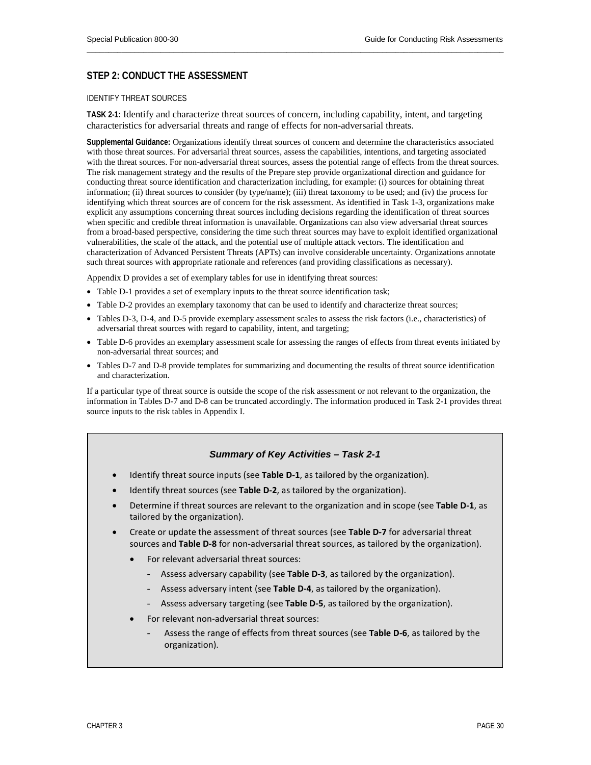### **STEP 2: CONDUCT THE ASSESSMENT**

#### IDENTIFY THREAT SOURCES

**TASK 2-1:** Identify and characterize threat sources of concern, including capability, intent, and targeting characteristics for adversarial threats and range of effects for non-adversarial threats.

\_\_\_\_\_\_\_\_\_\_\_\_\_\_\_\_\_\_\_\_\_\_\_\_\_\_\_\_\_\_\_\_\_\_\_\_\_\_\_\_\_\_\_\_\_\_\_\_\_\_\_\_\_\_\_\_\_\_\_\_\_\_\_\_\_\_\_\_\_\_\_\_\_\_\_\_\_\_\_\_\_\_\_\_\_\_\_\_\_\_\_\_\_\_\_\_

**Supplemental Guidance:** Organizations identify threat sources of concern and determine the characteristics associated with those threat sources. For adversarial threat sources, assess the capabilities, intentions, and targeting associated with the threat sources. For non-adversarial threat sources, assess the potential range of effects from the threat sources. The risk management strategy and the results of the Prepare step provide organizational direction and guidance for conducting threat source identification and characterization including, for example: (i) sources for obtaining threat information; (ii) threat sources to consider (by type/name); (iii) threat taxonomy to be used; and (iv) the process for identifying which threat sources are of concern for the risk assessment. As identified in Task 1-3, organizations make explicit any assumptions concerning threat sources including decisions regarding the identification of threat sources when specific and credible threat information is unavailable. Organizations can also view adversarial threat sources from a broad-based perspective, considering the time such threat sources may have to exploit identified organizational vulnerabilities, the scale of the attack, and the potential use of multiple attack vectors. The identification and characterization of Advanced Persistent Threats (APTs) can involve considerable uncertainty. Organizations annotate such threat sources with appropriate rationale and references (and providing classifications as necessary).

Appendix D provides a set of exemplary tables for use in identifying threat sources:

- Table D-1 provides a set of exemplary inputs to the threat source identification task;
- Table D-2 provides an exemplary taxonomy that can be used to identify and characterize threat sources;
- Tables D-3, D-4, and D-5 provide exemplary assessment scales to assess the risk factors (i.e., characteristics) of adversarial threat sources with regard to capability, intent, and targeting;
- Table D-6 provides an exemplary assessment scale for assessing the ranges of effects from threat events initiated by non-adversarial threat sources; and
- Tables D-7 and D-8 provide templates for summarizing and documenting the results of threat source identification and characterization.

If a particular type of threat source is outside the scope of the risk assessment or not relevant to the organization, the information in Tables D-7 and D-8 can be truncated accordingly. The information produced in Task 2-1 provides threat source inputs to the risk tables in Appendix I.

### *Summary of Key Activities – Task 2-1*

- Identify threat source inputs (see **Table D-1**, as tailored by the organization).
- Identify threat sources (see **Table D-2**, as tailored by the organization).
- Determine if threat sources are relevant to the organization and in scope (see **Table D-1**, as tailored by the organization).
- Create or update the assessment of threat sources (see **Table D-7** for adversarial threat sources and **Table D-8** for non-adversarial threat sources, as tailored by the organization).
	- For relevant adversarial threat sources:
		- Assess adversary capability (see **Table D-3**, as tailored by the organization).
		- Assess adversary intent (see **Table D-4**, as tailored by the organization).
		- Assess adversary targeting (see Table D-5, as tailored by the organization).
	- For relevant non-adversarial threat sources:
		- Assess the range of effects from threat sources (see **Table D-6**, as tailored by the organization).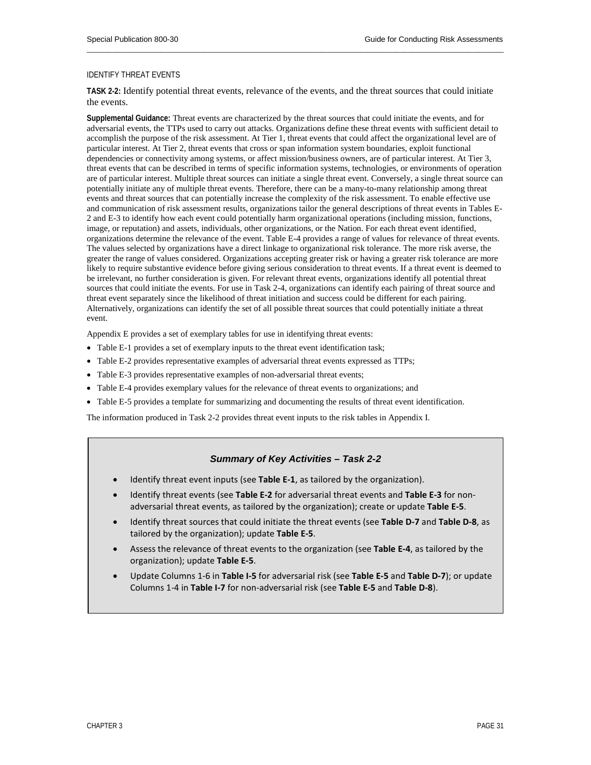### IDENTIFY THREAT EVENTS

**TASK 2-2:** Identify potential threat events, relevance of the events, and the threat sources that could initiate the events.

\_\_\_\_\_\_\_\_\_\_\_\_\_\_\_\_\_\_\_\_\_\_\_\_\_\_\_\_\_\_\_\_\_\_\_\_\_\_\_\_\_\_\_\_\_\_\_\_\_\_\_\_\_\_\_\_\_\_\_\_\_\_\_\_\_\_\_\_\_\_\_\_\_\_\_\_\_\_\_\_\_\_\_\_\_\_\_\_\_\_\_\_\_\_\_\_

**Supplemental Guidance:** Threat events are characterized by the threat sources that could initiate the events, and for adversarial events, the TTPs used to carry out attacks. Organizations define these threat events with sufficient detail to accomplish the purpose of the risk assessment. At Tier 1, threat events that could affect the organizational level are of particular interest. At Tier 2, threat events that cross or span information system boundaries, exploit functional dependencies or connectivity among systems, or affect mission/business owners, are of particular interest. At Tier 3, threat events that can be described in terms of specific information systems, technologies, or environments of operation are of particular interest. Multiple threat sources can initiate a single threat event. Conversely, a single threat source can potentially initiate any of multiple threat events. Therefore, there can be a many-to-many relationship among threat events and threat sources that can potentially increase the complexity of the risk assessment. To enable effective use and communication of risk assessment results, organizations tailor the general descriptions of threat events in Tables E-2 and E-3 to identify how each event could potentially harm organizational operations (including mission, functions, image, or reputation) and assets, individuals, other organizations, or the Nation. For each threat event identified, organizations determine the relevance of the event. Table E-4 provides a range of values for relevance of threat events. The values selected by organizations have a direct linkage to organizational risk tolerance. The more risk averse, the greater the range of values considered. Organizations accepting greater risk or having a greater risk tolerance are more likely to require substantive evidence before giving serious consideration to threat events. If a threat event is deemed to be irrelevant, no further consideration is given. For relevant threat events, organizations identify all potential threat sources that could initiate the events. For use in Task 2-4, organizations can identify each pairing of threat source and threat event separately since the likelihood of threat initiation and success could be different for each pairing. Alternatively, organizations can identify the set of all possible threat sources that could potentially initiate a threat event.

Appendix E provides a set of exemplary tables for use in identifying threat events:

- Table E-1 provides a set of exemplary inputs to the threat event identification task;
- Table E-2 provides representative examples of adversarial threat events expressed as TTPs;
- Table E-3 provides representative examples of non-adversarial threat events;
- Table E-4 provides exemplary values for the relevance of threat events to organizations; and
- Table E-5 provides a template for summarizing and documenting the results of threat event identification.

The information produced in Task 2-2 provides threat event inputs to the risk tables in Appendix I.

### *Summary of Key Activities – Task 2-2*

- Identify threat event inputs (see **Table E-1**, as tailored by the organization).
- Identify threat events (see **Table E-2** for adversarial threat events and **Table E-3** for nonadversarial threat events, as tailored by the organization); create or update **Table E-5**.
- Identify threat sources that could initiate the threat events (see **Table D-7** and **Table D-8**, as tailored by the organization); update **Table E-5**.
- Assess the relevance of threat events to the organization (see **Table E-4**, as tailored by the organization); update **Table E-5**.
- Update Columns 1-6 in **Table I-5** for adversarial risk (see **Table E-5** and **Table D-7**); or update Columns 1-4 in **Table I-7** for non-adversarial risk (see **Table E-5** and **Table D-8**).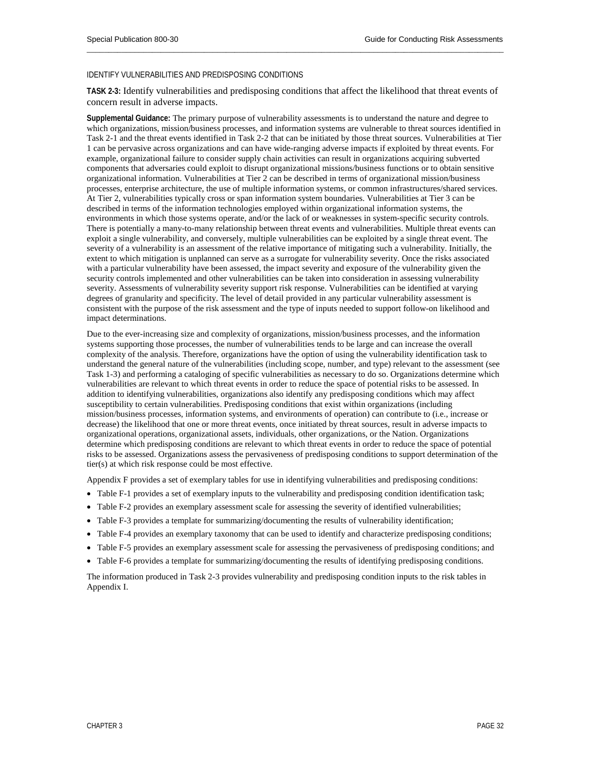#### IDENTIFY VULNERABILITIES AND PREDISPOSING CONDITIONS

**TASK 2-3:** Identify vulnerabilities and predisposing conditions that affect the likelihood that threat events of concern result in adverse impacts.

\_\_\_\_\_\_\_\_\_\_\_\_\_\_\_\_\_\_\_\_\_\_\_\_\_\_\_\_\_\_\_\_\_\_\_\_\_\_\_\_\_\_\_\_\_\_\_\_\_\_\_\_\_\_\_\_\_\_\_\_\_\_\_\_\_\_\_\_\_\_\_\_\_\_\_\_\_\_\_\_\_\_\_\_\_\_\_\_\_\_\_\_\_\_\_\_

**Supplemental Guidance:** The primary purpose of vulnerability assessments is to understand the nature and degree to which organizations, mission/business processes, and information systems are vulnerable to threat sources identified in Task 2-1 and the threat events identified in Task 2-2 that can be initiated by those threat sources. Vulnerabilities at Tier 1 can be pervasive across organizations and can have wide-ranging adverse impacts if exploited by threat events. For example, organizational failure to consider supply chain activities can result in organizations acquiring subverted components that adversaries could exploit to disrupt organizational missions/business functions or to obtain sensitive organizational information. Vulnerabilities at Tier 2 can be described in terms of organizational mission/business processes, enterprise architecture, the use of multiple information systems, or common infrastructures/shared services. At Tier 2, vulnerabilities typically cross or span information system boundaries. Vulnerabilities at Tier 3 can be described in terms of the information technologies employed within organizational information systems, the environments in which those systems operate, and/or the lack of or weaknesses in system-specific security controls. There is potentially a many-to-many relationship between threat events and vulnerabilities. Multiple threat events can exploit a single vulnerability, and conversely, multiple vulnerabilities can be exploited by a single threat event. The severity of a vulnerability is an assessment of the relative importance of mitigating such a vulnerability. Initially, the extent to which mitigation is unplanned can serve as a surrogate for vulnerability severity. Once the risks associated with a particular vulnerability have been assessed, the impact severity and exposure of the vulnerability given the security controls implemented and other vulnerabilities can be taken into consideration in assessing vulnerability severity. Assessments of vulnerability severity support risk response. Vulnerabilities can be identified at varying degrees of granularity and specificity. The level of detail provided in any particular vulnerability assessment is consistent with the purpose of the risk assessment and the type of inputs needed to support follow-on likelihood and impact determinations.

Due to the ever-increasing size and complexity of organizations, mission/business processes, and the information systems supporting those processes, the number of vulnerabilities tends to be large and can increase the overall complexity of the analysis. Therefore, organizations have the option of using the vulnerability identification task to understand the general nature of the vulnerabilities (including scope, number, and type) relevant to the assessment (see Task 1-3) and performing a cataloging of specific vulnerabilities as necessary to do so. Organizations determine which vulnerabilities are relevant to which threat events in order to reduce the space of potential risks to be assessed. In addition to identifying vulnerabilities, organizations also identify any predisposing conditions which may affect susceptibility to certain vulnerabilities. Predisposing conditions that exist within organizations (including mission/business processes, information systems, and environments of operation) can contribute to (i.e., increase or decrease) the likelihood that one or more threat events, once initiated by threat sources, result in adverse impacts to organizational operations, organizational assets, individuals, other organizations, or the Nation. Organizations determine which predisposing conditions are relevant to which threat events in order to reduce the space of potential risks to be assessed. Organizations assess the pervasiveness of predisposing conditions to support determination of the tier(s) at which risk response could be most effective.

Appendix F provides a set of exemplary tables for use in identifying vulnerabilities and predisposing conditions:

- Table F-1 provides a set of exemplary inputs to the vulnerability and predisposing condition identification task;
- Table F-2 provides an exemplary assessment scale for assessing the severity of identified vulnerabilities;
- Table F-3 provides a template for summarizing/documenting the results of vulnerability identification;
- Table F-4 provides an exemplary taxonomy that can be used to identify and characterize predisposing conditions;
- Table F-5 provides an exemplary assessment scale for assessing the pervasiveness of predisposing conditions; and
- Table F-6 provides a template for summarizing/documenting the results of identifying predisposing conditions.

The information produced in Task 2-3 provides vulnerability and predisposing condition inputs to the risk tables in Appendix I.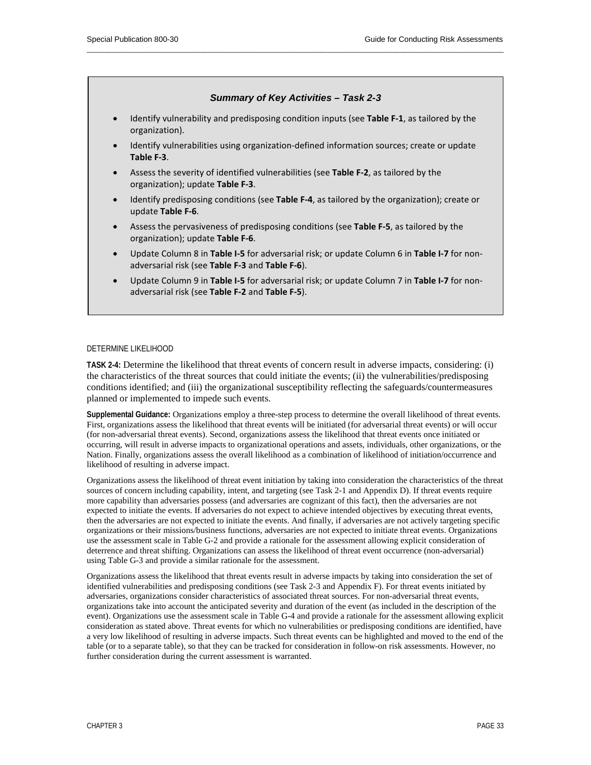### *Summary of Key Activities – Task 2-3*

\_\_\_\_\_\_\_\_\_\_\_\_\_\_\_\_\_\_\_\_\_\_\_\_\_\_\_\_\_\_\_\_\_\_\_\_\_\_\_\_\_\_\_\_\_\_\_\_\_\_\_\_\_\_\_\_\_\_\_\_\_\_\_\_\_\_\_\_\_\_\_\_\_\_\_\_\_\_\_\_\_\_\_\_\_\_\_\_\_\_\_\_\_\_\_\_

- Identify vulnerability and predisposing condition inputs (see **Table F-1**, as tailored by the organization).
- Identify vulnerabilities using organization-defined information sources; create or update **Table F-3**.
- Assess the severity of identified vulnerabilities (see **Table F-2**, as tailored by the organization); update **Table F-3**.
- Identify predisposing conditions (see **Table F-4**, as tailored by the organization); create or update **Table F-6**.
- Assess the pervasiveness of predisposing conditions (see **Table F-5**, as tailored by the organization); update **Table F-6**.
- Update Column 8 in **Table I-5** for adversarial risk; or update Column 6 in **Table I-7** for nonadversarial risk (see **Table F-3** and **Table F-6**).
- Update Column 9 in **Table I-5** for adversarial risk; or update Column 7 in **Table I-7** for nonadversarial risk (see **Table F-2** and **Table F-5**).

#### DETERMINE LIKELIHOOD

**TASK 2-4:** Determine the likelihood that threat events of concern result in adverse impacts, considering: (i) the characteristics of the threat sources that could initiate the events; (ii) the vulnerabilities/predisposing conditions identified; and (iii) the organizational susceptibility reflecting the safeguards/countermeasures planned or implemented to impede such events.

**Supplemental Guidance:** Organizations employ a three-step process to determine the overall likelihood of threat events. First, organizations assess the likelihood that threat events will be initiated (for adversarial threat events) or will occur (for non-adversarial threat events). Second, organizations assess the likelihood that threat events once initiated or occurring, will result in adverse impacts to organizational operations and assets, individuals, other organizations, or the Nation. Finally, organizations assess the overall likelihood as a combination of likelihood of initiation/occurrence and likelihood of resulting in adverse impact.

Organizations assess the likelihood of threat event initiation by taking into consideration the characteristics of the threat sources of concern including capability, intent, and targeting (see Task 2-1 and Appendix D). If threat events require more capability than adversaries possess (and adversaries are cognizant of this fact), then the adversaries are not expected to initiate the events. If adversaries do not expect to achieve intended objectives by executing threat events, then the adversaries are not expected to initiate the events. And finally, if adversaries are not actively targeting specific organizations or their missions/business functions, adversaries are not expected to initiate threat events. Organizations use the assessment scale in Table G-2 and provide a rationale for the assessment allowing explicit consideration of deterrence and threat shifting. Organizations can assess the likelihood of threat event occurrence (non-adversarial) using Table G-3 and provide a similar rationale for the assessment.

Organizations assess the likelihood that threat events result in adverse impacts by taking into consideration the set of identified vulnerabilities and predisposing conditions (see Task 2-3 and Appendix F). For threat events initiated by adversaries, organizations consider characteristics of associated threat sources. For non-adversarial threat events, organizations take into account the anticipated severity and duration of the event (as included in the description of the event). Organizations use the assessment scale in Table G-4 and provide a rationale for the assessment allowing explicit consideration as stated above. Threat events for which no vulnerabilities or predisposing conditions are identified, have a very low likelihood of resulting in adverse impacts. Such threat events can be highlighted and moved to the end of the table (or to a separate table), so that they can be tracked for consideration in follow-on risk assessments. However, no further consideration during the current assessment is warranted.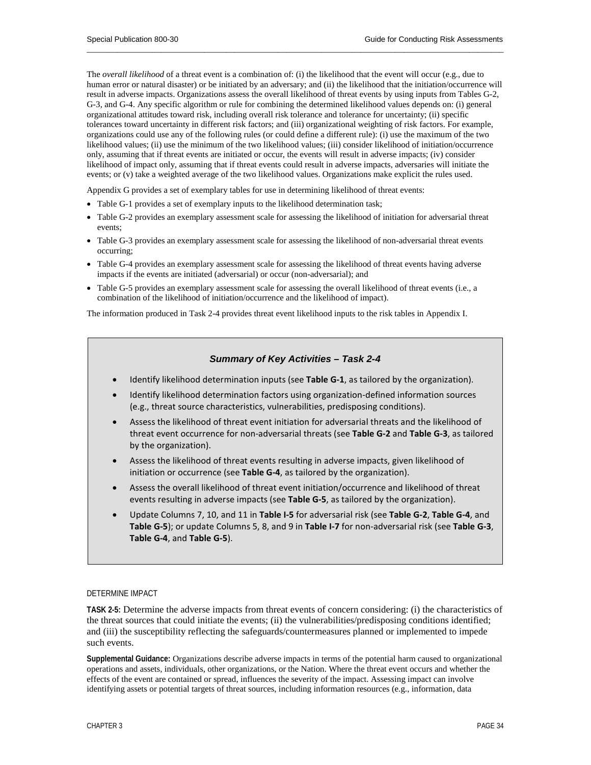The *overall likelihood* of a threat event is a combination of: (i) the likelihood that the event will occur (e.g., due to human error or natural disaster) or be initiated by an adversary; and (ii) the likelihood that the initiation/occurrence will result in adverse impacts. Organizations assess the overall likelihood of threat events by using inputs from Tables G-2, G-3, and G-4. Any specific algorithm or rule for combining the determined likelihood values depends on: (i) general organizational attitudes toward risk, including overall risk tolerance and tolerance for uncertainty; (ii) specific tolerances toward uncertainty in different risk factors; and (iii) organizational weighting of risk factors. For example, organizations could use any of the following rules (or could define a different rule): (i) use the maximum of the two likelihood values; (ii) use the minimum of the two likelihood values; (iii) consider likelihood of initiation/occurrence only, assuming that if threat events are initiated or occur, the events will result in adverse impacts; (iv) consider likelihood of impact only, assuming that if threat events could result in adverse impacts, adversaries will initiate the events; or (v) take a weighted average of the two likelihood values. Organizations make explicit the rules used.

\_\_\_\_\_\_\_\_\_\_\_\_\_\_\_\_\_\_\_\_\_\_\_\_\_\_\_\_\_\_\_\_\_\_\_\_\_\_\_\_\_\_\_\_\_\_\_\_\_\_\_\_\_\_\_\_\_\_\_\_\_\_\_\_\_\_\_\_\_\_\_\_\_\_\_\_\_\_\_\_\_\_\_\_\_\_\_\_\_\_\_\_\_\_\_\_

Appendix G provides a set of exemplary tables for use in determining likelihood of threat events:

- Table G-1 provides a set of exemplary inputs to the likelihood determination task;
- Table G-2 provides an exemplary assessment scale for assessing the likelihood of initiation for adversarial threat events;
- Table G-3 provides an exemplary assessment scale for assessing the likelihood of non-adversarial threat events occurring;
- Table G-4 provides an exemplary assessment scale for assessing the likelihood of threat events having adverse impacts if the events are initiated (adversarial) or occur (non-adversarial); and
- Table G-5 provides an exemplary assessment scale for assessing the overall likelihood of threat events (i.e., a combination of the likelihood of initiation/occurrence and the likelihood of impact).

The information produced in Task 2-4 provides threat event likelihood inputs to the risk tables in Appendix I.

### *Summary of Key Activities – Task 2-4*

- Identify likelihood determination inputs (see **Table G-1**, as tailored by the organization).
- Identify likelihood determination factors using organization-defined information sources (e.g., threat source characteristics, vulnerabilities, predisposing conditions).
- Assess the likelihood of threat event initiation for adversarial threats and the likelihood of threat event occurrence for non-adversarial threats (see **Table G-2** and **Table G-3**, as tailored by the organization).
- Assess the likelihood of threat events resulting in adverse impacts, given likelihood of initiation or occurrence (see **Table G-4**, as tailored by the organization).
- Assess the overall likelihood of threat event initiation/occurrence and likelihood of threat events resulting in adverse impacts (see **Table G-5**, as tailored by the organization).
- Update Columns 7, 10, and 11 in **Table I-5** for adversarial risk (see **Table G-2**, **Table G-4**, and **Table G-5**); or update Columns 5, 8, and 9 in **Table I-7** for non-adversarial risk (see **Table G-3**, **Table G-4**, and **Table G-5**).

#### DETERMINE IMPACT

**TASK 2-5:** Determine the adverse impacts from threat events of concern considering: (i) the characteristics of the threat sources that could initiate the events; (ii) the vulnerabilities/predisposing conditions identified; and (iii) the susceptibility reflecting the safeguards/countermeasures planned or implemented to impede such events.

**Supplemental Guidance:** Organizations describe adverse impacts in terms of the potential harm caused to organizational operations and assets, individuals, other organizations, or the Nation. Where the threat event occurs and whether the effects of the event are contained or spread, influences the severity of the impact. Assessing impact can involve identifying assets or potential targets of threat sources, including information resources (e.g., information, data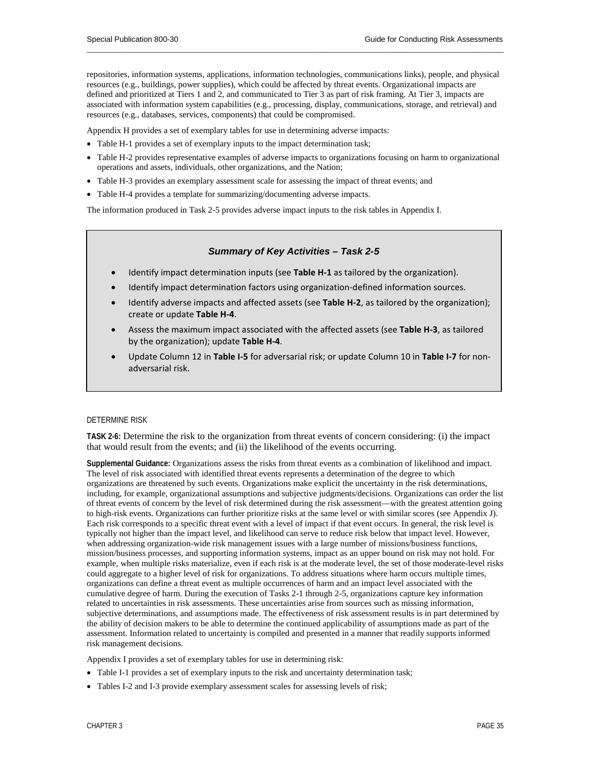repositories, information systems, applications, information technologies, communications links), people, and physical resources (e.g., buildings, power supplies), which could be affected by threat events. Organizational impacts are defined and prioritized at Tiers 1 and 2, and communicated to Tier 3 as part of risk framing. At Tier 3, impacts are associated with information system capabilities (e.g., processing, display, communications, storage, and retrieval) and resources (e.g., databases, services, components) that could be compromised.

\_\_\_\_\_\_\_\_\_\_\_\_\_\_\_\_\_\_\_\_\_\_\_\_\_\_\_\_\_\_\_\_\_\_\_\_\_\_\_\_\_\_\_\_\_\_\_\_\_\_\_\_\_\_\_\_\_\_\_\_\_\_\_\_\_\_\_\_\_\_\_\_\_\_\_\_\_\_\_\_\_\_\_\_\_\_\_\_\_\_\_\_\_\_\_\_

Appendix H provides a set of exemplary tables for use in determining adverse impacts:

- Table H-1 provides a set of exemplary inputs to the impact determination task;
- Table H-2 provides representative examples of adverse impacts to organizations focusing on harm to organizational operations and assets, individuals, other organizations, and the Nation;
- Table H-3 provides an exemplary assessment scale for assessing the impact of threat events; and
- Table H-4 provides a template for summarizing/documenting adverse impacts.

The information produced in Task 2-5 provides adverse impact inputs to the risk tables in Appendix I.

### *Summary of Key Activities – Task 2-5*

- Identify impact determination inputs (see **Table H-1** as tailored by the organization).
- Identify impact determination factors using organization-defined information sources.
- Identify adverse impacts and affected assets (see **Table H-2**, as tailored by the organization); create or update **Table H-4**.
- Assess the maximum impact associated with the affected assets (see **Table H-3**, as tailored by the organization); update **Table H-4**.
- Update Column 12 in **Table I-5** for adversarial risk; or update Column 10 in **Table I-7** for nonadversarial risk.

#### DETERMINE RISK

**TASK 2-6:** Determine the risk to the organization from threat events of concern considering: (i) the impact that would result from the events; and (ii) the likelihood of the events occurring.

**Supplemental Guidance:** Organizations assess the risks from threat events as a combination of likelihood and impact. The level of risk associated with identified threat events represents a determination of the degree to which organizations are threatened by such events. Organizations make explicit the uncertainty in the risk determinations, including, for example, organizational assumptions and subjective judgments/decisions. Organizations can order the list of threat events of concern by the level of risk determined during the risk assessment—with the greatest attention going to high-risk events. Organizations can further prioritize risks at the same level or with similar scores (see Appendix J). Each risk corresponds to a specific threat event with a level of impact if that event occurs. In general, the risk level is typically not higher than the impact level, and likelihood can serve to reduce risk below that impact level. However, when addressing organization-wide risk management issues with a large number of missions/business functions, mission/business processes, and supporting information systems, impact as an upper bound on risk may not hold. For example, when multiple risks materialize, even if each risk is at the moderate level, the set of those moderate-level risks could aggregate to a higher level of risk for organizations. To address situations where harm occurs multiple times, organizations can define a threat event as multiple occurrences of harm and an impact level associated with the cumulative degree of harm. During the execution of Tasks 2-1 through 2-5, organizations capture key information related to uncertainties in risk assessments. These uncertainties arise from sources such as missing information, subjective determinations, and assumptions made. The effectiveness of risk assessment results is in part determined by the ability of decision makers to be able to determine the continued applicability of assumptions made as part of the assessment. Information related to uncertainty is compiled and presented in a manner that readily supports informed risk management decisions.

Appendix I provides a set of exemplary tables for use in determining risk:

- Table I-1 provides a set of exemplary inputs to the risk and uncertainty determination task;
- Tables I-2 and I-3 provide exemplary assessment scales for assessing levels of risk;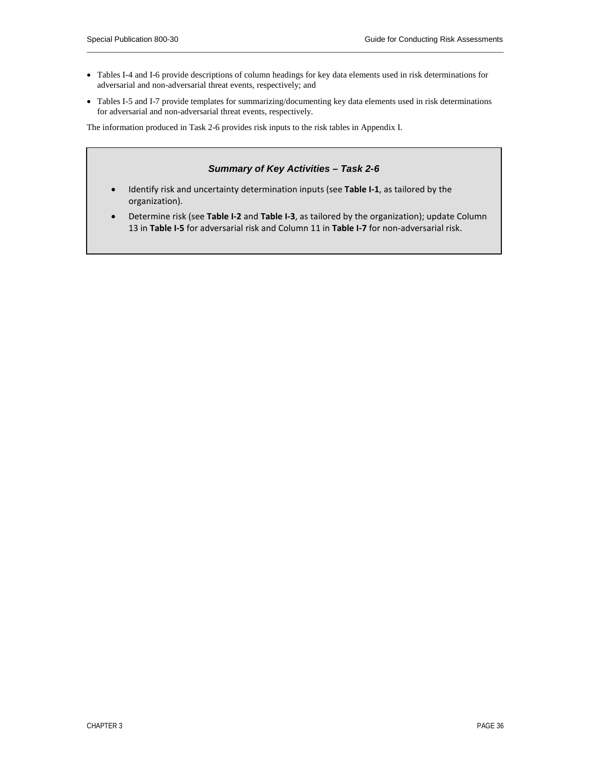• Tables I-4 and I-6 provide descriptions of column headings for key data elements used in risk determinations for adversarial and non-adversarial threat events, respectively; and

\_\_\_\_\_\_\_\_\_\_\_\_\_\_\_\_\_\_\_\_\_\_\_\_\_\_\_\_\_\_\_\_\_\_\_\_\_\_\_\_\_\_\_\_\_\_\_\_\_\_\_\_\_\_\_\_\_\_\_\_\_\_\_\_\_\_\_\_\_\_\_\_\_\_\_\_\_\_\_\_\_\_\_\_\_\_\_\_\_\_\_\_\_\_\_\_

• Tables I-5 and I-7 provide templates for summarizing/documenting key data elements used in risk determinations for adversarial and non-adversarial threat events, respectively.

The information produced in Task 2-6 provides risk inputs to the risk tables in Appendix I.

# *Summary of Key Activities – Task 2-6* • Identify risk and uncertainty determination inputs (see **Table I-1**, as tailored by the organization). • Determine risk (see **Table I-2** and **Table I-3**, as tailored by the organization); update Column 13 in **Table I-5** for adversarial risk and Column 11 in **Table I-7** for non-adversarial risk.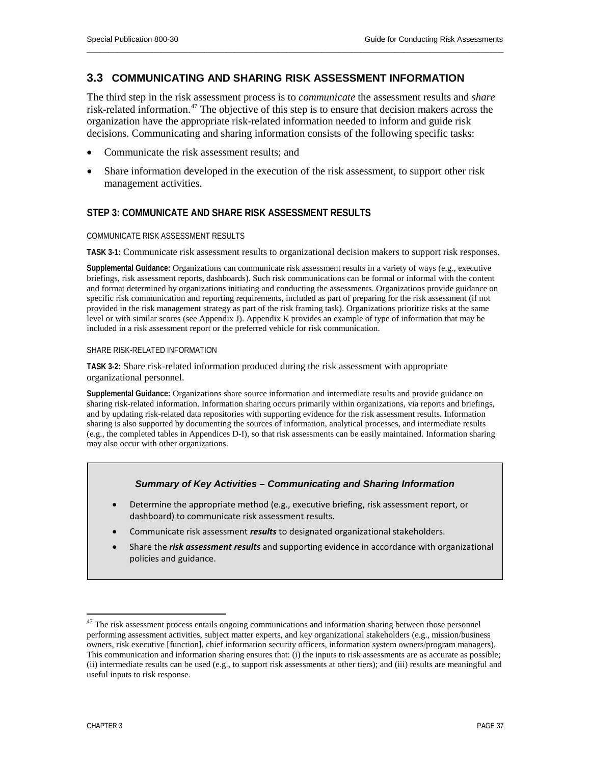### **3.3 COMMUNICATING AND SHARING RISK ASSESSMENT INFORMATION**

The third step in the risk assessment process is to *communicate* the assessment results and *share* risk-related information.<sup>[47](#page-45-0)</sup> The objective of this step is to ensure that decision makers across the organization have the appropriate risk-related information needed to inform and guide risk decisions. Communicating and sharing information consists of the following specific tasks:

\_\_\_\_\_\_\_\_\_\_\_\_\_\_\_\_\_\_\_\_\_\_\_\_\_\_\_\_\_\_\_\_\_\_\_\_\_\_\_\_\_\_\_\_\_\_\_\_\_\_\_\_\_\_\_\_\_\_\_\_\_\_\_\_\_\_\_\_\_\_\_\_\_\_\_\_\_\_\_\_\_\_\_\_\_\_\_\_\_\_\_\_\_\_\_\_

- Communicate the risk assessment results; and
- Share information developed in the execution of the risk assessment, to support other risk management activities.

### **STEP 3: COMMUNICATE AND SHARE RISK ASSESSMENT RESULTS**

### COMMUNICATE RISK ASSESSMENT RESULTS

**TASK 3-1:** Communicate risk assessment results to organizational decision makers to support risk responses.

**Supplemental Guidance:** Organizations can communicate risk assessment results in a variety of ways (e.g., executive briefings, risk assessment reports, dashboards). Such risk communications can be formal or informal with the content and format determined by organizations initiating and conducting the assessments. Organizations provide guidance on specific risk communication and reporting requirements, included as part of preparing for the risk assessment (if not provided in the risk management strategy as part of the risk framing task). Organizations prioritize risks at the same level or with similar scores (see Appendix J). Appendix K provides an example of type of information that may be included in a risk assessment report or the preferred vehicle for risk communication.

#### SHARE RISK-RELATED INFORMATION

**TASK 3-2:** Share risk-related information produced during the risk assessment with appropriate organizational personnel.

**Supplemental Guidance:** Organizations share source information and intermediate results and provide guidance on sharing risk-related information. Information sharing occurs primarily within organizations, via reports and briefings, and by updating risk-related data repositories with supporting evidence for the risk assessment results. Information sharing is also supported by documenting the sources of information, analytical processes, and intermediate results (e.g., the completed tables in Appendices D-I), so that risk assessments can be easily maintained. Information sharing may also occur with other organizations.

### *Summary of Key Activities – Communicating and Sharing Information*

- Determine the appropriate method (e.g., executive briefing, risk assessment report, or dashboard) to communicate risk assessment results.
- Communicate risk assessment *results* to designated organizational stakeholders.
- Share the *risk assessment results* and supporting evidence in accordance with organizational policies and guidance.

<span id="page-45-0"></span><sup>&</sup>lt;sup>47</sup> The risk assessment process entails ongoing communications and information sharing between those personnel performing assessment activities, subject matter experts, and key organizational stakeholders (e.g., mission/business owners, risk executive [function], chief information security officers, information system owners/program managers). This communication and information sharing ensures that: (i) the inputs to risk assessments are as accurate as possible; (ii) intermediate results can be used (e.g., to support risk assessments at other tiers); and (iii) results are meaningful and useful inputs to risk response.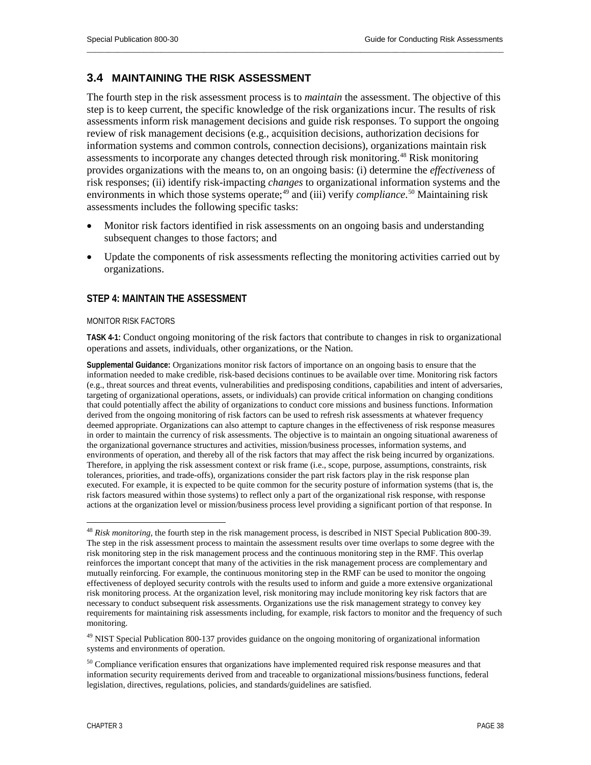### **3.4 MAINTAINING THE RISK ASSESSMENT**

The fourth step in the risk assessment process is to *maintain* the assessment. The objective of this step is to keep current, the specific knowledge of the risk organizations incur. The results of risk assessments inform risk management decisions and guide risk responses. To support the ongoing review of risk management decisions (e.g., acquisition decisions, authorization decisions for information systems and common controls, connection decisions), organizations maintain risk assessments to incorporate any changes detected through risk monitoring.<sup>[48](#page-46-0)</sup> Risk monitoring provides organizations with the means to, on an ongoing basis: (i) determine the *effectiveness* of risk responses; (ii) identify risk-impacting *changes* to organizational information systems and the environments in which those systems operate;<sup>[49](#page-46-1)</sup> and (iii) verify *compliance*.<sup>[50](#page-46-2)</sup> Maintaining risk assessments includes the following specific tasks:

\_\_\_\_\_\_\_\_\_\_\_\_\_\_\_\_\_\_\_\_\_\_\_\_\_\_\_\_\_\_\_\_\_\_\_\_\_\_\_\_\_\_\_\_\_\_\_\_\_\_\_\_\_\_\_\_\_\_\_\_\_\_\_\_\_\_\_\_\_\_\_\_\_\_\_\_\_\_\_\_\_\_\_\_\_\_\_\_\_\_\_\_\_\_\_\_

- Monitor risk factors identified in risk assessments on an ongoing basis and understanding subsequent changes to those factors; and
- Update the components of risk assessments reflecting the monitoring activities carried out by organizations.

### **STEP 4: MAINTAIN THE ASSESSMENT**

### MONITOR RISK FACTORS

**TASK 4-1:** Conduct ongoing monitoring of the risk factors that contribute to changes in risk to organizational operations and assets, individuals, other organizations, or the Nation.

**Supplemental Guidance:** Organizations monitor risk factors of importance on an ongoing basis to ensure that the information needed to make credible, risk-based decisions continues to be available over time. Monitoring risk factors (e.g., threat sources and threat events, vulnerabilities and predisposing conditions, capabilities and intent of adversaries, targeting of organizational operations, assets, or individuals) can provide critical information on changing conditions that could potentially affect the ability of organizations to conduct core missions and business functions. Information derived from the ongoing monitoring of risk factors can be used to refresh risk assessments at whatever frequency deemed appropriate. Organizations can also attempt to capture changes in the effectiveness of risk response measures in order to maintain the currency of risk assessments. The objective is to maintain an ongoing situational awareness of the organizational governance structures and activities, mission/business processes, information systems, and environments of operation, and thereby all of the risk factors that may affect the risk being incurred by organizations. Therefore, in applying the risk assessment context or risk frame (i.e., scope, purpose, assumptions, constraints, risk tolerances, priorities, and trade-offs), organizations consider the part risk factors play in the risk response plan executed. For example, it is expected to be quite common for the security posture of information systems (that is, the risk factors measured within those systems) to reflect only a part of the organizational risk response, with response actions at the organization level or mission/business process level providing a significant portion of that response. In

<span id="page-46-0"></span><sup>&</sup>lt;sup>48</sup> Risk monitoring, the fourth step in the risk management process, is described in NIST Special Publication 800-39. The step in the risk assessment process to maintain the assessment results over time overlaps to some degree with the risk monitoring step in the risk management process and the continuous monitoring step in the RMF. This overlap reinforces the important concept that many of the activities in the risk management process are complementary and mutually reinforcing. For example, the continuous monitoring step in the RMF can be used to monitor the ongoing effectiveness of deployed security controls with the results used to inform and guide a more extensive organizational risk monitoring process. At the organization level, risk monitoring may include monitoring key risk factors that are necessary to conduct subsequent risk assessments. Organizations use the risk management strategy to convey key requirements for maintaining risk assessments including, for example, risk factors to monitor and the frequency of such monitoring.

<span id="page-46-1"></span><sup>&</sup>lt;sup>49</sup> NIST Special Publication 800-137 provides guidance on the ongoing monitoring of organizational information systems and environments of operation.

<span id="page-46-2"></span><sup>&</sup>lt;sup>50</sup> Compliance verification ensures that organizations have implemented required risk response measures and that information security requirements derived from and traceable to organizational missions/business functions, federal legislation, directives, regulations, policies, and standards/guidelines are satisfied.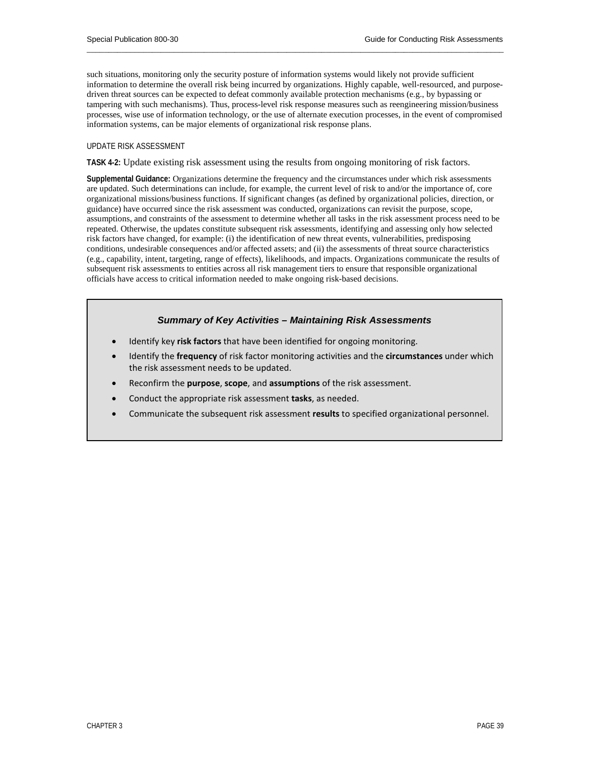such situations, monitoring only the security posture of information systems would likely not provide sufficient information to determine the overall risk being incurred by organizations. Highly capable, well-resourced, and purposedriven threat sources can be expected to defeat commonly available protection mechanisms (e.g., by bypassing or tampering with such mechanisms). Thus, process-level risk response measures such as reengineering mission/business processes, wise use of information technology, or the use of alternate execution processes, in the event of compromised information systems, can be major elements of organizational risk response plans.

\_\_\_\_\_\_\_\_\_\_\_\_\_\_\_\_\_\_\_\_\_\_\_\_\_\_\_\_\_\_\_\_\_\_\_\_\_\_\_\_\_\_\_\_\_\_\_\_\_\_\_\_\_\_\_\_\_\_\_\_\_\_\_\_\_\_\_\_\_\_\_\_\_\_\_\_\_\_\_\_\_\_\_\_\_\_\_\_\_\_\_\_\_\_\_\_

### UPDATE RISK ASSESSMENT

**TASK 4-2:** Update existing risk assessment using the results from ongoing monitoring of risk factors.

**Supplemental Guidance:** Organizations determine the frequency and the circumstances under which risk assessments are updated. Such determinations can include, for example, the current level of risk to and/or the importance of, core organizational missions/business functions. If significant changes (as defined by organizational policies, direction, or guidance) have occurred since the risk assessment was conducted, organizations can revisit the purpose, scope, assumptions, and constraints of the assessment to determine whether all tasks in the risk assessment process need to be repeated. Otherwise, the updates constitute subsequent risk assessments, identifying and assessing only how selected risk factors have changed, for example: (i) the identification of new threat events, vulnerabilities, predisposing conditions, undesirable consequences and/or affected assets; and (ii) the assessments of threat source characteristics (e.g., capability, intent, targeting, range of effects), likelihoods, and impacts. Organizations communicate the results of subsequent risk assessments to entities across all risk management tiers to ensure that responsible organizational officials have access to critical information needed to make ongoing risk-based decisions.

### *Summary of Key Activities – Maintaining Risk Assessments*

- Identify key **risk factors** that have been identified for ongoing monitoring.
- Identify the **frequency** of risk factor monitoring activities and the **circumstances** under which the risk assessment needs to be updated.
- Reconfirm the **purpose**, **scope**, and **assumptions** of the risk assessment.
- Conduct the appropriate risk assessment **tasks**, as needed.
- Communicate the subsequent risk assessment **results** to specified organizational personnel.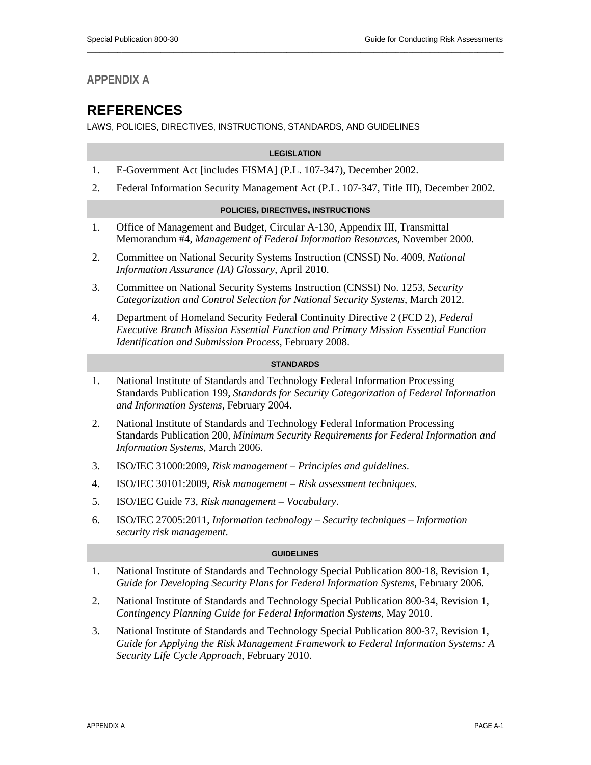### **APPENDIX A**

# **REFERENCES**

LAWS, POLICIES, DIRECTIVES, INSTRUCTIONS, STANDARDS, AND GUIDELINES

### **LEGISLATION**

\_\_\_\_\_\_\_\_\_\_\_\_\_\_\_\_\_\_\_\_\_\_\_\_\_\_\_\_\_\_\_\_\_\_\_\_\_\_\_\_\_\_\_\_\_\_\_\_\_\_\_\_\_\_\_\_\_\_\_\_\_\_\_\_\_\_\_\_\_\_\_\_\_\_\_\_\_\_\_\_\_\_\_\_\_\_\_\_\_\_\_\_\_\_\_\_

- 1. E-Government Act [includes FISMA] (P.L. 107-347), December 2002.
- 2. Federal Information Security Management Act (P.L. 107-347, Title III), December 2002.

### **POLICIES, DIRECTIVES, INSTRUCTIONS**

- 1. Office of Management and Budget, Circular A-130, Appendix III, Transmittal Memorandum #4, *Management of Federal Information Resources*, November 2000.
- 2. Committee on National Security Systems Instruction (CNSSI) No. 4009, *National Information Assurance (IA) Glossary*, April 2010.
- 3. Committee on National Security Systems Instruction (CNSSI) No. 1253, *Security Categorization and Control Selection for National Security Systems*, March 2012.
- 4. Department of Homeland Security Federal Continuity Directive 2 (FCD 2), *Federal Executive Branch Mission Essential Function and Primary Mission Essential Function Identification and Submission Process*, February 2008.

### **STANDARDS**

- 1. National Institute of Standards and Technology Federal Information Processing Standards Publication 199, *Standards for Security Categorization of Federal Information and Information Systems*, February 2004.
- 2. National Institute of Standards and Technology Federal Information Processing Standards Publication 200, *Minimum Security Requirements for Federal Information and Information Systems*, March 2006.
- 3. ISO/IEC 31000:2009, *Risk management – Principles and guidelines*.
- 4. ISO/IEC 30101:2009, *Risk management – Risk assessment techniques*.
- 5. ISO/IEC Guide 73, *Risk management – Vocabulary*.
- 6. ISO/IEC 27005:2011, *Information technology – Security techniques – Information security risk management*.

### **GUIDELINES**

- 1. National Institute of Standards and Technology Special Publication 800-18, Revision 1, *Guide for Developing Security Plans for Federal Information Systems*, February 2006.
- 2. National Institute of Standards and Technology Special Publication 800-34, Revision 1, *Contingency Planning Guide for Federal Information Systems*, May 2010.
- 3. National Institute of Standards and Technology Special Publication 800-37, Revision 1, *Guide for Applying the Risk Management Framework to Federal Information Systems: A Security Life Cycle Approach*, February 2010.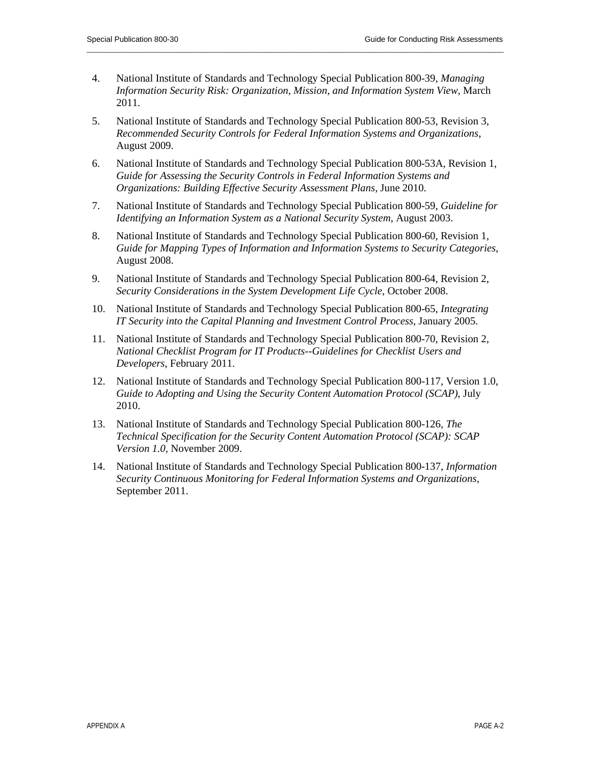4. National Institute of Standards and Technology Special Publication 800-39, *Managing Information Security Risk: Organization, Mission, and Information System View*, March 2011.

- 5. National Institute of Standards and Technology Special Publication 800-53, Revision 3, *Recommended Security Controls for Federal Information Systems and Organizations*, August 2009.
- 6. National Institute of Standards and Technology Special Publication 800-53A, Revision 1, *Guide for Assessing the Security Controls in Federal Information Systems and Organizations: Building Effective Security Assessment Plans*, June 2010.
- 7. National Institute of Standards and Technology Special Publication 800-59, *Guideline for Identifying an Information System as a National Security System*, August 2003.
- 8. National Institute of Standards and Technology Special Publication 800-60, Revision 1, *Guide for Mapping Types of Information and Information Systems to Security Categories*, August 2008.
- 9. National Institute of Standards and Technology Special Publication 800-64, Revision 2, *Security Considerations in the System Development Life Cycle*, October 2008.
- 10. National Institute of Standards and Technology Special Publication 800-65, *Integrating IT Security into the Capital Planning and Investment Control Process*, January 2005.
- 11. National Institute of Standards and Technology Special Publication 800-70, Revision 2, *National Checklist Program for IT Products--Guidelines for Checklist Users and Developers*, February 2011.
- 12. National Institute of Standards and Technology Special Publication 800-117, Version 1.0, *Guide to Adopting and Using the Security Content Automation Protocol (SCAP)*, July 2010.
- 13. National Institute of Standards and Technology Special Publication 800-126, *The Technical Specification for the Security Content Automation Protocol (SCAP): SCAP Version 1.0*, November 2009.
- 14. National Institute of Standards and Technology Special Publication 800-137, *Information Security Continuous Monitoring for Federal Information Systems and Organizations*, September 2011.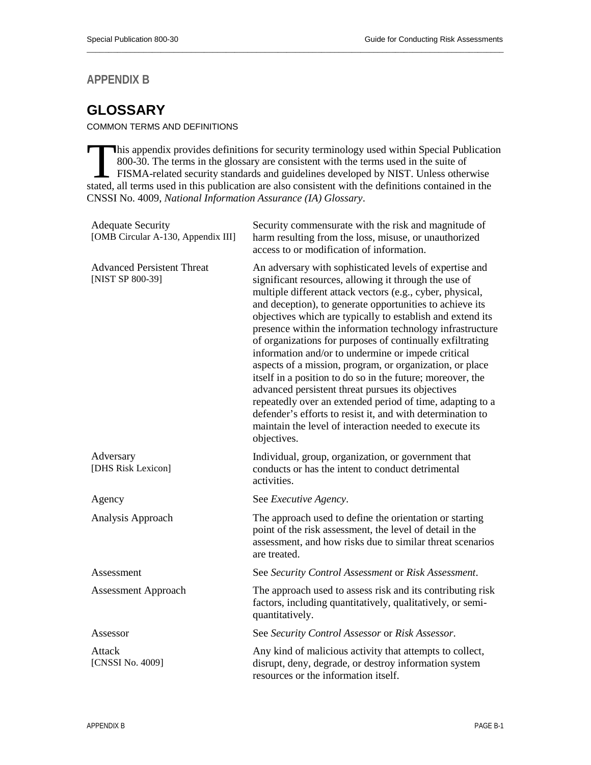### **APPENDIX B**

# **GLOSSARY**

COMMON TERMS AND DEFINITIONS

his appendix provides definitions for security terminology used within Special Publication 800-30. The terms in the glossary are consistent with the terms used in the suite of FISMA-related security standards and guidelines developed by NIST. Unless otherwise his appendix provides definitions for security terminology used within Special Publication 800-30. The terms in the glossary are consistent with the terms used in the suite of FISMA-related security standards and guideline CNSSI No. 4009, *National Information Assurance (IA) Glossary*.

| <b>Adequate Security</b><br>[OMB Circular A-130, Appendix III] | Security commensurate with the risk and magnitude of<br>harm resulting from the loss, misuse, or unauthorized<br>access to or modification of information.                                                                                                                                                                                                                                                                                                                                                                                                                                                                                                                                                                                                                                                                                                                  |
|----------------------------------------------------------------|-----------------------------------------------------------------------------------------------------------------------------------------------------------------------------------------------------------------------------------------------------------------------------------------------------------------------------------------------------------------------------------------------------------------------------------------------------------------------------------------------------------------------------------------------------------------------------------------------------------------------------------------------------------------------------------------------------------------------------------------------------------------------------------------------------------------------------------------------------------------------------|
| <b>Advanced Persistent Threat</b><br>[NIST SP 800-39]          | An adversary with sophisticated levels of expertise and<br>significant resources, allowing it through the use of<br>multiple different attack vectors (e.g., cyber, physical,<br>and deception), to generate opportunities to achieve its<br>objectives which are typically to establish and extend its<br>presence within the information technology infrastructure<br>of organizations for purposes of continually exfiltrating<br>information and/or to undermine or impede critical<br>aspects of a mission, program, or organization, or place<br>itself in a position to do so in the future; moreover, the<br>advanced persistent threat pursues its objectives<br>repeatedly over an extended period of time, adapting to a<br>defender's efforts to resist it, and with determination to<br>maintain the level of interaction needed to execute its<br>objectives. |
| Adversary<br>[DHS Risk Lexicon]                                | Individual, group, organization, or government that<br>conducts or has the intent to conduct detrimental<br>activities.                                                                                                                                                                                                                                                                                                                                                                                                                                                                                                                                                                                                                                                                                                                                                     |
| Agency                                                         | See Executive Agency.                                                                                                                                                                                                                                                                                                                                                                                                                                                                                                                                                                                                                                                                                                                                                                                                                                                       |
| Analysis Approach                                              | The approach used to define the orientation or starting<br>point of the risk assessment, the level of detail in the<br>assessment, and how risks due to similar threat scenarios<br>are treated.                                                                                                                                                                                                                                                                                                                                                                                                                                                                                                                                                                                                                                                                            |
| Assessment                                                     | See Security Control Assessment or Risk Assessment.                                                                                                                                                                                                                                                                                                                                                                                                                                                                                                                                                                                                                                                                                                                                                                                                                         |
| <b>Assessment Approach</b>                                     | The approach used to assess risk and its contributing risk<br>factors, including quantitatively, qualitatively, or semi-<br>quantitatively.                                                                                                                                                                                                                                                                                                                                                                                                                                                                                                                                                                                                                                                                                                                                 |
| Assessor                                                       | See Security Control Assessor or Risk Assessor.                                                                                                                                                                                                                                                                                                                                                                                                                                                                                                                                                                                                                                                                                                                                                                                                                             |
| Attack<br>[CNSSI No. 4009]                                     | Any kind of malicious activity that attempts to collect,<br>disrupt, deny, degrade, or destroy information system<br>resources or the information itself.                                                                                                                                                                                                                                                                                                                                                                                                                                                                                                                                                                                                                                                                                                                   |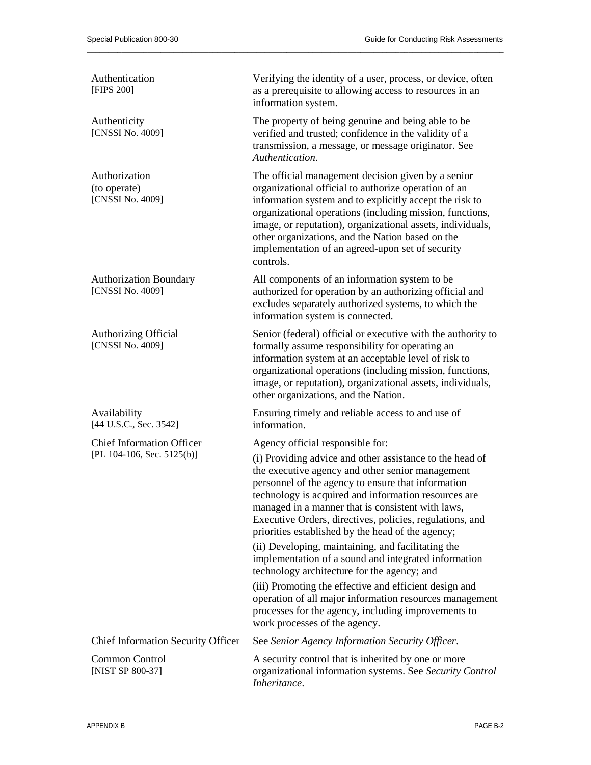| Authentication<br>[FIPS 200]                      | Verifying the identity of a user, process, or device, often<br>as a prerequisite to allowing access to resources in an<br>information system.                                                                                                                                                                                                                                                                        |
|---------------------------------------------------|----------------------------------------------------------------------------------------------------------------------------------------------------------------------------------------------------------------------------------------------------------------------------------------------------------------------------------------------------------------------------------------------------------------------|
| Authenticity<br>[CNSSI No. 4009]                  | The property of being genuine and being able to be<br>verified and trusted; confidence in the validity of a<br>transmission, a message, or message originator. See<br>Authentication.                                                                                                                                                                                                                                |
| Authorization<br>(to operate)<br>[CNSSI No. 4009] | The official management decision given by a senior<br>organizational official to authorize operation of an<br>information system and to explicitly accept the risk to<br>organizational operations (including mission, functions,<br>image, or reputation), organizational assets, individuals,<br>other organizations, and the Nation based on the<br>implementation of an agreed-upon set of security<br>controls. |
| <b>Authorization Boundary</b><br>[CNSSI No. 4009] | All components of an information system to be<br>authorized for operation by an authorizing official and<br>excludes separately authorized systems, to which the<br>information system is connected.                                                                                                                                                                                                                 |
| <b>Authorizing Official</b><br>[CNSSI No. 4009]   | Senior (federal) official or executive with the authority to<br>formally assume responsibility for operating an<br>information system at an acceptable level of risk to<br>organizational operations (including mission, functions,<br>image, or reputation), organizational assets, individuals,<br>other organizations, and the Nation.                                                                            |
| Availability<br>[44 U.S.C., Sec. 3542]            | Ensuring timely and reliable access to and use of<br>information.                                                                                                                                                                                                                                                                                                                                                    |
| <b>Chief Information Officer</b>                  | Agency official responsible for:                                                                                                                                                                                                                                                                                                                                                                                     |
| [PL 104-106, Sec. 5125(b)]                        | (i) Providing advice and other assistance to the head of<br>the executive agency and other senior management<br>personnel of the agency to ensure that information<br>technology is acquired and information resources are<br>managed in a manner that is consistent with laws,<br>Executive Orders, directives, policies, regulations, and<br>priorities established by the head of the agency;                     |
|                                                   | (ii) Developing, maintaining, and facilitating the<br>implementation of a sound and integrated information<br>technology architecture for the agency; and                                                                                                                                                                                                                                                            |
|                                                   | (iii) Promoting the effective and efficient design and<br>operation of all major information resources management<br>processes for the agency, including improvements to<br>work processes of the agency.                                                                                                                                                                                                            |
| Chief Information Security Officer                | See Senior Agency Information Security Officer.                                                                                                                                                                                                                                                                                                                                                                      |
| Common Control<br>[NIST SP 800-37]                | A security control that is inherited by one or more<br>organizational information systems. See Security Control<br>Inheritance.                                                                                                                                                                                                                                                                                      |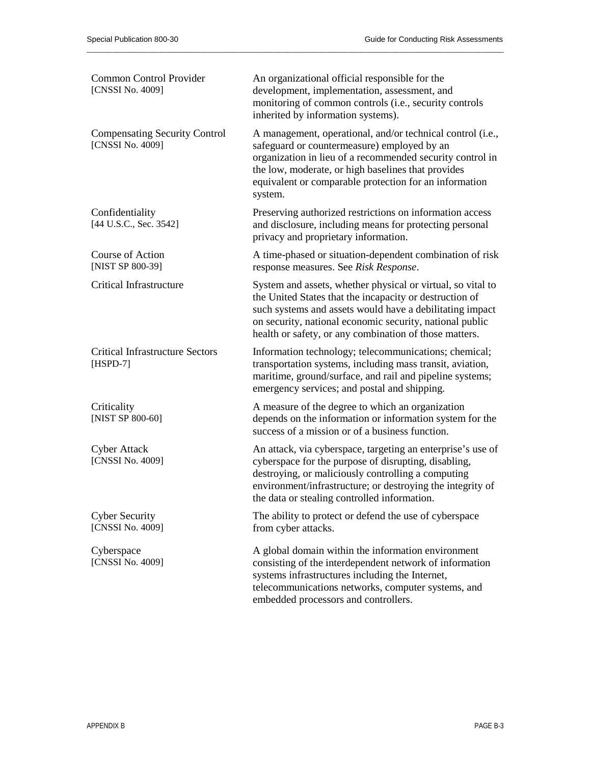| <b>Common Control Provider</b><br>[CNSSI No. 4009]       | An organizational official responsible for the<br>development, implementation, assessment, and<br>monitoring of common controls (i.e., security controls<br>inherited by information systems).                                                                                                           |
|----------------------------------------------------------|----------------------------------------------------------------------------------------------------------------------------------------------------------------------------------------------------------------------------------------------------------------------------------------------------------|
| <b>Compensating Security Control</b><br>[CNSSI No. 4009] | A management, operational, and/or technical control (i.e.,<br>safeguard or countermeasure) employed by an<br>organization in lieu of a recommended security control in<br>the low, moderate, or high baselines that provides<br>equivalent or comparable protection for an information<br>system.        |
| Confidentiality<br>[44 U.S.C., Sec. 3542]                | Preserving authorized restrictions on information access<br>and disclosure, including means for protecting personal<br>privacy and proprietary information.                                                                                                                                              |
| Course of Action<br>[NIST SP 800-39]                     | A time-phased or situation-dependent combination of risk<br>response measures. See Risk Response.                                                                                                                                                                                                        |
| <b>Critical Infrastructure</b>                           | System and assets, whether physical or virtual, so vital to<br>the United States that the incapacity or destruction of<br>such systems and assets would have a debilitating impact<br>on security, national economic security, national public<br>health or safety, or any combination of those matters. |
| <b>Critical Infrastructure Sectors</b><br>$[HSPD-7]$     | Information technology; telecommunications; chemical;<br>transportation systems, including mass transit, aviation,<br>maritime, ground/surface, and rail and pipeline systems;<br>emergency services; and postal and shipping.                                                                           |
| Criticality<br>[NIST SP 800-60]                          | A measure of the degree to which an organization<br>depends on the information or information system for the<br>success of a mission or of a business function.                                                                                                                                          |
| <b>Cyber Attack</b><br>[CNSSI No. 4009]                  | An attack, via cyberspace, targeting an enterprise's use of<br>cyberspace for the purpose of disrupting, disabling,<br>destroying, or maliciously controlling a computing<br>environment/infrastructure; or destroying the integrity of<br>the data or stealing controlled information.                  |
| <b>Cyber Security</b><br>[CNSSI No. 4009]                | The ability to protect or defend the use of cyberspace<br>from cyber attacks.                                                                                                                                                                                                                            |
| Cyberspace<br>[CNSSI No. 4009]                           | A global domain within the information environment<br>consisting of the interdependent network of information<br>systems infrastructures including the Internet,<br>telecommunications networks, computer systems, and<br>embedded processors and controllers.                                           |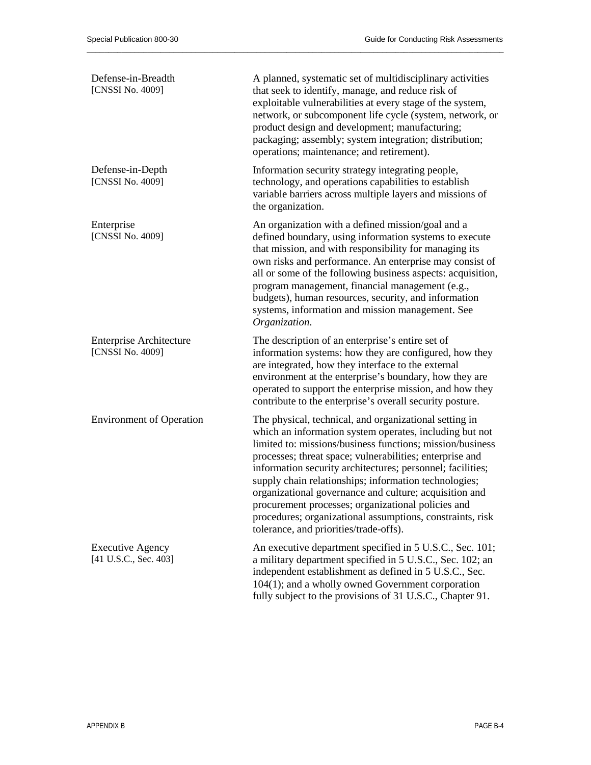| Defense-in-Breadth<br>[CNSSI No. 4009]                      | A planned, systematic set of multidisciplinary activities<br>that seek to identify, manage, and reduce risk of<br>exploitable vulnerabilities at every stage of the system,<br>network, or subcomponent life cycle (system, network, or<br>product design and development; manufacturing;<br>packaging; assembly; system integration; distribution;<br>operations; maintenance; and retirement).                                                                                                                                                                                         |
|-------------------------------------------------------------|------------------------------------------------------------------------------------------------------------------------------------------------------------------------------------------------------------------------------------------------------------------------------------------------------------------------------------------------------------------------------------------------------------------------------------------------------------------------------------------------------------------------------------------------------------------------------------------|
| Defense-in-Depth<br>[CNSSI No. 4009]                        | Information security strategy integrating people,<br>technology, and operations capabilities to establish<br>variable barriers across multiple layers and missions of<br>the organization.                                                                                                                                                                                                                                                                                                                                                                                               |
| Enterprise<br>[CNSSI No. 4009]                              | An organization with a defined mission/goal and a<br>defined boundary, using information systems to execute<br>that mission, and with responsibility for managing its<br>own risks and performance. An enterprise may consist of<br>all or some of the following business aspects: acquisition,<br>program management, financial management (e.g.,<br>budgets), human resources, security, and information<br>systems, information and mission management. See<br>Organization.                                                                                                          |
| <b>Enterprise Architecture</b><br>[CNSSI No. 4009]          | The description of an enterprise's entire set of<br>information systems: how they are configured, how they<br>are integrated, how they interface to the external<br>environment at the enterprise's boundary, how they are<br>operated to support the enterprise mission, and how they<br>contribute to the enterprise's overall security posture.                                                                                                                                                                                                                                       |
| <b>Environment of Operation</b>                             | The physical, technical, and organizational setting in<br>which an information system operates, including but not<br>limited to: missions/business functions; mission/business<br>processes; threat space; vulnerabilities; enterprise and<br>information security architectures; personnel; facilities;<br>supply chain relationships; information technologies;<br>organizational governance and culture; acquisition and<br>procurement processes; organizational policies and<br>procedures; organizational assumptions, constraints, risk<br>tolerance, and priorities/trade-offs). |
| <b>Executive Agency</b><br>$[41 \text{ U.S.C., Sec. } 403]$ | An executive department specified in 5 U.S.C., Sec. 101;<br>a military department specified in 5 U.S.C., Sec. 102; an<br>independent establishment as defined in 5 U.S.C., Sec.<br>104(1); and a wholly owned Government corporation<br>fully subject to the provisions of 31 U.S.C., Chapter 91.                                                                                                                                                                                                                                                                                        |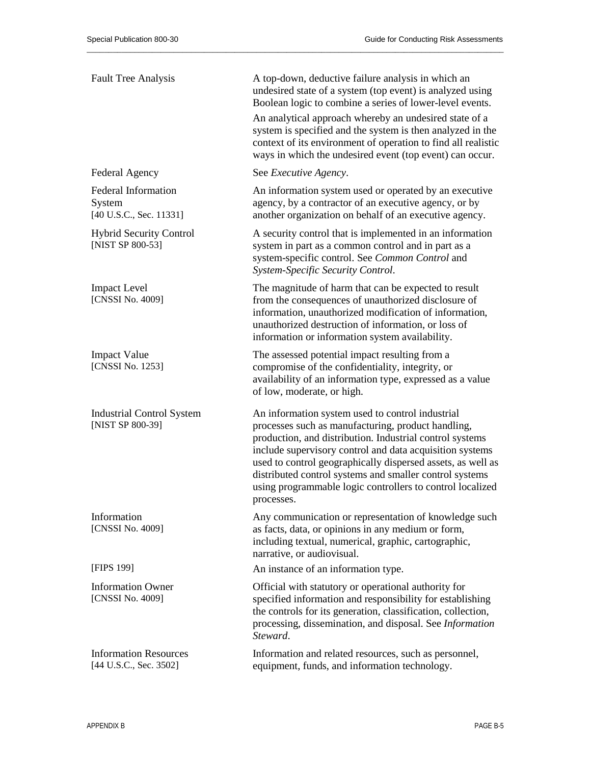| <b>Fault Tree Analysis</b>                                      | A top-down, deductive failure analysis in which an<br>undesired state of a system (top event) is analyzed using<br>Boolean logic to combine a series of lower-level events.<br>An analytical approach whereby an undesired state of a<br>system is specified and the system is then analyzed in the<br>context of its environment of operation to find all realistic                                                                |
|-----------------------------------------------------------------|-------------------------------------------------------------------------------------------------------------------------------------------------------------------------------------------------------------------------------------------------------------------------------------------------------------------------------------------------------------------------------------------------------------------------------------|
| <b>Federal Agency</b>                                           | ways in which the undesired event (top event) can occur.<br>See <i>Executive Agency</i> .                                                                                                                                                                                                                                                                                                                                           |
| <b>Federal Information</b><br>System<br>[40 U.S.C., Sec. 11331] | An information system used or operated by an executive<br>agency, by a contractor of an executive agency, or by<br>another organization on behalf of an executive agency.                                                                                                                                                                                                                                                           |
| <b>Hybrid Security Control</b><br>[NIST SP 800-53]              | A security control that is implemented in an information<br>system in part as a common control and in part as a<br>system-specific control. See Common Control and<br>System-Specific Security Control.                                                                                                                                                                                                                             |
| <b>Impact Level</b><br>[CNSSI No. 4009]                         | The magnitude of harm that can be expected to result<br>from the consequences of unauthorized disclosure of<br>information, unauthorized modification of information,<br>unauthorized destruction of information, or loss of<br>information or information system availability.                                                                                                                                                     |
| <b>Impact Value</b><br>[CNSSI No. 1253]                         | The assessed potential impact resulting from a<br>compromise of the confidentiality, integrity, or<br>availability of an information type, expressed as a value<br>of low, moderate, or high.                                                                                                                                                                                                                                       |
| <b>Industrial Control System</b><br>[NIST SP 800-39]            | An information system used to control industrial<br>processes such as manufacturing, product handling,<br>production, and distribution. Industrial control systems<br>include supervisory control and data acquisition systems<br>used to control geographically dispersed assets, as well as<br>distributed control systems and smaller control systems<br>using programmable logic controllers to control localized<br>processes. |
| Information<br>[CNSSI No. 4009]                                 | Any communication or representation of knowledge such<br>as facts, data, or opinions in any medium or form,<br>including textual, numerical, graphic, cartographic,<br>narrative, or audiovisual.                                                                                                                                                                                                                                   |
| [FIPS 199]                                                      | An instance of an information type.                                                                                                                                                                                                                                                                                                                                                                                                 |
| <b>Information Owner</b><br>[CNSSI No. 4009]                    | Official with statutory or operational authority for<br>specified information and responsibility for establishing<br>the controls for its generation, classification, collection,<br>processing, dissemination, and disposal. See Information<br>Steward.                                                                                                                                                                           |
| <b>Information Resources</b><br>[44 U.S.C., Sec. 3502]          | Information and related resources, such as personnel,<br>equipment, funds, and information technology.                                                                                                                                                                                                                                                                                                                              |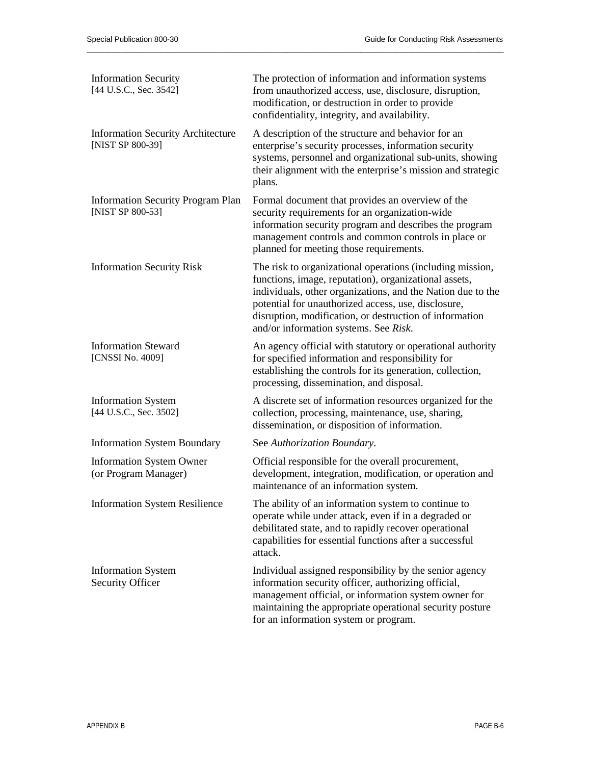| <b>Information Security</b><br>[44 U.S.C., Sec. 3542]        | The protection of information and information systems<br>from unauthorized access, use, disclosure, disruption,<br>modification, or destruction in order to provide<br>confidentiality, integrity, and availability.                                                                                                                         |
|--------------------------------------------------------------|----------------------------------------------------------------------------------------------------------------------------------------------------------------------------------------------------------------------------------------------------------------------------------------------------------------------------------------------|
| <b>Information Security Architecture</b><br>[NIST SP 800-39] | A description of the structure and behavior for an<br>enterprise's security processes, information security<br>systems, personnel and organizational sub-units, showing<br>their alignment with the enterprise's mission and strategic<br>plans.                                                                                             |
| <b>Information Security Program Plan</b><br>[NIST SP 800-53] | Formal document that provides an overview of the<br>security requirements for an organization-wide<br>information security program and describes the program<br>management controls and common controls in place or<br>planned for meeting those requirements.                                                                               |
| <b>Information Security Risk</b>                             | The risk to organizational operations (including mission,<br>functions, image, reputation), organizational assets,<br>individuals, other organizations, and the Nation due to the<br>potential for unauthorized access, use, disclosure,<br>disruption, modification, or destruction of information<br>and/or information systems. See Risk. |
| <b>Information Steward</b><br>[CNSSI No. 4009]               | An agency official with statutory or operational authority<br>for specified information and responsibility for<br>establishing the controls for its generation, collection,<br>processing, dissemination, and disposal.                                                                                                                      |
| <b>Information System</b><br>[44 U.S.C., Sec. 3502]          | A discrete set of information resources organized for the<br>collection, processing, maintenance, use, sharing,<br>dissemination, or disposition of information.                                                                                                                                                                             |
| <b>Information System Boundary</b>                           | See Authorization Boundary.                                                                                                                                                                                                                                                                                                                  |
| <b>Information System Owner</b><br>(or Program Manager)      | Official responsible for the overall procurement,<br>development, integration, modification, or operation and<br>maintenance of an information system.                                                                                                                                                                                       |
| <b>Information System Resilience</b>                         | The ability of an information system to continue to<br>operate while under attack, even if in a degraded or<br>debilitated state, and to rapidly recover operational<br>capabilities for essential functions after a successful<br>attack.                                                                                                   |
| <b>Information System</b><br>Security Officer                | Individual assigned responsibility by the senior agency<br>information security officer, authorizing official,<br>management official, or information system owner for<br>maintaining the appropriate operational security posture<br>for an information system or program.                                                                  |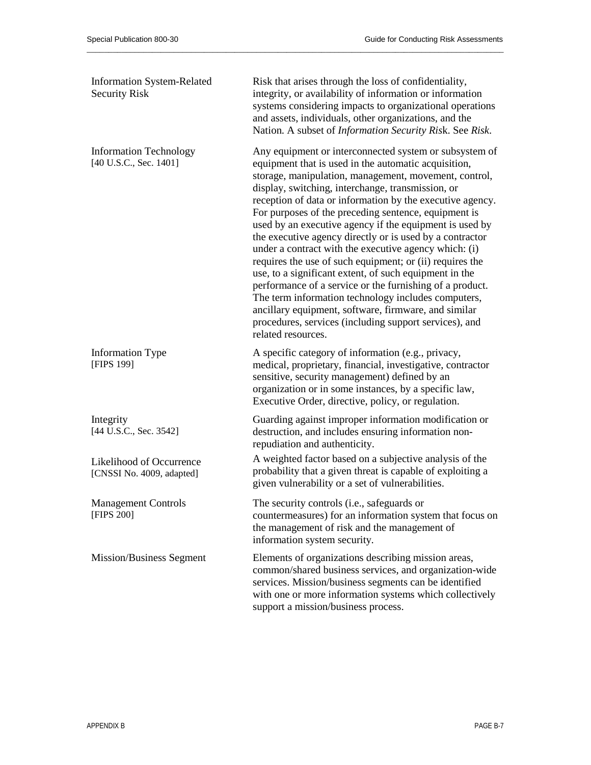| <b>Information System-Related</b><br><b>Security Risk</b> | Risk that arises through the loss of confidentiality,<br>integrity, or availability of information or information<br>systems considering impacts to organizational operations<br>and assets, individuals, other organizations, and the<br>Nation. A subset of Information Security Risk. See Risk.                                                                                                                                                                                                                                                                                                                                                                                                                                                                                                                                                                                                                 |
|-----------------------------------------------------------|--------------------------------------------------------------------------------------------------------------------------------------------------------------------------------------------------------------------------------------------------------------------------------------------------------------------------------------------------------------------------------------------------------------------------------------------------------------------------------------------------------------------------------------------------------------------------------------------------------------------------------------------------------------------------------------------------------------------------------------------------------------------------------------------------------------------------------------------------------------------------------------------------------------------|
| <b>Information Technology</b><br>[40 U.S.C., Sec. 1401]   | Any equipment or interconnected system or subsystem of<br>equipment that is used in the automatic acquisition,<br>storage, manipulation, management, movement, control,<br>display, switching, interchange, transmission, or<br>reception of data or information by the executive agency.<br>For purposes of the preceding sentence, equipment is<br>used by an executive agency if the equipment is used by<br>the executive agency directly or is used by a contractor<br>under a contract with the executive agency which: (i)<br>requires the use of such equipment; or (ii) requires the<br>use, to a significant extent, of such equipment in the<br>performance of a service or the furnishing of a product.<br>The term information technology includes computers,<br>ancillary equipment, software, firmware, and similar<br>procedures, services (including support services), and<br>related resources. |
| <b>Information Type</b><br>[FIPS 199]                     | A specific category of information (e.g., privacy,<br>medical, proprietary, financial, investigative, contractor<br>sensitive, security management) defined by an<br>organization or in some instances, by a specific law,<br>Executive Order, directive, policy, or regulation.                                                                                                                                                                                                                                                                                                                                                                                                                                                                                                                                                                                                                                   |
| Integrity<br>[44 U.S.C., Sec. 3542]                       | Guarding against improper information modification or<br>destruction, and includes ensuring information non-<br>repudiation and authenticity.                                                                                                                                                                                                                                                                                                                                                                                                                                                                                                                                                                                                                                                                                                                                                                      |
| Likelihood of Occurrence<br>[CNSSI No. 4009, adapted]     | A weighted factor based on a subjective analysis of the<br>probability that a given threat is capable of exploiting a<br>given vulnerability or a set of vulnerabilities.                                                                                                                                                                                                                                                                                                                                                                                                                                                                                                                                                                                                                                                                                                                                          |
| <b>Management Controls</b><br>[FIPS 200]                  | The security controls (i.e., safeguards or<br>countermeasures) for an information system that focus on<br>the management of risk and the management of<br>information system security.                                                                                                                                                                                                                                                                                                                                                                                                                                                                                                                                                                                                                                                                                                                             |
| Mission/Business Segment                                  | Elements of organizations describing mission areas,<br>common/shared business services, and organization-wide<br>services. Mission/business segments can be identified<br>with one or more information systems which collectively<br>support a mission/business process.                                                                                                                                                                                                                                                                                                                                                                                                                                                                                                                                                                                                                                           |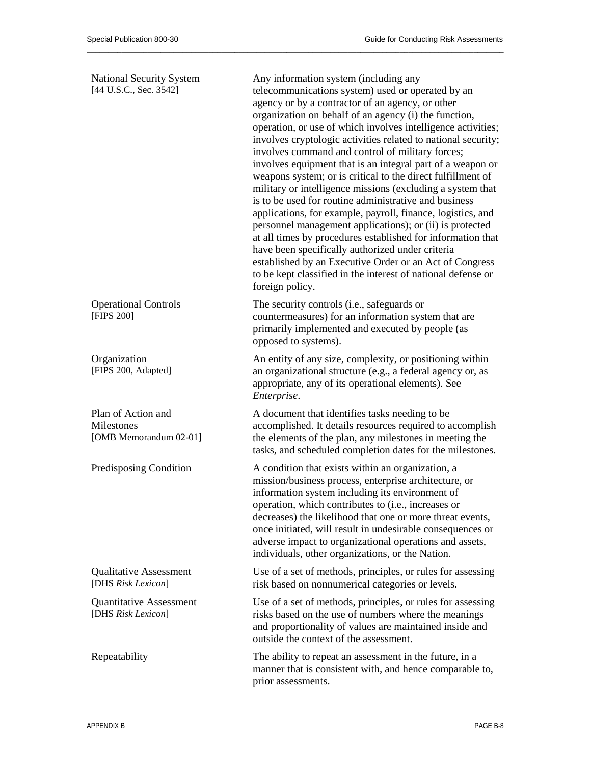| <b>National Security System</b><br>[44 U.S.C., Sec. 3542]  | Any information system (including any<br>telecommunications system) used or operated by an<br>agency or by a contractor of an agency, or other<br>organization on behalf of an agency (i) the function,<br>operation, or use of which involves intelligence activities;<br>involves cryptologic activities related to national security;<br>involves command and control of military forces;<br>involves equipment that is an integral part of a weapon or<br>weapons system; or is critical to the direct fulfillment of<br>military or intelligence missions (excluding a system that<br>is to be used for routine administrative and business<br>applications, for example, payroll, finance, logistics, and<br>personnel management applications); or (ii) is protected<br>at all times by procedures established for information that<br>have been specifically authorized under criteria<br>established by an Executive Order or an Act of Congress<br>to be kept classified in the interest of national defense or<br>foreign policy. |
|------------------------------------------------------------|----------------------------------------------------------------------------------------------------------------------------------------------------------------------------------------------------------------------------------------------------------------------------------------------------------------------------------------------------------------------------------------------------------------------------------------------------------------------------------------------------------------------------------------------------------------------------------------------------------------------------------------------------------------------------------------------------------------------------------------------------------------------------------------------------------------------------------------------------------------------------------------------------------------------------------------------------------------------------------------------------------------------------------------------|
| <b>Operational Controls</b><br>[FIPS 200]                  | The security controls (i.e., safeguards or<br>countermeasures) for an information system that are<br>primarily implemented and executed by people (as<br>opposed to systems).                                                                                                                                                                                                                                                                                                                                                                                                                                                                                                                                                                                                                                                                                                                                                                                                                                                                |
| Organization<br>[FIPS 200, Adapted]                        | An entity of any size, complexity, or positioning within<br>an organizational structure (e.g., a federal agency or, as<br>appropriate, any of its operational elements). See<br>Enterprise.                                                                                                                                                                                                                                                                                                                                                                                                                                                                                                                                                                                                                                                                                                                                                                                                                                                  |
| Plan of Action and<br>Milestones<br>[OMB Memorandum 02-01] | A document that identifies tasks needing to be<br>accomplished. It details resources required to accomplish<br>the elements of the plan, any milestones in meeting the<br>tasks, and scheduled completion dates for the milestones.                                                                                                                                                                                                                                                                                                                                                                                                                                                                                                                                                                                                                                                                                                                                                                                                          |
| Predisposing Condition                                     | A condition that exists within an organization, a<br>mission/business process, enterprise architecture, or<br>information system including its environment of<br>operation, which contributes to (i.e., increases or<br>decreases) the likelihood that one or more threat events,<br>once initiated, will result in undesirable consequences or<br>adverse impact to organizational operations and assets,<br>individuals, other organizations, or the Nation.                                                                                                                                                                                                                                                                                                                                                                                                                                                                                                                                                                               |
| <b>Qualitative Assessment</b><br>[DHS Risk Lexicon]        | Use of a set of methods, principles, or rules for assessing<br>risk based on nonnumerical categories or levels.                                                                                                                                                                                                                                                                                                                                                                                                                                                                                                                                                                                                                                                                                                                                                                                                                                                                                                                              |
| <b>Quantitative Assessment</b><br>[DHS Risk Lexicon]       | Use of a set of methods, principles, or rules for assessing<br>risks based on the use of numbers where the meanings<br>and proportionality of values are maintained inside and<br>outside the context of the assessment.                                                                                                                                                                                                                                                                                                                                                                                                                                                                                                                                                                                                                                                                                                                                                                                                                     |
| Repeatability                                              | The ability to repeat an assessment in the future, in a<br>manner that is consistent with, and hence comparable to,<br>prior assessments.                                                                                                                                                                                                                                                                                                                                                                                                                                                                                                                                                                                                                                                                                                                                                                                                                                                                                                    |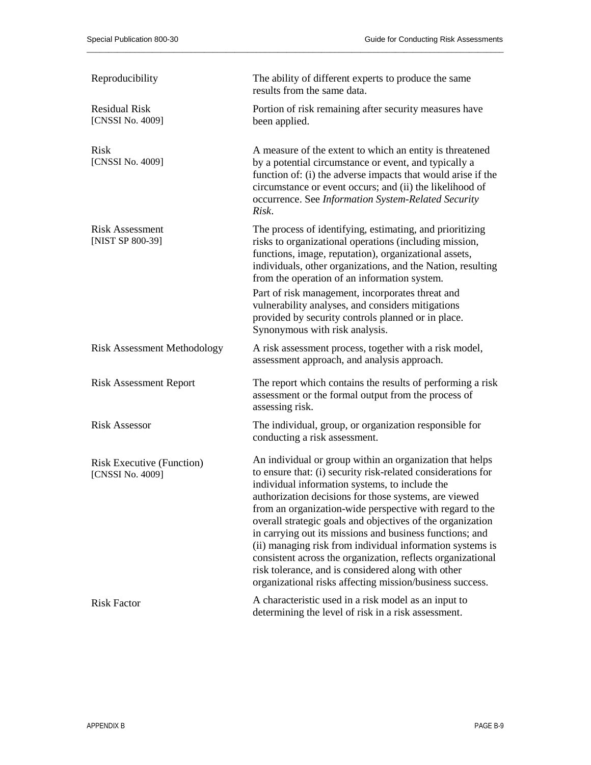| Reproducibility                                      | The ability of different experts to produce the same<br>results from the same data.                                                                                                                                                                                                                                                                                                                                                                                                                                                                                                                                                                                     |
|------------------------------------------------------|-------------------------------------------------------------------------------------------------------------------------------------------------------------------------------------------------------------------------------------------------------------------------------------------------------------------------------------------------------------------------------------------------------------------------------------------------------------------------------------------------------------------------------------------------------------------------------------------------------------------------------------------------------------------------|
| <b>Residual Risk</b><br>[CNSSI No. 4009]             | Portion of risk remaining after security measures have<br>been applied.                                                                                                                                                                                                                                                                                                                                                                                                                                                                                                                                                                                                 |
| Risk<br>[CNSSI No. 4009]                             | A measure of the extent to which an entity is threatened<br>by a potential circumstance or event, and typically a<br>function of: (i) the adverse impacts that would arise if the<br>circumstance or event occurs; and (ii) the likelihood of<br>occurrence. See Information System-Related Security<br>Risk.                                                                                                                                                                                                                                                                                                                                                           |
| <b>Risk Assessment</b><br>[NIST SP 800-39]           | The process of identifying, estimating, and prioritizing<br>risks to organizational operations (including mission,<br>functions, image, reputation), organizational assets,<br>individuals, other organizations, and the Nation, resulting<br>from the operation of an information system.<br>Part of risk management, incorporates threat and                                                                                                                                                                                                                                                                                                                          |
|                                                      | vulnerability analyses, and considers mitigations<br>provided by security controls planned or in place.<br>Synonymous with risk analysis.                                                                                                                                                                                                                                                                                                                                                                                                                                                                                                                               |
| <b>Risk Assessment Methodology</b>                   | A risk assessment process, together with a risk model,<br>assessment approach, and analysis approach.                                                                                                                                                                                                                                                                                                                                                                                                                                                                                                                                                                   |
| <b>Risk Assessment Report</b>                        | The report which contains the results of performing a risk<br>assessment or the formal output from the process of<br>assessing risk.                                                                                                                                                                                                                                                                                                                                                                                                                                                                                                                                    |
| <b>Risk Assessor</b>                                 |                                                                                                                                                                                                                                                                                                                                                                                                                                                                                                                                                                                                                                                                         |
|                                                      | The individual, group, or organization responsible for<br>conducting a risk assessment.                                                                                                                                                                                                                                                                                                                                                                                                                                                                                                                                                                                 |
| <b>Risk Executive (Function)</b><br>[CNSSI No. 4009] | An individual or group within an organization that helps<br>to ensure that: (i) security risk-related considerations for<br>individual information systems, to include the<br>authorization decisions for those systems, are viewed<br>from an organization-wide perspective with regard to the<br>overall strategic goals and objectives of the organization<br>in carrying out its missions and business functions; and<br>(ii) managing risk from individual information systems is<br>consistent across the organization, reflects organizational<br>risk tolerance, and is considered along with other<br>organizational risks affecting mission/business success. |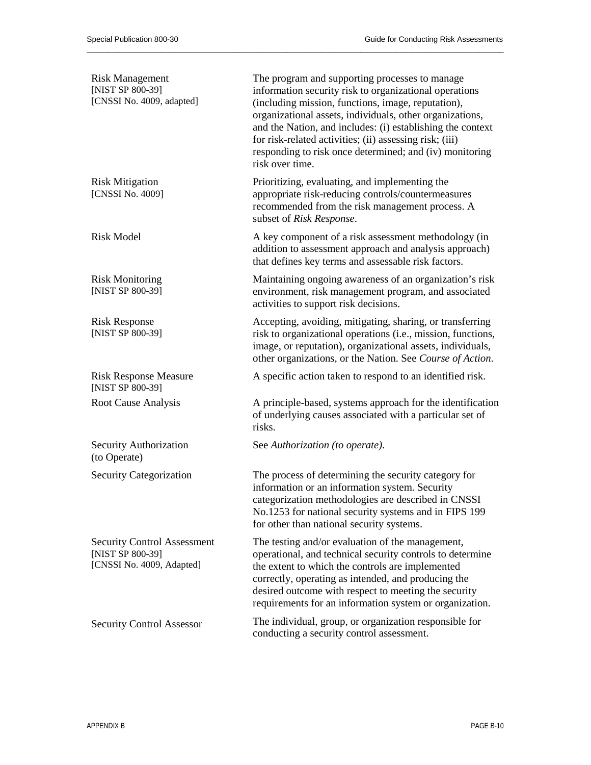| <b>Risk Management</b><br>[NIST SP 800-39]<br>[CNSSI No. 4009, adapted]             | The program and supporting processes to manage<br>information security risk to organizational operations<br>(including mission, functions, image, reputation),<br>organizational assets, individuals, other organizations,<br>and the Nation, and includes: (i) establishing the context<br>for risk-related activities; (ii) assessing risk; (iii)<br>responding to risk once determined; and (iv) monitoring<br>risk over time. |
|-------------------------------------------------------------------------------------|-----------------------------------------------------------------------------------------------------------------------------------------------------------------------------------------------------------------------------------------------------------------------------------------------------------------------------------------------------------------------------------------------------------------------------------|
| <b>Risk Mitigation</b><br>[CNSSI No. 4009]                                          | Prioritizing, evaluating, and implementing the<br>appropriate risk-reducing controls/countermeasures<br>recommended from the risk management process. A<br>subset of Risk Response.                                                                                                                                                                                                                                               |
| <b>Risk Model</b>                                                                   | A key component of a risk assessment methodology (in<br>addition to assessment approach and analysis approach)<br>that defines key terms and assessable risk factors.                                                                                                                                                                                                                                                             |
| <b>Risk Monitoring</b><br>[NIST SP 800-39]                                          | Maintaining ongoing awareness of an organization's risk<br>environment, risk management program, and associated<br>activities to support risk decisions.                                                                                                                                                                                                                                                                          |
| <b>Risk Response</b><br>[NIST SP 800-39]                                            | Accepting, avoiding, mitigating, sharing, or transferring<br>risk to organizational operations (i.e., mission, functions,<br>image, or reputation), organizational assets, individuals,<br>other organizations, or the Nation. See Course of Action.                                                                                                                                                                              |
| <b>Risk Response Measure</b><br>[NIST SP 800-39]                                    | A specific action taken to respond to an identified risk.                                                                                                                                                                                                                                                                                                                                                                         |
| <b>Root Cause Analysis</b>                                                          | A principle-based, systems approach for the identification<br>of underlying causes associated with a particular set of<br>risks.                                                                                                                                                                                                                                                                                                  |
| Security Authorization<br>(to Operate)                                              | See Authorization (to operate).                                                                                                                                                                                                                                                                                                                                                                                                   |
| Security Categorization                                                             | The process of determining the security category for<br>information or an information system. Security<br>categorization methodologies are described in CNSSI<br>No.1253 for national security systems and in FIPS 199<br>for other than national security systems.                                                                                                                                                               |
| <b>Security Control Assessment</b><br>[NIST SP 800-39]<br>[CNSSI No. 4009, Adapted] | The testing and/or evaluation of the management,<br>operational, and technical security controls to determine<br>the extent to which the controls are implemented<br>correctly, operating as intended, and producing the<br>desired outcome with respect to meeting the security<br>requirements for an information system or organization.                                                                                       |
| <b>Security Control Assessor</b>                                                    | The individual, group, or organization responsible for<br>conducting a security control assessment.                                                                                                                                                                                                                                                                                                                               |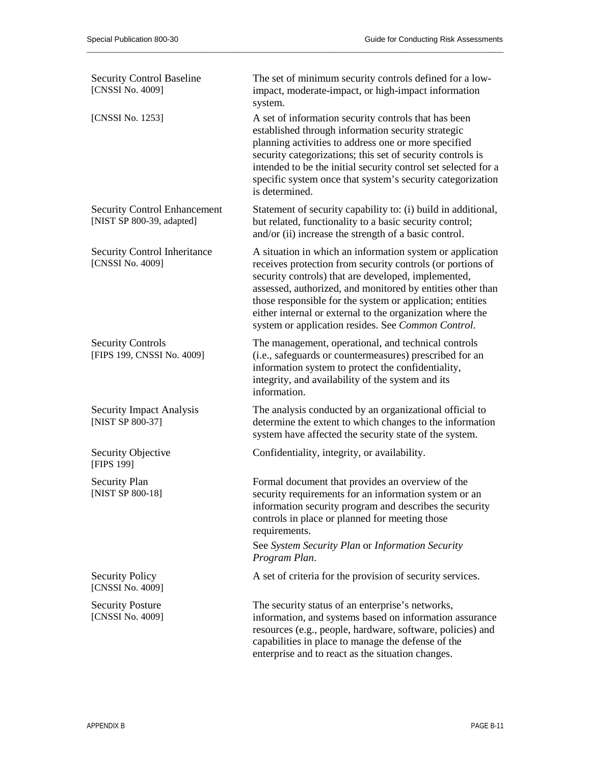| <b>Security Control Baseline</b><br>[CNSSI No. 4009]             | The set of minimum security controls defined for a low-<br>impact, moderate-impact, or high-impact information<br>system.                                                                                                                                                                                                                                                                                                    |
|------------------------------------------------------------------|------------------------------------------------------------------------------------------------------------------------------------------------------------------------------------------------------------------------------------------------------------------------------------------------------------------------------------------------------------------------------------------------------------------------------|
| [CNSSI No. 1253]                                                 | A set of information security controls that has been<br>established through information security strategic<br>planning activities to address one or more specified<br>security categorizations; this set of security controls is<br>intended to be the initial security control set selected for a<br>specific system once that system's security categorization<br>is determined.                                           |
| <b>Security Control Enhancement</b><br>[NIST SP 800-39, adapted] | Statement of security capability to: (i) build in additional,<br>but related, functionality to a basic security control;<br>and/or (ii) increase the strength of a basic control.                                                                                                                                                                                                                                            |
| <b>Security Control Inheritance</b><br>[CNSSI No. 4009]          | A situation in which an information system or application<br>receives protection from security controls (or portions of<br>security controls) that are developed, implemented,<br>assessed, authorized, and monitored by entities other than<br>those responsible for the system or application; entities<br>either internal or external to the organization where the<br>system or application resides. See Common Control. |
| <b>Security Controls</b><br>[FIPS 199, CNSSI No. 4009]           | The management, operational, and technical controls<br>(i.e., safeguards or countermeasures) prescribed for an<br>information system to protect the confidentiality,<br>integrity, and availability of the system and its<br>information.                                                                                                                                                                                    |
| <b>Security Impact Analysis</b><br>[NIST SP 800-37]              | The analysis conducted by an organizational official to<br>determine the extent to which changes to the information<br>system have affected the security state of the system.                                                                                                                                                                                                                                                |
| Security Objective<br>[FIPS 199]                                 | Confidentiality, integrity, or availability.                                                                                                                                                                                                                                                                                                                                                                                 |
| <b>Security Plan</b><br>[NIST SP 800-18]                         | Formal document that provides an overview of the<br>security requirements for an information system or an<br>information security program and describes the security<br>controls in place or planned for meeting those<br>requirements.                                                                                                                                                                                      |
|                                                                  | See System Security Plan or Information Security<br>Program Plan.                                                                                                                                                                                                                                                                                                                                                            |
| <b>Security Policy</b><br>[CNSSI No. 4009]                       | A set of criteria for the provision of security services.                                                                                                                                                                                                                                                                                                                                                                    |
| <b>Security Posture</b><br>[CNSSI No. 4009]                      | The security status of an enterprise's networks,<br>information, and systems based on information assurance<br>resources (e.g., people, hardware, software, policies) and<br>capabilities in place to manage the defense of the<br>enterprise and to react as the situation changes.                                                                                                                                         |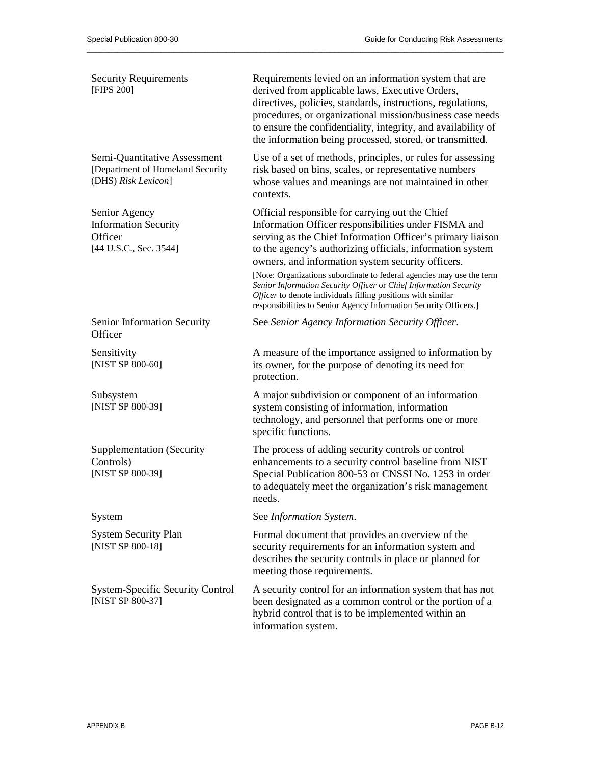| <b>Security Requirements</b><br>[FIPS 200]                                              | Requirements levied on an information system that are<br>derived from applicable laws, Executive Orders,<br>directives, policies, standards, instructions, regulations,<br>procedures, or organizational mission/business case needs<br>to ensure the confidentiality, integrity, and availability of<br>the information being processed, stored, or transmitted. |
|-----------------------------------------------------------------------------------------|-------------------------------------------------------------------------------------------------------------------------------------------------------------------------------------------------------------------------------------------------------------------------------------------------------------------------------------------------------------------|
| Semi-Quantitative Assessment<br>[Department of Homeland Security<br>(DHS) Risk Lexicon] | Use of a set of methods, principles, or rules for assessing<br>risk based on bins, scales, or representative numbers<br>whose values and meanings are not maintained in other<br>contexts.                                                                                                                                                                        |
| Senior Agency<br><b>Information Security</b><br>Officer<br>[44 U.S.C., Sec. 3544]       | Official responsible for carrying out the Chief<br>Information Officer responsibilities under FISMA and<br>serving as the Chief Information Officer's primary liaison<br>to the agency's authorizing officials, information system<br>owners, and information system security officers.                                                                           |
|                                                                                         | [Note: Organizations subordinate to federal agencies may use the term<br>Senior Information Security Officer or Chief Information Security<br>Officer to denote individuals filling positions with similar<br>responsibilities to Senior Agency Information Security Officers.]                                                                                   |
| Senior Information Security<br>Officer                                                  | See Senior Agency Information Security Officer.                                                                                                                                                                                                                                                                                                                   |
| Sensitivity<br>[NIST SP 800-60]                                                         | A measure of the importance assigned to information by<br>its owner, for the purpose of denoting its need for<br>protection.                                                                                                                                                                                                                                      |
| Subsystem<br>[NIST SP 800-39]                                                           | A major subdivision or component of an information<br>system consisting of information, information<br>technology, and personnel that performs one or more<br>specific functions.                                                                                                                                                                                 |
| Supplementation (Security<br>Controls)<br>[NIST SP 800-39]                              | The process of adding security controls or control<br>enhancements to a security control baseline from NIST<br>Special Publication 800-53 or CNSSI No. 1253 in order<br>to adequately meet the organization's risk management<br>needs.                                                                                                                           |
| System                                                                                  | See Information System.                                                                                                                                                                                                                                                                                                                                           |
| <b>System Security Plan</b><br>[NIST SP 800-18]                                         | Formal document that provides an overview of the<br>security requirements for an information system and<br>describes the security controls in place or planned for<br>meeting those requirements.                                                                                                                                                                 |
| <b>System-Specific Security Control</b><br>[NIST SP 800-37]                             | A security control for an information system that has not<br>been designated as a common control or the portion of a<br>hybrid control that is to be implemented within an<br>information system.                                                                                                                                                                 |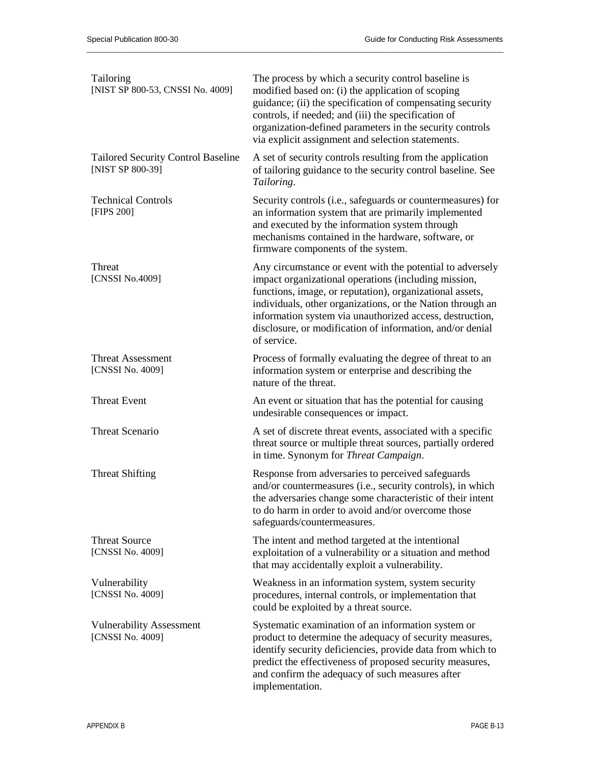| Tailoring<br>[NIST SP 800-53, CNSSI No. 4009]                 | The process by which a security control baseline is<br>modified based on: (i) the application of scoping<br>guidance; (ii) the specification of compensating security<br>controls, if needed; and (iii) the specification of<br>organization-defined parameters in the security controls<br>via explicit assignment and selection statements.                                       |
|---------------------------------------------------------------|-------------------------------------------------------------------------------------------------------------------------------------------------------------------------------------------------------------------------------------------------------------------------------------------------------------------------------------------------------------------------------------|
| <b>Tailored Security Control Baseline</b><br>[NIST SP 800-39] | A set of security controls resulting from the application<br>of tailoring guidance to the security control baseline. See<br>Tailoring.                                                                                                                                                                                                                                              |
| <b>Technical Controls</b><br>[FIPS 200]                       | Security controls (i.e., safeguards or countermeasures) for<br>an information system that are primarily implemented<br>and executed by the information system through<br>mechanisms contained in the hardware, software, or<br>firmware components of the system.                                                                                                                   |
| Threat<br>[CNSSI No.4009]                                     | Any circumstance or event with the potential to adversely<br>impact organizational operations (including mission,<br>functions, image, or reputation), organizational assets,<br>individuals, other organizations, or the Nation through an<br>information system via unauthorized access, destruction,<br>disclosure, or modification of information, and/or denial<br>of service. |
| <b>Threat Assessment</b><br>[CNSSI No. 4009]                  | Process of formally evaluating the degree of threat to an<br>information system or enterprise and describing the<br>nature of the threat.                                                                                                                                                                                                                                           |
| <b>Threat Event</b>                                           | An event or situation that has the potential for causing<br>undesirable consequences or impact.                                                                                                                                                                                                                                                                                     |
| <b>Threat Scenario</b>                                        | A set of discrete threat events, associated with a specific<br>threat source or multiple threat sources, partially ordered<br>in time. Synonym for Threat Campaign.                                                                                                                                                                                                                 |
| <b>Threat Shifting</b>                                        | Response from adversaries to perceived safeguards<br>and/or countermeasures (i.e., security controls), in which<br>the adversaries change some characteristic of their intent<br>to do harm in order to avoid and/or overcome those<br>safeguards/countermeasures.                                                                                                                  |
| <b>Threat Source</b><br>[CNSSI No. 4009]                      | The intent and method targeted at the intentional<br>exploitation of a vulnerability or a situation and method<br>that may accidentally exploit a vulnerability.                                                                                                                                                                                                                    |
| Vulnerability<br>[CNSSI No. 4009]                             | Weakness in an information system, system security<br>procedures, internal controls, or implementation that<br>could be exploited by a threat source.                                                                                                                                                                                                                               |
| <b>Vulnerability Assessment</b><br>[CNSSI No. 4009]           | Systematic examination of an information system or<br>product to determine the adequacy of security measures,<br>identify security deficiencies, provide data from which to<br>predict the effectiveness of proposed security measures,<br>and confirm the adequacy of such measures after<br>implementation.                                                                       |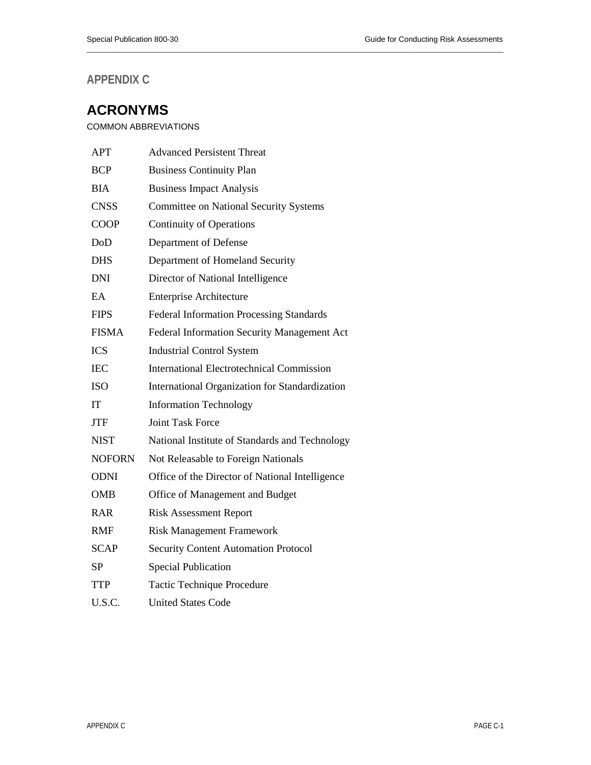# **APPENDIX C**

# **ACRONYMS**

COMMON ABBREVIATIONS

| <b>APT</b>    | <b>Advanced Persistent Threat</b>                |
|---------------|--------------------------------------------------|
| <b>BCP</b>    | <b>Business Continuity Plan</b>                  |
| <b>BIA</b>    | <b>Business Impact Analysis</b>                  |
| <b>CNSS</b>   | <b>Committee on National Security Systems</b>    |
| <b>COOP</b>   | <b>Continuity of Operations</b>                  |
| DoD           | Department of Defense                            |
| <b>DHS</b>    | Department of Homeland Security                  |
| <b>DNI</b>    | Director of National Intelligence                |
| EA            | <b>Enterprise Architecture</b>                   |
| <b>FIPS</b>   | <b>Federal Information Processing Standards</b>  |
| <b>FISMA</b>  | Federal Information Security Management Act      |
| <b>ICS</b>    | <b>Industrial Control System</b>                 |
| <b>IEC</b>    | <b>International Electrotechnical Commission</b> |
| <b>ISO</b>    | International Organization for Standardization   |
| IT            | <b>Information Technology</b>                    |
| <b>JTF</b>    | <b>Joint Task Force</b>                          |
| <b>NIST</b>   | National Institute of Standards and Technology   |
| <b>NOFORN</b> | Not Releasable to Foreign Nationals              |
| <b>ODNI</b>   | Office of the Director of National Intelligence  |
| <b>OMB</b>    | Office of Management and Budget                  |
| <b>RAR</b>    | <b>Risk Assessment Report</b>                    |
| <b>RMF</b>    | <b>Risk Management Framework</b>                 |
| <b>SCAP</b>   | <b>Security Content Automation Protocol</b>      |
| <b>SP</b>     | <b>Special Publication</b>                       |
| <b>TTP</b>    | Tactic Technique Procedure                       |
| U.S.C.        | <b>United States Code</b>                        |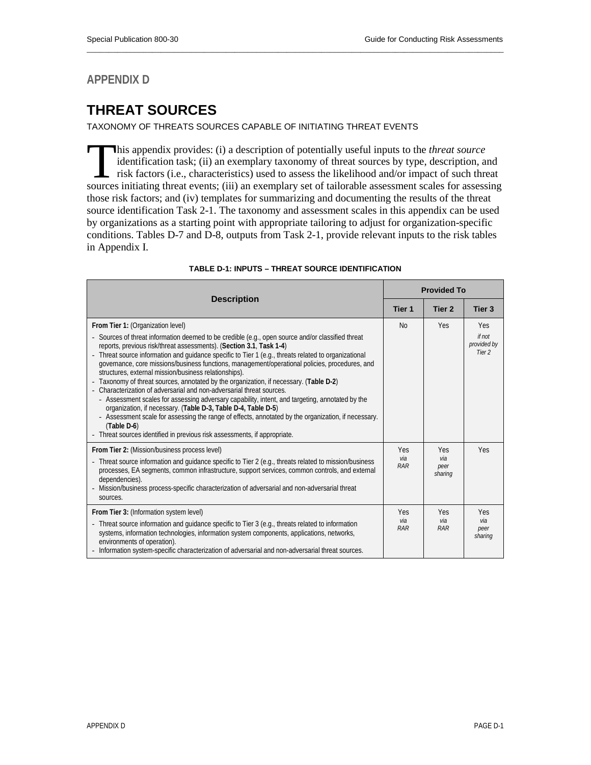### **APPENDIX D**

# **THREAT SOURCES**

TAXONOMY OF THREATS SOURCES CAPABLE OF INITIATING THREAT EVENTS

his appendix provides: (i) a description of potentially useful inputs to the *threat source* identification task; (ii) an exemplary taxonomy of threat sources by type, description, and risk factors (i.e., characteristics) used to assess the likelihood and/or impact of such threat his appendix provides: (i) a description of potentially useful inputs to the *threat source* identification task; (ii) an exemplary taxonomy of threat sources by type, description, and risk factors (i.e., characteristics) those risk factors; and (iv) templates for summarizing and documenting the results of the threat source identification Task 2-1. The taxonomy and assessment scales in this appendix can be used by organizations as a starting point with appropriate tailoring to adjust for organization-specific conditions. Tables D-7 and D-8, outputs from Task 2-1, provide relevant inputs to the risk tables in Appendix I.

\_\_\_\_\_\_\_\_\_\_\_\_\_\_\_\_\_\_\_\_\_\_\_\_\_\_\_\_\_\_\_\_\_\_\_\_\_\_\_\_\_\_\_\_\_\_\_\_\_\_\_\_\_\_\_\_\_\_\_\_\_\_\_\_\_\_\_\_\_\_\_\_\_\_\_\_\_\_\_\_\_\_\_\_\_\_\_\_\_\_\_\_\_\_\_\_

| <b>Description</b>                                                                                                                                                                                                                                                                                                                                                                                                                                                                                                                                                                                                                                                                                                                                                                                                                                                                                                                                                                                                                                                             |                          | <b>Provided To</b>            |                                               |  |  |
|--------------------------------------------------------------------------------------------------------------------------------------------------------------------------------------------------------------------------------------------------------------------------------------------------------------------------------------------------------------------------------------------------------------------------------------------------------------------------------------------------------------------------------------------------------------------------------------------------------------------------------------------------------------------------------------------------------------------------------------------------------------------------------------------------------------------------------------------------------------------------------------------------------------------------------------------------------------------------------------------------------------------------------------------------------------------------------|--------------------------|-------------------------------|-----------------------------------------------|--|--|
|                                                                                                                                                                                                                                                                                                                                                                                                                                                                                                                                                                                                                                                                                                                                                                                                                                                                                                                                                                                                                                                                                |                          | Tier 2                        | Tier <sub>3</sub>                             |  |  |
| From Tier 1: (Organization level)<br>- Sources of threat information deemed to be credible (e.g., open source and/or classified threat<br>reports, previous risk/threat assessments). (Section 3.1, Task 1-4)<br>- Threat source information and quidance specific to Tier 1 (e.g., threats related to organizational<br>governance, core missions/business functions, management/operational policies, procedures, and<br>structures, external mission/business relationships).<br>Taxonomy of threat sources, annotated by the organization, if necessary. (Table D-2)<br>$\overline{\phantom{0}}$<br>Characterization of adversarial and non-adversarial threat sources.<br>$\overline{\phantom{0}}$<br>- Assessment scales for assessing adversary capability, intent, and targeting, annotated by the<br>organization, if necessary. (Table D-3, Table D-4, Table D-5)<br>- Assessment scale for assessing the range of effects, annotated by the organization, if necessary.<br>(Table D-6)<br>- Threat sources identified in previous risk assessments, if appropriate. | N <sub>0</sub>           | Yes                           | <b>Yes</b><br>if not<br>provided by<br>Tier 2 |  |  |
| From Tier 2: (Mission/business process level)<br>Threat source information and quidance specific to Tier 2 (e.g., threats related to mission/business<br>processes, EA segments, common infrastructure, support services, common controls, and external<br>dependencies).<br>- Mission/business process-specific characterization of adversarial and non-adversarial threat<br>sources.                                                                                                                                                                                                                                                                                                                                                                                                                                                                                                                                                                                                                                                                                        | Yes<br>via<br><b>RAR</b> | Yes<br>via<br>peer<br>sharing | Yes                                           |  |  |
| From Tier 3: (Information system level)<br>- Threat source information and quidance specific to Tier 3 (e.g., threats related to information<br>systems, information technologies, information system components, applications, networks,<br>environments of operation).<br>- Information system-specific characterization of adversarial and non-adversarial threat sources.                                                                                                                                                                                                                                                                                                                                                                                                                                                                                                                                                                                                                                                                                                  | Yes<br>via<br><b>RAR</b> | Yes<br>via<br><b>RAR</b>      | Yes<br>via<br>peer<br>sharing                 |  |  |

### **TABLE D-1: INPUTS – THREAT SOURCE IDENTIFICATION**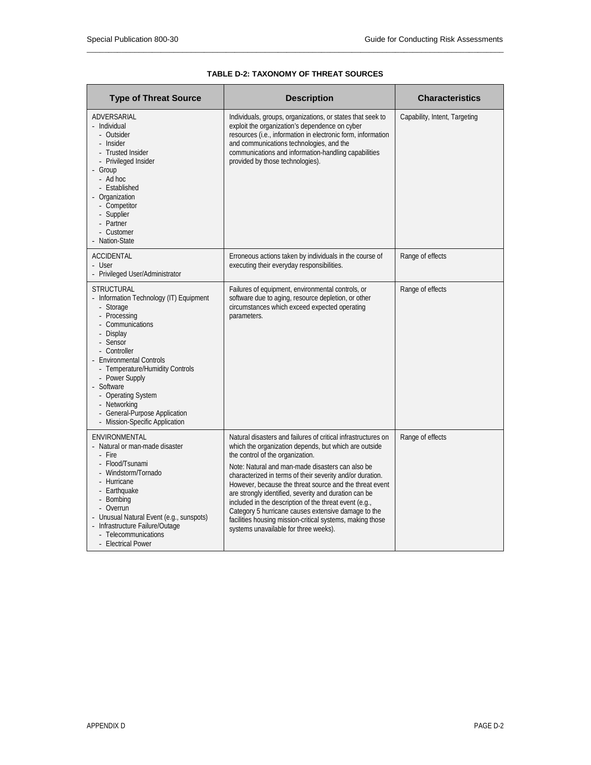| <b>Type of Threat Source</b>                                                                                                                                                                                                                                                                                                                          | <b>Description</b>                                                                                                                                                                                                                                                                                                                                                                                                                                                                                                                                                                                                     | <b>Characteristics</b>        |
|-------------------------------------------------------------------------------------------------------------------------------------------------------------------------------------------------------------------------------------------------------------------------------------------------------------------------------------------------------|------------------------------------------------------------------------------------------------------------------------------------------------------------------------------------------------------------------------------------------------------------------------------------------------------------------------------------------------------------------------------------------------------------------------------------------------------------------------------------------------------------------------------------------------------------------------------------------------------------------------|-------------------------------|
| ADVERSARIAL<br>- Individual<br>- Outsider<br>- Insider<br>- Trusted Insider<br>- Privileged Insider<br>- Group<br>- Ad hoc<br>- Established<br>- Organization<br>- Competitor<br>- Supplier<br>- Partner<br>- Customer<br>- Nation-State                                                                                                              | Individuals, groups, organizations, or states that seek to<br>exploit the organization's dependence on cyber<br>resources (i.e., information in electronic form, information<br>and communications technologies, and the<br>communications and information-handling capabilities<br>provided by those technologies).                                                                                                                                                                                                                                                                                                   | Capability, Intent, Targeting |
| <b>ACCIDENTAL</b><br>- User<br>- Privileged User/Administrator                                                                                                                                                                                                                                                                                        | Erroneous actions taken by individuals in the course of<br>executing their everyday responsibilities.                                                                                                                                                                                                                                                                                                                                                                                                                                                                                                                  | Range of effects              |
| STRUCTURAL<br>- Information Technology (IT) Equipment<br>- Storage<br>- Processing<br>- Communications<br>- Display<br>- Sensor<br>- Controller<br>- Environmental Controls<br>- Temperature/Humidity Controls<br>- Power Supply<br>Software<br>- Operating System<br>- Networking<br>- General-Purpose Application<br>- Mission-Specific Application | Failures of equipment, environmental controls, or<br>software due to aging, resource depletion, or other<br>circumstances which exceed expected operating<br>parameters.                                                                                                                                                                                                                                                                                                                                                                                                                                               | Range of effects              |
| ENVIRONMENTAL<br>- Natural or man-made disaster<br>- Fire<br>- Flood/Tsunami<br>- Windstorm/Tornado<br>- Hurricane<br>- Earthquake<br>- Bombing<br>- Overrun<br>- Unusual Natural Event (e.g., sunspots)<br>- Infrastructure Failure/Outage<br>- Telecommunications<br>- Electrical Power                                                             | Natural disasters and failures of critical infrastructures on<br>which the organization depends, but which are outside<br>the control of the organization.<br>Note: Natural and man-made disasters can also be<br>characterized in terms of their severity and/or duration.<br>However, because the threat source and the threat event<br>are strongly identified, severity and duration can be<br>included in the description of the threat event (e.g.,<br>Category 5 hurricane causes extensive damage to the<br>facilities housing mission-critical systems, making those<br>systems unavailable for three weeks). | Range of effects              |

### **TABLE D-2: TAXONOMY OF THREAT SOURCES**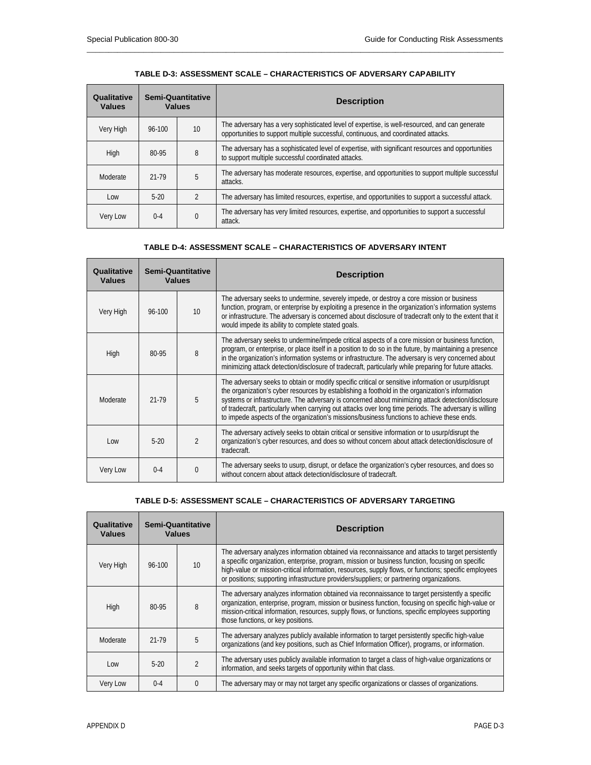| Qualitative<br><b>Values</b> | Semi-Quantitative<br><b>Values</b> |                | <b>Description</b>                                                                                                                                                                   |
|------------------------------|------------------------------------|----------------|--------------------------------------------------------------------------------------------------------------------------------------------------------------------------------------|
| Very High                    | 96-100                             | 10             | The adversary has a very sophisticated level of expertise, is well-resourced, and can generate<br>opportunities to support multiple successful, continuous, and coordinated attacks. |
| High                         | 80-95                              | 8              | The adversary has a sophisticated level of expertise, with significant resources and opportunities<br>to support multiple successful coordinated attacks.                            |
| Moderate                     | 21-79                              | 5              | The adversary has moderate resources, expertise, and opportunities to support multiple successful<br>attacks.                                                                        |
| Low                          | $5-20$                             | $\mathfrak{D}$ | The adversary has limited resources, expertise, and opportunities to support a successful attack.                                                                                    |
| Very Low                     | $0 - 4$                            | $\Omega$       | The adversary has very limited resources, expertise, and opportunities to support a successful<br>attack.                                                                            |

### **TABLE D-3: ASSESSMENT SCALE – CHARACTERISTICS OF ADVERSARY CAPABILITY**

\_\_\_\_\_\_\_\_\_\_\_\_\_\_\_\_\_\_\_\_\_\_\_\_\_\_\_\_\_\_\_\_\_\_\_\_\_\_\_\_\_\_\_\_\_\_\_\_\_\_\_\_\_\_\_\_\_\_\_\_\_\_\_\_\_\_\_\_\_\_\_\_\_\_\_\_\_\_\_\_\_\_\_\_\_\_\_\_\_\_\_\_\_\_\_\_

### **TABLE D-4: ASSESSMENT SCALE – CHARACTERISTICS OF ADVERSARY INTENT**

| Qualitative<br><b>Values</b> | Semi-Quantitative<br><b>Values</b> |                | <b>Description</b>                                                                                                                                                                                                                                                                                                                                                                                                                                                                                                   |
|------------------------------|------------------------------------|----------------|----------------------------------------------------------------------------------------------------------------------------------------------------------------------------------------------------------------------------------------------------------------------------------------------------------------------------------------------------------------------------------------------------------------------------------------------------------------------------------------------------------------------|
| Very High                    | $96 - 100$                         | 10             | The adversary seeks to undermine, severely impede, or destroy a core mission or business<br>function, program, or enterprise by exploiting a presence in the organization's information systems<br>or infrastructure. The adversary is concerned about disclosure of tradecraft only to the extent that it<br>would impede its ability to complete stated goals.                                                                                                                                                     |
| <b>High</b>                  | 80-95                              | 8              | The adversary seeks to undermine/impede critical aspects of a core mission or business function,<br>program, or enterprise, or place itself in a position to do so in the future, by maintaining a presence<br>in the organization's information systems or infrastructure. The adversary is very concerned about<br>minimizing attack detection/disclosure of tradecraft, particularly while preparing for future attacks.                                                                                          |
| Moderate                     | 21-79                              | 5              | The adversary seeks to obtain or modify specific critical or sensitive information or usurp/disrupt<br>the organization's cyber resources by establishing a foothold in the organization's information<br>systems or infrastructure. The adversary is concerned about minimizing attack detection/disclosure<br>of tradecraft, particularly when carrying out attacks over long time periods. The adversary is willing<br>to impede aspects of the organization's missions/business functions to achieve these ends. |
| Low                          | $5-20$                             | $\mathfrak{D}$ | The adversary actively seeks to obtain critical or sensitive information or to usurp/disrupt the<br>organization's cyber resources, and does so without concern about attack detection/disclosure of<br>tradecraft.                                                                                                                                                                                                                                                                                                  |
| Very Low                     | $0 - 4$                            |                | The adversary seeks to usurp, disrupt, or deface the organization's cyber resources, and does so<br>without concern about attack detection/disclosure of tradecraft.                                                                                                                                                                                                                                                                                                                                                 |

#### **TABLE D-5: ASSESSMENT SCALE – CHARACTERISTICS OF ADVERSARY TARGETING**

| Qualitative<br><b>Values</b> | Semi-Quantitative<br><b>Values</b> |              | <b>Description</b>                                                                                                                                                                                                                                                                                                                                                                                          |
|------------------------------|------------------------------------|--------------|-------------------------------------------------------------------------------------------------------------------------------------------------------------------------------------------------------------------------------------------------------------------------------------------------------------------------------------------------------------------------------------------------------------|
| Very High                    | $96 - 100$                         | 10           | The adversary analyzes information obtained via reconnaissance and attacks to target persistently<br>a specific organization, enterprise, program, mission or business function, focusing on specific<br>high-value or mission-critical information, resources, supply flows, or functions; specific employees<br>or positions; supporting infrastructure providers/suppliers; or partnering organizations. |
| High                         | 80-95                              | 8            | The adversary analyzes information obtained via reconnaissance to target persistently a specific<br>organization, enterprise, program, mission or business function, focusing on specific high-value or<br>mission-critical information, resources, supply flows, or functions, specific employees supporting<br>those functions, or key positions.                                                         |
| Moderate                     | 21-79                              | 5            | The adversary analyzes publicly available information to target persistently specific high-value<br>organizations (and key positions, such as Chief Information Officer), programs, or information.                                                                                                                                                                                                         |
| Low                          | $5-20$                             |              | The adversary uses publicly available information to target a class of high-value organizations or<br>information, and seeks targets of opportunity within that class.                                                                                                                                                                                                                                      |
| Very Low                     | $0 - 4$                            | <sup>0</sup> | The adversary may or may not target any specific organizations or classes of organizations.                                                                                                                                                                                                                                                                                                                 |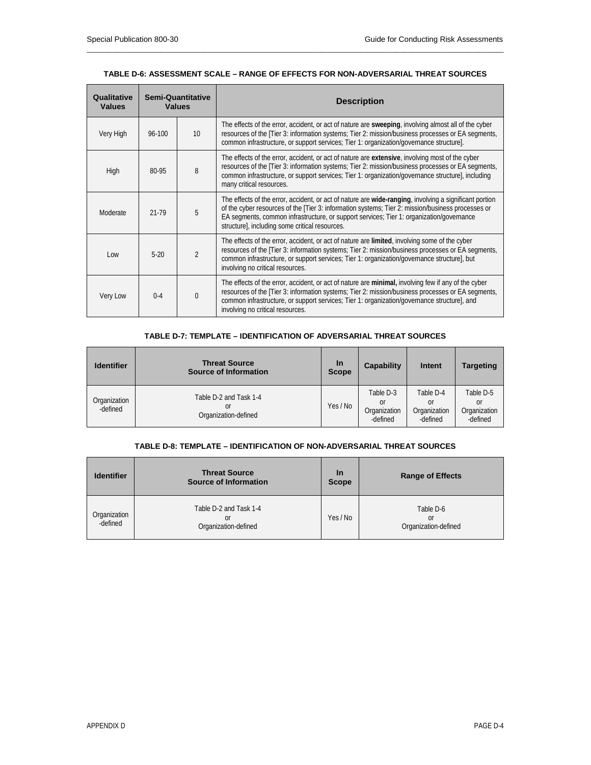<u> Tanzania de la provincia de la provincia de la provincia de la provincia de la provincia de la provincia de la </u>

| Qualitative<br><b>Values</b> | Semi-Quantitative<br><b>Values</b> |    | <b>Description</b>                                                                                                                                                                                                                                                                                                                                        |
|------------------------------|------------------------------------|----|-----------------------------------------------------------------------------------------------------------------------------------------------------------------------------------------------------------------------------------------------------------------------------------------------------------------------------------------------------------|
| Very High                    | $96 - 100$                         | 10 | The effects of the error, accident, or act of nature are sweeping, involving almost all of the cyber<br>resources of the [Tier 3: information systems; Tier 2: mission/business processes or EA segments,<br>common infrastructure, or support services; Tier 1: organization/governance structure].                                                      |
| High                         | 80-95                              | 8  | The effects of the error, accident, or act of nature are extensive, involving most of the cyber<br>resources of the [Tier 3: information systems; Tier 2: mission/business processes or EA segments,<br>common infrastructure, or support services; Tier 1: organization/governance structure], including<br>many critical resources.                     |
| Moderate                     | $21 - 79$                          | 5  | The effects of the error, accident, or act of nature are wide-ranging, involving a significant portion<br>of the cyber resources of the [Tier 3: information systems; Tier 2: mission/business processes or<br>EA segments, common infrastructure, or support services; Tier 1: organization/governance<br>structure], including some critical resources. |
| Low                          | $5-20$                             |    | The effects of the error, accident, or act of nature are limited, involving some of the cyber<br>resources of the [Tier 3: information systems; Tier 2: mission/business processes or EA segments,<br>common infrastructure, or support services; Tier 1: organization/governance structure], but<br>involving no critical resources.                     |
| Very Low                     | $0 - 4$                            |    | The effects of the error, accident, or act of nature are minimal, involving few if any of the cyber<br>resources of the [Tier 3: information systems; Tier 2: mission/business processes or EA segments,<br>common infrastructure, or support services; Tier 1: organization/governance structure], and<br>involving no critical resources.               |

### **TABLE D-6: ASSESSMENT SCALE – RANGE OF EFFECTS FOR NON-ADVERSARIAL THREAT SOURCES**

┱

\_\_\_\_\_\_\_\_\_\_\_\_\_\_\_\_\_\_\_\_\_\_\_\_\_\_\_\_\_\_\_\_\_\_\_\_\_\_\_\_\_\_\_\_\_\_\_\_\_\_\_\_\_\_\_\_\_\_\_\_\_\_\_\_\_\_\_\_\_\_\_\_\_\_\_\_\_\_\_\_\_\_\_\_\_\_\_\_\_\_\_\_\_\_\_\_

### **TABLE D-7: TEMPLATE – IDENTIFICATION OF ADVERSARIAL THREAT SOURCES**

| <b>Identifier</b>        | <b>Threat Source</b><br>Source of Information        |          | Capability                                  | Intent                                      | <b>Targeting</b>                            |
|--------------------------|------------------------------------------------------|----------|---------------------------------------------|---------------------------------------------|---------------------------------------------|
| Organization<br>-defined | Table D-2 and Task 1-4<br>0ľ<br>Organization-defined | Yes / No | Table D-3<br>or<br>Organization<br>-defined | Table D-4<br>or<br>Organization<br>-defined | Table D-5<br>or<br>Organization<br>-defined |

### **TABLE D-8: TEMPLATE – IDENTIFICATION OF NON-ADVERSARIAL THREAT SOURCES**

| <b>Identifier</b>        | <b>Threat Source</b><br><b>Source of Information</b> |          | <b>Range of Effects</b>                 |
|--------------------------|------------------------------------------------------|----------|-----------------------------------------|
| Organization<br>-defined | Table D-2 and Task 1-4<br>or<br>Organization-defined | Yes / No | Table D-6<br>or<br>Organization-defined |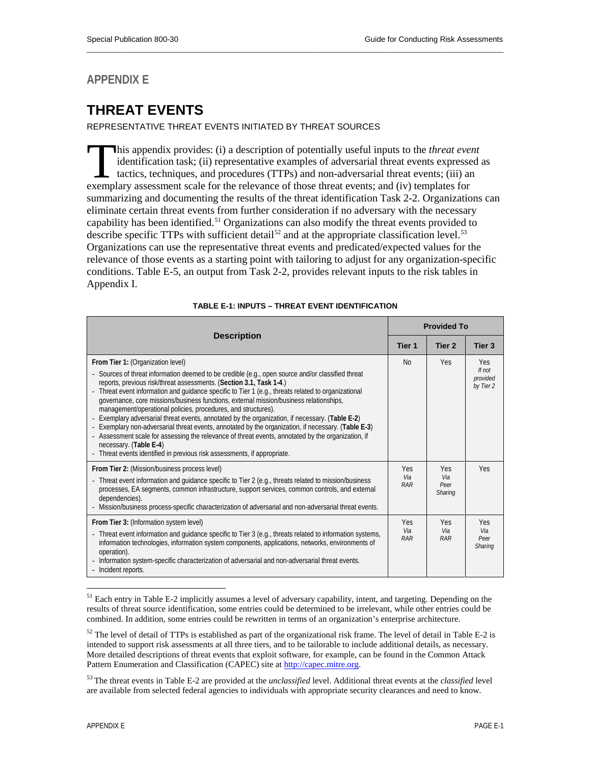## **APPENDIX E**

# **THREAT EVENTS**

REPRESENTATIVE THREAT EVENTS INITIATED BY THREAT SOURCES

his appendix provides: (i) a description of potentially useful inputs to the *threat event* identification task; (ii) representative examples of adversarial threat events expressed as tactics, techniques, and procedures (TTPs) and non-adversarial threat events; (iii) an This appendix provides: (i) a description of potentially useful inputs to the *threat events* identification task; (ii) representative examples of adversarial threat events expressed tactics, techniques, and procedures (TT summarizing and documenting the results of the threat identification Task 2-2. Organizations can eliminate certain threat events from further consideration if no adversary with the necessary capability has been identified.<sup>51</sup> Organizations can also modify the threat events provided to describe specific TTPs with sufficient detail<sup>[52](#page-68-1)</sup> and at the appropriate classification level.<sup>53</sup> Organizations can use the representative threat events and predicated/expected values for the relevance of those events as a starting point with tailoring to adjust for any organization-specific conditions. Table E-5, an output from Task 2-2, provides relevant inputs to the risk tables in Appendix I.

\_\_\_\_\_\_\_\_\_\_\_\_\_\_\_\_\_\_\_\_\_\_\_\_\_\_\_\_\_\_\_\_\_\_\_\_\_\_\_\_\_\_\_\_\_\_\_\_\_\_\_\_\_\_\_\_\_\_\_\_\_\_\_\_\_\_\_\_\_\_\_\_\_\_\_\_\_\_\_\_\_\_\_\_\_\_\_\_\_\_\_\_\_\_\_\_

|                                                                                                                                                                                                                                                                                                                                                                                                                                                                                                                                                                                                                                                                                                                                                                                                                                                                                                                                                     |                          | <b>Provided To</b>            |                                               |  |  |
|-----------------------------------------------------------------------------------------------------------------------------------------------------------------------------------------------------------------------------------------------------------------------------------------------------------------------------------------------------------------------------------------------------------------------------------------------------------------------------------------------------------------------------------------------------------------------------------------------------------------------------------------------------------------------------------------------------------------------------------------------------------------------------------------------------------------------------------------------------------------------------------------------------------------------------------------------------|--------------------------|-------------------------------|-----------------------------------------------|--|--|
| <b>Description</b>                                                                                                                                                                                                                                                                                                                                                                                                                                                                                                                                                                                                                                                                                                                                                                                                                                                                                                                                  | Tier 1                   | Tier <sub>2</sub>             | Tier 3                                        |  |  |
| From Tier 1: (Organization level)<br>- Sources of threat information deemed to be credible (e.g., open source and/or classified threat<br>reports, previous risk/threat assessments. (Section 3.1, Task 1-4.)<br>Threat event information and quidance specific to Tier 1 (e.g., threats related to organizational<br>$\overline{\phantom{a}}$<br>governance, core missions/business functions, external mission/business relationships,<br>management/operational policies, procedures, and structures).<br>Exemplary adversarial threat events, annotated by the organization, if necessary. (Table E-2)<br>Exemplary non-adversarial threat events, annotated by the organization, if necessary. (Table E-3)<br>Assessment scale for assessing the relevance of threat events, annotated by the organization, if<br>necessary. (Table E-4)<br>Threat events identified in previous risk assessments, if appropriate.<br>$\overline{\phantom{a}}$ | N <sub>0</sub>           | <b>Yes</b>                    | <b>Yes</b><br>If not<br>provided<br>by Tier 2 |  |  |
| From Tier 2: (Mission/business process level)<br>Threat event information and guidance specific to Tier 2 (e.g., threats related to mission/business<br>$\overline{\phantom{a}}$<br>processes, EA segments, common infrastructure, support services, common controls, and external<br>dependencies).<br>Mission/business process-specific characterization of adversarial and non-adversarial threat events.                                                                                                                                                                                                                                                                                                                                                                                                                                                                                                                                        | Yes<br>Via<br><b>RAR</b> | Yes<br>Via<br>Peer<br>Sharing | <b>Yes</b>                                    |  |  |
| From Tier 3: (Information system level)<br>Threat event information and quidance specific to Tier 3 (e.g., threats related to information systems,<br>$\overline{\phantom{m}}$<br>information technologies, information system components, applications, networks, environments of<br>operation).<br>Information system-specific characterization of adversarial and non-adversarial threat events.<br>- Incident reports.                                                                                                                                                                                                                                                                                                                                                                                                                                                                                                                          | Yes<br>Via<br><b>RAR</b> | Yes<br>Via<br><b>RAR</b>      | Yes<br>Via<br>Peer<br>Sharing                 |  |  |

### **TABLE E-1: INPUTS – THREAT EVENT IDENTIFICATION**

<span id="page-68-0"></span> 51 Each entry in Table E-2 implicitly assumes a level of adversary capability, intent, and targeting. Depending on the results of threat source identification, some entries could be determined to be irrelevant, while other entries could be combined. In addition, some entries could be rewritten in terms of an organization's enterprise architecture.

<span id="page-68-1"></span> $52$  The level of detail of TTPs is established as part of the organizational risk frame. The level of detail in Table E-2 is intended to support risk assessments at all three tiers, and to be tailorable to include additional details, as necessary. More detailed descriptions of threat events that exploit software, for example, can be found in the Common Attack Pattern Enumeration and Classification (CAPEC) site a[t http://capec.mitre.org.](http://capec.mitre.org/)

<span id="page-68-2"></span><sup>53</sup> The threat events in Table E-2 are provided at the *unclassified* level. Additional threat events at the *classified* level are available from selected federal agencies to individuals with appropriate security clearances and need to know.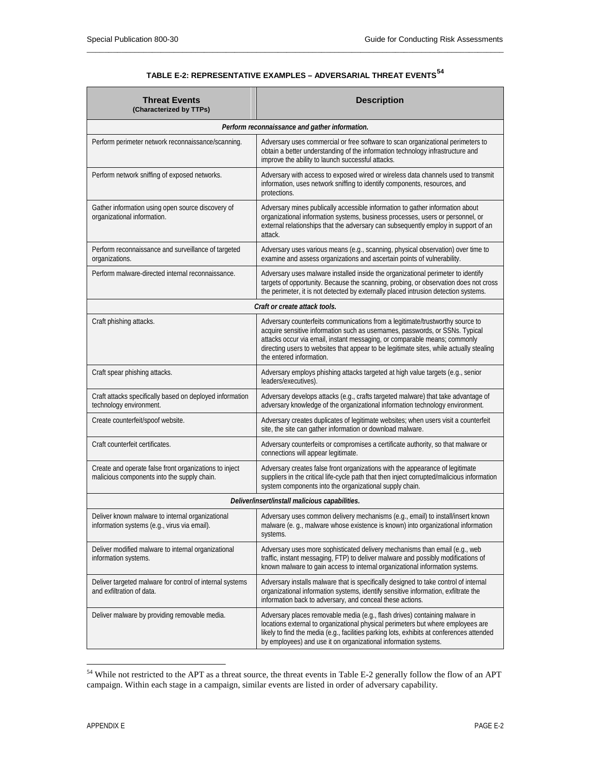| <b>Threat Events</b><br>(Characterized by TTPs)                                                       | <b>Description</b>                                                                                                                                                                                                                                                                                                                                                |
|-------------------------------------------------------------------------------------------------------|-------------------------------------------------------------------------------------------------------------------------------------------------------------------------------------------------------------------------------------------------------------------------------------------------------------------------------------------------------------------|
|                                                                                                       | Perform reconnaissance and gather information.                                                                                                                                                                                                                                                                                                                    |
| Perform perimeter network reconnaissance/scanning.                                                    | Adversary uses commercial or free software to scan organizational perimeters to<br>obtain a better understanding of the information technology infrastructure and<br>improve the ability to launch successful attacks.                                                                                                                                            |
| Perform network sniffing of exposed networks.                                                         | Adversary with access to exposed wired or wireless data channels used to transmit<br>information, uses network sniffing to identify components, resources, and<br>protections.                                                                                                                                                                                    |
| Gather information using open source discovery of<br>organizational information.                      | Adversary mines publically accessible information to gather information about<br>organizational information systems, business processes, users or personnel, or<br>external relationships that the adversary can subsequently employ in support of an<br>attack.                                                                                                  |
| Perform reconnaissance and surveillance of targeted<br>organizations.                                 | Adversary uses various means (e.g., scanning, physical observation) over time to<br>examine and assess organizations and ascertain points of vulnerability.                                                                                                                                                                                                       |
| Perform malware-directed internal reconnaissance.                                                     | Adversary uses malware installed inside the organizational perimeter to identify<br>targets of opportunity. Because the scanning, probing, or observation does not cross<br>the perimeter, it is not detected by externally placed intrusion detection systems.                                                                                                   |
|                                                                                                       | Craft or create attack tools.                                                                                                                                                                                                                                                                                                                                     |
| Craft phishing attacks.                                                                               | Adversary counterfeits communications from a legitimate/trustworthy source to<br>acquire sensitive information such as usernames, passwords, or SSNs. Typical<br>attacks occur via email, instant messaging, or comparable means; commonly<br>directing users to websites that appear to be legitimate sites, while actually stealing<br>the entered information. |
| Craft spear phishing attacks.                                                                         | Adversary employs phishing attacks targeted at high value targets (e.g., senior<br>leaders/executives).                                                                                                                                                                                                                                                           |
| Craft attacks specifically based on deployed information<br>technology environment.                   | Adversary develops attacks (e.g., crafts targeted malware) that take advantage of<br>adversary knowledge of the organizational information technology environment.                                                                                                                                                                                                |
| Create counterfeit/spoof website.                                                                     | Adversary creates duplicates of legitimate websites; when users visit a counterfeit<br>site, the site can gather information or download malware.                                                                                                                                                                                                                 |
| Craft counterfeit certificates.                                                                       | Adversary counterfeits or compromises a certificate authority, so that malware or<br>connections will appear legitimate.                                                                                                                                                                                                                                          |
| Create and operate false front organizations to inject<br>malicious components into the supply chain. | Adversary creates false front organizations with the appearance of legitimate<br>suppliers in the critical life-cycle path that then inject corrupted/malicious information<br>system components into the organizational supply chain.                                                                                                                            |
|                                                                                                       | Deliver/insert/install malicious capabilities.                                                                                                                                                                                                                                                                                                                    |
| Deliver known malware to internal organizational<br>information systems (e.g., virus via email).      | Adversary uses common delivery mechanisms (e.g., email) to install/insert known<br>malware (e. g., malware whose existence is known) into organizational information<br>systems.                                                                                                                                                                                  |
| Deliver modified malware to internal organizational<br>information systems.                           | Adversary uses more sophisticated delivery mechanisms than email (e.g., web<br>traffic, instant messaging, FTP) to deliver malware and possibly modifications of<br>known malware to gain access to internal organizational information systems.                                                                                                                  |
| Deliver targeted malware for control of internal systems<br>and exfiltration of data.                 | Adversary installs malware that is specifically designed to take control of internal<br>organizational information systems, identify sensitive information, exfiltrate the<br>information back to adversary, and conceal these actions.                                                                                                                           |
| Deliver malware by providing removable media.                                                         | Adversary places removable media (e.g., flash drives) containing malware in<br>locations external to organizational physical perimeters but where employees are<br>likely to find the media (e.g., facilities parking lots, exhibits at conferences attended<br>by employees) and use it on organizational information systems.                                   |

# **TABLE E-2: REPRESENTATIVE EXAMPLES – ADVERSARIAL THREAT EVENTS[54](#page-69-0)**

<span id="page-69-0"></span> <sup>54</sup> While not restricted to the APT as a threat source, the threat events in Table E-2 generally follow the flow of an APT campaign. Within each stage in a campaign, similar events are listed in order of adversary capability.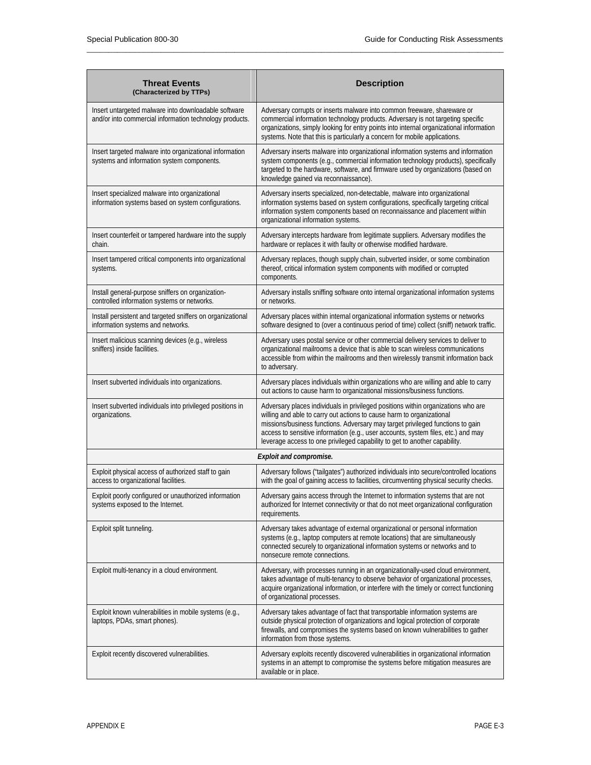| <b>Threat Events</b><br>(Characterized by TTPs)                                                                 | <b>Description</b>                                                                                                                                                                                                                                                                                                                                                                                              |
|-----------------------------------------------------------------------------------------------------------------|-----------------------------------------------------------------------------------------------------------------------------------------------------------------------------------------------------------------------------------------------------------------------------------------------------------------------------------------------------------------------------------------------------------------|
| Insert untargeted malware into downloadable software<br>and/or into commercial information technology products. | Adversary corrupts or inserts malware into common freeware, shareware or<br>commercial information technology products. Adversary is not targeting specific<br>organizations, simply looking for entry points into internal organizational information<br>systems. Note that this is particularly a concern for mobile applications.                                                                            |
| Insert targeted malware into organizational information<br>systems and information system components.           | Adversary inserts malware into organizational information systems and information<br>system components (e.g., commercial information technology products), specifically<br>targeted to the hardware, software, and firmware used by organizations (based on<br>knowledge gained via reconnaissance).                                                                                                            |
| Insert specialized malware into organizational<br>information systems based on system configurations.           | Adversary inserts specialized, non-detectable, malware into organizational<br>information systems based on system configurations, specifically targeting critical<br>information system components based on reconnaissance and placement within<br>organizational information systems.                                                                                                                          |
| Insert counterfeit or tampered hardware into the supply<br>chain.                                               | Adversary intercepts hardware from legitimate suppliers. Adversary modifies the<br>hardware or replaces it with faulty or otherwise modified hardware.                                                                                                                                                                                                                                                          |
| Insert tampered critical components into organizational<br>systems.                                             | Adversary replaces, though supply chain, subverted insider, or some combination<br>thereof, critical information system components with modified or corrupted<br>components.                                                                                                                                                                                                                                    |
| Install general-purpose sniffers on organization-<br>controlled information systems or networks.                | Adversary installs sniffing software onto internal organizational information systems<br>or networks.                                                                                                                                                                                                                                                                                                           |
| Install persistent and targeted sniffers on organizational<br>information systems and networks.                 | Adversary places within internal organizational information systems or networks<br>software designed to (over a continuous period of time) collect (sniff) network traffic.                                                                                                                                                                                                                                     |
| Insert malicious scanning devices (e.g., wireless<br>sniffers) inside facilities.                               | Adversary uses postal service or other commercial delivery services to deliver to<br>organizational mailrooms a device that is able to scan wireless communications<br>accessible from within the mailrooms and then wirelessly transmit information back<br>to adversary.                                                                                                                                      |
| Insert subverted individuals into organizations.                                                                | Adversary places individuals within organizations who are willing and able to carry<br>out actions to cause harm to organizational missions/business functions.                                                                                                                                                                                                                                                 |
| Insert subverted individuals into privileged positions in<br>organizations.                                     | Adversary places individuals in privileged positions within organizations who are<br>willing and able to carry out actions to cause harm to organizational<br>missions/business functions. Adversary may target privileged functions to gain<br>access to sensitive information (e.g., user accounts, system files, etc.) and may<br>leverage access to one privileged capability to get to another capability. |
| Exploit and compromise.                                                                                         |                                                                                                                                                                                                                                                                                                                                                                                                                 |
| Exploit physical access of authorized staff to gain<br>access to organizational facilities.                     | Adversary follows ("tailgates") authorized individuals into secure/controlled locations<br>with the goal of gaining access to facilities, circumventing physical security checks.                                                                                                                                                                                                                               |
| Exploit poorly configured or unauthorized information<br>systems exposed to the Internet.                       | Adversary gains access through the Internet to information systems that are not<br>authorized for Internet connectivity or that do not meet organizational configuration<br>requirements.                                                                                                                                                                                                                       |
| Exploit split tunneling.                                                                                        | Adversary takes advantage of external organizational or personal information<br>systems (e.g., laptop computers at remote locations) that are simultaneously<br>connected securely to organizational information systems or networks and to<br>nonsecure remote connections.                                                                                                                                    |
| Exploit multi-tenancy in a cloud environment.                                                                   | Adversary, with processes running in an organizationally-used cloud environment,<br>takes advantage of multi-tenancy to observe behavior of organizational processes,<br>acquire organizational information, or interfere with the timely or correct functioning<br>of organizational processes.                                                                                                                |
| Exploit known vulnerabilities in mobile systems (e.g.,<br>laptops, PDAs, smart phones).                         | Adversary takes advantage of fact that transportable information systems are<br>outside physical protection of organizations and logical protection of corporate<br>firewalls, and compromises the systems based on known vulnerabilities to gather<br>information from those systems.                                                                                                                          |
| Exploit recently discovered vulnerabilities.                                                                    | Adversary exploits recently discovered vulnerabilities in organizational information<br>systems in an attempt to compromise the systems before mitigation measures are<br>available or in place.                                                                                                                                                                                                                |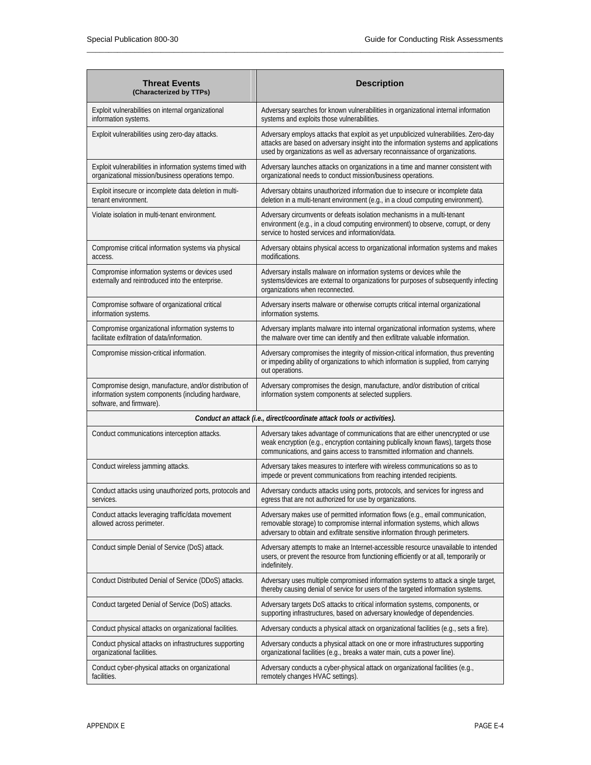| <b>Threat Events</b><br>(Characterized by TTPs)                                                                                          | <b>Description</b>                                                                                                                                                                                                                                          |
|------------------------------------------------------------------------------------------------------------------------------------------|-------------------------------------------------------------------------------------------------------------------------------------------------------------------------------------------------------------------------------------------------------------|
| Exploit vulnerabilities on internal organizational<br>information systems.                                                               | Adversary searches for known vulnerabilities in organizational internal information<br>systems and exploits those vulnerabilities.                                                                                                                          |
| Exploit vulnerabilities using zero-day attacks.                                                                                          | Adversary employs attacks that exploit as yet unpublicized vulnerabilities. Zero-day<br>attacks are based on adversary insight into the information systems and applications<br>used by organizations as well as adversary reconnaissance of organizations. |
| Exploit vulnerabilities in information systems timed with<br>organizational mission/business operations tempo.                           | Adversary launches attacks on organizations in a time and manner consistent with<br>organizational needs to conduct mission/business operations.                                                                                                            |
| Exploit insecure or incomplete data deletion in multi-<br>tenant environment.                                                            | Adversary obtains unauthorized information due to insecure or incomplete data<br>deletion in a multi-tenant environment (e.g., in a cloud computing environment).                                                                                           |
| Violate isolation in multi-tenant environment.                                                                                           | Adversary circumvents or defeats isolation mechanisms in a multi-tenant<br>environment (e.g., in a cloud computing environment) to observe, corrupt, or deny<br>service to hosted services and information/data.                                            |
| Compromise critical information systems via physical<br>access.                                                                          | Adversary obtains physical access to organizational information systems and makes<br>modifications.                                                                                                                                                         |
| Compromise information systems or devices used<br>externally and reintroduced into the enterprise.                                       | Adversary installs malware on information systems or devices while the<br>systems/devices are external to organizations for purposes of subsequently infecting<br>organizations when reconnected.                                                           |
| Compromise software of organizational critical<br>information systems.                                                                   | Adversary inserts malware or otherwise corrupts critical internal organizational<br>information systems.                                                                                                                                                    |
| Compromise organizational information systems to<br>facilitate exfiltration of data/information.                                         | Adversary implants malware into internal organizational information systems, where<br>the malware over time can identify and then exfiltrate valuable information.                                                                                          |
| Compromise mission-critical information.                                                                                                 | Adversary compromises the integrity of mission-critical information, thus preventing<br>or impeding ability of organizations to which information is supplied, from carrying<br>out operations.                                                             |
| Compromise design, manufacture, and/or distribution of<br>information system components (including hardware,<br>software, and firmware). | Adversary compromises the design, manufacture, and/or distribution of critical<br>information system components at selected suppliers.                                                                                                                      |
| Conduct an attack (i.e., direct/coordinate attack tools or activities).                                                                  |                                                                                                                                                                                                                                                             |
| Conduct communications interception attacks.                                                                                             | Adversary takes advantage of communications that are either unencrypted or use<br>weak encryption (e.g., encryption containing publically known flaws), targets those<br>communications, and gains access to transmitted information and channels.          |
| Conduct wireless jamming attacks.                                                                                                        | Adversary takes measures to interfere with wireless communications so as to<br>impede or prevent communications from reaching intended recipients.                                                                                                          |
| Conduct attacks using unauthorized ports, protocols and<br>services.                                                                     | Adversary conducts attacks using ports, protocols, and services for ingress and<br>egress that are not authorized for use by organizations.                                                                                                                 |
| Conduct attacks leveraging traffic/data movement<br>allowed across perimeter.                                                            | Adversary makes use of permitted information flows (e.g., email communication,<br>removable storage) to compromise internal information systems, which allows<br>adversary to obtain and exfiltrate sensitive information through perimeters.               |
| Conduct simple Denial of Service (DoS) attack.                                                                                           | Adversary attempts to make an Internet-accessible resource unavailable to intended<br>users, or prevent the resource from functioning efficiently or at all, temporarily or<br>indefinitely.                                                                |
| Conduct Distributed Denial of Service (DDoS) attacks.                                                                                    | Adversary uses multiple compromised information systems to attack a single target,<br>thereby causing denial of service for users of the targeted information systems.                                                                                      |
| Conduct targeted Denial of Service (DoS) attacks.                                                                                        | Adversary targets DoS attacks to critical information systems, components, or<br>supporting infrastructures, based on adversary knowledge of dependencies.                                                                                                  |
| Conduct physical attacks on organizational facilities.                                                                                   | Adversary conducts a physical attack on organizational facilities (e.g., sets a fire).                                                                                                                                                                      |
| Conduct physical attacks on infrastructures supporting<br>organizational facilities.                                                     | Adversary conducts a physical attack on one or more infrastructures supporting<br>organizational facilities (e.g., breaks a water main, cuts a power line).                                                                                                 |
| Conduct cyber-physical attacks on organizational<br>facilities.                                                                          | Adversary conducts a cyber-physical attack on organizational facilities (e.g.,<br>remotely changes HVAC settings).                                                                                                                                          |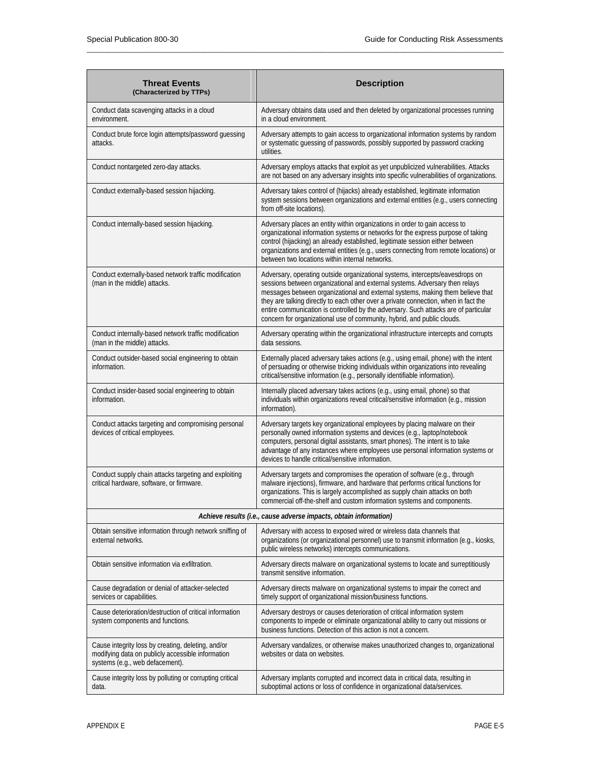| <b>Threat Events</b><br>(Characterized by TTPs)                                                                                            | <b>Description</b>                                                                                                                                                                                                                                                                                                                                                                                                                                                                                      |  |  |  |
|--------------------------------------------------------------------------------------------------------------------------------------------|---------------------------------------------------------------------------------------------------------------------------------------------------------------------------------------------------------------------------------------------------------------------------------------------------------------------------------------------------------------------------------------------------------------------------------------------------------------------------------------------------------|--|--|--|
| Conduct data scavenging attacks in a cloud<br>environment.                                                                                 | Adversary obtains data used and then deleted by organizational processes running<br>in a cloud environment.                                                                                                                                                                                                                                                                                                                                                                                             |  |  |  |
| Conduct brute force login attempts/password quessing<br>attacks.                                                                           | Adversary attempts to gain access to organizational information systems by random<br>or systematic guessing of passwords, possibly supported by password cracking<br>utilities.                                                                                                                                                                                                                                                                                                                         |  |  |  |
| Conduct nontargeted zero-day attacks.                                                                                                      | Adversary employs attacks that exploit as yet unpublicized vulnerabilities. Attacks<br>are not based on any adversary insights into specific vulnerabilities of organizations.                                                                                                                                                                                                                                                                                                                          |  |  |  |
| Conduct externally-based session hijacking.                                                                                                | Adversary takes control of (hijacks) already established, legitimate information<br>system sessions between organizations and external entities (e.g., users connecting<br>from off-site locations).                                                                                                                                                                                                                                                                                                    |  |  |  |
| Conduct internally-based session hijacking.                                                                                                | Adversary places an entity within organizations in order to gain access to<br>organizational information systems or networks for the express purpose of taking<br>control (hijacking) an already established, legitimate session either between<br>organizations and external entities (e.g., users connecting from remote locations) or<br>between two locations within internal networks.                                                                                                             |  |  |  |
| Conduct externally-based network traffic modification<br>(man in the middle) attacks.                                                      | Adversary, operating outside organizational systems, intercepts/eavesdrops on<br>sessions between organizational and external systems. Adversary then relays<br>messages between organizational and external systems, making them believe that<br>they are talking directly to each other over a private connection, when in fact the<br>entire communication is controlled by the adversary. Such attacks are of particular<br>concern for organizational use of community, hybrid, and public clouds. |  |  |  |
| Conduct internally-based network traffic modification<br>(man in the middle) attacks.                                                      | Adversary operating within the organizational infrastructure intercepts and corrupts<br>data sessions.                                                                                                                                                                                                                                                                                                                                                                                                  |  |  |  |
| Conduct outsider-based social engineering to obtain<br>information.                                                                        | Externally placed adversary takes actions (e.g., using email, phone) with the intent<br>of persuading or otherwise tricking individuals within organizations into revealing<br>critical/sensitive information (e.g., personally identifiable information).                                                                                                                                                                                                                                              |  |  |  |
| Conduct insider-based social engineering to obtain<br>information.                                                                         | Internally placed adversary takes actions (e.g., using email, phone) so that<br>individuals within organizations reveal critical/sensitive information (e.g., mission<br>information).                                                                                                                                                                                                                                                                                                                  |  |  |  |
| Conduct attacks targeting and compromising personal<br>devices of critical employees.                                                      | Adversary targets key organizational employees by placing malware on their<br>personally owned information systems and devices (e.g., laptop/notebook<br>computers, personal digital assistants, smart phones). The intent is to take<br>advantage of any instances where employees use personal information systems or<br>devices to handle critical/sensitive information.                                                                                                                            |  |  |  |
| Conduct supply chain attacks targeting and exploiting<br>critical hardware, software, or firmware.                                         | Adversary targets and compromises the operation of software (e.g., through<br>malware injections), firmware, and hardware that performs critical functions for<br>organizations. This is largely accomplished as supply chain attacks on both<br>commercial off-the-shelf and custom information systems and components.                                                                                                                                                                                |  |  |  |
| Achieve results (i.e., cause adverse impacts, obtain information)                                                                          |                                                                                                                                                                                                                                                                                                                                                                                                                                                                                                         |  |  |  |
| Obtain sensitive information through network sniffing of<br>external networks.                                                             | Adversary with access to exposed wired or wireless data channels that<br>organizations (or organizational personnel) use to transmit information (e.g., kiosks,<br>public wireless networks) intercepts communications.                                                                                                                                                                                                                                                                                 |  |  |  |
| Obtain sensitive information via exfiltration.                                                                                             | Adversary directs malware on organizational systems to locate and surreptitiously<br>transmit sensitive information.                                                                                                                                                                                                                                                                                                                                                                                    |  |  |  |
| Cause degradation or denial of attacker-selected<br>services or capabilities.                                                              | Adversary directs malware on organizational systems to impair the correct and<br>timely support of organizational mission/business functions.                                                                                                                                                                                                                                                                                                                                                           |  |  |  |
| Cause deterioration/destruction of critical information<br>system components and functions.                                                | Adversary destroys or causes deterioration of critical information system<br>components to impede or eliminate organizational ability to carry out missions or<br>business functions. Detection of this action is not a concern.                                                                                                                                                                                                                                                                        |  |  |  |
| Cause integrity loss by creating, deleting, and/or<br>modifying data on publicly accessible information<br>systems (e.g., web defacement). | Adversary vandalizes, or otherwise makes unauthorized changes to, organizational<br>websites or data on websites.                                                                                                                                                                                                                                                                                                                                                                                       |  |  |  |
| Cause integrity loss by polluting or corrupting critical<br>data.                                                                          | Adversary implants corrupted and incorrect data in critical data, resulting in<br>suboptimal actions or loss of confidence in organizational data/services.                                                                                                                                                                                                                                                                                                                                             |  |  |  |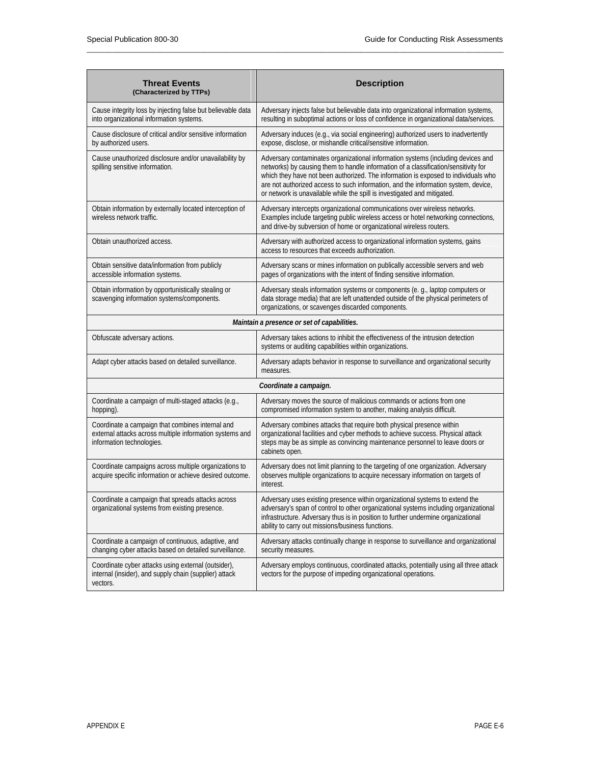| <b>Threat Events</b><br>(Characterized by TTPs)                                                                                           | <b>Description</b>                                                                                                                                                                                                                                                                                                                                                                                                              |  |
|-------------------------------------------------------------------------------------------------------------------------------------------|---------------------------------------------------------------------------------------------------------------------------------------------------------------------------------------------------------------------------------------------------------------------------------------------------------------------------------------------------------------------------------------------------------------------------------|--|
| Cause integrity loss by injecting false but believable data<br>into organizational information systems.                                   | Adversary injects false but believable data into organizational information systems,<br>resulting in suboptimal actions or loss of confidence in organizational data/services.                                                                                                                                                                                                                                                  |  |
| Cause disclosure of critical and/or sensitive information<br>by authorized users.                                                         | Adversary induces (e.g., via social engineering) authorized users to inadvertently<br>expose, disclose, or mishandle critical/sensitive information.                                                                                                                                                                                                                                                                            |  |
| Cause unauthorized disclosure and/or unavailability by<br>spilling sensitive information.                                                 | Adversary contaminates organizational information systems (including devices and<br>networks) by causing them to handle information of a classification/sensitivity for<br>which they have not been authorized. The information is exposed to individuals who<br>are not authorized access to such information, and the information system, device,<br>or network is unavailable while the spill is investigated and mitigated. |  |
| Obtain information by externally located interception of<br>wireless network traffic.                                                     | Adversary intercepts organizational communications over wireless networks.<br>Examples include targeting public wireless access or hotel networking connections,<br>and drive-by subversion of home or organizational wireless routers.                                                                                                                                                                                         |  |
| Obtain unauthorized access.                                                                                                               | Adversary with authorized access to organizational information systems, gains<br>access to resources that exceeds authorization.                                                                                                                                                                                                                                                                                                |  |
| Obtain sensitive data/information from publicly<br>accessible information systems.                                                        | Adversary scans or mines information on publically accessible servers and web<br>pages of organizations with the intent of finding sensitive information.                                                                                                                                                                                                                                                                       |  |
| Obtain information by opportunistically stealing or<br>scavenging information systems/components.                                         | Adversary steals information systems or components (e. g., laptop computers or<br>data storage media) that are left unattended outside of the physical perimeters of<br>organizations, or scavenges discarded components.                                                                                                                                                                                                       |  |
|                                                                                                                                           | Maintain a presence or set of capabilities.                                                                                                                                                                                                                                                                                                                                                                                     |  |
| Obfuscate adversary actions.                                                                                                              | Adversary takes actions to inhibit the effectiveness of the intrusion detection<br>systems or auditing capabilities within organizations.                                                                                                                                                                                                                                                                                       |  |
| Adapt cyber attacks based on detailed surveillance.                                                                                       | Adversary adapts behavior in response to surveillance and organizational security<br>measures.                                                                                                                                                                                                                                                                                                                                  |  |
|                                                                                                                                           | Coordinate a campaign.                                                                                                                                                                                                                                                                                                                                                                                                          |  |
| Coordinate a campaign of multi-staged attacks (e.g.,<br>hopping).                                                                         | Adversary moves the source of malicious commands or actions from one<br>compromised information system to another, making analysis difficult.                                                                                                                                                                                                                                                                                   |  |
| Coordinate a campaign that combines internal and<br>external attacks across multiple information systems and<br>information technologies. | Adversary combines attacks that require both physical presence within<br>organizational facilities and cyber methods to achieve success. Physical attack<br>steps may be as simple as convincing maintenance personnel to leave doors or<br>cabinets open.                                                                                                                                                                      |  |
| Coordinate campaigns across multiple organizations to<br>acquire specific information or achieve desired outcome.                         | Adversary does not limit planning to the targeting of one organization. Adversary<br>observes multiple organizations to acquire necessary information on targets of<br>interest.                                                                                                                                                                                                                                                |  |
| Coordinate a campaign that spreads attacks across<br>organizational systems from existing presence.                                       | Adversary uses existing presence within organizational systems to extend the<br>adversary's span of control to other organizational systems including organizational<br>infrastructure. Adversary thus is in position to further undermine organizational<br>ability to carry out missions/business functions.                                                                                                                  |  |
| Coordinate a campaign of continuous, adaptive, and<br>changing cyber attacks based on detailed surveillance.                              | Adversary attacks continually change in response to surveillance and organizational<br>security measures.                                                                                                                                                                                                                                                                                                                       |  |
| Coordinate cyber attacks using external (outsider),<br>internal (insider), and supply chain (supplier) attack<br>vectors.                 | Adversary employs continuous, coordinated attacks, potentially using all three attack<br>vectors for the purpose of impeding organizational operations.                                                                                                                                                                                                                                                                         |  |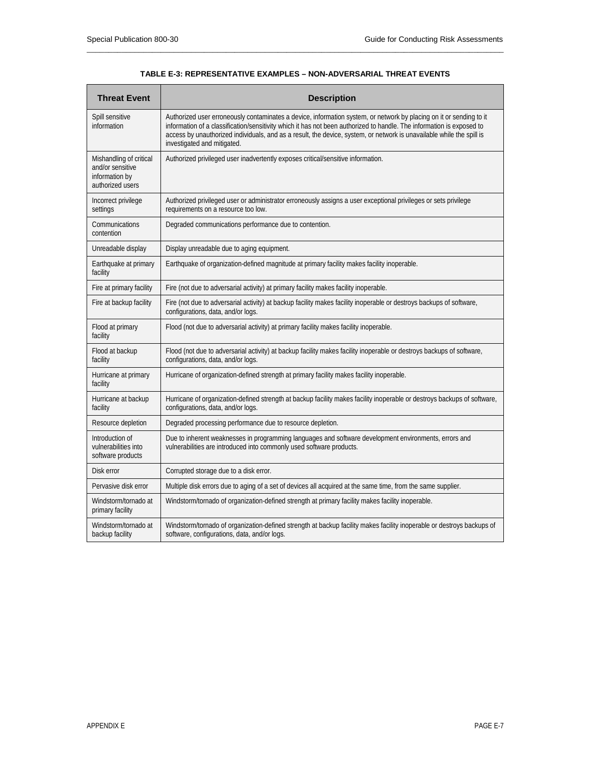| <b>Threat Event</b>                                                               | <b>Description</b>                                                                                                                                                                                                                                                                                                                                                                                   |
|-----------------------------------------------------------------------------------|------------------------------------------------------------------------------------------------------------------------------------------------------------------------------------------------------------------------------------------------------------------------------------------------------------------------------------------------------------------------------------------------------|
| Spill sensitive<br>information                                                    | Authorized user erroneously contaminates a device, information system, or network by placing on it or sending to it<br>information of a classification/sensitivity which it has not been authorized to handle. The information is exposed to<br>access by unauthorized individuals, and as a result, the device, system, or network is unavailable while the spill is<br>investigated and mitigated. |
| Mishandling of critical<br>and/or sensitive<br>information by<br>authorized users | Authorized privileged user inadvertently exposes critical/sensitive information.                                                                                                                                                                                                                                                                                                                     |
| Incorrect privilege<br>settings                                                   | Authorized privileged user or administrator erroneously assigns a user exceptional privileges or sets privilege<br>requirements on a resource too low.                                                                                                                                                                                                                                               |
| Communications<br>contention                                                      | Degraded communications performance due to contention.                                                                                                                                                                                                                                                                                                                                               |
| Unreadable display                                                                | Display unreadable due to aging equipment.                                                                                                                                                                                                                                                                                                                                                           |
| Earthquake at primary<br>facility                                                 | Earthquake of organization-defined magnitude at primary facility makes facility inoperable.                                                                                                                                                                                                                                                                                                          |
| Fire at primary facility                                                          | Fire (not due to adversarial activity) at primary facility makes facility inoperable.                                                                                                                                                                                                                                                                                                                |
| Fire at backup facility                                                           | Fire (not due to adversarial activity) at backup facility makes facility inoperable or destroys backups of software,<br>configurations, data, and/or logs.                                                                                                                                                                                                                                           |
| Flood at primary<br>facility                                                      | Flood (not due to adversarial activity) at primary facility makes facility inoperable.                                                                                                                                                                                                                                                                                                               |
| Flood at backup<br>facility                                                       | Flood (not due to adversarial activity) at backup facility makes facility inoperable or destroys backups of software,<br>configurations, data, and/or logs.                                                                                                                                                                                                                                          |
| Hurricane at primary<br>facility                                                  | Hurricane of organization-defined strength at primary facility makes facility inoperable.                                                                                                                                                                                                                                                                                                            |
| Hurricane at backup<br>facility                                                   | Hurricane of organization-defined strength at backup facility makes facility inoperable or destroys backups of software,<br>configurations, data, and/or logs.                                                                                                                                                                                                                                       |
| Resource depletion                                                                | Degraded processing performance due to resource depletion.                                                                                                                                                                                                                                                                                                                                           |
| Introduction of<br>vulnerabilities into<br>software products                      | Due to inherent weaknesses in programming languages and software development environments, errors and<br>vulnerabilities are introduced into commonly used software products.                                                                                                                                                                                                                        |
| Disk error                                                                        | Corrupted storage due to a disk error.                                                                                                                                                                                                                                                                                                                                                               |
| Pervasive disk error                                                              | Multiple disk errors due to aging of a set of devices all acquired at the same time, from the same supplier.                                                                                                                                                                                                                                                                                         |
| Windstorm/tornado at<br>primary facility                                          | Windstorm/tornado of organization-defined strength at primary facility makes facility inoperable.                                                                                                                                                                                                                                                                                                    |
| Windstorm/tornado at<br>backup facility                                           | Windstorm/tornado of organization-defined strength at backup facility makes facility inoperable or destroys backups of<br>software, configurations, data, and/or logs.                                                                                                                                                                                                                               |

#### **TABLE E-3: REPRESENTATIVE EXAMPLES – NON-ADVERSARIAL THREAT EVENTS**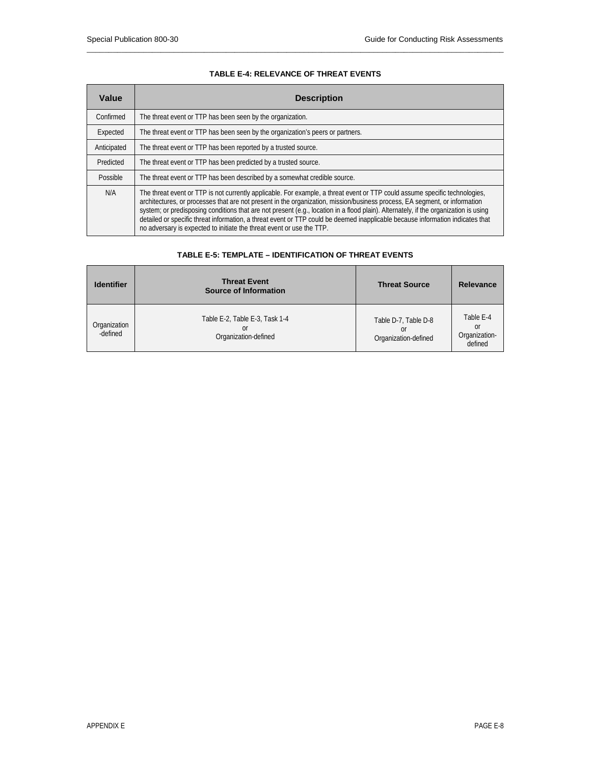#### **TABLE E-4: RELEVANCE OF THREAT EVENTS**

\_\_\_\_\_\_\_\_\_\_\_\_\_\_\_\_\_\_\_\_\_\_\_\_\_\_\_\_\_\_\_\_\_\_\_\_\_\_\_\_\_\_\_\_\_\_\_\_\_\_\_\_\_\_\_\_\_\_\_\_\_\_\_\_\_\_\_\_\_\_\_\_\_\_\_\_\_\_\_\_\_\_\_\_\_\_\_\_\_\_\_\_\_\_\_\_

| Value       | <b>Description</b>                                                                                                                                                                                                                                                                                                                                                                                                                                                                                                                                                                                           |
|-------------|--------------------------------------------------------------------------------------------------------------------------------------------------------------------------------------------------------------------------------------------------------------------------------------------------------------------------------------------------------------------------------------------------------------------------------------------------------------------------------------------------------------------------------------------------------------------------------------------------------------|
| Confirmed   | The threat event or TTP has been seen by the organization.                                                                                                                                                                                                                                                                                                                                                                                                                                                                                                                                                   |
| Expected    | The threat event or TTP has been seen by the organization's peers or partners.                                                                                                                                                                                                                                                                                                                                                                                                                                                                                                                               |
| Anticipated | The threat event or TTP has been reported by a trusted source.                                                                                                                                                                                                                                                                                                                                                                                                                                                                                                                                               |
| Predicted   | The threat event or TTP has been predicted by a trusted source.                                                                                                                                                                                                                                                                                                                                                                                                                                                                                                                                              |
| Possible    | The threat event or TTP has been described by a somewhat credible source.                                                                                                                                                                                                                                                                                                                                                                                                                                                                                                                                    |
| N/A         | The threat event or TTP is not currently applicable. For example, a threat event or TTP could assume specific technologies,<br>architectures, or processes that are not present in the organization, mission/business process, EA segment, or information<br>system; or predisposing conditions that are not present (e.g., location in a flood plain). Alternately, if the organization is using<br>detailed or specific threat information, a threat event or TTP could be deemed inapplicable because information indicates that<br>no adversary is expected to initiate the threat event or use the TTP. |

#### **TABLE E-5: TEMPLATE – IDENTIFICATION OF THREAT EVENTS**

| <b>Identifier</b>        | <b>Threat Event</b><br>Source of Information                       | <b>Threat Source</b>                               | Relevance                                              |
|--------------------------|--------------------------------------------------------------------|----------------------------------------------------|--------------------------------------------------------|
| Organization<br>-defined | Table E-2, Table E-3, Task 1-4<br>$\alpha$<br>Organization-defined | Table D-7, Table D-8<br>Ωľ<br>Organization-defined | Table E-4<br><sub>Or</sub><br>Organization-<br>defined |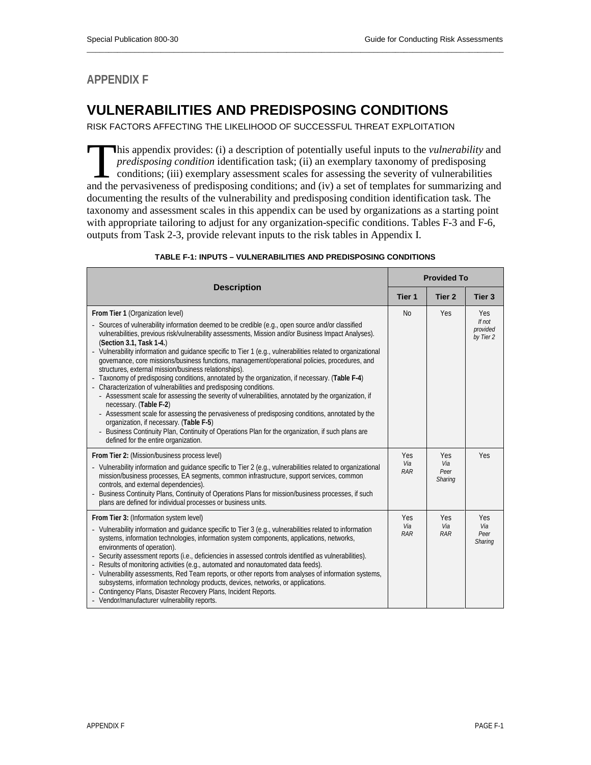## **APPENDIX F**

# **VULNERABILITIES AND PREDISPOSING CONDITIONS**

RISK FACTORS AFFECTING THE LIKELIHOOD OF SUCCESSFUL THREAT EXPLOITATION

his appendix provides: (i) a description of potentially useful inputs to the *vulnerability* and *predisposing condition* identification task; (ii) an exemplary taxonomy of predisposing conditions; (iii) exemplary assessment scales for assessing the severity of vulnerabilities This appendix provides: (i) a description of potentially useful inputs to the *vulnerability* and *predisposing condition* identification task; (ii) an exemplary taxonomy of predisposing conditions; (iii) exemplary assessm documenting the results of the vulnerability and predisposing condition identification task. The taxonomy and assessment scales in this appendix can be used by organizations as a starting point with appropriate tailoring to adjust for any organization-specific conditions. Tables F-3 and F-6, outputs from Task 2-3, provide relevant inputs to the risk tables in Appendix I.

\_\_\_\_\_\_\_\_\_\_\_\_\_\_\_\_\_\_\_\_\_\_\_\_\_\_\_\_\_\_\_\_\_\_\_\_\_\_\_\_\_\_\_\_\_\_\_\_\_\_\_\_\_\_\_\_\_\_\_\_\_\_\_\_\_\_\_\_\_\_\_\_\_\_\_\_\_\_\_\_\_\_\_\_\_\_\_\_\_\_\_\_\_\_\_\_

| <b>Description</b>                                                                                                                                                                                                                                                                                                                                                                                                                                                                                                                                                                                                                                                                                                                                                                                                                                                                                                                                                                                                                                                                                                                               |                          | <b>Provided To</b>            |                                               |  |
|--------------------------------------------------------------------------------------------------------------------------------------------------------------------------------------------------------------------------------------------------------------------------------------------------------------------------------------------------------------------------------------------------------------------------------------------------------------------------------------------------------------------------------------------------------------------------------------------------------------------------------------------------------------------------------------------------------------------------------------------------------------------------------------------------------------------------------------------------------------------------------------------------------------------------------------------------------------------------------------------------------------------------------------------------------------------------------------------------------------------------------------------------|--------------------------|-------------------------------|-----------------------------------------------|--|
|                                                                                                                                                                                                                                                                                                                                                                                                                                                                                                                                                                                                                                                                                                                                                                                                                                                                                                                                                                                                                                                                                                                                                  |                          | Tier <sub>2</sub>             | Tier <sub>3</sub>                             |  |
| From Tier 1 (Organization level)<br>- Sources of vulnerability information deemed to be credible (e.g., open source and/or classified<br>vulnerabilities, previous risk/vulnerability assessments, Mission and/or Business Impact Analyses).<br>(Section 3.1, Task 1-4.)<br>Vulnerability information and guidance specific to Tier 1 (e.g., vulnerabilities related to organizational<br>governance, core missions/business functions, management/operational policies, procedures, and<br>structures, external mission/business relationships).<br>Taxonomy of predisposing conditions, annotated by the organization, if necessary. (Table F-4)<br>- Characterization of vulnerabilities and predisposing conditions.<br>- Assessment scale for assessing the severity of vulnerabilities, annotated by the organization, if<br>necessary. (Table F-2)<br>Assessment scale for assessing the pervasiveness of predisposing conditions, annotated by the<br>organization, if necessary. (Table F-5)<br>Business Continuity Plan, Continuity of Operations Plan for the organization, if such plans are<br>defined for the entire organization. | <b>No</b>                | Yes                           | <b>Yes</b><br>If not<br>provided<br>by Tier 2 |  |
| From Tier 2: (Mission/business process level)<br>- Vulnerability information and guidance specific to Tier 2 (e.g., vulnerabilities related to organizational<br>mission/business processes, EA segments, common infrastructure, support services, common<br>controls, and external dependencies).<br>Business Continuity Plans, Continuity of Operations Plans for mission/business processes, if such<br>plans are defined for individual processes or business units.                                                                                                                                                                                                                                                                                                                                                                                                                                                                                                                                                                                                                                                                         | Yes<br>Via<br><b>RAR</b> | Yes<br>Via<br>Peer<br>Sharing | Yes                                           |  |
| From Tier 3: (Information system level)<br>- Vulnerability information and quidance specific to Tier 3 (e.g., vulnerabilities related to information<br>systems, information technologies, information system components, applications, networks,<br>environments of operation).<br>- Security assessment reports (i.e., deficiencies in assessed controls identified as vulnerabilities).<br>- Results of monitoring activities (e.g., automated and nonautomated data feeds).<br>- Vulnerability assessments, Red Team reports, or other reports from analyses of information systems,<br>subsystems, information technology products, devices, networks, or applications.<br>- Contingency Plans, Disaster Recovery Plans, Incident Reports.<br>- Vendor/manufacturer vulnerability reports.                                                                                                                                                                                                                                                                                                                                                  | Yes<br>Via<br><b>RAR</b> | Yes<br>Via<br><b>RAR</b>      | Yes<br>Via<br>Peer<br>Sharing                 |  |

### **TABLE F-1: INPUTS – VULNERABILITIES AND PREDISPOSING CONDITIONS**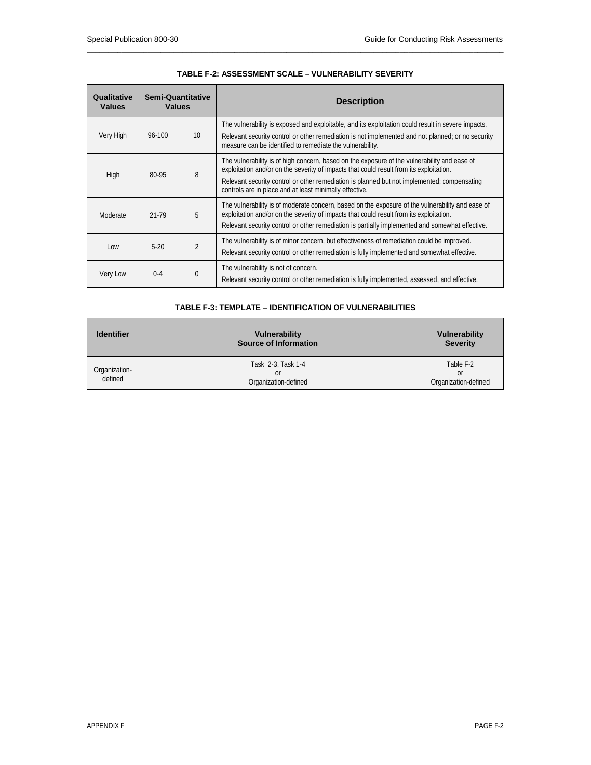| Qualitative<br>Semi-Quantitative<br><b>Values</b><br><b>Values</b> |           |                | <b>Description</b>                                                                                                                                                                                                                                                                                                                                |
|--------------------------------------------------------------------|-----------|----------------|---------------------------------------------------------------------------------------------------------------------------------------------------------------------------------------------------------------------------------------------------------------------------------------------------------------------------------------------------|
| Very High                                                          | 96-100    | 10             | The vulnerability is exposed and exploitable, and its exploitation could result in severe impacts.<br>Relevant security control or other remediation is not implemented and not planned; or no security<br>measure can be identified to remediate the vulnerability.                                                                              |
| High                                                               | 80-95     | 8              | The vulnerability is of high concern, based on the exposure of the vulnerability and ease of<br>exploitation and/or on the severity of impacts that could result from its exploitation.<br>Relevant security control or other remediation is planned but not implemented; compensating<br>controls are in place and at least minimally effective. |
| Moderate                                                           | $21 - 79$ | 5              | The vulnerability is of moderate concern, based on the exposure of the vulnerability and ease of<br>exploitation and/or on the severity of impacts that could result from its exploitation.<br>Relevant security control or other remediation is partially implemented and somewhat effective.                                                    |
| Low                                                                | $5-20$    | $\mathfrak{D}$ | The vulnerability is of minor concern, but effectiveness of remediation could be improved.<br>Relevant security control or other remediation is fully implemented and somewhat effective.                                                                                                                                                         |
| Very Low                                                           | $0 - 4$   |                | The vulnerability is not of concern.<br>Relevant security control or other remediation is fully implemented, assessed, and effective.                                                                                                                                                                                                             |

#### **TABLE F-2: ASSESSMENT SCALE – VULNERABILITY SEVERITY**

\_\_\_\_\_\_\_\_\_\_\_\_\_\_\_\_\_\_\_\_\_\_\_\_\_\_\_\_\_\_\_\_\_\_\_\_\_\_\_\_\_\_\_\_\_\_\_\_\_\_\_\_\_\_\_\_\_\_\_\_\_\_\_\_\_\_\_\_\_\_\_\_\_\_\_\_\_\_\_\_\_\_\_\_\_\_\_\_\_\_\_\_\_\_\_\_

#### **TABLE F-3: TEMPLATE – IDENTIFICATION OF VULNERABILITIES**

| <b>Identifier</b>        | <b>Vulnerability</b><br><b>Source of Information</b> | Vulnerability<br><b>Severity</b>        |
|--------------------------|------------------------------------------------------|-----------------------------------------|
| Organization-<br>defined | Task 2-3, Task 1-4<br>or<br>Organization-defined     | Table F-2<br>or<br>Organization-defined |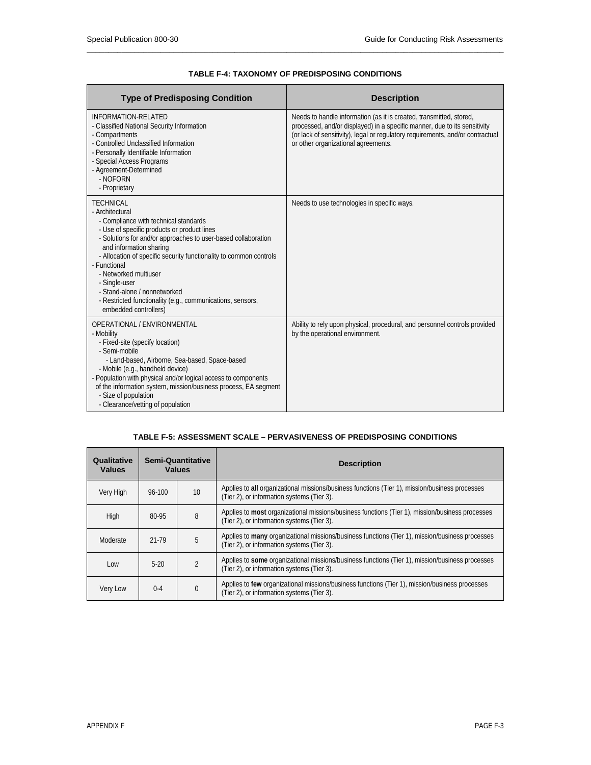| <b>Type of Predisposing Condition</b>                                                                                                                                                                                                                                                                                                                                                                                                                                          | <b>Description</b>                                                                                                                                                                                                                                                        |
|--------------------------------------------------------------------------------------------------------------------------------------------------------------------------------------------------------------------------------------------------------------------------------------------------------------------------------------------------------------------------------------------------------------------------------------------------------------------------------|---------------------------------------------------------------------------------------------------------------------------------------------------------------------------------------------------------------------------------------------------------------------------|
| INFORMATION-RELATED<br>- Classified National Security Information<br>- Compartments<br>- Controlled Unclassified Information<br>- Personally Identifiable Information<br>- Special Access Programs<br>- Agreement-Determined<br>- NOFORN<br>- Proprietary                                                                                                                                                                                                                      | Needs to handle information (as it is created, transmitted, stored,<br>processed, and/or displayed) in a specific manner, due to its sensitivity<br>(or lack of sensitivity), legal or regulatory requirements, and/or contractual<br>or other organizational agreements. |
| <b>TECHNICAL</b><br>- Architectural<br>- Compliance with technical standards<br>- Use of specific products or product lines<br>- Solutions for and/or approaches to user-based collaboration<br>and information sharing<br>- Allocation of specific security functionality to common controls<br>- Functional<br>- Networked multiuser<br>- Single-user<br>- Stand-alone / nonnetworked<br>- Restricted functionality (e.g., communications, sensors,<br>embedded controllers) | Needs to use technologies in specific ways.                                                                                                                                                                                                                               |
| OPERATIONAL / ENVIRONMENTAL<br>- Mobility<br>- Fixed-site (specify location)<br>- Semi-mobile<br>- Land-based, Airborne, Sea-based, Space-based<br>- Mobile (e.g., handheld device)<br>- Population with physical and/or logical access to components<br>of the information system, mission/business process, EA segment<br>- Size of population<br>- Clearance/vetting of population                                                                                          | Ability to rely upon physical, procedural, and personnel controls provided<br>by the operational environment.                                                                                                                                                             |

#### **TABLE F-4: TAXONOMY OF PREDISPOSING CONDITIONS**

| TABLE F-5: ASSESSMENT SCALE – PERVASIVENESS OF PREDISPOSING CONDITIONS |
|------------------------------------------------------------------------|
|                                                                        |

| Qualitative<br>Semi-Quantitative<br><b>Values</b><br><b>Values</b> |         |          | <b>Description</b>                                                                                                                            |
|--------------------------------------------------------------------|---------|----------|-----------------------------------------------------------------------------------------------------------------------------------------------|
| Very High                                                          | 96-100  | 10       | Applies to all organizational missions/business functions (Tier 1), mission/business processes<br>(Tier 2), or information systems (Tier 3).  |
| High                                                               | 80-95   | 8        | Applies to most organizational missions/business functions (Tier 1), mission/business processes<br>(Tier 2), or information systems (Tier 3). |
| Moderate                                                           | 21-79   | 5        | Applies to many organizational missions/business functions (Tier 1), mission/business processes<br>(Tier 2), or information systems (Tier 3). |
| Low                                                                | $5-20$  |          | Applies to some organizational missions/business functions (Tier 1), mission/business processes<br>(Tier 2), or information systems (Tier 3). |
| Very Low                                                           | $0 - 4$ | $\Omega$ | Applies to few organizational missions/business functions (Tier 1), mission/business processes<br>(Tier 2), or information systems (Tier 3).  |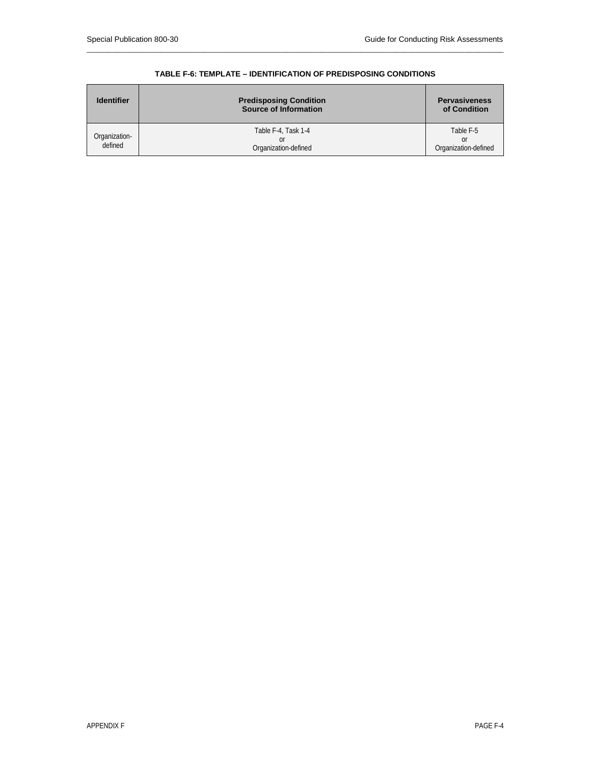| <b>Identifier</b>        | <b>Predisposing Condition</b><br><b>Source of Information</b> | <b>Pervasiveness</b><br>of Condition    |
|--------------------------|---------------------------------------------------------------|-----------------------------------------|
| Organization-<br>defined | Table F-4, Task 1-4<br>or<br>Organization-defined             | Table F-5<br>or<br>Organization-defined |

#### **TABLE F-6: TEMPLATE – IDENTIFICATION OF PREDISPOSING CONDITIONS**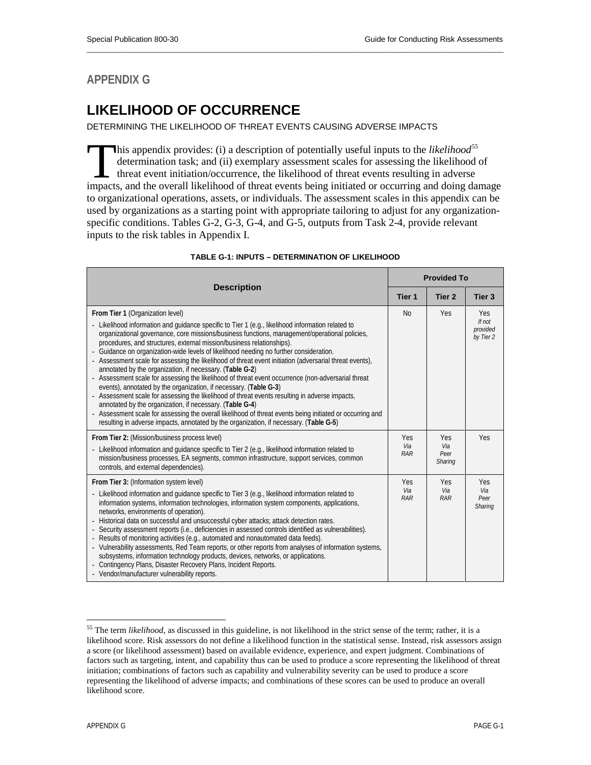## **APPENDIX G**

# **LIKELIHOOD OF OCCURRENCE**

DETERMINING THE LIKELIHOOD OF THREAT EVENTS CAUSING ADVERSE IMPACTS

his appendix provides: (i) a description of potentially useful inputs to the *likelihood*[55](#page-80-0) determination task; and (ii) exemplary assessment scales for assessing the likelihood of threat event initiation/occurrence, the likelihood of threat events resulting in adverse his appendix provides: (i) a description of potentially useful inputs to the *likelihood*<sup>55</sup> determination task; and (ii) exemplary assessment scales for assessing the likelihood of threat event initiation/occurrence, the to organizational operations, assets, or individuals. The assessment scales in this appendix can be used by organizations as a starting point with appropriate tailoring to adjust for any organizationspecific conditions. Tables G-2, G-3, G-4, and G-5, outputs from Task 2-4, provide relevant inputs to the risk tables in Appendix I.

\_\_\_\_\_\_\_\_\_\_\_\_\_\_\_\_\_\_\_\_\_\_\_\_\_\_\_\_\_\_\_\_\_\_\_\_\_\_\_\_\_\_\_\_\_\_\_\_\_\_\_\_\_\_\_\_\_\_\_\_\_\_\_\_\_\_\_\_\_\_\_\_\_\_\_\_\_\_\_\_\_\_\_\_\_\_\_\_\_\_\_\_\_\_\_\_

|                                                                                                                                                                                                                                                                                                                                                                                                                                                                                                                                                                                                                                                                                                                                                                                                                                                                                                                                                                                                                                                                                                                                                          |                                 | <b>Provided To</b>                   |                                               |  |
|----------------------------------------------------------------------------------------------------------------------------------------------------------------------------------------------------------------------------------------------------------------------------------------------------------------------------------------------------------------------------------------------------------------------------------------------------------------------------------------------------------------------------------------------------------------------------------------------------------------------------------------------------------------------------------------------------------------------------------------------------------------------------------------------------------------------------------------------------------------------------------------------------------------------------------------------------------------------------------------------------------------------------------------------------------------------------------------------------------------------------------------------------------|---------------------------------|--------------------------------------|-----------------------------------------------|--|
| <b>Description</b>                                                                                                                                                                                                                                                                                                                                                                                                                                                                                                                                                                                                                                                                                                                                                                                                                                                                                                                                                                                                                                                                                                                                       | Tier 1                          | Tier <sub>2</sub>                    | Tier 3                                        |  |
| From Tier 1 (Organization level)<br>Likelihood information and quidance specific to Tier 1 (e.g., likelihood information related to<br>$\overline{\phantom{a}}$<br>organizational governance, core missions/business functions, management/operational policies,<br>procedures, and structures, external mission/business relationships).<br>Guidance on organization-wide levels of likelihood needing no further consideration.<br>- Assessment scale for assessing the likelihood of threat event initiation (adversarial threat events),<br>annotated by the organization, if necessary. (Table G-2)<br>- Assessment scale for assessing the likelihood of threat event occurrence (non-adversarial threat<br>events), annotated by the organization, if necessary. (Table G-3)<br>- Assessment scale for assessing the likelihood of threat events resulting in adverse impacts,<br>annotated by the organization, if necessary. (Table G-4)<br>- Assessment scale for assessing the overall likelihood of threat events being initiated or occurring and<br>resulting in adverse impacts, annotated by the organization, if necessary. (Table G-5) | N <sub>0</sub>                  | <b>Yes</b>                           | <b>Yes</b><br>If not<br>provided<br>by Tier 2 |  |
| From Tier 2: (Mission/business process level)<br>- Likelihood information and guidance specific to Tier 2 (e.g., likelihood information related to<br>mission/business processes, EA segments, common infrastructure, support services, common<br>controls, and external dependencies).                                                                                                                                                                                                                                                                                                                                                                                                                                                                                                                                                                                                                                                                                                                                                                                                                                                                  | Yes<br>Via<br><b>RAR</b>        | <b>Yes</b><br>Via<br>Peer<br>Sharing | Yes                                           |  |
| From Tier 3: (Information system level)<br>- Likelihood information and quidance specific to Tier 3 (e.g., likelihood information related to<br>information systems, information technologies, information system components, applications,<br>networks, environments of operation).<br>Historical data on successful and unsuccessful cyber attacks; attack detection rates.<br>Security assessment reports (i.e., deficiencies in assessed controls identified as vulnerabilities).<br>Results of monitoring activities (e.g., automated and nonautomated data feeds).<br>- Vulnerability assessments, Red Team reports, or other reports from analyses of information systems,<br>subsystems, information technology products, devices, networks, or applications.<br>- Contingency Plans, Disaster Recovery Plans, Incident Reports.<br>- Vendor/manufacturer vulnerability reports.                                                                                                                                                                                                                                                                 | <b>Yes</b><br>Via<br><b>RAR</b> | <b>Yes</b><br>Via<br><b>RAR</b>      | Yes<br>Via<br>Peer<br>Sharing                 |  |

### **TABLE G-1: INPUTS – DETERMINATION OF LIKELIHOOD**

<span id="page-80-0"></span><sup>&</sup>lt;sup>55</sup> The term *likelihood*, as discussed in this guideline, is not likelihood in the strict sense of the term; rather, it is a likelihood score. Risk assessors do not define a likelihood function in the statistical sense. Instead, risk assessors assign a score (or likelihood assessment) based on available evidence, experience, and expert judgment. Combinations of factors such as targeting, intent, and capability thus can be used to produce a score representing the likelihood of threat initiation; combinations of factors such as capability and vulnerability severity can be used to produce a score representing the likelihood of adverse impacts; and combinations of these scores can be used to produce an overall likelihood score.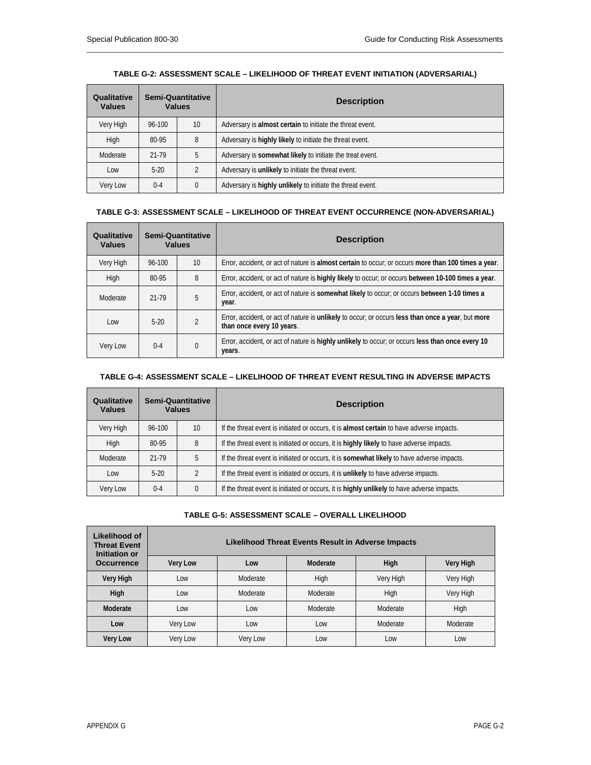| Qualitative<br><b>Values</b> | Semi-Quantitative<br><b>Values</b> |    | <b>Description</b>                                         |
|------------------------------|------------------------------------|----|------------------------------------------------------------|
| Very High                    | 96-100                             | 10 | Adversary is almost certain to initiate the threat event.  |
| High                         | 80-95                              | 8  | Adversary is highly likely to initiate the threat event.   |
| Moderate                     | 21-79                              |    | Adversary is somewhat likely to initiate the treat event.  |
| Low                          | $5-20$                             |    | Adversary is unlikely to initiate the threat event.        |
| Very Low                     | $0 - 4$                            | 0  | Adversary is highly unlikely to initiate the threat event. |

#### **TABLE G-2: ASSESSMENT SCALE – LIKELIHOOD OF THREAT EVENT INITIATION (ADVERSARIAL)**

\_\_\_\_\_\_\_\_\_\_\_\_\_\_\_\_\_\_\_\_\_\_\_\_\_\_\_\_\_\_\_\_\_\_\_\_\_\_\_\_\_\_\_\_\_\_\_\_\_\_\_\_\_\_\_\_\_\_\_\_\_\_\_\_\_\_\_\_\_\_\_\_\_\_\_\_\_\_\_\_\_\_\_\_\_\_\_\_\_\_\_\_\_\_\_\_

#### **TABLE G-3: ASSESSMENT SCALE – LIKELIHOOD OF THREAT EVENT OCCURRENCE (NON-ADVERSARIAL)**

| Qualitative<br><b>Values</b> | Semi-Quantitative<br><b>Values</b> |          | <b>Description</b>                                                                                                                    |
|------------------------------|------------------------------------|----------|---------------------------------------------------------------------------------------------------------------------------------------|
| Very High                    | $96 - 100$                         | $10 \,$  | Error, accident, or act of nature is almost certain to occur; or occurs more than 100 times a year.                                   |
| High                         | 80-95                              | 8        | Error, accident, or act of nature is highly likely to occur; or occurs between 10-100 times a year.                                   |
| Moderate                     | $21 - 79$                          | 5        | Error, accident, or act of nature is somewhat likely to occur; or occurs between 1-10 times a<br>year.                                |
| Low                          | $5-20$                             |          | Error, accident, or act of nature is <b>unlikely</b> to occur; or occurs less than once a year, but more<br>than once every 10 years. |
| Very Low                     | $0 - 4$                            | $\Omega$ | Error, accident, or act of nature is highly unlikely to occur; or occurs less than once every 10<br>years.                            |

#### **TABLE G-4: ASSESSMENT SCALE – LIKELIHOOD OF THREAT EVENT RESULTING IN ADVERSE IMPACTS**

| Qualitative<br><b>Values</b> | Semi-Quantitative<br><b>Values</b> |    | <b>Description</b>                                                                         |
|------------------------------|------------------------------------|----|--------------------------------------------------------------------------------------------|
| Very High                    | $96 - 100$                         | 10 | If the threat event is initiated or occurs, it is almost certain to have adverse impacts.  |
| High                         | 80-95                              | 8  | If the threat event is initiated or occurs, it is highly likely to have adverse impacts.   |
| Moderate                     | $21 - 79$                          | 5  | If the threat event is initiated or occurs, it is somewhat likely to have adverse impacts. |
| Low                          | $5-20$                             |    | If the threat event is initiated or occurs, it is <b>unlikely</b> to have adverse impacts. |
| Very Low                     | $0 - 4$                            | 0  | If the threat event is initiated or occurs, it is highly unlikely to have adverse impacts. |

#### **TABLE G-5: ASSESSMENT SCALE – OVERALL LIKELIHOOD**

| Likelihood of<br><b>Threat Event</b><br><b>Initiation or</b> | Likelihood Threat Events Result in Adverse Impacts |          |          |           |                  |  |
|--------------------------------------------------------------|----------------------------------------------------|----------|----------|-----------|------------------|--|
| <b>Occurrence</b>                                            | <b>Very Low</b>                                    | Low      | Moderate | High      | <b>Very High</b> |  |
| Very High                                                    | Low                                                | Moderate | High     | Very High | Very High        |  |
| High                                                         | Low                                                | Moderate | Moderate | High      | Very High        |  |
| Moderate                                                     | Low                                                | Low      | Moderate | Moderate  | High             |  |
| Low                                                          | Very Low                                           | Low      | Low      | Moderate  | Moderate         |  |
| <b>Very Low</b>                                              | Very Low                                           | Very Low | Low      | Low       | Low              |  |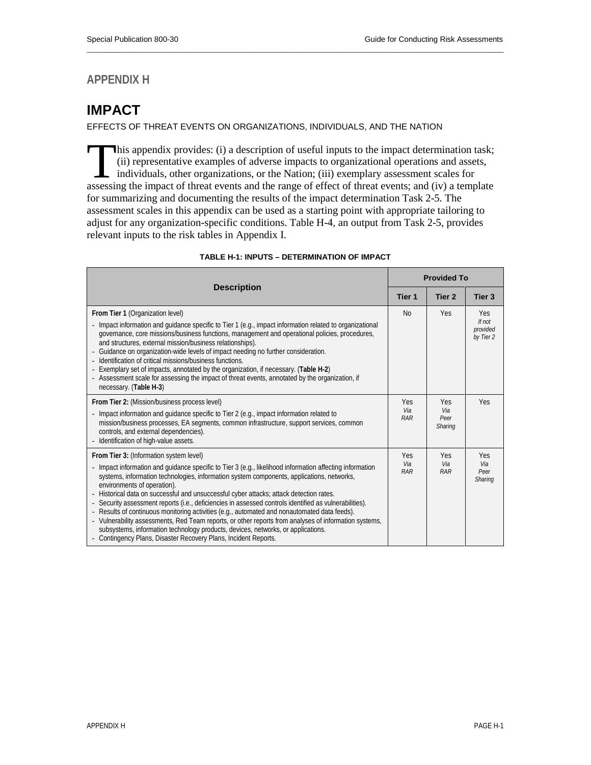## **APPENDIX H**

# **IMPACT**

EFFECTS OF THREAT EVENTS ON ORGANIZATIONS, INDIVIDUALS, AND THE NATION

his appendix provides: (i) a description of useful inputs to the impact determination task; (ii) representative examples of adverse impacts to organizational operations and assets, individuals, other organizations, or the Nation; (iii) exemplary assessment scales for This appendix provides: (i) a description of useful inputs to the impact determination task;<br>
(ii) representative examples of adverse impacts to organizational operations and assets,<br>
individuals, other organizations, or t for summarizing and documenting the results of the impact determination Task 2-5. The assessment scales in this appendix can be used as a starting point with appropriate tailoring to adjust for any organization-specific conditions. Table H-4, an output from Task 2-5, provides relevant inputs to the risk tables in Appendix I.

\_\_\_\_\_\_\_\_\_\_\_\_\_\_\_\_\_\_\_\_\_\_\_\_\_\_\_\_\_\_\_\_\_\_\_\_\_\_\_\_\_\_\_\_\_\_\_\_\_\_\_\_\_\_\_\_\_\_\_\_\_\_\_\_\_\_\_\_\_\_\_\_\_\_\_\_\_\_\_\_\_\_\_\_\_\_\_\_\_\_\_\_\_\_\_\_

|                                                                                                                                                                                                                                                                                                                                                                                                                                                                                                                                                                                                                                                                                                                                                                                                                                                                                |                          | <b>Provided To</b>            |                                               |  |  |
|--------------------------------------------------------------------------------------------------------------------------------------------------------------------------------------------------------------------------------------------------------------------------------------------------------------------------------------------------------------------------------------------------------------------------------------------------------------------------------------------------------------------------------------------------------------------------------------------------------------------------------------------------------------------------------------------------------------------------------------------------------------------------------------------------------------------------------------------------------------------------------|--------------------------|-------------------------------|-----------------------------------------------|--|--|
| <b>Description</b>                                                                                                                                                                                                                                                                                                                                                                                                                                                                                                                                                                                                                                                                                                                                                                                                                                                             | Tier 1                   | Tier <sub>2</sub>             | Tier 3                                        |  |  |
| From Tier 1 (Organization level)<br>Impact information and quidance specific to Tier 1 (e.g., impact information related to organizational<br>governance, core missions/business functions, management and operational policies, procedures,<br>and structures, external mission/business relationships).<br>Guidance on organization-wide levels of impact needing no further consideration.<br>$\overline{\phantom{0}}$<br>Identification of critical missions/business functions.<br>$\overline{a}$<br>Exemplary set of impacts, annotated by the organization, if necessary. (Table H-2)<br>- Assessment scale for assessing the impact of threat events, annotated by the organization, if<br>necessary. (Table H-3)                                                                                                                                                      | N <sub>0</sub>           | <b>Yes</b>                    | <b>Yes</b><br>If not<br>provided<br>by Tier 2 |  |  |
| From Tier 2: (Mission/business process level)<br>- Impact information and quidance specific to Tier 2 (e.g., impact information related to<br>mission/business processes, EA segments, common infrastructure, support services, common<br>controls, and external dependencies).<br>Identification of high-value assets.<br>$\overline{a}$                                                                                                                                                                                                                                                                                                                                                                                                                                                                                                                                      | Yes<br>Via<br><b>RAR</b> | Yes<br>Via<br>Peer<br>Sharing | <b>Yes</b>                                    |  |  |
| From Tier 3: (Information system level)<br>- Impact information and quidance specific to Tier 3 (e.g., likelihood information affecting information<br>systems, information technologies, information system components, applications, networks,<br>environments of operation).<br>Historical data on successful and unsuccessful cyber attacks; attack detection rates.<br>$\overline{\phantom{a}}$<br>- Security assessment reports (i.e., deficiencies in assessed controls identified as vulnerabilities).<br>- Results of continuous monitoring activities (e.g., automated and nonautomated data feeds).<br>- Vulnerability assessments, Red Team reports, or other reports from analyses of information systems,<br>subsystems, information technology products, devices, networks, or applications.<br>- Contingency Plans, Disaster Recovery Plans, Incident Reports. | Yes<br>Via<br><b>RAR</b> | <b>Yes</b><br>Via<br>RAR      | <b>Yes</b><br>Via<br>Peer<br>Sharing          |  |  |

#### **TABLE H-1: INPUTS – DETERMINATION OF IMPACT**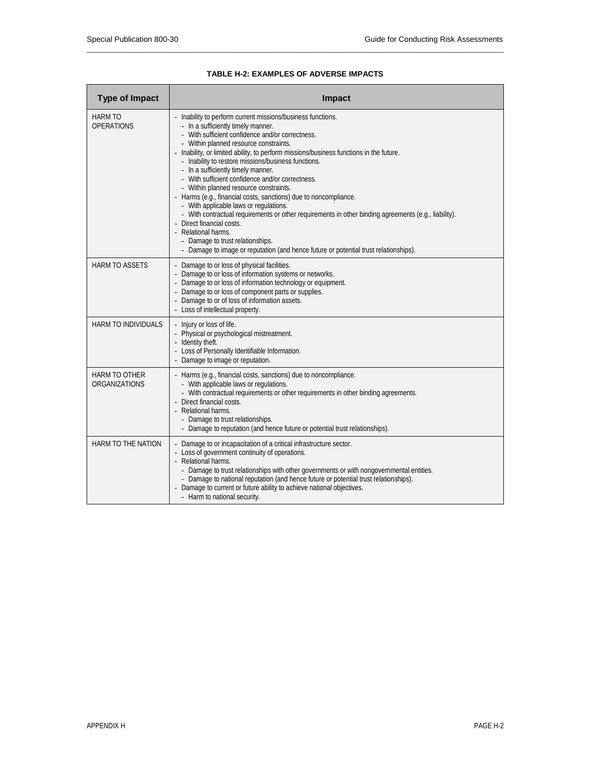#### **TABLE H-2: EXAMPLES OF ADVERSE IMPACTS**

| <b>Type of Impact</b>                 | <b>Impact</b>                                                                                                                                                                                                                                                                                                                                                                                                                                                                                                                                                                                                                                                                                                                                                                                                                                                                          |
|---------------------------------------|----------------------------------------------------------------------------------------------------------------------------------------------------------------------------------------------------------------------------------------------------------------------------------------------------------------------------------------------------------------------------------------------------------------------------------------------------------------------------------------------------------------------------------------------------------------------------------------------------------------------------------------------------------------------------------------------------------------------------------------------------------------------------------------------------------------------------------------------------------------------------------------|
| <b>HARM TO</b><br><b>OPERATIONS</b>   | - Inability to perform current missions/business functions.<br>- In a sufficiently timely manner.<br>- With sufficient confidence and/or correctness.<br>- Within planned resource constraints.<br>Inability, or limited ability, to perform missions/business functions in the future.<br>- Inability to restore missions/business functions.<br>- In a sufficiently timely manner.<br>- With sufficient confidence and/or correctness.<br>- Within planned resource constraints.<br>Harms (e.g., financial costs, sanctions) due to noncompliance.<br>- With applicable laws or regulations.<br>- With contractual requirements or other requirements in other binding agreements (e.g., liability).<br>- Direct financial costs.<br>- Relational harms.<br>- Damage to trust relationships.<br>- Damage to image or reputation (and hence future or potential trust relationships). |
| <b>HARM TO ASSETS</b>                 | - Damage to or loss of physical facilities.<br>- Damage to or loss of information systems or networks.<br>- Damage to or loss of information technology or equipment.<br>- Damage to or loss of component parts or supplies.<br>- Damage to or of loss of information assets.<br>- Loss of intellectual property.                                                                                                                                                                                                                                                                                                                                                                                                                                                                                                                                                                      |
| <b>HARM TO INDIVIDUALS</b>            | - Injury or loss of life.<br>- Physical or psychological mistreatment.<br>- Identity theft.<br>- Loss of Personally Identifiable Information.<br>- Damage to image or reputation.                                                                                                                                                                                                                                                                                                                                                                                                                                                                                                                                                                                                                                                                                                      |
| HARM TO OTHER<br><b>ORGANIZATIONS</b> | - Harms (e.g., financial costs, sanctions) due to noncompliance.<br>- With applicable laws or regulations.<br>- With contractual requirements or other requirements in other binding agreements.<br>- Direct financial costs.<br>- Relational harms.<br>- Damage to trust relationships.<br>- Damage to reputation (and hence future or potential trust relationships).                                                                                                                                                                                                                                                                                                                                                                                                                                                                                                                |
| <b>HARM TO THE NATION</b>             | - Damage to or incapacitation of a critical infrastructure sector.<br>- Loss of government continuity of operations.<br>- Relational harms.<br>- Damage to trust relationships with other governments or with nongovernmental entities.<br>- Damage to national reputation (and hence future or potential trust relationships).<br>- Damage to current or future ability to achieve national objectives.<br>- Harm to national security.                                                                                                                                                                                                                                                                                                                                                                                                                                               |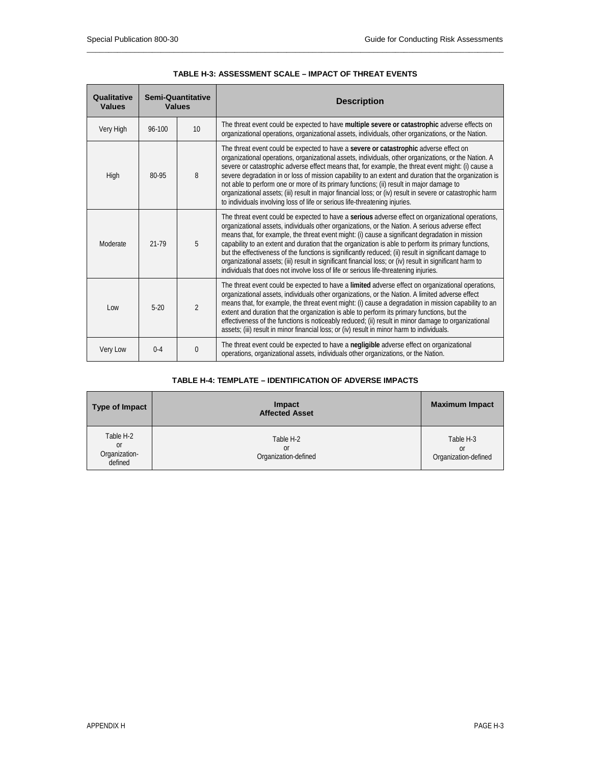| Qualitative<br><b>Values</b> | Semi-Quantitative<br><b>Values</b> |                | <b>Description</b>                                                                                                                                                                                                                                                                                                                                                                                                                                                                                                                                                                                                                                                                                                           |
|------------------------------|------------------------------------|----------------|------------------------------------------------------------------------------------------------------------------------------------------------------------------------------------------------------------------------------------------------------------------------------------------------------------------------------------------------------------------------------------------------------------------------------------------------------------------------------------------------------------------------------------------------------------------------------------------------------------------------------------------------------------------------------------------------------------------------------|
| Very High                    | $96 - 100$                         | 10             | The threat event could be expected to have multiple severe or catastrophic adverse effects on<br>organizational operations, organizational assets, individuals, other organizations, or the Nation.                                                                                                                                                                                                                                                                                                                                                                                                                                                                                                                          |
| High                         | 80-95                              | 8              | The threat event could be expected to have a severe or catastrophic adverse effect on<br>organizational operations, organizational assets, individuals, other organizations, or the Nation. A<br>severe or catastrophic adverse effect means that, for example, the threat event might: (i) cause a<br>severe degradation in or loss of mission capability to an extent and duration that the organization is<br>not able to perform one or more of its primary functions; (ii) result in major damage to<br>organizational assets; (iii) result in major financial loss; or (iv) result in severe or catastrophic harm<br>to individuals involving loss of life or serious life-threatening injuries.                       |
| Moderate                     | 21-79                              | 5              | The threat event could be expected to have a serious adverse effect on organizational operations,<br>organizational assets, individuals other organizations, or the Nation. A serious adverse effect<br>means that, for example, the threat event might: (i) cause a significant degradation in mission<br>capability to an extent and duration that the organization is able to perform its primary functions,<br>but the effectiveness of the functions is significantly reduced; (ii) result in significant damage to<br>organizational assets; (iii) result in significant financial loss; or (iv) result in significant harm to<br>individuals that does not involve loss of life or serious life-threatening injuries. |
| Low                          | $5-20$                             | $\overline{2}$ | The threat event could be expected to have a limited adverse effect on organizational operations,<br>organizational assets, individuals other organizations, or the Nation. A limited adverse effect<br>means that, for example, the threat event might: (i) cause a degradation in mission capability to an<br>extent and duration that the organization is able to perform its primary functions, but the<br>effectiveness of the functions is noticeably reduced; (ii) result in minor damage to organizational<br>assets; (iii) result in minor financial loss; or (iv) result in minor harm to individuals.                                                                                                             |
| Very Low                     | $0 - 4$                            | $\Omega$       | The threat event could be expected to have a negligible adverse effect on organizational<br>operations, organizational assets, individuals other organizations, or the Nation.                                                                                                                                                                                                                                                                                                                                                                                                                                                                                                                                               |

#### **TABLE H-3: ASSESSMENT SCALE – IMPACT OF THREAT EVENTS**

\_\_\_\_\_\_\_\_\_\_\_\_\_\_\_\_\_\_\_\_\_\_\_\_\_\_\_\_\_\_\_\_\_\_\_\_\_\_\_\_\_\_\_\_\_\_\_\_\_\_\_\_\_\_\_\_\_\_\_\_\_\_\_\_\_\_\_\_\_\_\_\_\_\_\_\_\_\_\_\_\_\_\_\_\_\_\_\_\_\_\_\_\_\_\_\_

#### **TABLE H-4: TEMPLATE – IDENTIFICATION OF ADVERSE IMPACTS**

| Type of Impact                                         | Impact<br><b>Affected Asset</b>         | <b>Maximum Impact</b>                   |
|--------------------------------------------------------|-----------------------------------------|-----------------------------------------|
| Table H-2<br><sub>or</sub><br>Organization-<br>defined | Table H-2<br>or<br>Organization-defined | Table H-3<br>or<br>Organization-defined |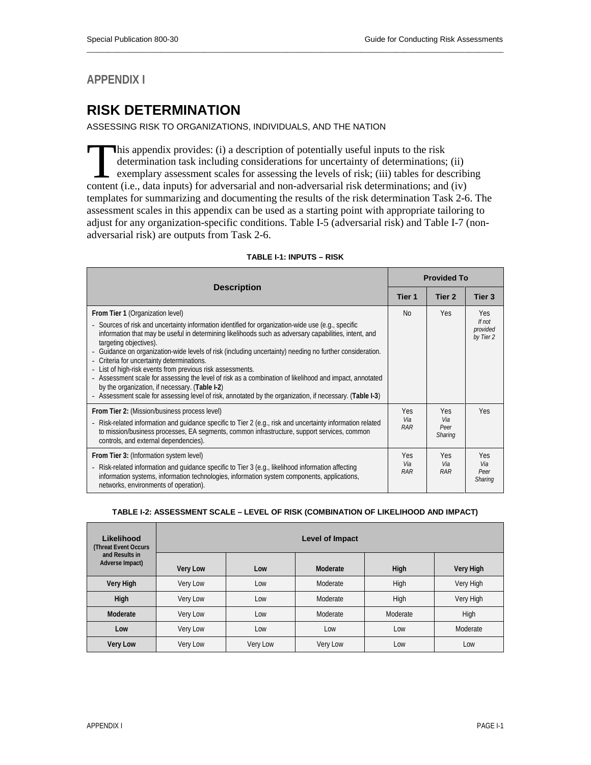## **APPENDIX I**

# **RISK DETERMINATION**

ASSESSING RISK TO ORGANIZATIONS, INDIVIDUALS, AND THE NATION

his appendix provides: (i) a description of potentially useful inputs to the risk determination task including considerations for uncertainty of determinations; (ii) exemplary assessment scales for assessing the levels of risk; (iii) tables for describing This appendix provides: (i) a description of potentially useful inputs to the risk determination task including considerations for uncertainty of determinations; (ii) exemplary assessment scales for assessing the levels of templates for summarizing and documenting the results of the risk determination Task 2-6. The assessment scales in this appendix can be used as a starting point with appropriate tailoring to adjust for any organization-specific conditions. Table I-5 (adversarial risk) and Table I-7 (nonadversarial risk) are outputs from Task 2-6.

\_\_\_\_\_\_\_\_\_\_\_\_\_\_\_\_\_\_\_\_\_\_\_\_\_\_\_\_\_\_\_\_\_\_\_\_\_\_\_\_\_\_\_\_\_\_\_\_\_\_\_\_\_\_\_\_\_\_\_\_\_\_\_\_\_\_\_\_\_\_\_\_\_\_\_\_\_\_\_\_\_\_\_\_\_\_\_\_\_\_\_\_\_\_\_\_

|                                                                                                                                                                                                                                                                                                                                                                                                                                                                                                                                                                                                                                                                                                                                                                                                      |                                 | <b>Provided To</b>            |                                               |  |  |
|------------------------------------------------------------------------------------------------------------------------------------------------------------------------------------------------------------------------------------------------------------------------------------------------------------------------------------------------------------------------------------------------------------------------------------------------------------------------------------------------------------------------------------------------------------------------------------------------------------------------------------------------------------------------------------------------------------------------------------------------------------------------------------------------------|---------------------------------|-------------------------------|-----------------------------------------------|--|--|
| <b>Description</b>                                                                                                                                                                                                                                                                                                                                                                                                                                                                                                                                                                                                                                                                                                                                                                                   | Tier 1                          | Tier <sub>2</sub>             | Tier 3                                        |  |  |
| From Tier 1 (Organization level)<br>- Sources of risk and uncertainty information identified for organization-wide use (e.g., specific<br>information that may be useful in determining likelihoods such as adversary capabilities, intent, and<br>targeting objectives).<br>Guidance on organization-wide levels of risk (including uncertainty) needing no further consideration.<br>$\overline{\phantom{0}}$<br>- Criteria for uncertainty determinations.<br>- List of high-risk events from previous risk assessments.<br>- Assessment scale for assessing the level of risk as a combination of likelihood and impact, annotated<br>by the organization, if necessary. (Table I-2)<br>- Assessment scale for assessing level of risk, annotated by the organization, if necessary. (Table I-3) | N <sub>0</sub>                  | Yes                           | <b>Yes</b><br>If not<br>provided<br>by Tier 2 |  |  |
| From Tier 2: (Mission/business process level)<br>- Risk-related information and quidance specific to Tier 2 (e.g., risk and uncertainty information related<br>to mission/business processes, EA segments, common infrastructure, support services, common<br>controls, and external dependencies).                                                                                                                                                                                                                                                                                                                                                                                                                                                                                                  | Yes<br>Via<br><b>RAR</b>        | Yes<br>Via<br>Peer<br>Sharing | Yes                                           |  |  |
| From Tier 3: (Information system level)<br>- Risk-related information and quidance specific to Tier 3 (e.g., likelihood information affecting<br>information systems, information technologies, information system components, applications,<br>networks, environments of operation).                                                                                                                                                                                                                                                                                                                                                                                                                                                                                                                | <b>Yes</b><br>Via<br><b>RAR</b> | Yes<br>Via<br>RAR             | Yes<br>Via<br>Peer<br>Sharing                 |  |  |

#### **TABLE I-1: INPUTS – RISK**

#### **TABLE I-2: ASSESSMENT SCALE – LEVEL OF RISK (COMBINATION OF LIKELIHOOD AND IMPACT)**

| Likelihood<br>(Threat Event Occurs) | Level of Impact |          |          |          |           |  |
|-------------------------------------|-----------------|----------|----------|----------|-----------|--|
| and Results in<br>Adverse Impact)   | <b>Very Low</b> | Low      | Moderate | High     | Very High |  |
| <b>Very High</b>                    | Very Low        | Low      | Moderate | High     | Very High |  |
| High                                | Very Low        | Low      | Moderate | High     | Very High |  |
| Moderate                            | Very Low        | Low      | Moderate | Moderate | High      |  |
| Low                                 | Very Low        | Low      | Low      | Low      | Moderate  |  |
| <b>Very Low</b>                     | Very Low        | Very Low | Very Low | Low      | Low       |  |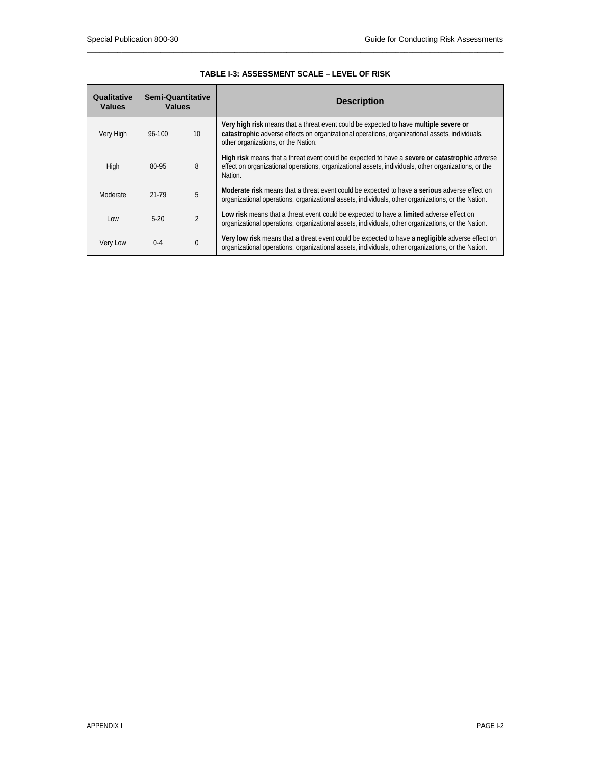| Qualitative<br><b>Values</b> | Semi-Quantitative<br><b>Values</b> |              | <b>Description</b>                                                                                                                                                                                                             |
|------------------------------|------------------------------------|--------------|--------------------------------------------------------------------------------------------------------------------------------------------------------------------------------------------------------------------------------|
| Very High                    | 96-100                             | 10           | Very high risk means that a threat event could be expected to have multiple severe or<br>catastrophic adverse effects on organizational operations, organizational assets, individuals,<br>other organizations, or the Nation. |
| High                         | 80-95                              | 8            | High risk means that a threat event could be expected to have a severe or catastrophic adverse<br>effect on organizational operations, organizational assets, individuals, other organizations, or the<br>Nation.              |
| Moderate                     | $21 - 79$                          | 5            | Moderate risk means that a threat event could be expected to have a serious adverse effect on<br>organizational operations, organizational assets, individuals, other organizations, or the Nation.                            |
| Low                          | $5-20$                             |              | Low risk means that a threat event could be expected to have a limited adverse effect on<br>organizational operations, organizational assets, individuals, other organizations, or the Nation.                                 |
| Very Low                     | $0 - 4$                            | <sup>0</sup> | Very low risk means that a threat event could be expected to have a negligible adverse effect on<br>organizational operations, organizational assets, individuals, other organizations, or the Nation.                         |

#### **TABLE I-3: ASSESSMENT SCALE – LEVEL OF RISK**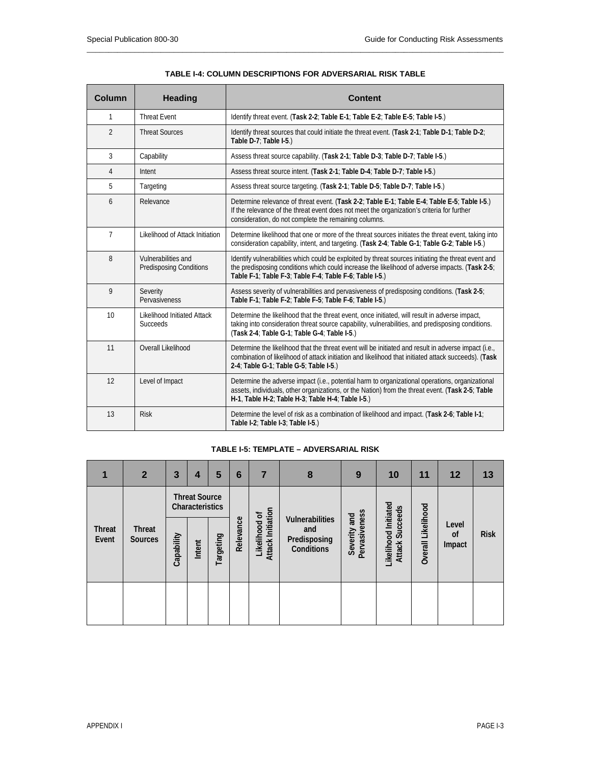| Column         | <b>Heading</b>                                        | <b>Content</b>                                                                                                                                                                                                                                                   |
|----------------|-------------------------------------------------------|------------------------------------------------------------------------------------------------------------------------------------------------------------------------------------------------------------------------------------------------------------------|
| 1              | <b>Threat Event</b>                                   | Identify threat event. (Task 2-2; Table E-1; Table E-2; Table E-5; Table I-5.)                                                                                                                                                                                   |
| $\overline{2}$ | <b>Threat Sources</b>                                 | Identify threat sources that could initiate the threat event. (Task 2-1; Table D-1; Table D-2;<br>Table D-7; Table I-5.)                                                                                                                                         |
| 3              | Capability                                            | Assess threat source capability. (Task 2-1; Table D-3; Table D-7; Table I-5.)                                                                                                                                                                                    |
| 4              | Intent                                                | Assess threat source intent. (Task 2-1; Table D-4; Table D-7; Table I-5.)                                                                                                                                                                                        |
| 5              | Targeting                                             | Assess threat source targeting. (Task 2-1; Table D-5; Table D-7; Table I-5.)                                                                                                                                                                                     |
| 6              | Relevance                                             | Determine relevance of threat event. (Task 2-2; Table E-1; Table E-4; Table E-5; Table I-5.)<br>If the relevance of the threat event does not meet the organization's criteria for further<br>consideration, do not complete the remaining columns.              |
| $\overline{7}$ | Likelihood of Attack Initiation                       | Determine likelihood that one or more of the threat sources initiates the threat event, taking into<br>consideration capability, intent, and targeting. (Task 2-4; Table G-1; Table G-2; Table I-5.)                                                             |
| 8              | Vulnerabilities and<br><b>Predisposing Conditions</b> | Identify vulnerabilities which could be exploited by threat sources initiating the threat event and<br>the predisposing conditions which could increase the likelihood of adverse impacts. (Task 2-5;<br>Table F-1; Table F-3; Table F-4; Table F-6; Table I-5.) |
| 9              | Severity<br>Pervasiveness                             | Assess severity of vulnerabilities and pervasiveness of predisposing conditions. (Task 2-5;<br>Table F-1; Table F-2; Table F-5; Table F-6; Table I-5.)                                                                                                           |
| 10             | <b>Likelihood Initiated Attack</b><br><b>Succeeds</b> | Determine the likelihood that the threat event, once initiated, will result in adverse impact,<br>taking into consideration threat source capability, vulnerabilities, and predisposing conditions.<br>(Task 2-4; Table G-1; Table G-4; Table I-5.)              |
| 11             | Overall Likelihood                                    | Determine the likelihood that the threat event will be initiated and result in adverse impact (i.e.,<br>combination of likelihood of attack initiation and likelihood that initiated attack succeeds). (Task<br>2-4; Table G-1; Table G-5; Table I-5.)           |
| 12             | Level of Impact                                       | Determine the adverse impact (i.e., potential harm to organizational operations, organizational<br>assets, individuals, other organizations, or the Nation) from the threat event. (Task 2-5; Table<br>H-1, Table H-2; Table H-3; Table H-4; Table I-5.)         |
| 13             | <b>Risk</b>                                           | Determine the level of risk as a combination of likelihood and impact. (Task 2-6; Table I-1;<br>Table I-2; Table I-3; Table I-5.)                                                                                                                                |

#### **TABLE I-4: COLUMN DESCRIPTIONS FOR ADVERSARIAL RISK TABLE**

\_\_\_\_\_\_\_\_\_\_\_\_\_\_\_\_\_\_\_\_\_\_\_\_\_\_\_\_\_\_\_\_\_\_\_\_\_\_\_\_\_\_\_\_\_\_\_\_\_\_\_\_\_\_\_\_\_\_\_\_\_\_\_\_\_\_\_\_\_\_\_\_\_\_\_\_\_\_\_\_\_\_\_\_\_\_\_\_\_\_\_\_\_\_\_\_

#### **TABLE I-5: TEMPLATE – ADVERSARIAL RISK**

|                        | $\overline{2}$                  | 3                                              | 4      | 5         | 6         | $\overline{7}$                  | 8                                                    | 9                             | 10                                      | 11                 | 12                           | 13          |
|------------------------|---------------------------------|------------------------------------------------|--------|-----------|-----------|---------------------------------|------------------------------------------------------|-------------------------------|-----------------------------------------|--------------------|------------------------------|-------------|
|                        |                                 | <b>Threat Source</b><br><b>Characteristics</b> |        |           | đ         |                                 |                                                      |                               |                                         |                    |                              |             |
| <b>Threat</b><br>Event | <b>Threat</b><br><b>Sources</b> | Capability                                     | Intent | Targeting | Relevance | Attack Initiation<br>Likelihood | Vulnerabilities<br>and<br>Predisposing<br>Conditions | Pervasiveness<br>Severity and | Likelihood Initiated<br>Attack Succeeds | Overall Likelihood | Level<br><b>of</b><br>Impact | <b>Risk</b> |
|                        |                                 |                                                |        |           |           |                                 |                                                      |                               |                                         |                    |                              |             |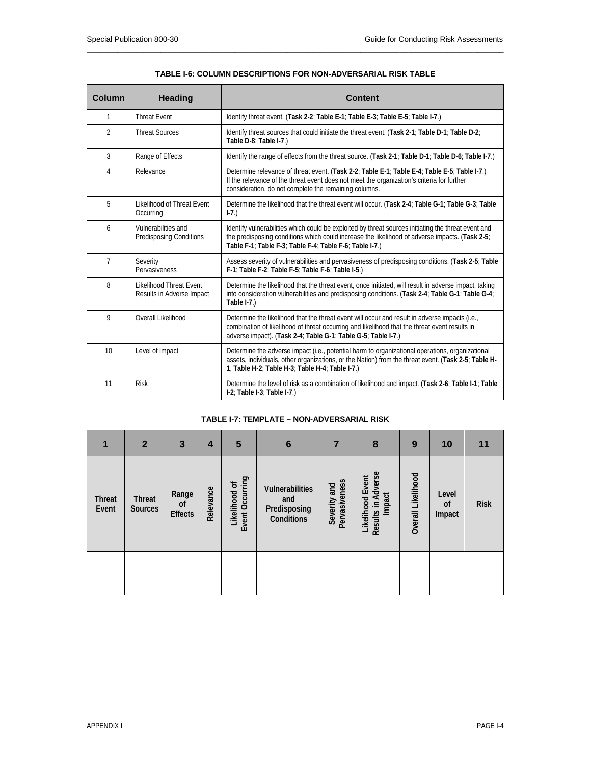| Column         | <b>Heading</b>                                              | <b>Content</b>                                                                                                                                                                                                                                                   |
|----------------|-------------------------------------------------------------|------------------------------------------------------------------------------------------------------------------------------------------------------------------------------------------------------------------------------------------------------------------|
| 1              | <b>Threat Event</b>                                         | Identify threat event. (Task 2-2; Table E-1; Table E-3; Table E-5; Table I-7.)                                                                                                                                                                                   |
| $\overline{2}$ | <b>Threat Sources</b>                                       | Identify threat sources that could initiate the threat event. (Task 2-1; Table D-1; Table D-2;<br>Table D-8; Table I-7.)                                                                                                                                         |
| 3              | Range of Effects                                            | ldentify the range of effects from the threat source. (Task 2-1; Table D-1; Table D-6; Table I-7.)                                                                                                                                                               |
| 4              | Relevance                                                   | Determine relevance of threat event. (Task 2-2; Table E-1; Table E-4; Table E-5; Table I-7.)<br>If the relevance of the threat event does not meet the organization's criteria for further<br>consideration, do not complete the remaining columns.              |
| 5              | Likelihood of Threat Event<br>Occurring                     | Determine the likelihood that the threat event will occur. (Task 2-4; Table G-1; Table G-3; Table<br>$1-7.$ )                                                                                                                                                    |
| 6              | Vulnerabilities and<br><b>Predisposing Conditions</b>       | Identify vulnerabilities which could be exploited by threat sources initiating the threat event and<br>the predisposing conditions which could increase the likelihood of adverse impacts. (Task 2-5;<br>Table F-1; Table F-3; Table F-4; Table F-6; Table I-7.) |
| $\overline{7}$ | Severity<br>Pervasiveness                                   | Assess severity of vulnerabilities and pervasiveness of predisposing conditions. (Task 2-5; Table<br>F-1; Table F-2; Table F-5; Table F-6; Table I-5.)                                                                                                           |
| 8              | <b>Likelihood Threat Event</b><br>Results in Adverse Impact | Determine the likelihood that the threat event, once initiated, will result in adverse impact, taking<br>into consideration vulnerabilities and predisposing conditions. (Task 2-4; Table G-1; Table G-4;<br>Table I-7.)                                         |
| 9              | Overall Likelihood                                          | Determine the likelihood that the threat event will occur and result in adverse impacts (i.e.,<br>combination of likelihood of threat occurring and likelihood that the threat event results in<br>adverse impact). (Task 2-4; Table G-1; Table G-5; Table I-7.) |
| 10             | Level of Impact                                             | Determine the adverse impact (i.e., potential harm to organizational operations, organizational<br>assets, individuals, other organizations, or the Nation) from the threat event. (Task 2-5; Table H-<br>1, Table H-2; Table H-3; Table H-4; Table I-7.)        |
| 11             | <b>Risk</b>                                                 | Determine the level of risk as a combination of likelihood and impact. (Task 2-6; Table I-1; Table<br>$I-2$ ; Table $I-3$ ; Table $I-7$ .)                                                                                                                       |

#### **TABLE I-6: COLUMN DESCRIPTIONS FOR NON-ADVERSARIAL RISK TABLE**

\_\_\_\_\_\_\_\_\_\_\_\_\_\_\_\_\_\_\_\_\_\_\_\_\_\_\_\_\_\_\_\_\_\_\_\_\_\_\_\_\_\_\_\_\_\_\_\_\_\_\_\_\_\_\_\_\_\_\_\_\_\_\_\_\_\_\_\_\_\_\_\_\_\_\_\_\_\_\_\_\_\_\_\_\_\_\_\_\_\_\_\_\_\_\_\_

#### **TABLE I-7: TEMPLATE – NON-ADVERSARIAL RISK**

|                        | $\overline{2}$                  | 3                                        | 4         | 5                                | 6                                                    | $\overline{7}$                | 8                                                                          | 9                  | 10                               | 11          |
|------------------------|---------------------------------|------------------------------------------|-----------|----------------------------------|------------------------------------------------------|-------------------------------|----------------------------------------------------------------------------|--------------------|----------------------------------|-------------|
| <b>Threat</b><br>Event | <b>Threat</b><br><b>Sources</b> | Range<br><sub>of</sub><br><b>Effects</b> | Relevance | Event Occurring<br>Likelihood of | Vulnerabilities<br>and<br>Predisposing<br>Conditions | Pervasiveness<br>Severity and | Adverse<br>Event<br>Impact<br>Likelihood<br>$\mathbf{a}$<br><b>Results</b> | Overall Likelihood | Level<br><sub>of</sub><br>Impact | <b>Risk</b> |
|                        |                                 |                                          |           |                                  |                                                      |                               |                                                                            |                    |                                  |             |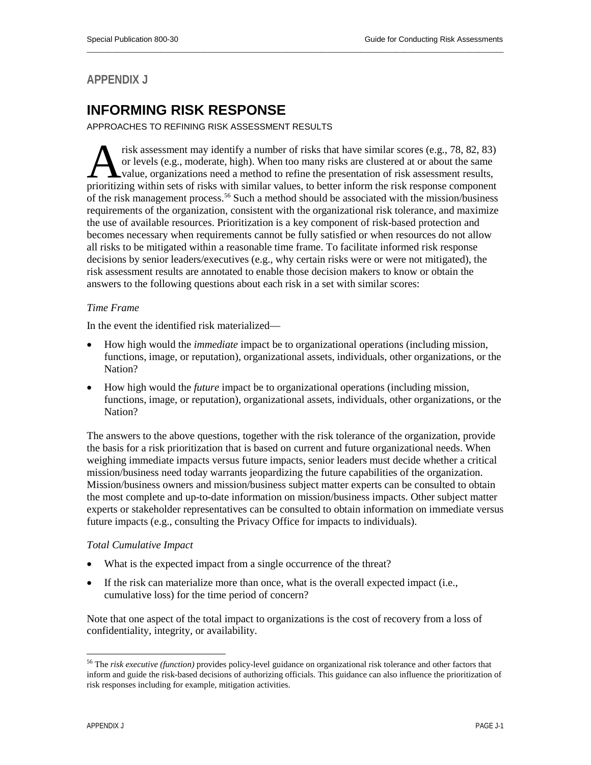## **APPENDIX J**

# **INFORMING RISK RESPONSE**

APPROACHES TO REFINING RISK ASSESSMENT RESULTS

risk assessment may identify a number of risks that have similar scores (e.g., 78, 82, 83) or levels (e.g., moderate, high). When too many risks are clustered at or about the same value, organizations need a method to refine the presentation of risk assessment results, **First assessment may identify a number of risks that have similar scores (e.g., 78, 82, 83)** or levels (e.g., moderate, high). When too many risks are clustered at or about the same value, organizations need a method to r of the risk management process. [56](#page-89-0) Such a method should be associated with the mission/business requirements of the organization, consistent with the organizational risk tolerance, and maximize the use of available resources. Prioritization is a key component of risk-based protection and becomes necessary when requirements cannot be fully satisfied or when resources do not allow all risks to be mitigated within a reasonable time frame. To facilitate informed risk response decisions by senior leaders/executives (e.g., why certain risks were or were not mitigated), the risk assessment results are annotated to enable those decision makers to know or obtain the answers to the following questions about each risk in a set with similar scores:

\_\_\_\_\_\_\_\_\_\_\_\_\_\_\_\_\_\_\_\_\_\_\_\_\_\_\_\_\_\_\_\_\_\_\_\_\_\_\_\_\_\_\_\_\_\_\_\_\_\_\_\_\_\_\_\_\_\_\_\_\_\_\_\_\_\_\_\_\_\_\_\_\_\_\_\_\_\_\_\_\_\_\_\_\_\_\_\_\_\_\_\_\_\_\_\_

### *Time Frame*

In the event the identified risk materialized—

- How high would the *immediate* impact be to organizational operations (including mission, functions, image, or reputation), organizational assets, individuals, other organizations, or the Nation?
- How high would the *future* impact be to organizational operations (including mission, functions, image, or reputation), organizational assets, individuals, other organizations, or the Nation?

The answers to the above questions, together with the risk tolerance of the organization, provide the basis for a risk prioritization that is based on current and future organizational needs. When weighing immediate impacts versus future impacts, senior leaders must decide whether a critical mission/business need today warrants jeopardizing the future capabilities of the organization. Mission/business owners and mission/business subject matter experts can be consulted to obtain the most complete and up-to-date information on mission/business impacts. Other subject matter experts or stakeholder representatives can be consulted to obtain information on immediate versus future impacts (e.g., consulting the Privacy Office for impacts to individuals).

### *Total Cumulative Impact*

- What is the expected impact from a single occurrence of the threat?
- If the risk can materialize more than once, what is the overall expected impact (i.e., cumulative loss) for the time period of concern?

Note that one aspect of the total impact to organizations is the cost of recovery from a loss of confidentiality, integrity, or availability.

<span id="page-89-0"></span> <sup>56</sup> The *risk executive (function)* provides policy-level guidance on organizational risk tolerance and other factors that inform and guide the risk-based decisions of authorizing officials. This guidance can also influence the prioritization of risk responses including for example, mitigation activities.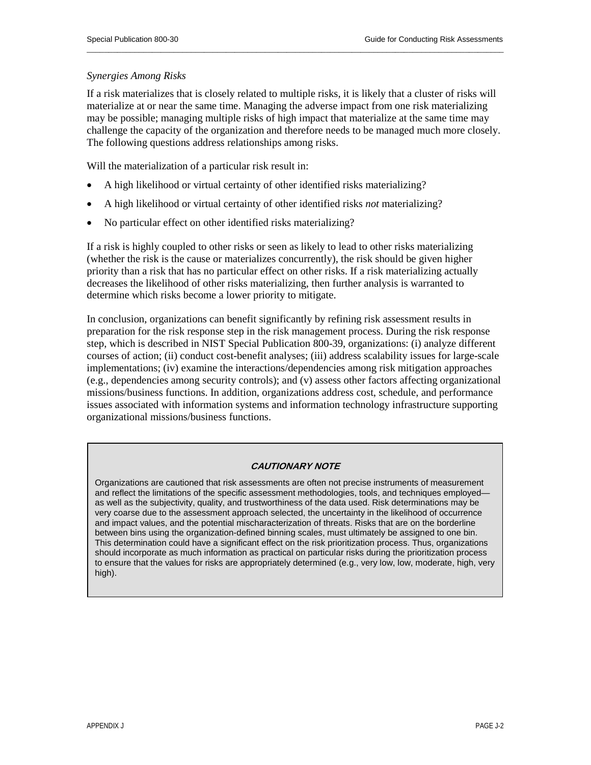#### *Synergies Among Risks*

If a risk materializes that is closely related to multiple risks, it is likely that a cluster of risks will materialize at or near the same time. Managing the adverse impact from one risk materializing may be possible; managing multiple risks of high impact that materialize at the same time may challenge the capacity of the organization and therefore needs to be managed much more closely. The following questions address relationships among risks.

\_\_\_\_\_\_\_\_\_\_\_\_\_\_\_\_\_\_\_\_\_\_\_\_\_\_\_\_\_\_\_\_\_\_\_\_\_\_\_\_\_\_\_\_\_\_\_\_\_\_\_\_\_\_\_\_\_\_\_\_\_\_\_\_\_\_\_\_\_\_\_\_\_\_\_\_\_\_\_\_\_\_\_\_\_\_\_\_\_\_\_\_\_\_\_\_

Will the materialization of a particular risk result in:

- A high likelihood or virtual certainty of other identified risks materializing?
- A high likelihood or virtual certainty of other identified risks *not* materializing?
- No particular effect on other identified risks materializing?

If a risk is highly coupled to other risks or seen as likely to lead to other risks materializing (whether the risk is the cause or materializes concurrently), the risk should be given higher priority than a risk that has no particular effect on other risks. If a risk materializing actually decreases the likelihood of other risks materializing, then further analysis is warranted to determine which risks become a lower priority to mitigate.

In conclusion, organizations can benefit significantly by refining risk assessment results in preparation for the risk response step in the risk management process. During the risk response step, which is described in NIST Special Publication 800-39, organizations: (i) analyze different courses of action; (ii) conduct cost-benefit analyses; (iii) address scalability issues for large-scale implementations; (iv) examine the interactions/dependencies among risk mitigation approaches (e.g., dependencies among security controls); and (v) assess other factors affecting organizational missions/business functions. In addition, organizations address cost, schedule, and performance issues associated with information systems and information technology infrastructure supporting organizational missions/business functions.

#### **CAUTIONARY NOTE**

Organizations are cautioned that risk assessments are often not precise instruments of measurement and reflect the limitations of the specific assessment methodologies, tools, and techniques employed as well as the subjectivity, quality, and trustworthiness of the data used. Risk determinations may be very coarse due to the assessment approach selected, the uncertainty in the likelihood of occurrence and impact values, and the potential mischaracterization of threats. Risks that are on the borderline between bins using the organization-defined binning scales, must ultimately be assigned to one bin. This determination could have a significant effect on the risk prioritization process. Thus, organizations should incorporate as much information as practical on particular risks during the prioritization process to ensure that the values for risks are appropriately determined (e.g., very low, low, moderate, high, very high).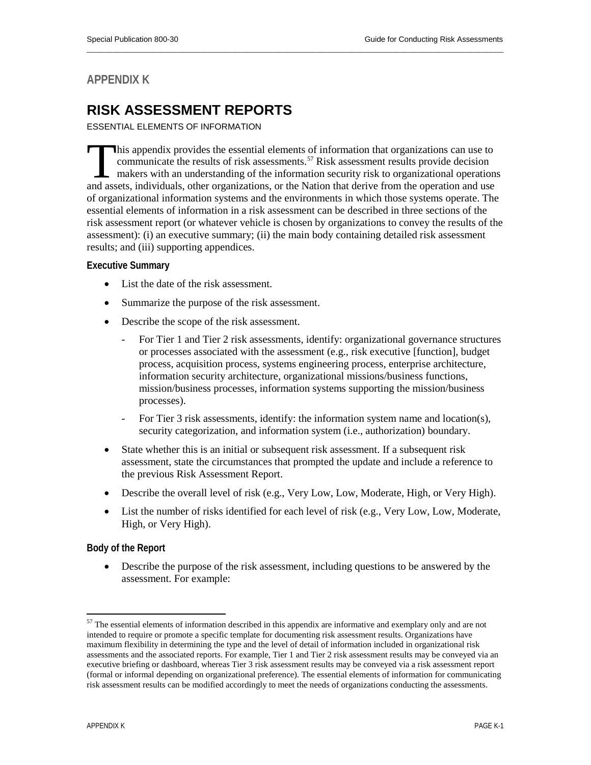## **APPENDIX K**

# **RISK ASSESSMENT REPORTS**

### ESSENTIAL ELEMENTS OF INFORMATION

his appendix provides the essential elements of information that organizations can use to communicate the results of risk assessments. [57](#page-91-0) Risk assessment results provide decision makers with an understanding of the information security risk to organizational operations This appendix provides the essential elements of information that organizations can use to communicate the results of risk assessments.<sup>57</sup> Risk assessment results provide decision makers with an understanding of the infor of organizational information systems and the environments in which those systems operate. The essential elements of information in a risk assessment can be described in three sections of the risk assessment report (or whatever vehicle is chosen by organizations to convey the results of the assessment): (i) an executive summary; (ii) the main body containing detailed risk assessment results; and (iii) supporting appendices.

\_\_\_\_\_\_\_\_\_\_\_\_\_\_\_\_\_\_\_\_\_\_\_\_\_\_\_\_\_\_\_\_\_\_\_\_\_\_\_\_\_\_\_\_\_\_\_\_\_\_\_\_\_\_\_\_\_\_\_\_\_\_\_\_\_\_\_\_\_\_\_\_\_\_\_\_\_\_\_\_\_\_\_\_\_\_\_\_\_\_\_\_\_\_\_\_

### **Executive Summary**

- List the date of the risk assessment.
- Summarize the purpose of the risk assessment.
- Describe the scope of the risk assessment.
	- For Tier 1 and Tier 2 risk assessments, identify: organizational governance structures or processes associated with the assessment (e.g., risk executive [function], budget process, acquisition process, systems engineering process, enterprise architecture, information security architecture, organizational missions/business functions, mission/business processes, information systems supporting the mission/business processes).
	- For Tier 3 risk assessments, identify: the information system name and location(s), security categorization, and information system (i.e., authorization) boundary.
- State whether this is an initial or subsequent risk assessment. If a subsequent risk assessment, state the circumstances that prompted the update and include a reference to the previous Risk Assessment Report.
- Describe the overall level of risk (e.g., Very Low, Low, Moderate, High, or Very High).
- List the number of risks identified for each level of risk (e.g., Very Low, Low, Moderate, High, or Very High).

### **Body of the Report**

• Describe the purpose of the risk assessment, including questions to be answered by the assessment. For example:

<span id="page-91-0"></span><sup>&</sup>lt;sup>57</sup> The essential elements of information described in this appendix are informative and exemplary only and are not intended to require or promote a specific template for documenting risk assessment results. Organizations have maximum flexibility in determining the type and the level of detail of information included in organizational risk assessments and the associated reports. For example, Tier 1 and Tier 2 risk assessment results may be conveyed via an executive briefing or dashboard, whereas Tier 3 risk assessment results may be conveyed via a risk assessment report (formal or informal depending on organizational preference). The essential elements of information for communicating risk assessment results can be modified accordingly to meet the needs of organizations conducting the assessments.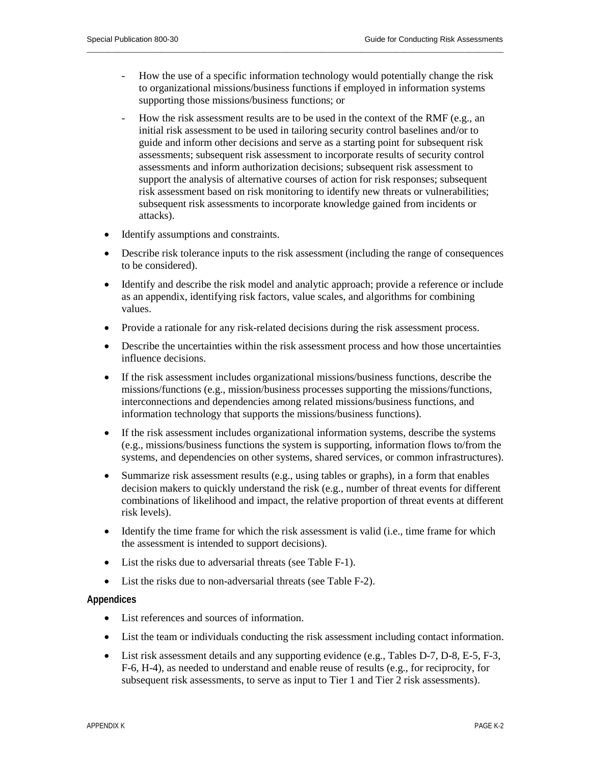- How the use of a specific information technology would potentially change the risk to organizational missions/business functions if employed in information systems supporting those missions/business functions; or

\_\_\_\_\_\_\_\_\_\_\_\_\_\_\_\_\_\_\_\_\_\_\_\_\_\_\_\_\_\_\_\_\_\_\_\_\_\_\_\_\_\_\_\_\_\_\_\_\_\_\_\_\_\_\_\_\_\_\_\_\_\_\_\_\_\_\_\_\_\_\_\_\_\_\_\_\_\_\_\_\_\_\_\_\_\_\_\_\_\_\_\_\_\_\_\_

- How the risk assessment results are to be used in the context of the RMF (e.g., an initial risk assessment to be used in tailoring security control baselines and/or to guide and inform other decisions and serve as a starting point for subsequent risk assessments; subsequent risk assessment to incorporate results of security control assessments and inform authorization decisions; subsequent risk assessment to support the analysis of alternative courses of action for risk responses; subsequent risk assessment based on risk monitoring to identify new threats or vulnerabilities; subsequent risk assessments to incorporate knowledge gained from incidents or attacks).
- Identify assumptions and constraints.
- Describe risk tolerance inputs to the risk assessment (including the range of consequences to be considered).
- Identify and describe the risk model and analytic approach; provide a reference or include as an appendix, identifying risk factors, value scales, and algorithms for combining values.
- Provide a rationale for any risk-related decisions during the risk assessment process.
- Describe the uncertainties within the risk assessment process and how those uncertainties influence decisions.
- If the risk assessment includes organizational missions/business functions, describe the missions/functions (e.g., mission/business processes supporting the missions/functions, interconnections and dependencies among related missions/business functions, and information technology that supports the missions/business functions).
- If the risk assessment includes organizational information systems, describe the systems (e.g., missions/business functions the system is supporting, information flows to/from the systems, and dependencies on other systems, shared services, or common infrastructures).
- Summarize risk assessment results (e.g., using tables or graphs), in a form that enables decision makers to quickly understand the risk (e.g., number of threat events for different combinations of likelihood and impact, the relative proportion of threat events at different risk levels).
- Identify the time frame for which the risk assessment is valid (i.e., time frame for which the assessment is intended to support decisions).
- List the risks due to adversarial threats (see Table F-1).
- List the risks due to non-adversarial threats (see Table F-2).

#### **Appendices**

- List references and sources of information.
- List the team or individuals conducting the risk assessment including contact information.
- List risk assessment details and any supporting evidence (e.g., Tables D-7, D-8, E-5, F-3, F-6, H-4), as needed to understand and enable reuse of results (e.g., for reciprocity, for subsequent risk assessments, to serve as input to Tier 1 and Tier 2 risk assessments).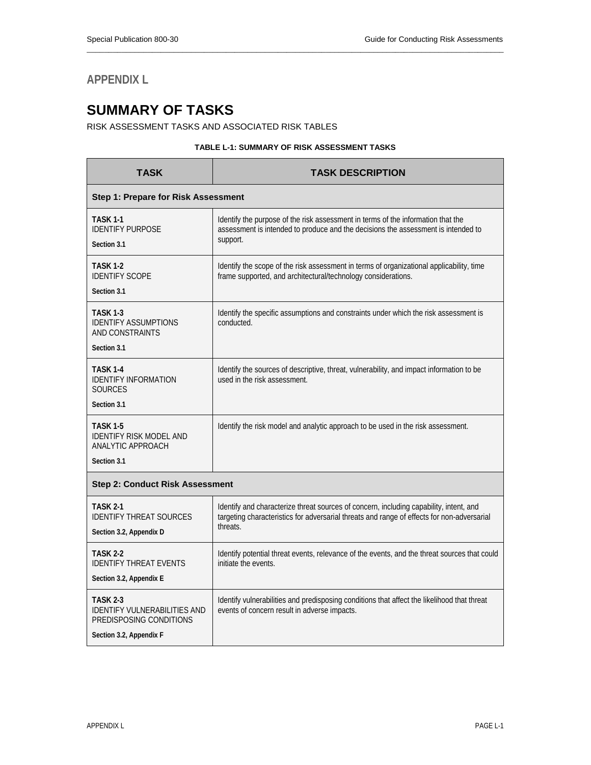## **APPENDIX L**

Ē

# **SUMMARY OF TASKS**

RISK ASSESSMENT TASKS AND ASSOCIATED RISK TABLES

#### **TABLE L-1: SUMMARY OF RISK ASSESSMENT TASKS**

| <b>TASK</b>                                                                                           | <b>TASK DESCRIPTION</b>                                                                                                                                                                          |  |  |  |  |  |  |
|-------------------------------------------------------------------------------------------------------|--------------------------------------------------------------------------------------------------------------------------------------------------------------------------------------------------|--|--|--|--|--|--|
| Step 1: Prepare for Risk Assessment                                                                   |                                                                                                                                                                                                  |  |  |  |  |  |  |
| <b>TASK 1-1</b><br><b>IDENTIFY PURPOSE</b><br>Section 3.1                                             | Identify the purpose of the risk assessment in terms of the information that the<br>assessment is intended to produce and the decisions the assessment is intended to<br>support.                |  |  |  |  |  |  |
| TASK 1-2<br><b>IDENTIFY SCOPE</b><br>Section 3.1                                                      | Identify the scope of the risk assessment in terms of organizational applicability, time<br>frame supported, and architectural/technology considerations.                                        |  |  |  |  |  |  |
| <b>TASK 1-3</b><br><b>IDENTIFY ASSUMPTIONS</b><br>AND CONSTRAINTS<br>Section 3.1                      | Identify the specific assumptions and constraints under which the risk assessment is<br>conducted.                                                                                               |  |  |  |  |  |  |
| TASK 1-4<br><b>IDENTIFY INFORMATION</b><br><b>SOURCES</b><br>Section 3.1                              | Identify the sources of descriptive, threat, vulnerability, and impact information to be<br>used in the risk assessment.                                                                         |  |  |  |  |  |  |
| <b>TASK 1-5</b><br><b>IDENTIFY RISK MODEL AND</b><br>ANALYTIC APPROACH<br>Section 3.1                 | Identify the risk model and analytic approach to be used in the risk assessment.                                                                                                                 |  |  |  |  |  |  |
| <b>Step 2: Conduct Risk Assessment</b>                                                                |                                                                                                                                                                                                  |  |  |  |  |  |  |
| <b>TASK 2-1</b><br><b>IDENTIFY THREAT SOURCES</b><br>Section 3.2, Appendix D                          | Identify and characterize threat sources of concern, including capability, intent, and<br>targeting characteristics for adversarial threats and range of effects for non-adversarial<br>threats. |  |  |  |  |  |  |
| <b>TASK 2-2</b><br><b>IDENTIFY THREAT EVENTS</b><br>Section 3.2, Appendix E                           | Identify potential threat events, relevance of the events, and the threat sources that could<br>initiate the events.                                                                             |  |  |  |  |  |  |
| TASK 2-3<br><b>IDENTIFY VULNERABILITIES AND</b><br>PREDISPOSING CONDITIONS<br>Section 3.2, Appendix F | Identify vulnerabilities and predisposing conditions that affect the likelihood that threat<br>events of concern result in adverse impacts.                                                      |  |  |  |  |  |  |